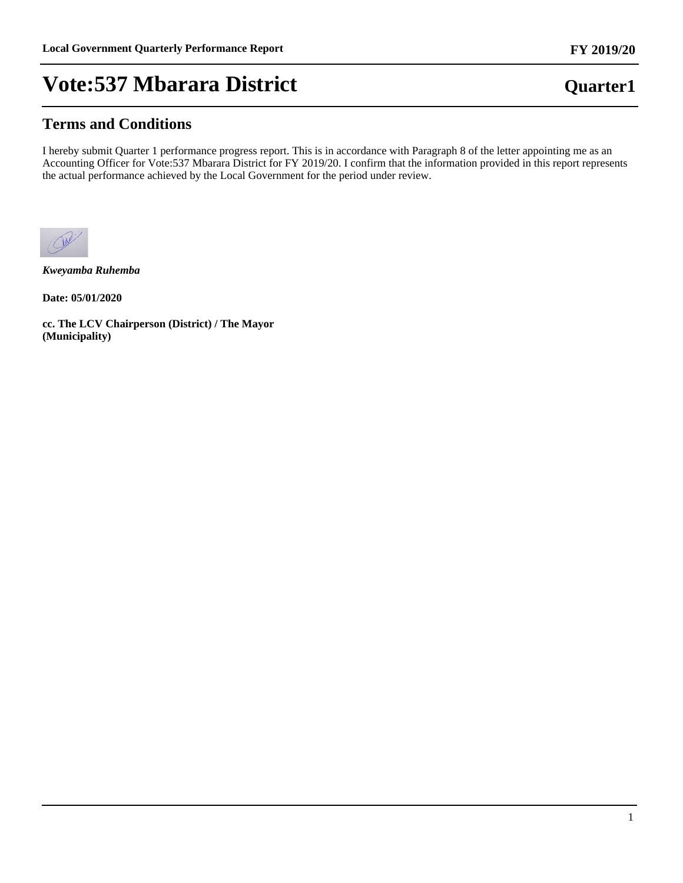## **Terms and Conditions**

I hereby submit Quarter 1 performance progress report. This is in accordance with Paragraph 8 of the letter appointing me as an Accounting Officer for Vote:537 Mbarara District for FY 2019/20. I confirm that the information provided in this report represents the actual performance achieved by the Local Government for the period under review.



*Kweyamba Ruhemba*

**Date: 05/01/2020**

**cc. The LCV Chairperson (District) / The Mayor (Municipality)**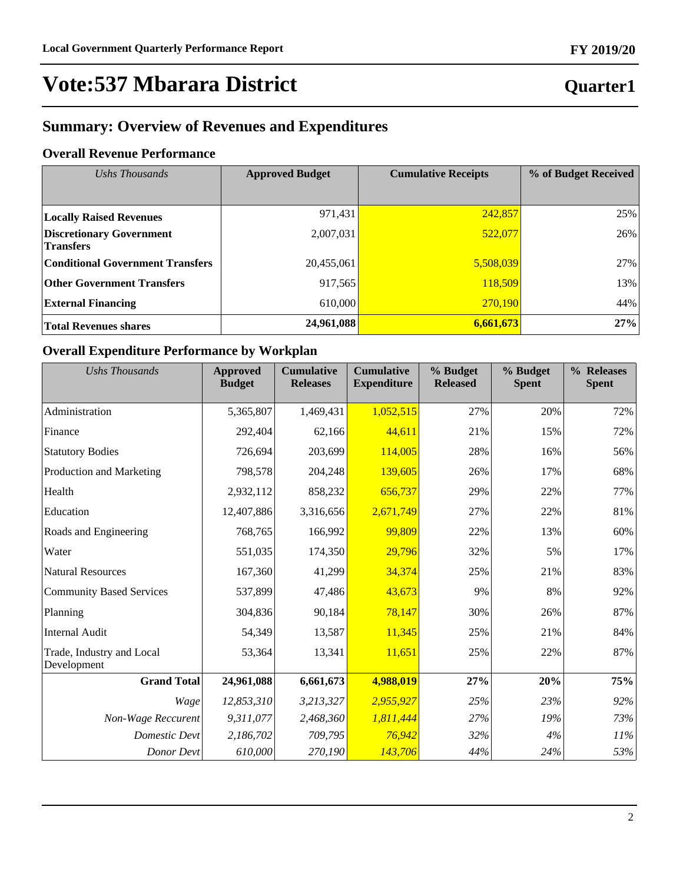## **Quarter1**

## **Summary: Overview of Revenues and Expenditures**

## **Overall Revenue Performance**

| Ushs Thousands                                      | <b>Approved Budget</b> | <b>Cumulative Receipts</b> | % of Budget Received |  |
|-----------------------------------------------------|------------------------|----------------------------|----------------------|--|
|                                                     |                        |                            |                      |  |
| <b>Locally Raised Revenues</b>                      | 971,431                | 242,857                    | 25%                  |  |
| <b>Discretionary Government</b><br><b>Transfers</b> | 2,007,031              | 522,077                    | 26%                  |  |
| <b>Conditional Government Transfers</b>             | 20,455,061             | 5,508,039                  | 27%                  |  |
| <b>Other Government Transfers</b>                   | 917,565                | 118,509                    | 13%                  |  |
| <b>External Financing</b>                           | 610,000                | 270,190                    | 44%                  |  |
| <b>Total Revenues shares</b>                        | 24,961,088             | 6,661,673                  | 27%                  |  |

### **Overall Expenditure Performance by Workplan**

| <b>Ushs Thousands</b>                    | <b>Approved</b><br><b>Budget</b> | <b>Cumulative</b><br><b>Releases</b> | <b>Cumulative</b><br><b>Expenditure</b> | % Budget<br><b>Released</b> | % Budget<br><b>Spent</b> | % Releases<br><b>Spent</b> |
|------------------------------------------|----------------------------------|--------------------------------------|-----------------------------------------|-----------------------------|--------------------------|----------------------------|
| Administration                           | 5,365,807                        | 1,469,431                            | 1,052,515                               | 27%                         | 20%                      | 72%                        |
| Finance                                  | 292,404                          | 62,166                               | 44,611                                  | 21%                         | 15%                      | 72%                        |
| <b>Statutory Bodies</b>                  | 726,694                          | 203,699                              | 114,005                                 | 28%                         | 16%                      | 56%                        |
| Production and Marketing                 | 798,578                          | 204,248                              | 139,605                                 | 26%                         | 17%                      | 68%                        |
| Health                                   | 2,932,112                        | 858,232                              | 656,737                                 | 29%                         | 22%                      | 77%                        |
| Education                                | 12,407,886                       | 3,316,656                            | 2,671,749                               | 27%                         | 22%                      | 81%                        |
| Roads and Engineering                    | 768,765                          | 166,992                              | 99,809                                  | 22%                         | 13%                      | 60%                        |
| Water                                    | 551,035                          | 174,350                              | 29,796                                  | 32%                         | 5%                       | 17%                        |
| <b>Natural Resources</b>                 | 167,360                          | 41,299                               | 34,374                                  | 25%                         | 21%                      | 83%                        |
| <b>Community Based Services</b>          | 537,899                          | 47,486                               | 43,673                                  | 9%                          | 8%                       | 92%                        |
| Planning                                 | 304,836                          | 90,184                               | 78,147                                  | 30%                         | 26%                      | 87%                        |
| <b>Internal Audit</b>                    | 54,349                           | 13,587                               | 11,345                                  | 25%                         | 21%                      | 84%                        |
| Trade, Industry and Local<br>Development | 53,364                           | 13,341                               | 11,651                                  | 25%                         | 22%                      | 87%                        |
| <b>Grand Total</b>                       | 24,961,088                       | 6,661,673                            | 4,988,019                               | 27%                         | 20%                      | 75%                        |
| Wage                                     | 12,853,310                       | 3,213,327                            | 2,955,927                               | 25%                         | 23%                      | 92%                        |
| Non-Wage Reccurent                       | 9,311,077                        | 2,468,360                            | 1,811,444                               | 27%                         | 19%                      | 73%                        |
| <b>Domestic Devt</b>                     | 2,186,702                        | 709,795                              | 76,942                                  | 32%                         | 4%                       | 11%                        |
| Donor Devt                               | 610,000                          | 270,190                              | 143,706                                 | 44%                         | 24%                      | 53%                        |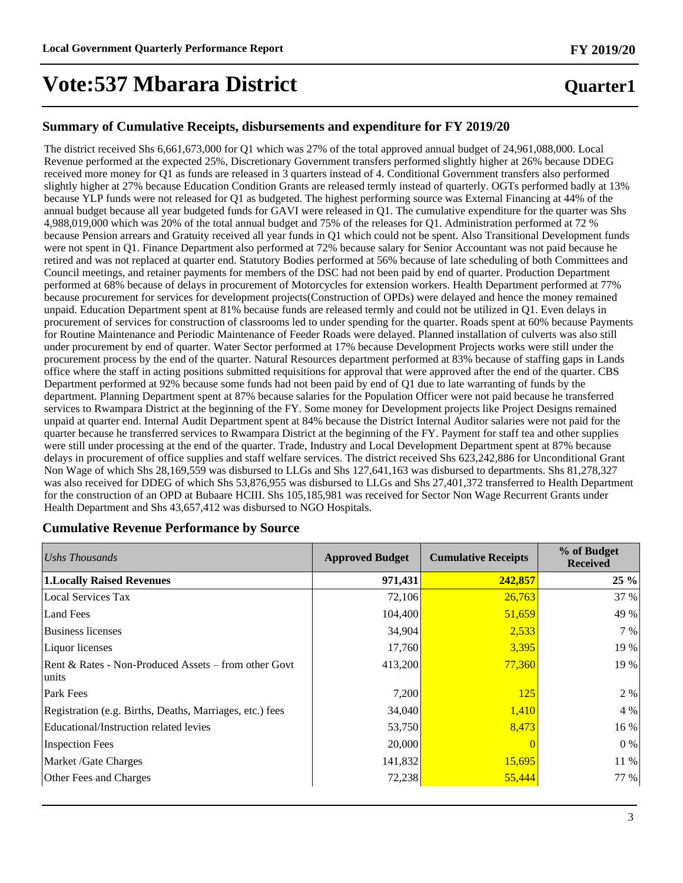## **Quarter1**

### **Summary of Cumulative Receipts, disbursements and expenditure for FY 2019/20**

The district received Shs 6,661,673,000 for Q1 which was 27% of the total approved annual budget of 24,961,088,000. Local Revenue performed at the expected 25%, Discretionary Government transfers performed slightly higher at 26% because DDEG received more money for Q1 as funds are released in 3 quarters instead of 4. Conditional Government transfers also performed slightly higher at 27% because Education Condition Grants are released termly instead of quarterly. OGTs performed badly at 13% because YLP funds were not released for Q1 as budgeted. The highest performing source was External Financing at 44% of the annual budget because all year budgeted funds for GAVI were released in Q1. The cumulative expenditure for the quarter was Shs 4,988,019,000 which was 20% of the total annual budget and 75% of the releases for Q1. Administration performed at 72 % because Pension arrears and Gratuity received all year funds in Q1 which could not be spent. Also Transitional Development funds were not spent in Q1. Finance Department also performed at 72% because salary for Senior Accountant was not paid because he retired and was not replaced at quarter end. Statutory Bodies performed at 56% because of late scheduling of both Committees and Council meetings, and retainer payments for members of the DSC had not been paid by end of quarter. Production Department performed at 68% because of delays in procurement of Motorcycles for extension workers. Health Department performed at 77% because procurement for services for development projects(Construction of OPDs) were delayed and hence the money remained unpaid. Education Department spent at 81% because funds are released termly and could not be utilized in Q1. Even delays in procurement of services for construction of classrooms led to under spending for the quarter. Roads spent at 60% because Payments for Routine Maintenance and Periodic Maintenance of Feeder Roads were delayed. Planned installation of culverts was also still under procurement by end of quarter. Water Sector performed at 17% because Development Projects works were still under the procurement process by the end of the quarter. Natural Resources department performed at 83% because of staffing gaps in Lands office where the staff in acting positions submitted requisitions for approval that were approved after the end of the quarter. CBS Department performed at 92% because some funds had not been paid by end of Q1 due to late warranting of funds by the department. Planning Department spent at 87% because salaries for the Population Officer were not paid because he transferred services to Rwampara District at the beginning of the FY. Some money for Development projects like Project Designs remained unpaid at quarter end. Internal Audit Department spent at 84% because the District Internal Auditor salaries were not paid for the quarter because he transferred services to Rwampara District at the beginning of the FY. Payment for staff tea and other supplies were still under processing at the end of the quarter. Trade, Industry and Local Development Department spent at 87% because delays in procurement of office supplies and staff welfare services. The district received Shs 623,242,886 for Unconditional Grant Non Wage of which Shs 28,169,559 was disbursed to LLGs and Shs 127,641,163 was disbursed to departments. Shs 81,278,327 was also received for DDEG of which Shs 53,876,955 was disbursed to LLGs and Shs 27,401,372 transferred to Health Department for the construction of an OPD at Bubaare HCIII. Shs 105,185,981 was received for Sector Non Wage Recurrent Grants under Health Department and Shs 43,657,412 was disbursed to NGO Hospitals.

### **Cumulative Revenue Performance by Source**

| Ushs Thousands                                                | <b>Approved Budget</b> | <b>Cumulative Receipts</b> | % of Budget<br><b>Received</b> |
|---------------------------------------------------------------|------------------------|----------------------------|--------------------------------|
| <b>1.Locally Raised Revenues</b>                              | 971,431                | 242,857                    | $25\%$                         |
| <b>Local Services Tax</b>                                     | 72,106                 | 26,763                     | 37 %                           |
| Land Fees                                                     | 104,400                | 51,659                     | 49 %                           |
| Business licenses                                             | 34,904                 | 2,533                      | 7 %                            |
| Liquor licenses                                               | 17,760                 | 3,395                      | 19 %                           |
| Rent & Rates - Non-Produced Assets – from other Govt<br>units | 413,200                | 77,360                     | 19 %                           |
| Park Fees                                                     | 7,200                  | 125                        | 2 %                            |
| Registration (e.g. Births, Deaths, Marriages, etc.) fees      | 34,040                 | 1,410                      | 4 %                            |
| Educational/Instruction related levies                        | 53,750                 | 8,473                      | 16 %                           |
| <b>Inspection Fees</b>                                        | 20,000                 |                            | 0 %                            |
| Market /Gate Charges                                          | 141,832                | 15,695                     | 11 %                           |
| Other Fees and Charges                                        | 72,238                 | 55,444                     | 77 %                           |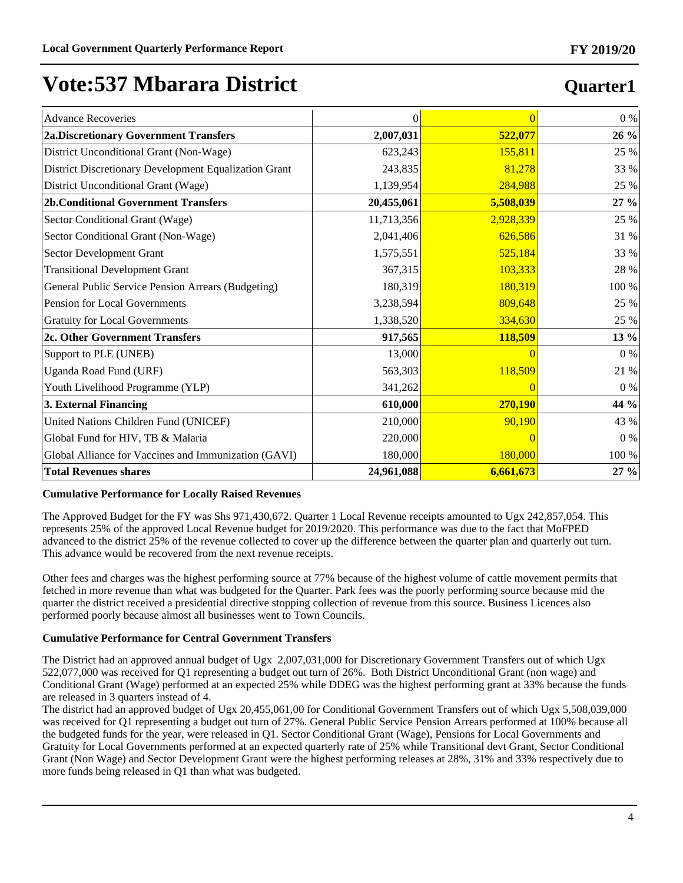## Advance Recoveries 0 0 0 % **2a.Discretionary Government Transfers 2,007,031 522,077 26 %** District Unconditional Grant (Non-Wage)  $\begin{array}{|l|l|}\n\hline\n\end{array}$  623,243 155,811 25 % District Discretionary Development Equalization Grant 243,835 81,278 33 % District Unconditional Grant (Wage) 1,139,954 284,988 25 % **2b.Conditional Government Transfers 20,455,061 5,508,039 27 %** Sector Conditional Grant (Wage)  $\begin{array}{ccc} | & 11,713,356 & 2,928,339 \end{array}$  25 % Sector Conditional Grant (Non-Wage)  $2,041,406$  626,586 31 % Sector Development Grant 1,575,551 525,184 33 % Transitional Development Grant 103,333 28 % General Public Service Pension Arrears (Budgeting)  $180.319$  180,319 100 % Pension for Local Governments  $25\%$ Gratuity for Local Governments  $1,338,520$   $334,630$   $25\%$ **2c. Other Government Transfers 917,565 118,509 13 %** Support to PLE (UNEB)  $\begin{array}{ccc} 0 & 0 \end{array}$  (13,000 0 0 0 0 0 0 0 %) Uganda Road Fund (URF) 563,303 21 % Youth Livelihood Programme (YLP)  $\begin{array}{ccc} 341,262 & 0 \end{array}$  0 0 % **3. External Financing 610,000 270,190 44 %** United Nations Children Fund (UNICEF) 210,000 **90,190** 43 % Global Fund for HIV, TB & Malaria  $\begin{array}{ccc} 0 & 0 \end{array}$ Global Alliance for Vaccines and Immunization (GAVI) 180,000 180,000 180,000 100 % **Total Revenues shares 24,961,088 6,661,673 27 %**

### **Cumulative Performance for Locally Raised Revenues**

The Approved Budget for the FY was Shs 971,430,672. Quarter 1 Local Revenue receipts amounted to Ugx 242,857,054. This represents 25% of the approved Local Revenue budget for 2019/2020. This performance was due to the fact that MoFPED advanced to the district 25% of the revenue collected to cover up the difference between the quarter plan and quarterly out turn. This advance would be recovered from the next revenue receipts.

Other fees and charges was the highest performing source at 77% because of the highest volume of cattle movement permits that fetched in more revenue than what was budgeted for the Quarter. Park fees was the poorly performing source because mid the quarter the district received a presidential directive stopping collection of revenue from this source. Business Licences also performed poorly because almost all businesses went to Town Councils.

### **Cumulative Performance for Central Government Transfers**

The District had an approved annual budget of Ugx 2,007,031,000 for Discretionary Government Transfers out of which Ugx 522,077,000 was received for Q1 representing a budget out turn of 26%. Both District Unconditional Grant (non wage) and Conditional Grant (Wage) performed at an expected 25% while DDEG was the highest performing grant at 33% because the funds are released in 3 quarters instead of 4.

The district had an approved budget of Ugx 20,455,061,00 for Conditional Government Transfers out of which Ugx 5,508,039,000 was received for Q1 representing a budget out turn of 27%. General Public Service Pension Arrears performed at 100% because all the budgeted funds for the year, were released in Q1. Sector Conditional Grant (Wage), Pensions for Local Governments and Gratuity for Local Governments performed at an expected quarterly rate of 25% while Transitional devt Grant, Sector Conditional Grant (Non Wage) and Sector Development Grant were the highest performing releases at 28%, 31% and 33% respectively due to more funds being released in Q1 than what was budgeted.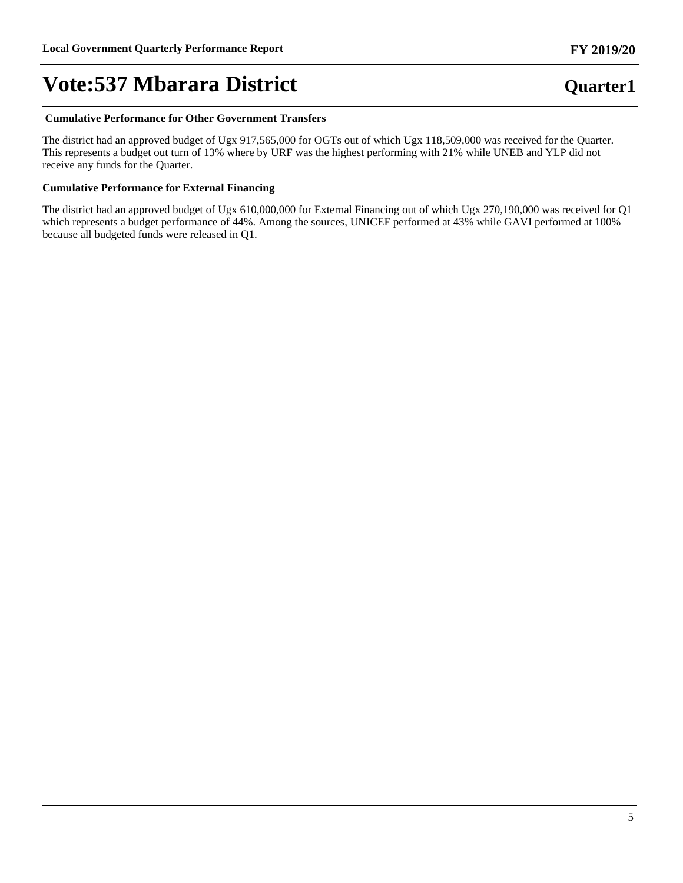### **Cumulative Performance for Other Government Transfers**

The district had an approved budget of Ugx 917,565,000 for OGTs out of which Ugx 118,509,000 was received for the Quarter. This represents a budget out turn of 13% where by URF was the highest performing with 21% while UNEB and YLP did not receive any funds for the Quarter.

### **Cumulative Performance for External Financing**

The district had an approved budget of Ugx 610,000,000 for External Financing out of which Ugx 270,190,000 was received for Q1 which represents a budget performance of 44%. Among the sources, UNICEF performed at 43% while GAVI performed at 100% because all budgeted funds were released in Q1.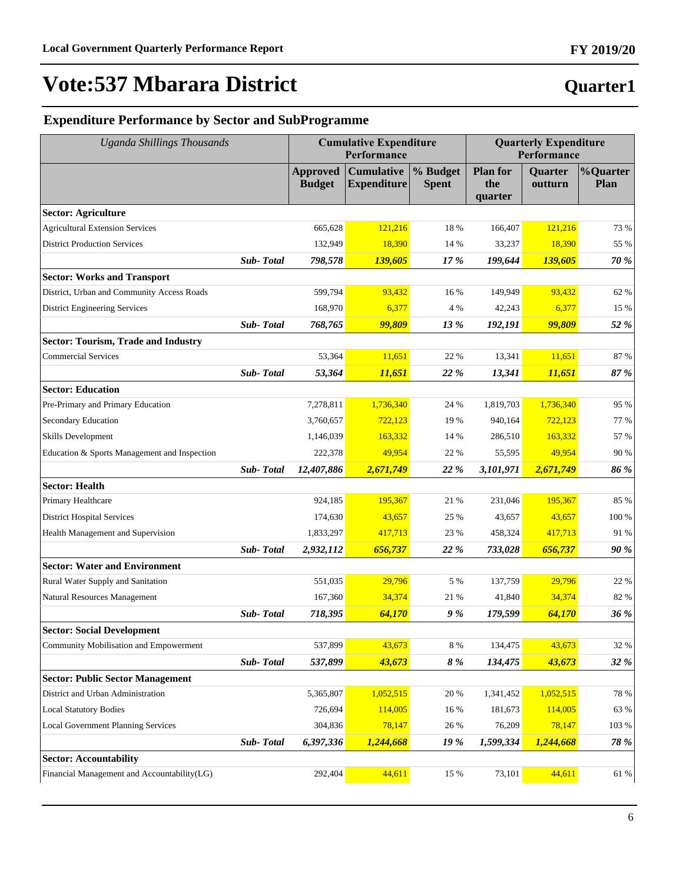# **Quarter1**

**FY 2019/20**

## **Expenditure Performance by Sector and SubProgramme**

| <b>Uganda Shillings Thousands</b>            |           |                                  | <b>Cumulative Expenditure</b><br>Performance |                          |                                   | <b>Quarterly Expenditure</b><br>Performance |                         |  |
|----------------------------------------------|-----------|----------------------------------|----------------------------------------------|--------------------------|-----------------------------------|---------------------------------------------|-------------------------|--|
|                                              |           | <b>Approved</b><br><b>Budget</b> | <b>Cumulative</b><br><b>Expenditure</b>      | % Budget<br><b>Spent</b> | <b>Plan for</b><br>the<br>quarter | Quarter<br>outturn                          | <b>%Quarter</b><br>Plan |  |
| <b>Sector: Agriculture</b>                   |           |                                  |                                              |                          |                                   |                                             |                         |  |
| <b>Agricultural Extension Services</b>       |           | 665,628                          | 121,216                                      | 18 %                     | 166,407                           | 121,216                                     | 73 %                    |  |
| <b>District Production Services</b>          |           | 132,949                          | 18,390                                       | 14 %                     | 33,237                            | 18,390                                      | 55 %                    |  |
|                                              | Sub-Total | 798,578                          | 139,605                                      | 17 %                     | 199,644                           | 139,605                                     | 70 %                    |  |
| <b>Sector: Works and Transport</b>           |           |                                  |                                              |                          |                                   |                                             |                         |  |
| District, Urban and Community Access Roads   |           | 599,794                          | 93,432                                       | 16 %                     | 149,949                           | 93,432                                      | 62 %                    |  |
| <b>District Engineering Services</b>         |           | 168,970                          | 6,377                                        | 4 %                      | 42,243                            | 6,377                                       | 15 %                    |  |
|                                              | Sub-Total | 768,765                          | 99,809                                       | 13 %                     | 192,191                           | 99,809                                      | 52 %                    |  |
| <b>Sector: Tourism, Trade and Industry</b>   |           |                                  |                                              |                          |                                   |                                             |                         |  |
| <b>Commercial Services</b>                   |           | 53,364                           | 11,651                                       | 22 %                     | 13,341                            | 11,651                                      | 87 %                    |  |
|                                              | Sub-Total | 53,364                           | 11,651                                       | 22 %                     | 13,341                            | 11,651                                      | 87 %                    |  |
| <b>Sector: Education</b>                     |           |                                  |                                              |                          |                                   |                                             |                         |  |
| Pre-Primary and Primary Education            |           | 7,278,811                        | 1,736,340                                    | 24 %                     | 1,819,703                         | 1,736,340                                   | 95 %                    |  |
| Secondary Education                          |           | 3,760,657                        | 722,123                                      | 19 %                     | 940,164                           | 722,123                                     | 77 %                    |  |
| <b>Skills Development</b>                    |           | 1,146,039                        | 163.332                                      | 14 %                     | 286,510                           | 163,332                                     | 57 %                    |  |
| Education & Sports Management and Inspection |           | 222,378                          | 49,954                                       | 22 %                     | 55,595                            | 49,954                                      | 90 %                    |  |
|                                              | Sub-Total | 12,407,886                       | 2,671,749                                    | 22 %                     | 3,101,971                         | 2,671,749                                   | 86 %                    |  |
| <b>Sector: Health</b>                        |           |                                  |                                              |                          |                                   |                                             |                         |  |
| Primary Healthcare                           |           | 924,185                          | 195,367                                      | 21 %                     | 231,046                           | 195,367                                     | 85 %                    |  |
| <b>District Hospital Services</b>            |           | 174,630                          | 43,657                                       | 25 %                     | 43,657                            | 43,657                                      | 100 %                   |  |
| Health Management and Supervision            |           | 1,833,297                        | 417,713                                      | 23 %                     | 458,324                           | 417,713                                     | 91 %                    |  |
|                                              | Sub-Total | 2,932,112                        | 656,737                                      | 22 %                     | 733,028                           | 656,737                                     | 90 %                    |  |
| <b>Sector: Water and Environment</b>         |           |                                  |                                              |                          |                                   |                                             |                         |  |
| Rural Water Supply and Sanitation            |           | 551,035                          | 29,796                                       | 5 %                      | 137,759                           | 29,796                                      | 22 %                    |  |
| <b>Natural Resources Management</b>          |           | 167,360                          | 34,374                                       | 21 %                     | 41,840                            | 34,374                                      | 82 %                    |  |
|                                              | Sub-Total | 718,395                          | 64,170                                       | 9%                       | 179,599                           | 64,170                                      | 36 %                    |  |
| <b>Sector: Social Development</b>            |           |                                  |                                              |                          |                                   |                                             |                         |  |
| Community Mobilisation and Empowerment       |           | 537,899                          | 43,673                                       | $8\ \%$                  | 134,475                           | 43,673                                      | 32 %                    |  |
|                                              | Sub-Total | 537,899                          | 43,673                                       | 8%                       | 134,475                           | 43,673                                      | 32 %                    |  |
| <b>Sector: Public Sector Management</b>      |           |                                  |                                              |                          |                                   |                                             |                         |  |
| District and Urban Administration            |           | 5,365,807                        | 1,052,515                                    | 20 %                     | 1,341,452                         | 1,052,515                                   | 78 %                    |  |
| <b>Local Statutory Bodies</b>                |           | 726,694                          | 114,005                                      | 16 %                     | 181,673                           | 114,005                                     | 63 %                    |  |
| <b>Local Government Planning Services</b>    |           | 304,836                          | 78,147                                       | 26 %                     | 76,209                            | 78,147                                      | 103 %                   |  |
|                                              | Sub-Total | 6,397,336                        | 1,244,668                                    | 19 %                     | 1,599,334                         | 1,244,668                                   | 78 %                    |  |
| <b>Sector: Accountability</b>                |           |                                  |                                              |                          |                                   |                                             |                         |  |
| Financial Management and Accountability(LG)  |           | 292,404                          | 44,611                                       | 15 %                     | 73,101                            | 44,611                                      | $61~\%$                 |  |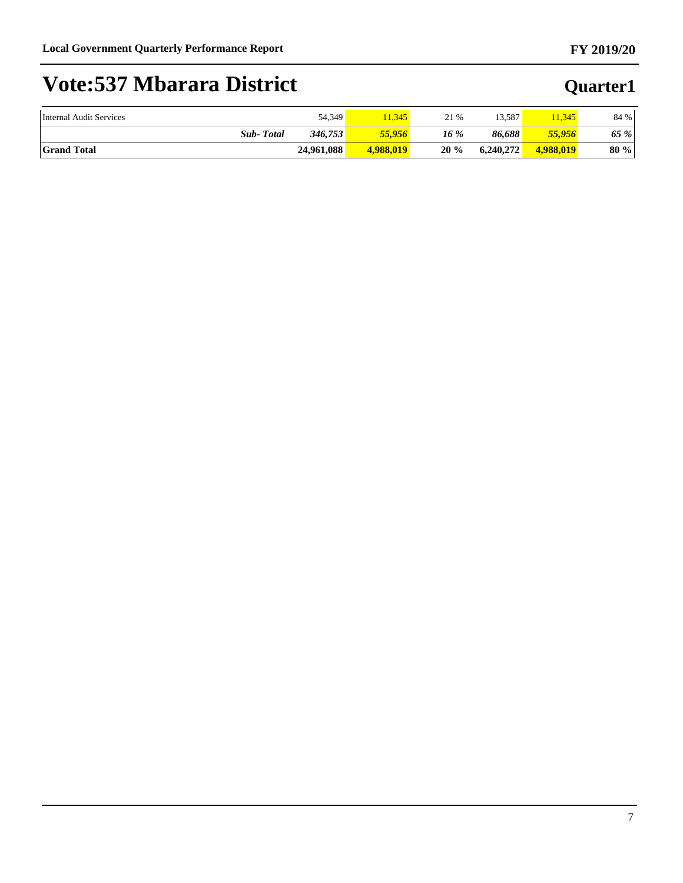| Internal Audit Services | 54,349     | 1,345     | 21 % | 13.587    | 1,345     | 84 % |
|-------------------------|------------|-----------|------|-----------|-----------|------|
| <b>Total</b><br>$Sub-$  | 346,753    | 55.956    | 16 % | 86.688    | 55.956    | 65 % |
| <b>Grand Total</b>      | 24.961.088 | 4,988,019 | 20%  | 6,240,272 | 4,988,019 | 80 % |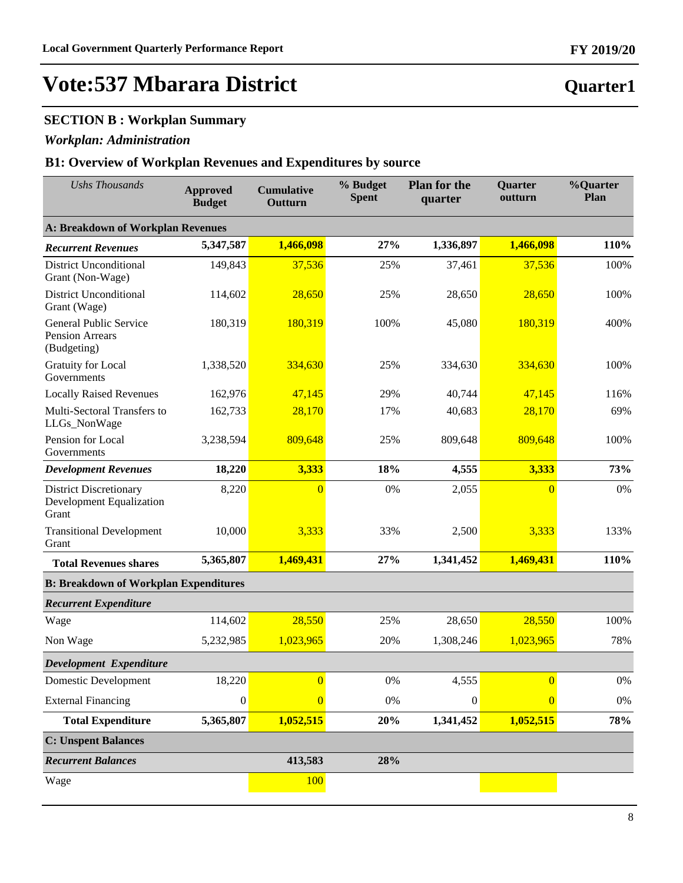## **SECTION B : Workplan Summary**

## *Workplan: Administration*

## **B1: Overview of Workplan Revenues and Expenditures by source**

| <b>Ushs Thousands</b>                                              | <b>Approved</b><br><b>Budget</b> | <b>Cumulative</b><br><b>Outturn</b> | % Budget<br><b>Spent</b> | <b>Plan for the</b><br>quarter | Quarter<br>outturn | %Quarter<br>Plan |  |  |
|--------------------------------------------------------------------|----------------------------------|-------------------------------------|--------------------------|--------------------------------|--------------------|------------------|--|--|
| <b>A: Breakdown of Workplan Revenues</b>                           |                                  |                                     |                          |                                |                    |                  |  |  |
| <b>Recurrent Revenues</b>                                          | 5,347,587                        | 1,466,098                           | 27%                      | 1,336,897                      | 1,466,098          | 110%             |  |  |
| <b>District Unconditional</b><br>Grant (Non-Wage)                  | 149,843                          | 37,536                              | 25%                      | 37,461                         | 37,536             | 100%             |  |  |
| <b>District Unconditional</b><br>Grant (Wage)                      | 114,602                          | 28,650                              | 25%                      | 28,650                         | 28,650             | 100%             |  |  |
| <b>General Public Service</b><br>Pension Arrears<br>(Budgeting)    | 180,319                          | 180,319                             | 100%                     | 45,080                         | 180,319            | 400%             |  |  |
| <b>Gratuity for Local</b><br>Governments                           | 1,338,520                        | 334,630                             | 25%                      | 334,630                        | 334,630            | 100%             |  |  |
| <b>Locally Raised Revenues</b>                                     | 162,976                          | 47,145                              | 29%                      | 40,744                         | 47,145             | 116%             |  |  |
| Multi-Sectoral Transfers to<br>LLGs_NonWage                        | 162,733                          | 28,170                              | 17%                      | 40,683                         | 28,170             | 69%              |  |  |
| Pension for Local<br>Governments                                   | 3,238,594                        | 809,648                             | 25%                      | 809,648                        | 809,648            | 100%             |  |  |
| <b>Development Revenues</b>                                        | 18,220                           | 3,333                               | 18%                      | 4,555                          | 3,333              | 73%              |  |  |
| <b>District Discretionary</b><br>Development Equalization<br>Grant | 8,220                            | $\overline{0}$                      | 0%                       | 2,055                          | $\overline{0}$     | 0%               |  |  |
| <b>Transitional Development</b><br>Grant                           | 10,000                           | 3,333                               | 33%                      | 2,500                          | 3,333              | 133%             |  |  |
| <b>Total Revenues shares</b>                                       | 5,365,807                        | 1,469,431                           | 27%                      | 1,341,452                      | 1,469,431          | 110%             |  |  |
| <b>B: Breakdown of Workplan Expenditures</b>                       |                                  |                                     |                          |                                |                    |                  |  |  |
| <b>Recurrent Expenditure</b>                                       |                                  |                                     |                          |                                |                    |                  |  |  |
| Wage                                                               | 114,602                          | 28,550                              | 25%                      | 28,650                         | 28,550             | 100%             |  |  |
| Non Wage                                                           | 5,232,985                        | 1,023,965                           | 20%                      | 1,308,246                      | 1,023,965          | 78%              |  |  |
| Development Expenditure                                            |                                  |                                     |                          |                                |                    |                  |  |  |
| Domestic Development                                               | 18,220                           | $\overline{0}$                      | 0%                       | 4,555                          | $\overline{0}$     | 0%               |  |  |
| <b>External Financing</b>                                          | $\boldsymbol{0}$                 | 0                                   | 0%                       | $\theta$                       | $\overline{0}$     | 0%               |  |  |
| <b>Total Expenditure</b>                                           | 5,365,807                        | 1,052,515                           | 20%                      | 1,341,452                      | 1,052,515          | 78%              |  |  |
| <b>C: Unspent Balances</b>                                         |                                  |                                     |                          |                                |                    |                  |  |  |
| <b>Recurrent Balances</b>                                          |                                  | 413,583                             | 28%                      |                                |                    |                  |  |  |
| Wage                                                               |                                  | 100                                 |                          |                                |                    |                  |  |  |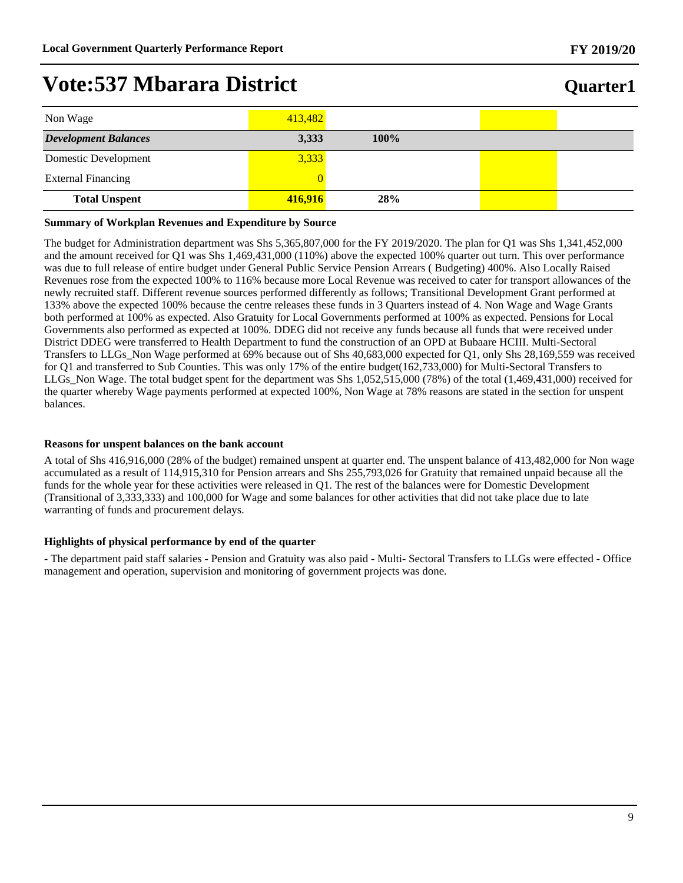## **Vote:537 Mbarara District**

| Non Wage                    | 413,482 |         |  |
|-----------------------------|---------|---------|--|
| <b>Development Balances</b> | 3,333   | $100\%$ |  |
| Domestic Development        | 3,333   |         |  |
| <b>External Financing</b>   |         |         |  |
| <b>Total Unspent</b>        | 416,916 | 28%     |  |

#### **Summary of Workplan Revenues and Expenditure by Source**

The budget for Administration department was Shs 5,365,807,000 for the FY 2019/2020. The plan for Q1 was Shs 1,341,452,000 and the amount received for Q1 was Shs 1,469,431,000 (110%) above the expected 100% quarter out turn. This over performance was due to full release of entire budget under General Public Service Pension Arrears ( Budgeting) 400%. Also Locally Raised Revenues rose from the expected 100% to 116% because more Local Revenue was received to cater for transport allowances of the newly recruited staff. Different revenue sources performed differently as follows; Transitional Development Grant performed at 133% above the expected 100% because the centre releases these funds in 3 Quarters instead of 4. Non Wage and Wage Grants both performed at 100% as expected. Also Gratuity for Local Governments performed at 100% as expected. Pensions for Local Governments also performed as expected at 100%. DDEG did not receive any funds because all funds that were received under District DDEG were transferred to Health Department to fund the construction of an OPD at Bubaare HCIII. Multi-Sectoral Transfers to LLGs\_Non Wage performed at 69% because out of Shs 40,683,000 expected for Q1, only Shs 28,169,559 was received for Q1 and transferred to Sub Counties. This was only 17% of the entire budget(162,733,000) for Multi-Sectoral Transfers to LLGs\_Non Wage. The total budget spent for the department was Shs 1,052,515,000 (78%) of the total (1,469,431,000) received for the quarter whereby Wage payments performed at expected 100%, Non Wage at 78% reasons are stated in the section for unspent balances.

#### **Reasons for unspent balances on the bank account**

A total of Shs 416,916,000 (28% of the budget) remained unspent at quarter end. The unspent balance of 413,482,000 for Non wage accumulated as a result of 114,915,310 for Pension arrears and Shs 255,793,026 for Gratuity that remained unpaid because all the funds for the whole year for these activities were released in Q1. The rest of the balances were for Domestic Development (Transitional of 3,333,333) and 100,000 for Wage and some balances for other activities that did not take place due to late warranting of funds and procurement delays.

#### **Highlights of physical performance by end of the quarter**

- The department paid staff salaries - Pension and Gratuity was also paid - Multi- Sectoral Transfers to LLGs were effected - Office management and operation, supervision and monitoring of government projects was done.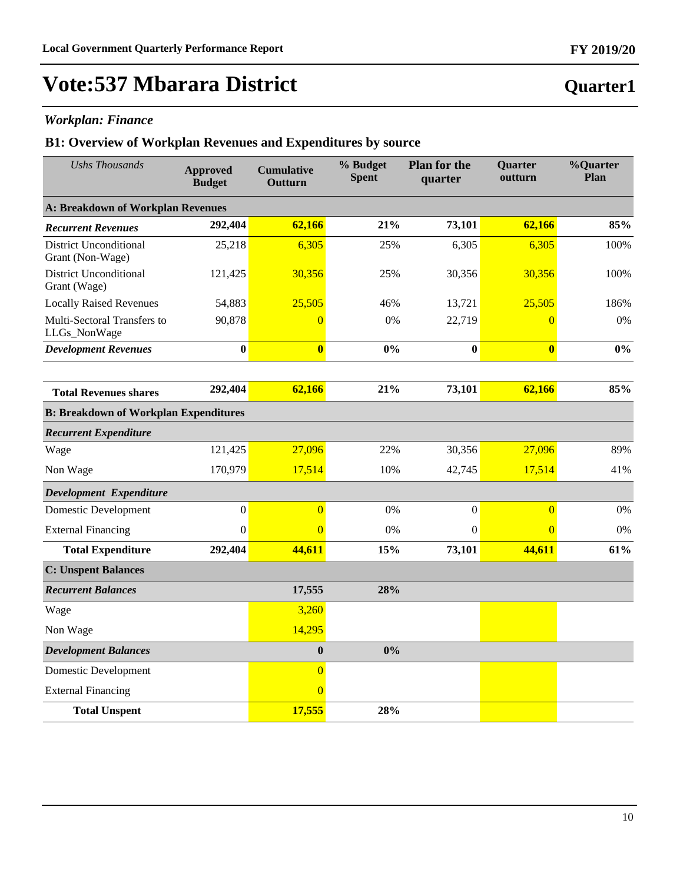# **Vote:537 Mbarara District**

## *Workplan: Finance*

| <b>Ushs Thousands</b>                             | <b>Approved</b><br><b>Budget</b> | <b>Cumulative</b><br>Outturn | % Budget<br><b>Spent</b> | <b>Plan for the</b><br>quarter | Quarter<br>outturn      | %Quarter<br><b>Plan</b> |
|---------------------------------------------------|----------------------------------|------------------------------|--------------------------|--------------------------------|-------------------------|-------------------------|
| A: Breakdown of Workplan Revenues                 |                                  |                              |                          |                                |                         |                         |
| <b>Recurrent Revenues</b>                         | 292,404                          | 62,166                       | 21%                      | 73,101                         | 62,166                  | 85%                     |
| <b>District Unconditional</b><br>Grant (Non-Wage) | 25,218                           | 6,305                        | 25%                      | 6,305                          | 6,305                   | 100%                    |
| <b>District Unconditional</b><br>Grant (Wage)     | 121,425                          | 30,356                       | 25%                      | 30,356                         | 30,356                  | 100%                    |
| <b>Locally Raised Revenues</b>                    | 54,883                           | 25,505                       | 46%                      | 13,721                         | 25,505                  | 186%                    |
| Multi-Sectoral Transfers to<br>LLGs_NonWage       | 90,878                           | $\overline{0}$               | 0%                       | 22,719                         | $\overline{0}$          | 0%                      |
| <b>Development Revenues</b>                       | $\bf{0}$                         | $\overline{\mathbf{0}}$      | 0%                       | $\bf{0}$                       | $\overline{\mathbf{0}}$ | $0\%$                   |
|                                                   |                                  |                              |                          |                                |                         |                         |
| <b>Total Revenues shares</b>                      | 292,404                          | 62,166                       | 21%                      | 73,101                         | 62,166                  | 85%                     |
| <b>B: Breakdown of Workplan Expenditures</b>      |                                  |                              |                          |                                |                         |                         |
| <b>Recurrent Expenditure</b>                      |                                  |                              |                          |                                |                         |                         |
| Wage                                              | 121,425                          | 27,096                       | 22%                      | 30,356                         | 27,096                  | 89%                     |
| Non Wage                                          | 170,979                          | 17,514                       | 10%                      | 42,745                         | 17,514                  | 41%                     |
| Development Expenditure                           |                                  |                              |                          |                                |                         |                         |
| <b>Domestic Development</b>                       | $\boldsymbol{0}$                 | $\overline{0}$               | 0%                       | $\boldsymbol{0}$               | $\overline{0}$          | 0%                      |
| <b>External Financing</b>                         | $\boldsymbol{0}$                 | $\Omega$                     | 0%                       | $\boldsymbol{0}$               | $\overline{0}$          | 0%                      |
| <b>Total Expenditure</b>                          | 292,404                          | 44,611                       | 15%                      | 73,101                         | 44,611                  | 61%                     |
| <b>C: Unspent Balances</b>                        |                                  |                              |                          |                                |                         |                         |
| <b>Recurrent Balances</b>                         |                                  | 17,555                       | 28%                      |                                |                         |                         |
| Wage                                              |                                  | 3,260                        |                          |                                |                         |                         |
| Non Wage                                          |                                  | 14,295                       |                          |                                |                         |                         |
| <b>Development Balances</b>                       |                                  | $\boldsymbol{0}$             | $0\%$                    |                                |                         |                         |
| <b>Domestic Development</b>                       |                                  | $\overline{0}$               |                          |                                |                         |                         |
| <b>External Financing</b>                         |                                  | $\overline{0}$               |                          |                                |                         |                         |
| <b>Total Unspent</b>                              |                                  | 17,555                       | 28%                      |                                |                         |                         |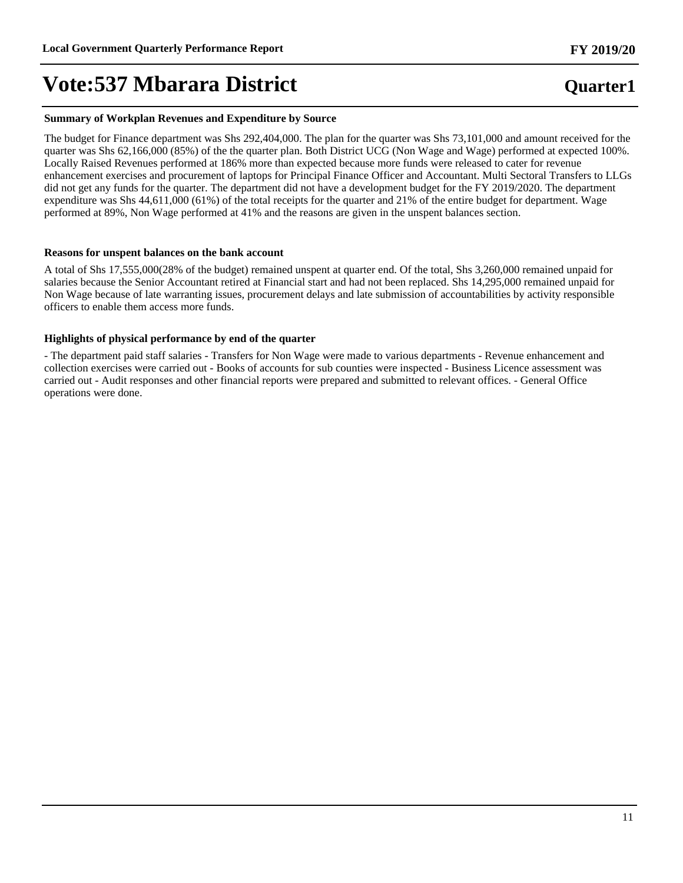#### **Summary of Workplan Revenues and Expenditure by Source**

The budget for Finance department was Shs 292,404,000. The plan for the quarter was Shs 73,101,000 and amount received for the quarter was Shs 62,166,000 (85%) of the the quarter plan. Both District UCG (Non Wage and Wage) performed at expected 100%. Locally Raised Revenues performed at 186% more than expected because more funds were released to cater for revenue enhancement exercises and procurement of laptops for Principal Finance Officer and Accountant. Multi Sectoral Transfers to LLGs did not get any funds for the quarter. The department did not have a development budget for the FY 2019/2020. The department expenditure was Shs 44,611,000 (61%) of the total receipts for the quarter and 21% of the entire budget for department. Wage performed at 89%, Non Wage performed at 41% and the reasons are given in the unspent balances section.

#### **Reasons for unspent balances on the bank account**

A total of Shs 17,555,000(28% of the budget) remained unspent at quarter end. Of the total, Shs 3,260,000 remained unpaid for salaries because the Senior Accountant retired at Financial start and had not been replaced. Shs 14,295,000 remained unpaid for Non Wage because of late warranting issues, procurement delays and late submission of accountabilities by activity responsible officers to enable them access more funds.

#### **Highlights of physical performance by end of the quarter**

- The department paid staff salaries - Transfers for Non Wage were made to various departments - Revenue enhancement and collection exercises were carried out - Books of accounts for sub counties were inspected - Business Licence assessment was carried out - Audit responses and other financial reports were prepared and submitted to relevant offices. - General Office operations were done.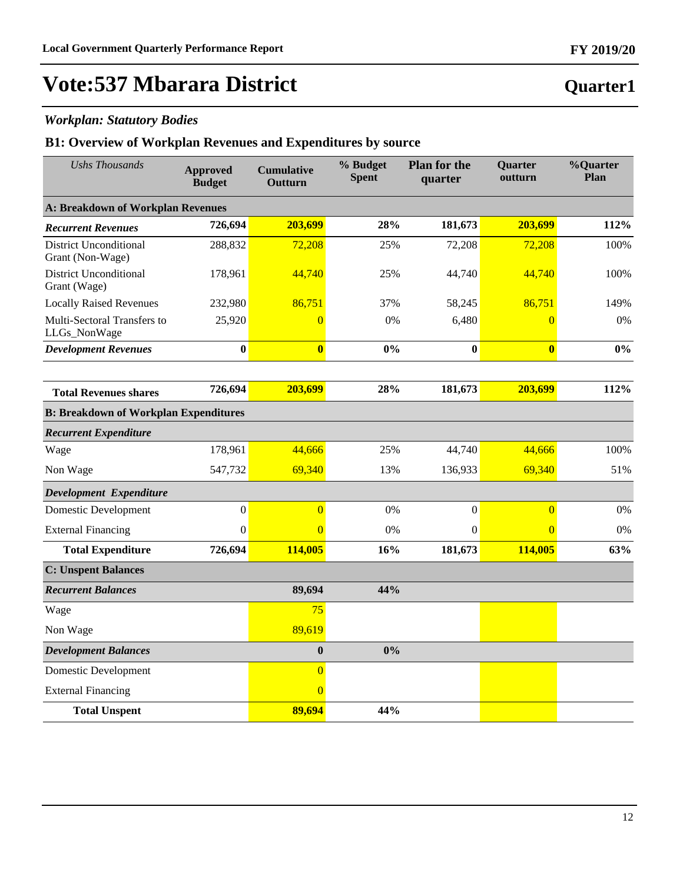# **Vote:537 Mbarara District**

## *Workplan: Statutory Bodies*

| <b>Ushs Thousands</b>                             | <b>Approved</b><br><b>Budget</b> | <b>Cumulative</b><br>Outturn | % Budget<br><b>Spent</b> | <b>Plan for the</b><br>quarter | Quarter<br>outturn | %Quarter<br>Plan |
|---------------------------------------------------|----------------------------------|------------------------------|--------------------------|--------------------------------|--------------------|------------------|
| <b>A: Breakdown of Workplan Revenues</b>          |                                  |                              |                          |                                |                    |                  |
| <b>Recurrent Revenues</b>                         | 726,694                          | 203,699                      | 28%                      | 181,673                        | 203,699            | 112%             |
| <b>District Unconditional</b><br>Grant (Non-Wage) | 288,832                          | 72,208                       | 25%                      | 72,208                         | 72,208             | 100%             |
| <b>District Unconditional</b><br>Grant (Wage)     | 178,961                          | 44,740                       | 25%                      | 44,740                         | 44,740             | 100%             |
| <b>Locally Raised Revenues</b>                    | 232,980                          | 86,751                       | 37%                      | 58,245                         | 86,751             | 149%             |
| Multi-Sectoral Transfers to<br>LLGs_NonWage       | 25,920                           | $\overline{0}$               | 0%                       | 6,480                          | $\overline{0}$     | 0%               |
| <b>Development Revenues</b>                       | $\bf{0}$                         | $\overline{\mathbf{0}}$      | 0%                       | $\bf{0}$                       | $\bf{0}$           | 0%               |
|                                                   |                                  |                              |                          |                                |                    |                  |
| <b>Total Revenues shares</b>                      | 726,694                          | 203,699                      | 28%                      | 181,673                        | 203,699            | 112%             |
| <b>B: Breakdown of Workplan Expenditures</b>      |                                  |                              |                          |                                |                    |                  |
| <b>Recurrent Expenditure</b>                      |                                  |                              |                          |                                |                    |                  |
| Wage                                              | 178,961                          | 44,666                       | 25%                      | 44,740                         | 44,666             | 100%             |
| Non Wage                                          | 547,732                          | 69,340                       | 13%                      | 136,933                        | 69,340             | 51%              |
| Development Expenditure                           |                                  |                              |                          |                                |                    |                  |
| <b>Domestic Development</b>                       | $\boldsymbol{0}$                 | $\overline{0}$               | 0%                       | $\boldsymbol{0}$               | $\overline{0}$     | 0%               |
| <b>External Financing</b>                         | $\mathbf{0}$                     | $\Omega$                     | 0%                       | $\mathbf{0}$                   | $\overline{0}$     | 0%               |
| <b>Total Expenditure</b>                          | 726,694                          | 114,005                      | 16%                      | 181,673                        | 114,005            | 63%              |
| <b>C: Unspent Balances</b>                        |                                  |                              |                          |                                |                    |                  |
| <b>Recurrent Balances</b>                         |                                  | 89,694                       | 44%                      |                                |                    |                  |
| Wage                                              |                                  | 75                           |                          |                                |                    |                  |
| Non Wage                                          |                                  | 89,619                       |                          |                                |                    |                  |
| <b>Development Balances</b>                       |                                  | $\boldsymbol{0}$             | 0%                       |                                |                    |                  |
| Domestic Development                              |                                  | $\overline{0}$               |                          |                                |                    |                  |
| <b>External Financing</b>                         |                                  | $\overline{0}$               |                          |                                |                    |                  |
| <b>Total Unspent</b>                              |                                  | 89,694                       | 44%                      |                                |                    |                  |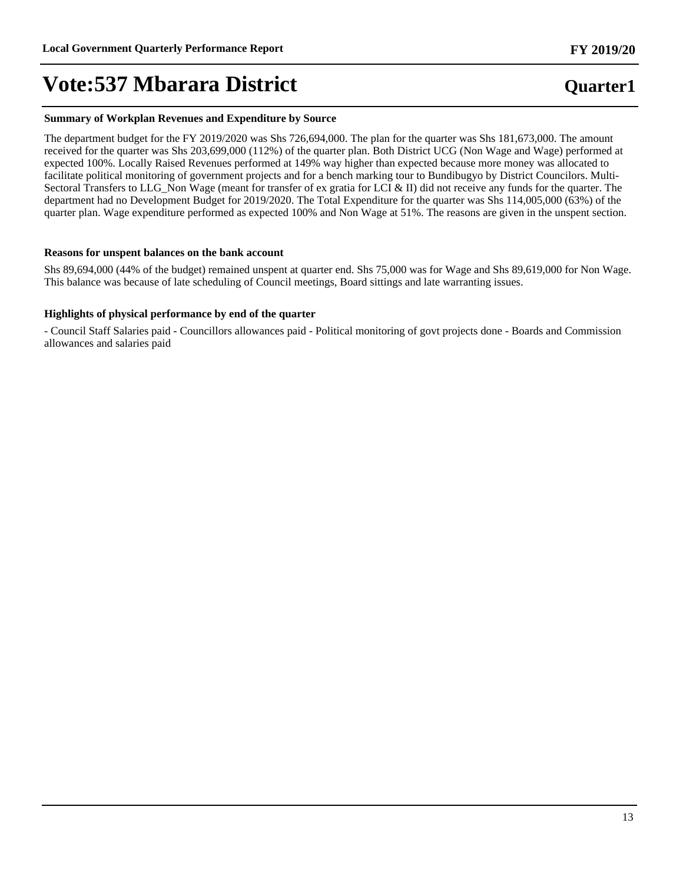### **Summary of Workplan Revenues and Expenditure by Source**

The department budget for the FY 2019/2020 was Shs 726,694,000. The plan for the quarter was Shs 181,673,000. The amount received for the quarter was Shs 203,699,000 (112%) of the quarter plan. Both District UCG (Non Wage and Wage) performed at expected 100%. Locally Raised Revenues performed at 149% way higher than expected because more money was allocated to facilitate political monitoring of government projects and for a bench marking tour to Bundibugyo by District Councilors. Multi-Sectoral Transfers to LLG\_Non Wage (meant for transfer of ex gratia for LCI & II) did not receive any funds for the quarter. The department had no Development Budget for 2019/2020. The Total Expenditure for the quarter was Shs 114,005,000 (63%) of the quarter plan. Wage expenditure performed as expected 100% and Non Wage at 51%. The reasons are given in the unspent section.

### **Reasons for unspent balances on the bank account**

Shs 89,694,000 (44% of the budget) remained unspent at quarter end. Shs 75,000 was for Wage and Shs 89,619,000 for Non Wage. This balance was because of late scheduling of Council meetings, Board sittings and late warranting issues.

### **Highlights of physical performance by end of the quarter**

- Council Staff Salaries paid - Councillors allowances paid - Political monitoring of govt projects done - Boards and Commission allowances and salaries paid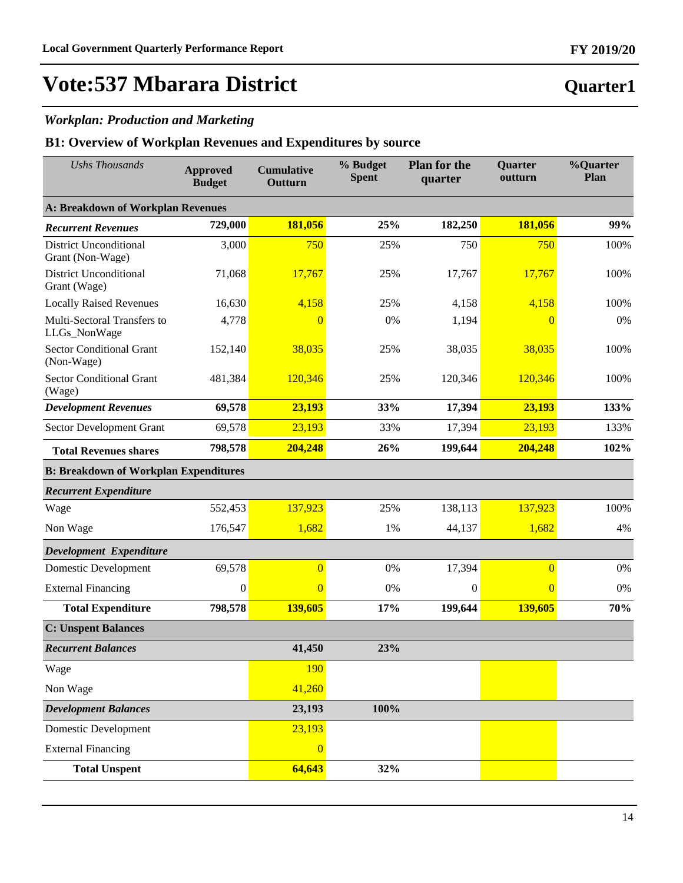# **Vote:537 Mbarara District**

## *Workplan: Production and Marketing*

| <b>Ushs Thousands</b>                             | <b>Approved</b><br><b>Budget</b> | <b>Cumulative</b><br>Outturn | % Budget<br><b>Spent</b> | <b>Plan for the</b><br>quarter | <b>Quarter</b><br>outturn | %Quarter<br>Plan |  |  |
|---------------------------------------------------|----------------------------------|------------------------------|--------------------------|--------------------------------|---------------------------|------------------|--|--|
| <b>A: Breakdown of Workplan Revenues</b>          |                                  |                              |                          |                                |                           |                  |  |  |
| <b>Recurrent Revenues</b>                         | 729,000                          | 181,056                      | 25%                      | 182,250                        | 181,056                   | 99%              |  |  |
| <b>District Unconditional</b><br>Grant (Non-Wage) | 3,000                            | 750                          | 25%                      | 750                            | 750                       | 100%             |  |  |
| <b>District Unconditional</b><br>Grant (Wage)     | 71,068                           | 17,767                       | 25%                      | 17,767                         | 17,767                    | 100%             |  |  |
| <b>Locally Raised Revenues</b>                    | 16,630                           | 4,158                        | 25%                      | 4,158                          | 4,158                     | 100%             |  |  |
| Multi-Sectoral Transfers to<br>LLGs_NonWage       | 4,778                            | $\overline{0}$               | 0%                       | 1,194                          | $\overline{0}$            | 0%               |  |  |
| <b>Sector Conditional Grant</b><br>(Non-Wage)     | 152,140                          | 38,035                       | 25%                      | 38,035                         | 38,035                    | 100%             |  |  |
| <b>Sector Conditional Grant</b><br>(Wage)         | 481,384                          | 120,346                      | 25%                      | 120,346                        | 120,346                   | 100%             |  |  |
| <b>Development Revenues</b>                       | 69,578                           | 23,193                       | 33%                      | 17,394                         | 23,193                    | 133%             |  |  |
| Sector Development Grant                          | 69,578                           | 23,193                       | 33%                      | 17,394                         | 23,193                    | 133%             |  |  |
| <b>Total Revenues shares</b>                      | 798,578                          | 204,248                      | 26%                      | 199,644                        | 204,248                   | 102%             |  |  |
| <b>B: Breakdown of Workplan Expenditures</b>      |                                  |                              |                          |                                |                           |                  |  |  |
| <b>Recurrent Expenditure</b>                      |                                  |                              |                          |                                |                           |                  |  |  |
| Wage                                              | 552,453                          | 137,923                      | 25%                      | 138,113                        | 137,923                   | 100%             |  |  |
| Non Wage                                          | 176,547                          | 1,682                        | 1%                       | 44,137                         | 1,682                     | 4%               |  |  |
| Development Expenditure                           |                                  |                              |                          |                                |                           |                  |  |  |
| Domestic Development                              | 69,578                           | $\overline{0}$               | 0%                       | 17,394                         | $\overline{0}$            | 0%               |  |  |
| <b>External Financing</b>                         | $\boldsymbol{0}$                 | $\overline{0}$               | 0%                       | $\theta$                       | $\overline{0}$            | 0%               |  |  |
| <b>Total Expenditure</b>                          | 798,578                          | 139,605                      | 17%                      | 199,644                        | 139,605                   | 70%              |  |  |
| <b>C: Unspent Balances</b>                        |                                  |                              |                          |                                |                           |                  |  |  |
| <b>Recurrent Balances</b>                         |                                  | 41,450                       | 23%                      |                                |                           |                  |  |  |
| Wage                                              |                                  | 190                          |                          |                                |                           |                  |  |  |
| Non Wage                                          |                                  | 41,260                       |                          |                                |                           |                  |  |  |
| <b>Development Balances</b>                       |                                  | 23,193                       | 100%                     |                                |                           |                  |  |  |
| Domestic Development                              |                                  | 23,193                       |                          |                                |                           |                  |  |  |
| <b>External Financing</b>                         |                                  | $\overline{0}$               |                          |                                |                           |                  |  |  |
| <b>Total Unspent</b>                              |                                  | 64,643                       | 32%                      |                                |                           |                  |  |  |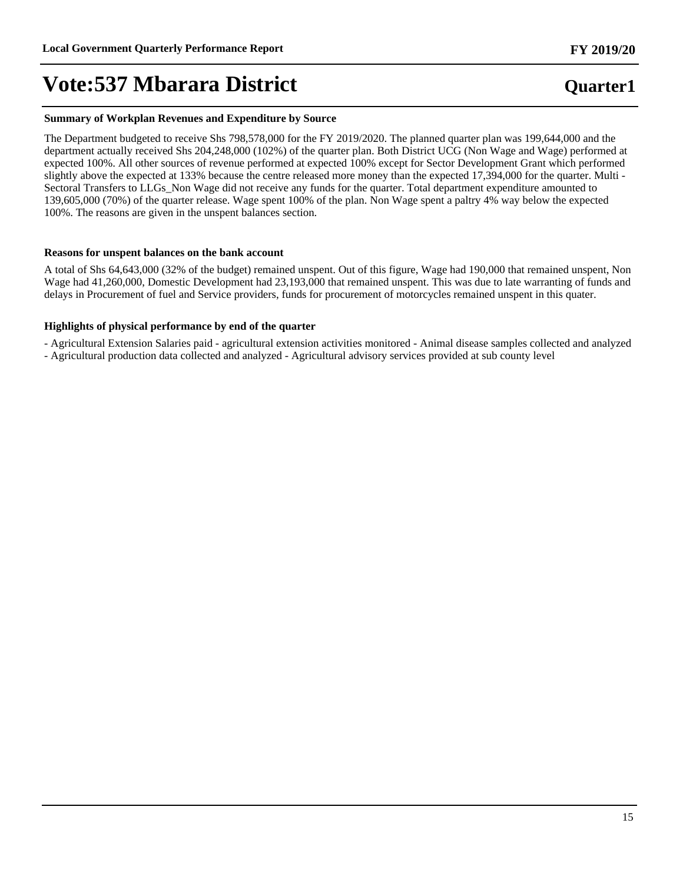#### **Summary of Workplan Revenues and Expenditure by Source**

The Department budgeted to receive Shs 798,578,000 for the FY 2019/2020. The planned quarter plan was 199,644,000 and the department actually received Shs 204,248,000 (102%) of the quarter plan. Both District UCG (Non Wage and Wage) performed at expected 100%. All other sources of revenue performed at expected 100% except for Sector Development Grant which performed slightly above the expected at 133% because the centre released more money than the expected 17,394,000 for the quarter. Multi - Sectoral Transfers to LLGs\_Non Wage did not receive any funds for the quarter. Total department expenditure amounted to 139,605,000 (70%) of the quarter release. Wage spent 100% of the plan. Non Wage spent a paltry 4% way below the expected 100%. The reasons are given in the unspent balances section.

### **Reasons for unspent balances on the bank account**

A total of Shs 64,643,000 (32% of the budget) remained unspent. Out of this figure, Wage had 190,000 that remained unspent, Non Wage had 41,260,000, Domestic Development had 23,193,000 that remained unspent. This was due to late warranting of funds and delays in Procurement of fuel and Service providers, funds for procurement of motorcycles remained unspent in this quater.

### **Highlights of physical performance by end of the quarter**

- Agricultural Extension Salaries paid - agricultural extension activities monitored - Animal disease samples collected and analyzed

- Agricultural production data collected and analyzed - Agricultural advisory services provided at sub county level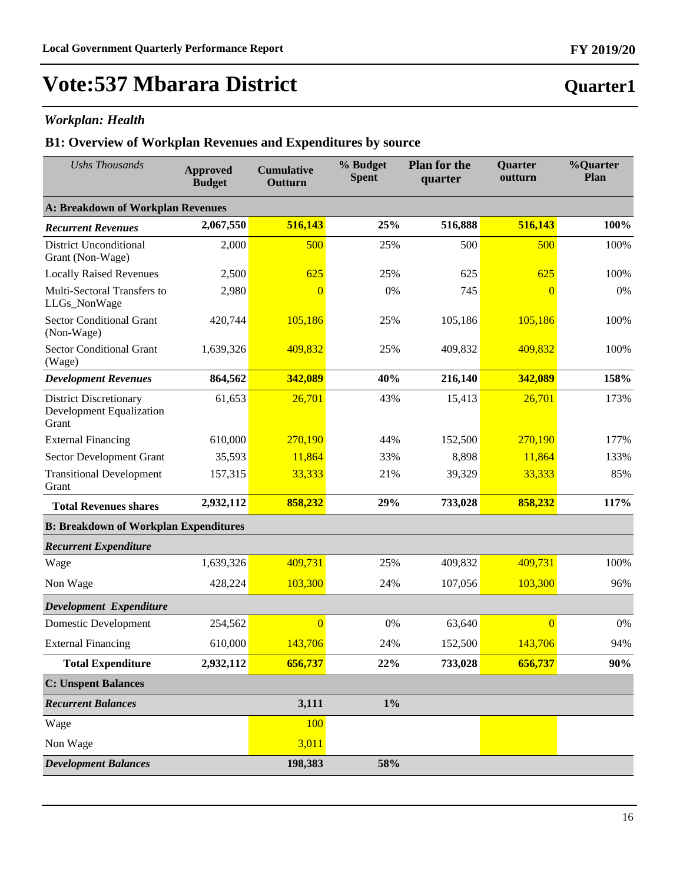## *Workplan: Health*

## **B1: Overview of Workplan Revenues and Expenditures by source**

| <b>Ushs Thousands</b>                                                     | <b>Approved</b><br><b>Budget</b> | <b>Cumulative</b><br>Outturn | % Budget<br><b>Spent</b> | <b>Plan for the</b><br>quarter | <b>Quarter</b><br>outturn | %Quarter<br>Plan |  |  |
|---------------------------------------------------------------------------|----------------------------------|------------------------------|--------------------------|--------------------------------|---------------------------|------------------|--|--|
| <b>A: Breakdown of Workplan Revenues</b>                                  |                                  |                              |                          |                                |                           |                  |  |  |
| <b>Recurrent Revenues</b>                                                 | 2,067,550                        | 516,143                      | 25%                      | 516,888                        | 516,143                   | 100%             |  |  |
| <b>District Unconditional</b><br>Grant (Non-Wage)                         | 2,000                            | 500                          | 25%                      | 500                            | 500                       | 100%             |  |  |
| <b>Locally Raised Revenues</b>                                            | 2,500                            | 625                          | 25%                      | 625                            | 625                       | 100%             |  |  |
| Multi-Sectoral Transfers to<br>LLGs_NonWage                               | 2,980                            | $\overline{0}$               | 0%                       | 745                            | $\overline{0}$            | 0%               |  |  |
| <b>Sector Conditional Grant</b><br>(Non-Wage)                             | 420,744                          | 105,186                      | 25%                      | 105,186                        | 105,186                   | 100%             |  |  |
| <b>Sector Conditional Grant</b><br>(Wage)                                 | 1,639,326                        | 409,832                      | 25%                      | 409,832                        | 409,832                   | 100%             |  |  |
| <b>Development Revenues</b>                                               | 864,562                          | 342,089                      | 40%                      | 216,140                        | 342,089                   | 158%             |  |  |
| <b>District Discretionary</b><br><b>Development Equalization</b><br>Grant | 61,653                           | 26,701                       | 43%                      | 15,413                         | 26,701                    | 173%             |  |  |
| <b>External Financing</b>                                                 | 610,000                          | 270,190                      | 44%                      | 152,500                        | 270,190                   | 177%             |  |  |
| Sector Development Grant                                                  | 35,593                           | 11,864                       | 33%                      | 8,898                          | 11,864                    | 133%             |  |  |
| <b>Transitional Development</b><br>Grant                                  | 157,315                          | 33,333                       | 21%                      | 39,329                         | 33,333                    | 85%              |  |  |
| <b>Total Revenues shares</b>                                              | 2,932,112                        | 858,232                      | 29%                      | 733,028                        | 858,232                   | 117%             |  |  |
| <b>B: Breakdown of Workplan Expenditures</b>                              |                                  |                              |                          |                                |                           |                  |  |  |
| <b>Recurrent Expenditure</b>                                              |                                  |                              |                          |                                |                           |                  |  |  |
| Wage                                                                      | 1,639,326                        | 409,731                      | 25%                      | 409,832                        | 409,731                   | 100%             |  |  |
| Non Wage                                                                  | 428,224                          | 103,300                      | 24%                      | 107,056                        | 103,300                   | 96%              |  |  |
| Development Expenditure                                                   |                                  |                              |                          |                                |                           |                  |  |  |
| <b>Domestic Development</b>                                               | 254,562                          | $\overline{0}$               | 0%                       | 63,640                         | $\overline{0}$            | 0%               |  |  |
| <b>External Financing</b>                                                 | 610,000                          | 143,706                      | 24%                      | 152,500                        | 143,706                   | 94%              |  |  |
| <b>Total Expenditure</b>                                                  | 2,932,112                        | 656,737                      | 22%                      | 733,028                        | 656,737                   | 90%              |  |  |
| <b>C: Unspent Balances</b>                                                |                                  |                              |                          |                                |                           |                  |  |  |
| <b>Recurrent Balances</b>                                                 |                                  | 3,111                        | $1\%$                    |                                |                           |                  |  |  |
| Wage                                                                      |                                  | 100                          |                          |                                |                           |                  |  |  |
| Non Wage                                                                  |                                  | 3,011                        |                          |                                |                           |                  |  |  |
| <b>Development Balances</b>                                               |                                  | 198,383                      | 58%                      |                                |                           |                  |  |  |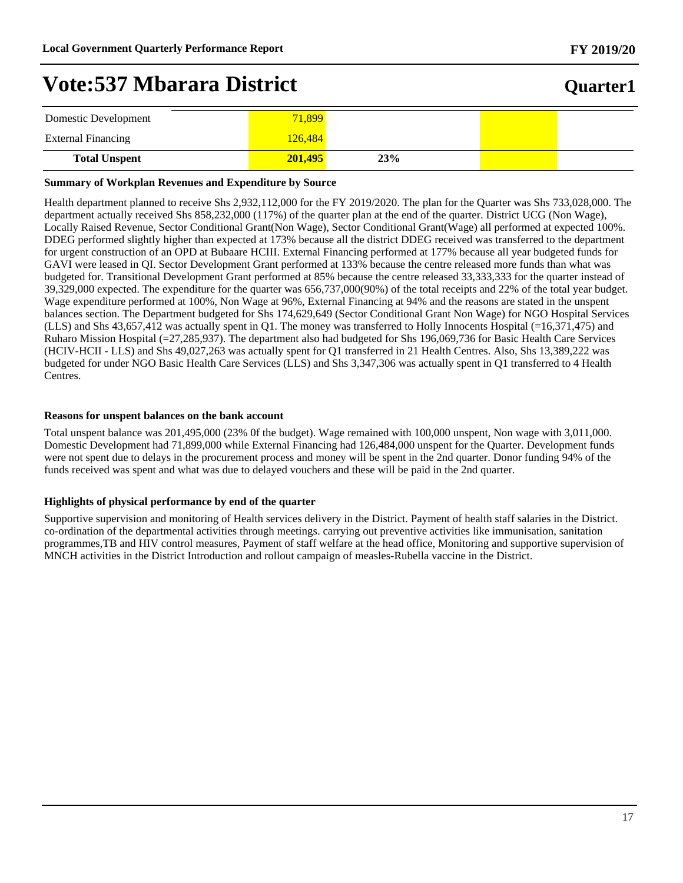## **Quarter1**

| Domestic Development      | 71,899  |     |  |
|---------------------------|---------|-----|--|
| <b>External Financing</b> | 126.484 |     |  |
| <b>Total Unspent</b>      | 201.495 | 23% |  |

#### **Summary of Workplan Revenues and Expenditure by Source**

Health department planned to receive Shs 2,932,112,000 for the FY 2019/2020. The plan for the Quarter was Shs 733,028,000. The department actually received Shs 858,232,000 (117%) of the quarter plan at the end of the quarter. District UCG (Non Wage), Locally Raised Revenue, Sector Conditional Grant(Non Wage), Sector Conditional Grant(Wage) all performed at expected 100%. DDEG performed slightly higher than expected at 173% because all the district DDEG received was transferred to the department for urgent construction of an OPD at Bubaare HCIII. External Financing performed at 177% because all year budgeted funds for GAVI were leased in QI. Sector Development Grant performed at 133% because the centre released more funds than what was budgeted for. Transitional Development Grant performed at 85% because the centre released 33,333,333 for the quarter instead of 39,329,000 expected. The expenditure for the quarter was 656,737,000(90%) of the total receipts and 22% of the total year budget. Wage expenditure performed at 100%, Non Wage at 96%, External Financing at 94% and the reasons are stated in the unspent balances section. The Department budgeted for Shs 174,629,649 (Sector Conditional Grant Non Wage) for NGO Hospital Services (LLS) and Shs 43,657,412 was actually spent in Q1. The money was transferred to Holly Innocents Hospital (=16,371,475) and Ruharo Mission Hospital (=27,285,937). The department also had budgeted for Shs 196,069,736 for Basic Health Care Services (HCIV-HCII - LLS) and Shs 49,027,263 was actually spent for Q1 transferred in 21 Health Centres. Also, Shs 13,389,222 was budgeted for under NGO Basic Health Care Services (LLS) and Shs 3,347,306 was actually spent in Q1 transferred to 4 Health Centres.

#### **Reasons for unspent balances on the bank account**

Total unspent balance was 201,495,000 (23% 0f the budget). Wage remained with 100,000 unspent, Non wage with 3,011,000. Domestic Development had 71,899,000 while External Financing had 126,484,000 unspent for the Quarter. Development funds were not spent due to delays in the procurement process and money will be spent in the 2nd quarter. Donor funding 94% of the funds received was spent and what was due to delayed vouchers and these will be paid in the 2nd quarter.

#### **Highlights of physical performance by end of the quarter**

Supportive supervision and monitoring of Health services delivery in the District. Payment of health staff salaries in the District. co-ordination of the departmental activities through meetings. carrying out preventive activities like immunisation, sanitation programmes,TB and HIV control measures, Payment of staff welfare at the head office, Monitoring and supportive supervision of MNCH activities in the District Introduction and rollout campaign of measles-Rubella vaccine in the District.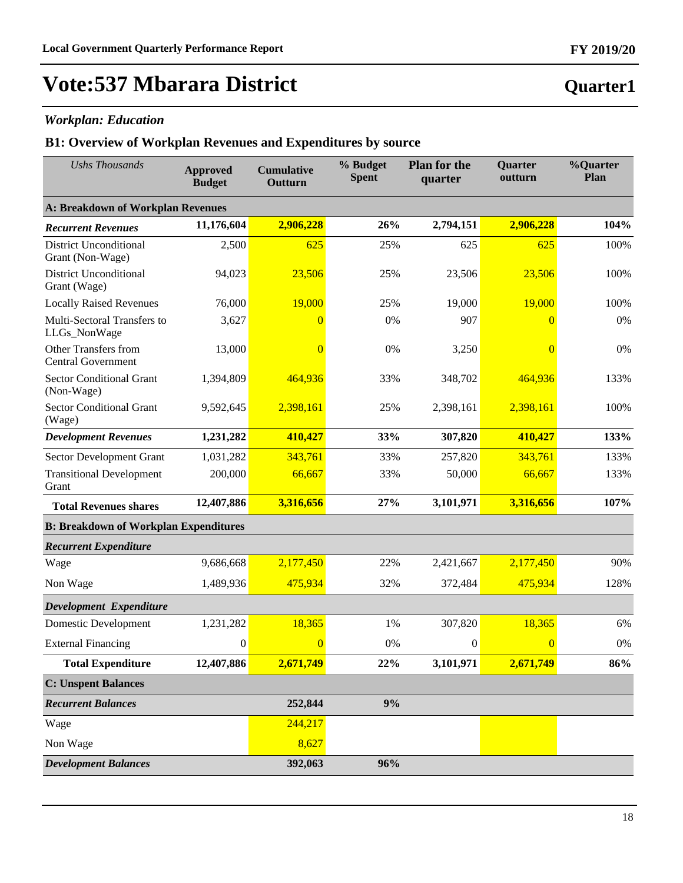# **Vote:537 Mbarara District**

## *Workplan: Education*

| <b>Ushs Thousands</b>                             | <b>Approved</b><br><b>Budget</b> | <b>Cumulative</b><br>Outturn | % Budget<br><b>Spent</b> | <b>Plan for the</b><br>quarter | <b>Quarter</b><br>outturn | %Quarter<br>Plan |
|---------------------------------------------------|----------------------------------|------------------------------|--------------------------|--------------------------------|---------------------------|------------------|
| <b>A: Breakdown of Workplan Revenues</b>          |                                  |                              |                          |                                |                           |                  |
| <b>Recurrent Revenues</b>                         | 11,176,604                       | 2,906,228                    | 26%                      | 2,794,151                      | 2,906,228                 | 104%             |
| <b>District Unconditional</b><br>Grant (Non-Wage) | 2,500                            | 625                          | 25%                      | 625                            | 625                       | 100%             |
| <b>District Unconditional</b><br>Grant (Wage)     | 94,023                           | 23,506                       | 25%                      | 23,506                         | 23,506                    | 100%             |
| <b>Locally Raised Revenues</b>                    | 76,000                           | 19,000                       | 25%                      | 19,000                         | 19,000                    | 100%             |
| Multi-Sectoral Transfers to<br>LLGs_NonWage       | 3,627                            | $\Omega$                     | 0%                       | 907                            | $\theta$                  | 0%               |
| Other Transfers from<br><b>Central Government</b> | 13,000                           | $\overline{0}$               | 0%                       | 3,250                          | $\overline{0}$            | 0%               |
| <b>Sector Conditional Grant</b><br>(Non-Wage)     | 1,394,809                        | 464,936                      | 33%                      | 348,702                        | 464,936                   | 133%             |
| <b>Sector Conditional Grant</b><br>(Wage)         | 9,592,645                        | 2,398,161                    | 25%                      | 2,398,161                      | 2,398,161                 | 100%             |
| <b>Development Revenues</b>                       | 1,231,282                        | 410,427                      | 33%                      | 307,820                        | 410,427                   | 133%             |
| Sector Development Grant                          | 1,031,282                        | 343,761                      | 33%                      | 257,820                        | 343,761                   | 133%             |
| <b>Transitional Development</b><br>Grant          | 200,000                          | 66,667                       | 33%                      | 50,000                         | 66,667                    | 133%             |
| <b>Total Revenues shares</b>                      | 12,407,886                       | 3,316,656                    | 27%                      | 3,101,971                      | 3,316,656                 | 107%             |
| <b>B: Breakdown of Workplan Expenditures</b>      |                                  |                              |                          |                                |                           |                  |
| <b>Recurrent Expenditure</b>                      |                                  |                              |                          |                                |                           |                  |
| Wage                                              | 9,686,668                        | 2,177,450                    | 22%                      | 2,421,667                      | 2,177,450                 | 90%              |
| Non Wage                                          | 1,489,936                        | 475,934                      | 32%                      | 372,484                        | 475,934                   | 128%             |
| Development Expenditure                           |                                  |                              |                          |                                |                           |                  |
| <b>Domestic Development</b>                       | 1,231,282                        | 18,365                       | 1%                       | 307,820                        | 18,365                    | 6%               |
| <b>External Financing</b>                         | $\boldsymbol{0}$                 | $\overline{0}$               | 0%                       | $\boldsymbol{0}$               | $\overline{0}$            | 0%               |
| <b>Total Expenditure</b>                          | 12,407,886                       | 2,671,749                    | 22%                      | 3,101,971                      | 2,671,749                 | 86%              |
| <b>C: Unspent Balances</b>                        |                                  |                              |                          |                                |                           |                  |
| <b>Recurrent Balances</b>                         |                                  | 252,844                      | 9%                       |                                |                           |                  |
| Wage                                              |                                  | 244,217                      |                          |                                |                           |                  |
| Non Wage                                          |                                  | 8,627                        |                          |                                |                           |                  |
| <b>Development Balances</b>                       |                                  | 392,063                      | 96%                      |                                |                           |                  |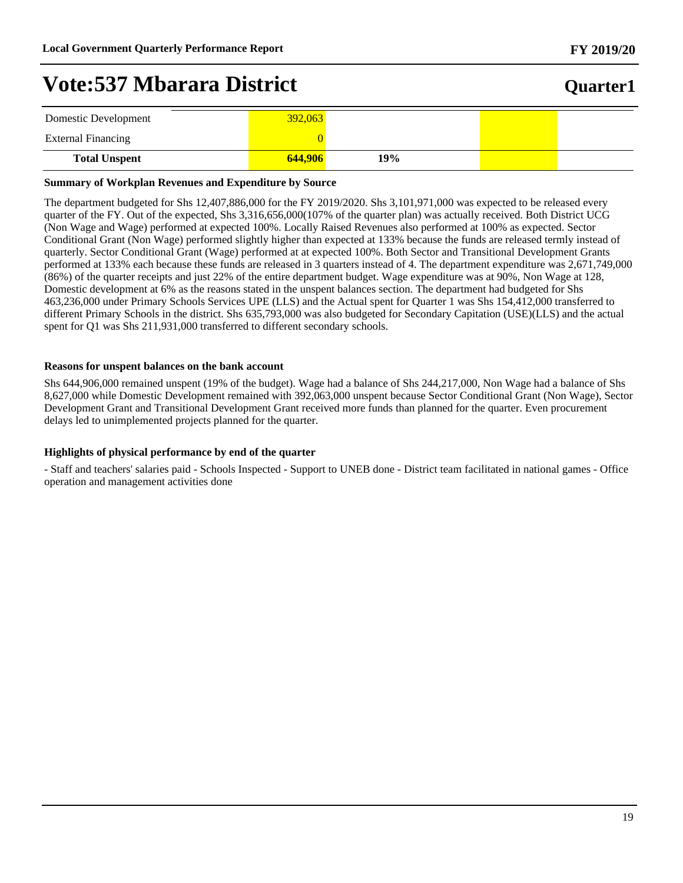## **Quarter1**

| Domestic Development      | 392,063 |     |  |
|---------------------------|---------|-----|--|
| <b>External Financing</b> |         |     |  |
| <b>Total Unspent</b>      | 644,906 | 19% |  |

#### **Summary of Workplan Revenues and Expenditure by Source**

The department budgeted for Shs 12,407,886,000 for the FY 2019/2020. Shs 3,101,971,000 was expected to be released every quarter of the FY. Out of the expected, Shs 3,316,656,000(107% of the quarter plan) was actually received. Both District UCG (Non Wage and Wage) performed at expected 100%. Locally Raised Revenues also performed at 100% as expected. Sector Conditional Grant (Non Wage) performed slightly higher than expected at 133% because the funds are released termly instead of quarterly. Sector Conditional Grant (Wage) performed at at expected 100%. Both Sector and Transitional Development Grants performed at 133% each because these funds are released in 3 quarters instead of 4. The department expenditure was 2,671,749,000 (86%) of the quarter receipts and just 22% of the entire department budget. Wage expenditure was at 90%, Non Wage at 128, Domestic development at 6% as the reasons stated in the unspent balances section. The department had budgeted for Shs 463,236,000 under Primary Schools Services UPE (LLS) and the Actual spent for Quarter 1 was Shs 154,412,000 transferred to different Primary Schools in the district. Shs 635,793,000 was also budgeted for Secondary Capitation (USE)(LLS) and the actual spent for Q1 was Shs 211,931,000 transferred to different secondary schools.

#### **Reasons for unspent balances on the bank account**

Shs 644,906,000 remained unspent (19% of the budget). Wage had a balance of Shs 244,217,000, Non Wage had a balance of Shs 8,627,000 while Domestic Development remained with 392,063,000 unspent because Sector Conditional Grant (Non Wage), Sector Development Grant and Transitional Development Grant received more funds than planned for the quarter. Even procurement delays led to unimplemented projects planned for the quarter.

#### **Highlights of physical performance by end of the quarter**

- Staff and teachers' salaries paid - Schools Inspected - Support to UNEB done - District team facilitated in national games - Office operation and management activities done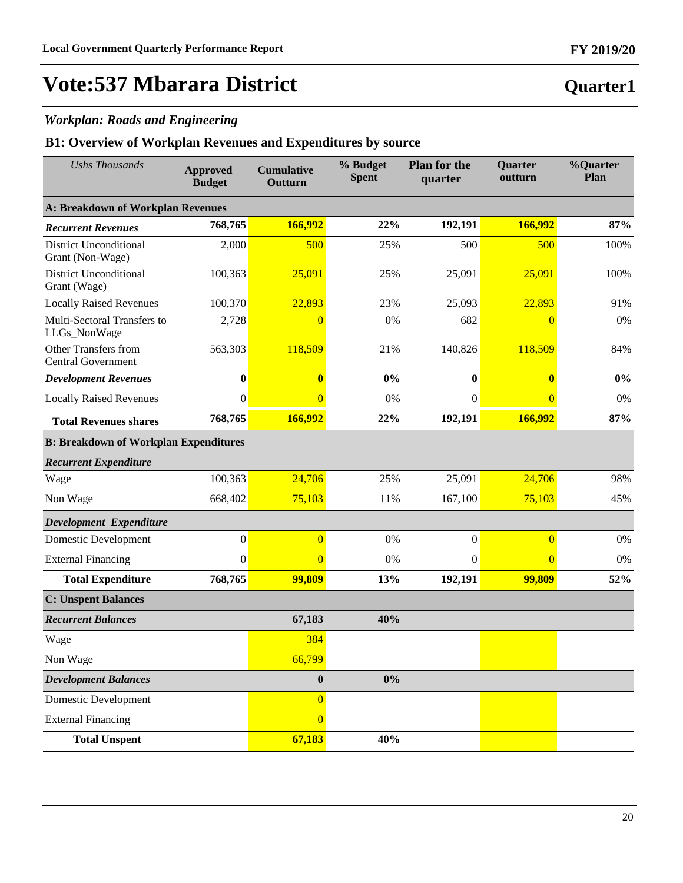## *Workplan: Roads and Engineering*

| <b>Ushs Thousands</b>                             | <b>Approved</b><br><b>Budget</b> | <b>Cumulative</b><br>Outturn | % Budget<br><b>Spent</b> | <b>Plan for the</b><br>quarter | Quarter<br>outturn | %Quarter<br>Plan |
|---------------------------------------------------|----------------------------------|------------------------------|--------------------------|--------------------------------|--------------------|------------------|
| <b>A: Breakdown of Workplan Revenues</b>          |                                  |                              |                          |                                |                    |                  |
| <b>Recurrent Revenues</b>                         | 768,765                          | 166,992                      | 22%                      | 192,191                        | 166,992            | 87%              |
| <b>District Unconditional</b><br>Grant (Non-Wage) | 2,000                            | 500                          | 25%                      | 500                            | 500                | 100%             |
| <b>District Unconditional</b><br>Grant (Wage)     | 100,363                          | 25,091                       | 25%                      | 25,091                         | 25,091             | 100%             |
| <b>Locally Raised Revenues</b>                    | 100,370                          | 22,893                       | 23%                      | 25,093                         | 22,893             | 91%              |
| Multi-Sectoral Transfers to<br>LLGs_NonWage       | 2,728                            | $\overline{0}$               | 0%                       | 682                            | $\overline{0}$     | 0%               |
| Other Transfers from<br><b>Central Government</b> | 563,303                          | 118,509                      | 21%                      | 140,826                        | 118,509            | 84%              |
| <b>Development Revenues</b>                       | $\boldsymbol{0}$                 | $\bf{0}$                     | 0%                       | $\boldsymbol{0}$               | $\bf{0}$           | $0\%$            |
| <b>Locally Raised Revenues</b>                    | $\boldsymbol{0}$                 | $\overline{0}$               | 0%                       | $\mathbf{0}$                   | $\overline{0}$     | 0%               |
| <b>Total Revenues shares</b>                      | 768,765                          | 166,992                      | 22%                      | 192,191                        | 166,992            | 87%              |
| <b>B: Breakdown of Workplan Expenditures</b>      |                                  |                              |                          |                                |                    |                  |
| <b>Recurrent Expenditure</b>                      |                                  |                              |                          |                                |                    |                  |
| Wage                                              | 100,363                          | 24,706                       | 25%                      | 25,091                         | 24,706             | 98%              |
| Non Wage                                          | 668,402                          | 75,103                       | 11%                      | 167,100                        | 75,103             | 45%              |
| Development Expenditure                           |                                  |                              |                          |                                |                    |                  |
| Domestic Development                              | $\boldsymbol{0}$                 | $\overline{0}$               | 0%                       | $\boldsymbol{0}$               | $\overline{0}$     | 0%               |
| <b>External Financing</b>                         | $\mathbf{0}$                     | $\overline{0}$               | 0%                       | $\mathbf{0}$                   | $\overline{0}$     | 0%               |
| <b>Total Expenditure</b>                          | 768,765                          | 99,809                       | 13%                      | 192,191                        | 99,809             | 52%              |
| <b>C: Unspent Balances</b>                        |                                  |                              |                          |                                |                    |                  |
| <b>Recurrent Balances</b>                         |                                  | 67,183                       | 40%                      |                                |                    |                  |
| Wage                                              |                                  | 384                          |                          |                                |                    |                  |
| Non Wage                                          |                                  | 66,799                       |                          |                                |                    |                  |
| <b>Development Balances</b>                       |                                  | $\bf{0}$                     | $0\%$                    |                                |                    |                  |
| <b>Domestic Development</b>                       |                                  | $\overline{0}$               |                          |                                |                    |                  |
| <b>External Financing</b>                         |                                  | $\overline{0}$               |                          |                                |                    |                  |
| <b>Total Unspent</b>                              |                                  | 67,183                       | 40%                      |                                |                    |                  |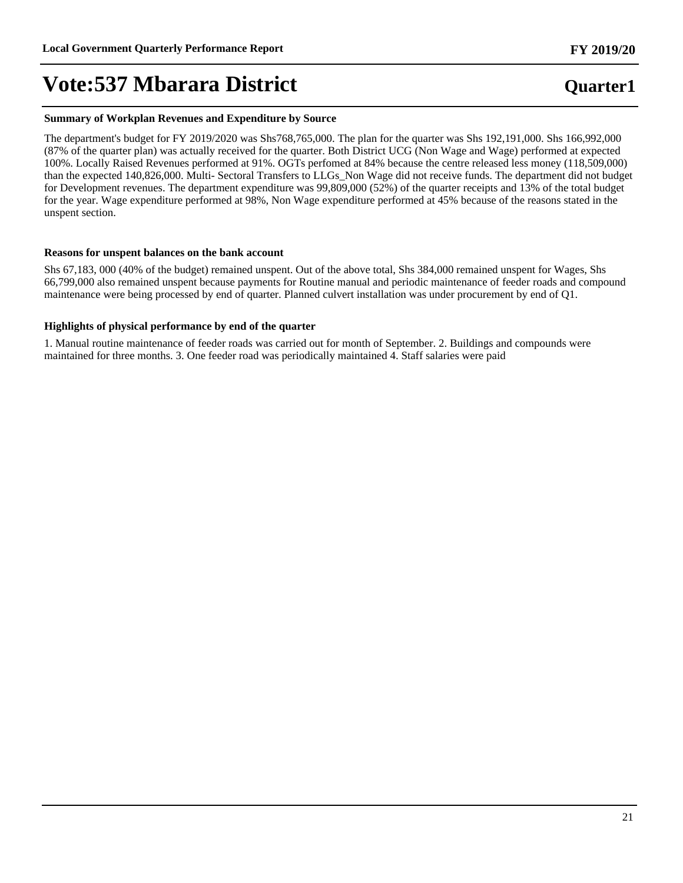#### **Summary of Workplan Revenues and Expenditure by Source**

The department's budget for FY 2019/2020 was Shs768,765,000. The plan for the quarter was Shs 192,191,000. Shs 166,992,000 (87% of the quarter plan) was actually received for the quarter. Both District UCG (Non Wage and Wage) performed at expected 100%. Locally Raised Revenues performed at 91%. OGTs perfomed at 84% because the centre released less money (118,509,000) than the expected 140,826,000. Multi- Sectoral Transfers to LLGs\_Non Wage did not receive funds. The department did not budget for Development revenues. The department expenditure was 99,809,000 (52%) of the quarter receipts and 13% of the total budget for the year. Wage expenditure performed at 98%, Non Wage expenditure performed at 45% because of the reasons stated in the unspent section.

#### **Reasons for unspent balances on the bank account**

Shs 67,183, 000 (40% of the budget) remained unspent. Out of the above total, Shs 384,000 remained unspent for Wages, Shs 66,799,000 also remained unspent because payments for Routine manual and periodic maintenance of feeder roads and compound maintenance were being processed by end of quarter. Planned culvert installation was under procurement by end of Q1.

#### **Highlights of physical performance by end of the quarter**

1. Manual routine maintenance of feeder roads was carried out for month of September. 2. Buildings and compounds were maintained for three months. 3. One feeder road was periodically maintained 4. Staff salaries were paid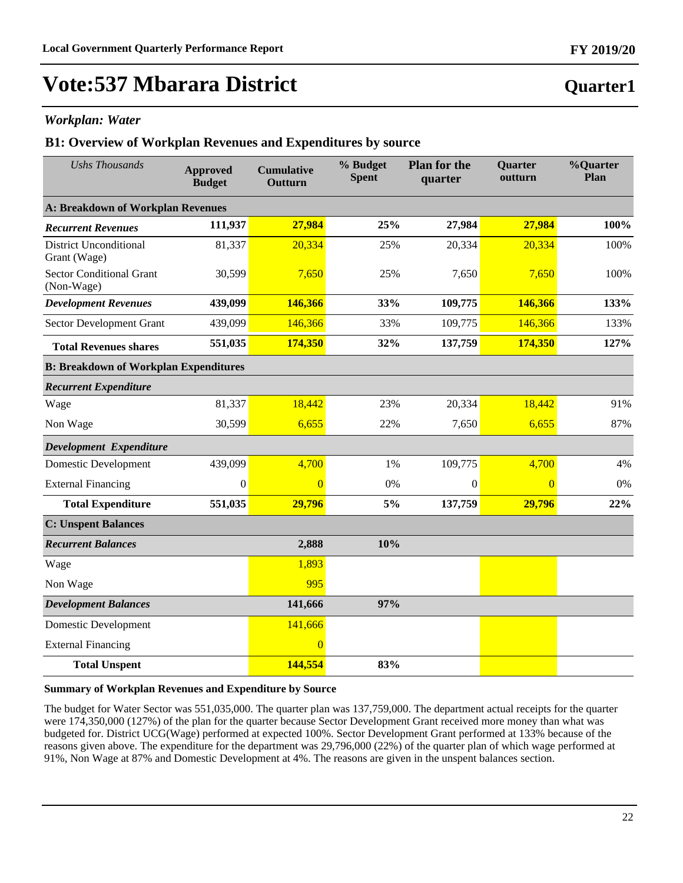# **Vote:537 Mbarara District**

### *Workplan: Water*

### **B1: Overview of Workplan Revenues and Expenditures by source**

| <b>Ushs Thousands</b>                         | <b>Approved</b><br><b>Budget</b> | <b>Cumulative</b><br>Outturn | % Budget<br><b>Spent</b> | <b>Plan for the</b><br>quarter | <b>Quarter</b><br>outturn | %Quarter<br>Plan |
|-----------------------------------------------|----------------------------------|------------------------------|--------------------------|--------------------------------|---------------------------|------------------|
| A: Breakdown of Workplan Revenues             |                                  |                              |                          |                                |                           |                  |
| <b>Recurrent Revenues</b>                     | 111,937                          | 27,984                       | 25%                      | 27,984                         | 27,984                    | 100%             |
| <b>District Unconditional</b><br>Grant (Wage) | 81,337                           | 20,334                       | 25%                      | 20,334                         | 20,334                    | 100%             |
| <b>Sector Conditional Grant</b><br>(Non-Wage) | 30,599                           | 7,650                        | 25%                      | 7,650                          | 7,650                     | 100%             |
| <b>Development Revenues</b>                   | 439,099                          | 146,366                      | 33%                      | 109,775                        | 146,366                   | 133%             |
| Sector Development Grant                      | 439,099                          | 146,366                      | 33%                      | 109,775                        | 146,366                   | 133%             |
| <b>Total Revenues shares</b>                  | 551,035                          | 174,350                      | 32%                      | 137,759                        | 174,350                   | 127%             |
| <b>B: Breakdown of Workplan Expenditures</b>  |                                  |                              |                          |                                |                           |                  |
| <b>Recurrent Expenditure</b>                  |                                  |                              |                          |                                |                           |                  |
| Wage                                          | 81,337                           | 18,442                       | 23%                      | 20,334                         | 18,442                    | 91%              |
| Non Wage                                      | 30,599                           | 6,655                        | 22%                      | 7,650                          | 6,655                     | 87%              |
| Development Expenditure                       |                                  |                              |                          |                                |                           |                  |
| <b>Domestic Development</b>                   | 439,099                          | 4,700                        | 1%                       | 109,775                        | 4,700                     | 4%               |
| <b>External Financing</b>                     | $\Omega$                         | $\overline{0}$               | 0%                       | $\Omega$                       | $\overline{0}$            | 0%               |
| <b>Total Expenditure</b>                      | 551,035                          | 29,796                       | 5%                       | 137,759                        | 29,796                    | 22%              |
| <b>C: Unspent Balances</b>                    |                                  |                              |                          |                                |                           |                  |
| <b>Recurrent Balances</b>                     |                                  | 2,888                        | 10%                      |                                |                           |                  |
| Wage                                          |                                  | 1,893                        |                          |                                |                           |                  |
| Non Wage                                      |                                  | 995                          |                          |                                |                           |                  |
| <b>Development Balances</b>                   |                                  | 141,666                      | 97%                      |                                |                           |                  |
| <b>Domestic Development</b>                   |                                  | 141,666                      |                          |                                |                           |                  |
| <b>External Financing</b>                     |                                  | $\overline{0}$               |                          |                                |                           |                  |
| <b>Total Unspent</b>                          |                                  | 144,554                      | 83%                      |                                |                           |                  |

#### **Summary of Workplan Revenues and Expenditure by Source**

The budget for Water Sector was 551,035,000. The quarter plan was 137,759,000. The department actual receipts for the quarter were 174,350,000 (127%) of the plan for the quarter because Sector Development Grant received more money than what was budgeted for. District UCG(Wage) performed at expected 100%. Sector Development Grant performed at 133% because of the reasons given above. The expenditure for the department was 29,796,000 (22%) of the quarter plan of which wage performed at 91%, Non Wage at 87% and Domestic Development at 4%. The reasons are given in the unspent balances section.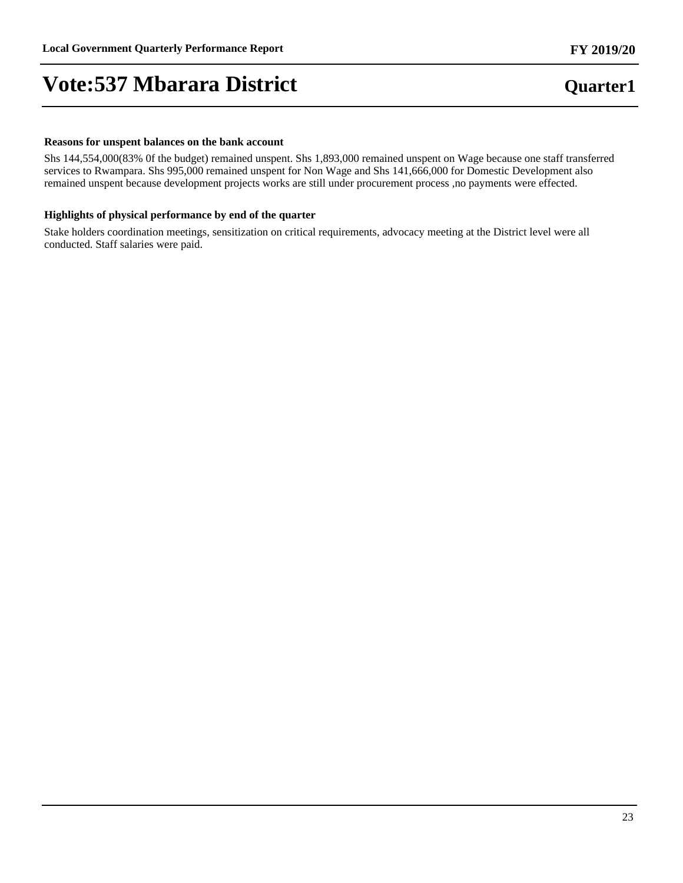# **Vote:537 Mbarara District**

#### **Reasons for unspent balances on the bank account**

Shs 144,554,000(83% 0f the budget) remained unspent. Shs 1,893,000 remained unspent on Wage because one staff transferred services to Rwampara. Shs 995,000 remained unspent for Non Wage and Shs 141,666,000 for Domestic Development also remained unspent because development projects works are still under procurement process ,no payments were effected.

### **Highlights of physical performance by end of the quarter**

Stake holders coordination meetings, sensitization on critical requirements, advocacy meeting at the District level were all conducted. Staff salaries were paid.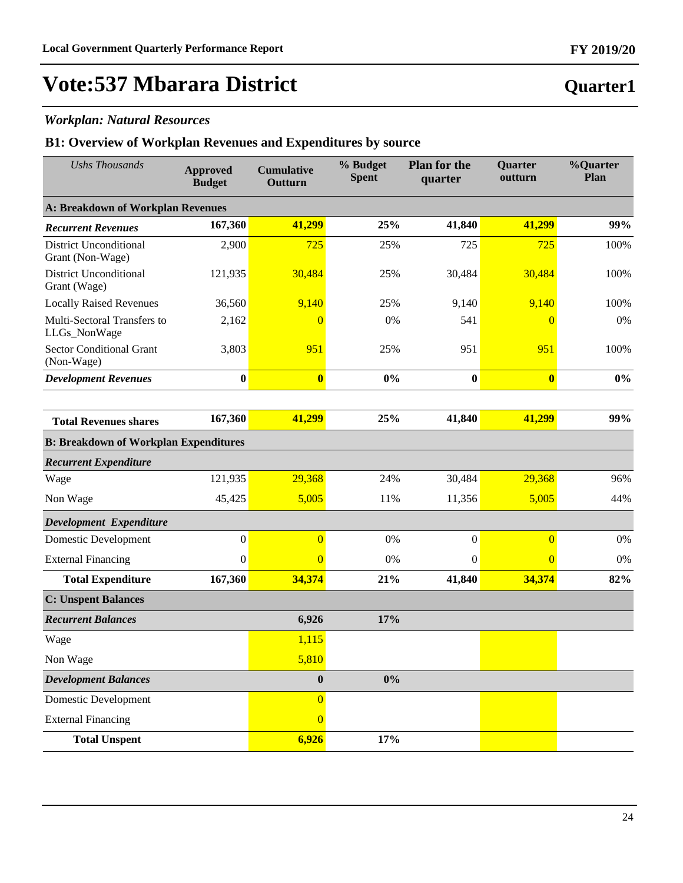## *Workplan: Natural Resources*

| <b>Ushs Thousands</b>                             | <b>Approved</b><br><b>Budget</b> | <b>Cumulative</b><br>Outturn | % Budget<br><b>Spent</b> | <b>Plan for the</b><br>quarter | Quarter<br>outturn | %Quarter<br>Plan |
|---------------------------------------------------|----------------------------------|------------------------------|--------------------------|--------------------------------|--------------------|------------------|
| <b>A: Breakdown of Workplan Revenues</b>          |                                  |                              |                          |                                |                    |                  |
| <b>Recurrent Revenues</b>                         | 167,360                          | 41,299                       | 25%                      | 41,840                         | 41,299             | 99%              |
| <b>District Unconditional</b><br>Grant (Non-Wage) | 2,900                            | 725                          | 25%                      | 725                            | 725                | 100%             |
| <b>District Unconditional</b><br>Grant (Wage)     | 121,935                          | 30,484                       | 25%                      | 30,484                         | 30,484             | 100%             |
| <b>Locally Raised Revenues</b>                    | 36,560                           | 9,140                        | 25%                      | 9,140                          | 9,140              | 100%             |
| Multi-Sectoral Transfers to<br>LLGs_NonWage       | 2,162                            | $\overline{0}$               | 0%                       | 541                            | $\overline{0}$     | 0%               |
| <b>Sector Conditional Grant</b><br>(Non-Wage)     | 3,803                            | 951                          | 25%                      | 951                            | 951                | 100%             |
| <b>Development Revenues</b>                       | $\boldsymbol{0}$                 | $\overline{\mathbf{0}}$      | $0\%$                    | $\boldsymbol{0}$               | $\mathbf{0}$       | $0\%$            |
|                                                   |                                  |                              |                          |                                |                    |                  |
| <b>Total Revenues shares</b>                      | 167,360                          | 41,299                       | 25%                      | 41,840                         | 41,299             | 99%              |
| <b>B: Breakdown of Workplan Expenditures</b>      |                                  |                              |                          |                                |                    |                  |
| <b>Recurrent Expenditure</b>                      |                                  |                              |                          |                                |                    |                  |
| Wage                                              | 121,935                          | 29,368                       | 24%                      | 30,484                         | 29,368             | 96%              |
| Non Wage                                          | 45,425                           | 5,005                        | 11%                      | 11,356                         | 5,005              | 44%              |
| Development Expenditure                           |                                  |                              |                          |                                |                    |                  |
| Domestic Development                              | $\boldsymbol{0}$                 | $\overline{0}$               | 0%                       | $\boldsymbol{0}$               | $\overline{0}$     | 0%               |
| <b>External Financing</b>                         | $\mathbf{0}$                     | $\overline{0}$               | $0\%$                    | $\mathbf{0}$                   | $\overline{0}$     | 0%               |
| <b>Total Expenditure</b>                          | 167,360                          | 34,374                       | 21%                      | 41,840                         | 34,374             | 82%              |
| <b>C: Unspent Balances</b>                        |                                  |                              |                          |                                |                    |                  |
| <b>Recurrent Balances</b>                         |                                  | 6,926                        | 17%                      |                                |                    |                  |
| Wage                                              |                                  | 1,115                        |                          |                                |                    |                  |
| Non Wage                                          |                                  | 5,810                        |                          |                                |                    |                  |
| <b>Development Balances</b>                       |                                  | $\bf{0}$                     | $0\%$                    |                                |                    |                  |
| <b>Domestic Development</b>                       |                                  | $\overline{0}$               |                          |                                |                    |                  |
| <b>External Financing</b>                         |                                  | $\overline{0}$               |                          |                                |                    |                  |
| <b>Total Unspent</b>                              |                                  | 6,926                        | 17%                      |                                |                    |                  |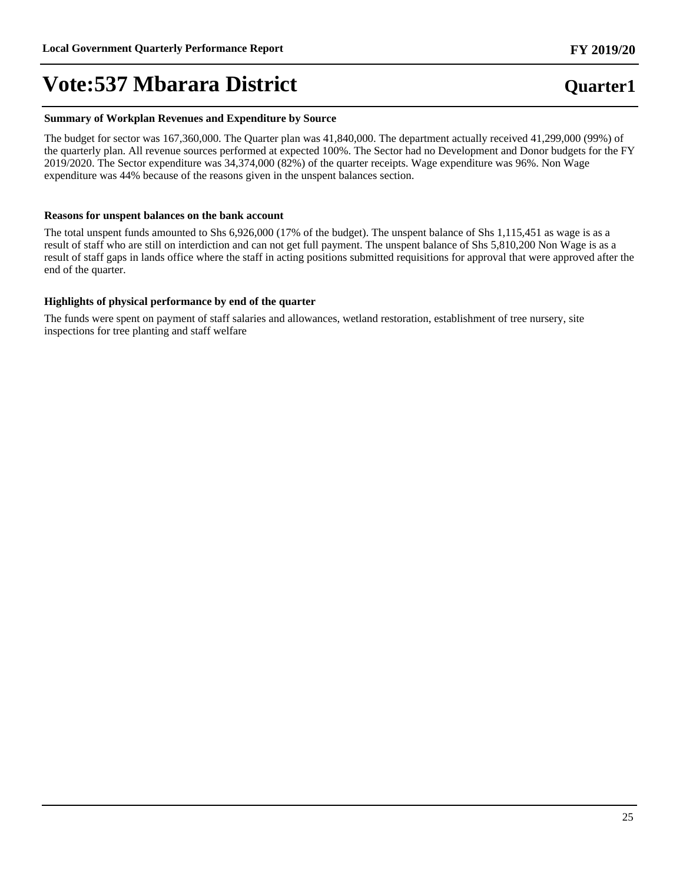### **Summary of Workplan Revenues and Expenditure by Source**

The budget for sector was 167,360,000. The Quarter plan was 41,840,000. The department actually received 41,299,000 (99%) of the quarterly plan. All revenue sources performed at expected 100%. The Sector had no Development and Donor budgets for the FY 2019/2020. The Sector expenditure was 34,374,000 (82%) of the quarter receipts. Wage expenditure was 96%. Non Wage expenditure was 44% because of the reasons given in the unspent balances section.

### **Reasons for unspent balances on the bank account**

The total unspent funds amounted to Shs 6,926,000 (17% of the budget). The unspent balance of Shs 1,115,451 as wage is as a result of staff who are still on interdiction and can not get full payment. The unspent balance of Shs 5,810,200 Non Wage is as a result of staff gaps in lands office where the staff in acting positions submitted requisitions for approval that were approved after the end of the quarter.

### **Highlights of physical performance by end of the quarter**

The funds were spent on payment of staff salaries and allowances, wetland restoration, establishment of tree nursery, site inspections for tree planting and staff welfare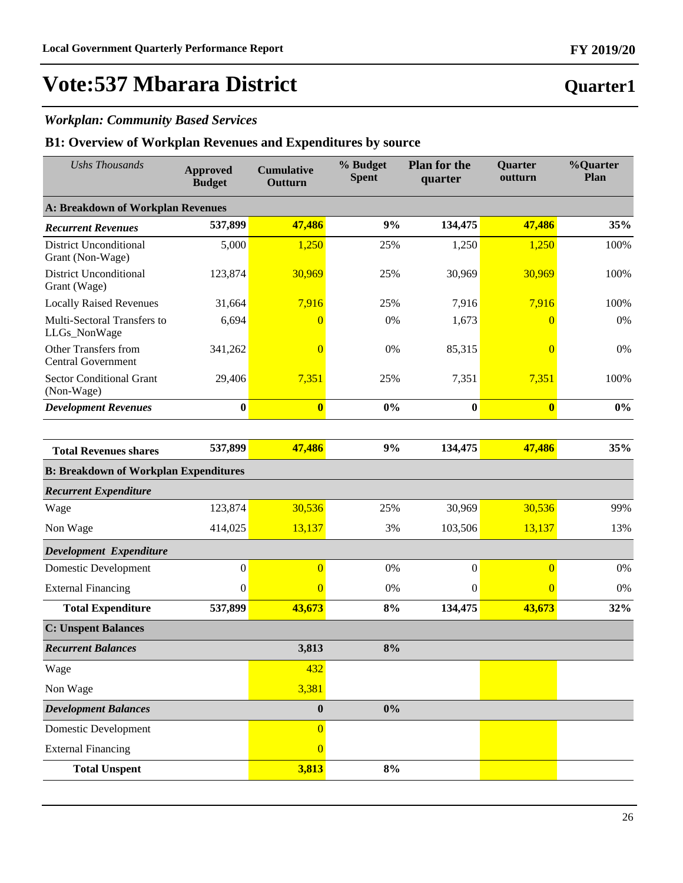# **Vote:537 Mbarara District**

## *Workplan: Community Based Services*

| <b>Ushs Thousands</b>                             | <b>Approved</b><br><b>Budget</b> | <b>Cumulative</b><br>Outturn | % Budget<br><b>Spent</b> | <b>Plan for the</b><br>quarter | Quarter<br>outturn | %Quarter<br>Plan |
|---------------------------------------------------|----------------------------------|------------------------------|--------------------------|--------------------------------|--------------------|------------------|
| <b>A: Breakdown of Workplan Revenues</b>          |                                  |                              |                          |                                |                    |                  |
| <b>Recurrent Revenues</b>                         | 537,899                          | 47,486                       | 9%                       | 134,475                        | 47,486             | 35%              |
| <b>District Unconditional</b><br>Grant (Non-Wage) | 5,000                            | 1,250                        | 25%                      | 1,250                          | 1,250              | 100%             |
| <b>District Unconditional</b><br>Grant (Wage)     | 123,874                          | 30,969                       | 25%                      | 30,969                         | 30,969             | 100%             |
| <b>Locally Raised Revenues</b>                    | 31,664                           | 7,916                        | 25%                      | 7,916                          | 7,916              | 100%             |
| Multi-Sectoral Transfers to<br>LLGs_NonWage       | 6,694                            | $\overline{0}$               | 0%                       | 1,673                          | $\theta$           | 0%               |
| Other Transfers from<br><b>Central Government</b> | 341,262                          | $\overline{0}$               | 0%                       | 85,315                         | $\overline{0}$     | 0%               |
| <b>Sector Conditional Grant</b><br>(Non-Wage)     | 29,406                           | 7,351                        | 25%                      | 7,351                          | 7,351              | 100%             |
| <b>Development Revenues</b>                       | $\bf{0}$                         | $\bf{0}$                     | 0%                       | $\bf{0}$                       | $\bf{0}$           | $0\%$            |
|                                                   |                                  |                              |                          |                                |                    |                  |
| <b>Total Revenues shares</b>                      | 537,899                          | 47,486                       | 9%                       | 134,475                        | 47,486             | 35%              |
| <b>B: Breakdown of Workplan Expenditures</b>      |                                  |                              |                          |                                |                    |                  |
| <b>Recurrent Expenditure</b>                      |                                  |                              |                          |                                |                    |                  |
| Wage                                              | 123,874                          | 30,536                       | 25%                      | 30,969                         | 30,536             | 99%              |
| Non Wage                                          | 414,025                          | 13,137                       | 3%                       | 103,506                        | 13,137             | 13%              |
| Development Expenditure                           |                                  |                              |                          |                                |                    |                  |
| <b>Domestic Development</b>                       | $\boldsymbol{0}$                 | $\overline{0}$               | 0%                       | $\boldsymbol{0}$               | $\overline{0}$     | 0%               |
| <b>External Financing</b>                         | $\boldsymbol{0}$                 | $\overline{0}$               | 0%                       | $\mathbf{0}$                   | $\overline{0}$     | 0%               |
| <b>Total Expenditure</b>                          | 537,899                          | 43,673                       | 8%                       | 134,475                        | 43,673             | 32%              |
| <b>C: Unspent Balances</b>                        |                                  |                              |                          |                                |                    |                  |
| <b>Recurrent Balances</b>                         |                                  | 3,813                        | 8%                       |                                |                    |                  |
| Wage                                              |                                  | 432                          |                          |                                |                    |                  |
| Non Wage                                          |                                  | 3,381                        |                          |                                |                    |                  |
| <b>Development Balances</b>                       |                                  | $\boldsymbol{0}$             | $0\%$                    |                                |                    |                  |
| Domestic Development                              |                                  | $\overline{0}$               |                          |                                |                    |                  |
| <b>External Financing</b>                         |                                  | $\overline{0}$               |                          |                                |                    |                  |
| <b>Total Unspent</b>                              |                                  | 3,813                        | 8%                       |                                |                    |                  |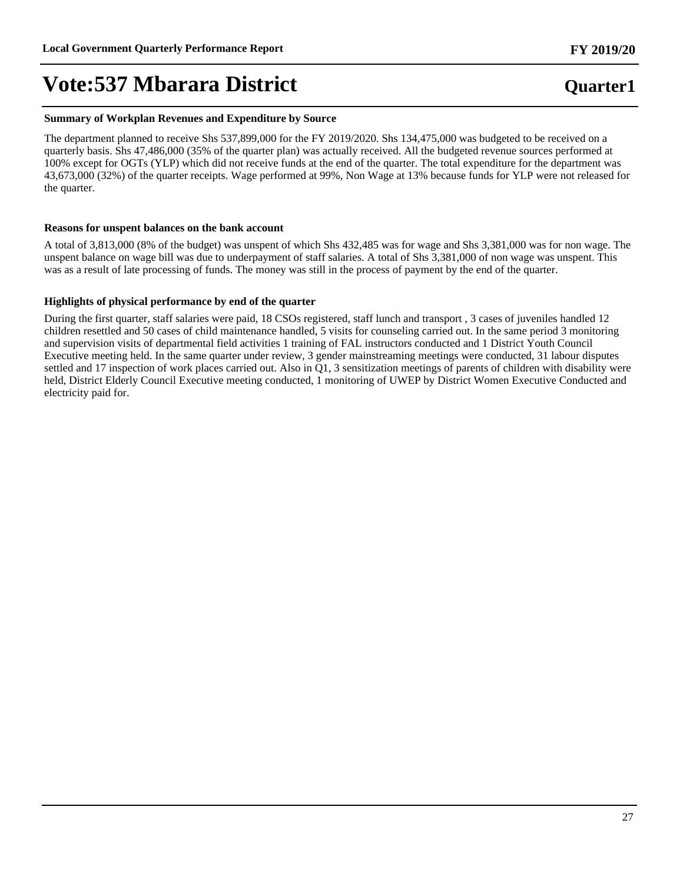#### **Summary of Workplan Revenues and Expenditure by Source**

The department planned to receive Shs 537,899,000 for the FY 2019/2020. Shs 134,475,000 was budgeted to be received on a quarterly basis. Shs 47,486,000 (35% of the quarter plan) was actually received. All the budgeted revenue sources performed at 100% except for OGTs (YLP) which did not receive funds at the end of the quarter. The total expenditure for the department was 43,673,000 (32%) of the quarter receipts. Wage performed at 99%, Non Wage at 13% because funds for YLP were not released for the quarter.

### **Reasons for unspent balances on the bank account**

A total of 3,813,000 (8% of the budget) was unspent of which Shs 432,485 was for wage and Shs 3,381,000 was for non wage. The unspent balance on wage bill was due to underpayment of staff salaries. A total of Shs 3,381,000 of non wage was unspent. This was as a result of late processing of funds. The money was still in the process of payment by the end of the quarter.

### **Highlights of physical performance by end of the quarter**

During the first quarter, staff salaries were paid, 18 CSOs registered, staff lunch and transport , 3 cases of juveniles handled 12 children resettled and 50 cases of child maintenance handled, 5 visits for counseling carried out. In the same period 3 monitoring and supervision visits of departmental field activities 1 training of FAL instructors conducted and 1 District Youth Council Executive meeting held. In the same quarter under review, 3 gender mainstreaming meetings were conducted, 31 labour disputes settled and 17 inspection of work places carried out. Also in Q1, 3 sensitization meetings of parents of children with disability were held, District Elderly Council Executive meeting conducted, 1 monitoring of UWEP by District Women Executive Conducted and electricity paid for.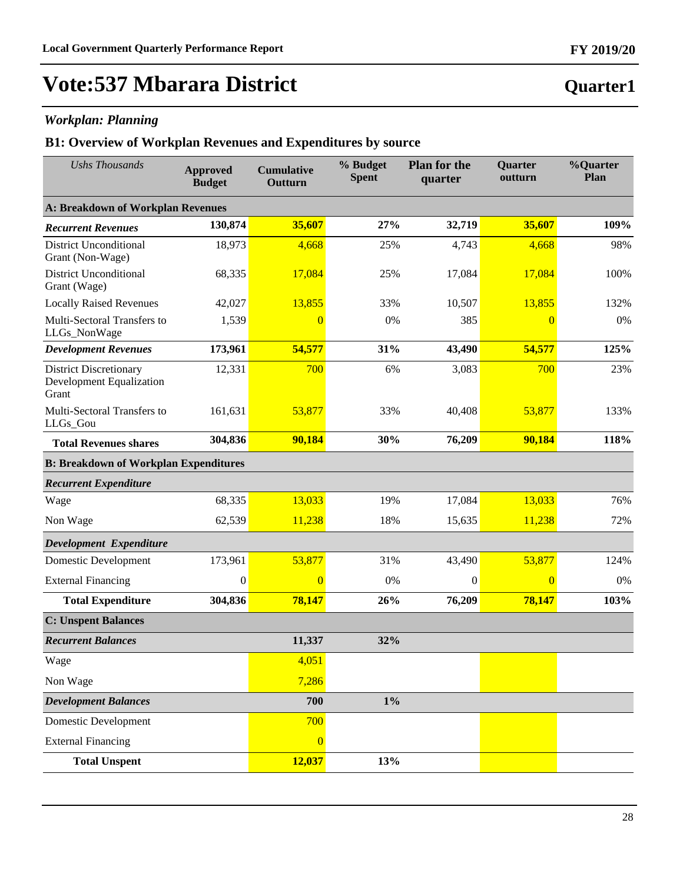## *Workplan: Planning*

| <b>Ushs Thousands</b>                                              | <b>Approved</b><br><b>Budget</b> | <b>Cumulative</b><br>Outturn | % Budget<br><b>Spent</b> | <b>Plan for the</b><br>quarter | <b>Quarter</b><br>outturn | %Quarter<br>Plan |
|--------------------------------------------------------------------|----------------------------------|------------------------------|--------------------------|--------------------------------|---------------------------|------------------|
| <b>A: Breakdown of Workplan Revenues</b>                           |                                  |                              |                          |                                |                           |                  |
| <b>Recurrent Revenues</b>                                          | 130,874                          | 35,607                       | 27%                      | 32,719                         | 35,607                    | 109%             |
| <b>District Unconditional</b><br>Grant (Non-Wage)                  | 18,973                           | 4,668                        | 25%                      | 4,743                          | 4,668                     | 98%              |
| <b>District Unconditional</b><br>Grant (Wage)                      | 68,335                           | 17,084                       | 25%                      | 17,084                         | 17,084                    | 100%             |
| <b>Locally Raised Revenues</b>                                     | 42,027                           | 13,855                       | 33%                      | 10,507                         | 13,855                    | 132%             |
| Multi-Sectoral Transfers to<br>LLGs_NonWage                        | 1,539                            | $\overline{0}$               | 0%                       | 385                            | $\overline{0}$            | 0%               |
| <b>Development Revenues</b>                                        | 173,961                          | 54,577                       | 31%                      | 43,490                         | 54,577                    | 125%             |
| <b>District Discretionary</b><br>Development Equalization<br>Grant | 12,331                           | 700                          | 6%                       | 3,083                          | 700                       | 23%              |
| Multi-Sectoral Transfers to<br>LLGs_Gou                            | 161,631                          | 53,877                       | 33%                      | 40,408                         | 53,877                    | 133%             |
| <b>Total Revenues shares</b>                                       | 304,836                          | 90,184                       | 30%                      | 76,209                         | 90,184                    | 118%             |
| <b>B: Breakdown of Workplan Expenditures</b>                       |                                  |                              |                          |                                |                           |                  |
| <b>Recurrent Expenditure</b>                                       |                                  |                              |                          |                                |                           |                  |
| Wage                                                               | 68,335                           | 13,033                       | 19%                      | 17,084                         | 13,033                    | 76%              |
| Non Wage                                                           | 62,539                           | 11,238                       | 18%                      | 15,635                         | 11,238                    | 72%              |
| <b>Development Expenditure</b>                                     |                                  |                              |                          |                                |                           |                  |
| <b>Domestic Development</b>                                        | 173,961                          | 53,877                       | 31%                      | 43,490                         | 53,877                    | 124%             |
| <b>External Financing</b>                                          | $\boldsymbol{0}$                 | $\overline{0}$               | 0%                       | $\theta$                       | $\overline{0}$            | 0%               |
| <b>Total Expenditure</b>                                           | 304,836                          | 78,147                       | 26%                      | 76,209                         | 78,147                    | 103%             |
| <b>C: Unspent Balances</b>                                         |                                  |                              |                          |                                |                           |                  |
| <b>Recurrent Balances</b>                                          |                                  | 11,337                       | 32%                      |                                |                           |                  |
| Wage                                                               |                                  | 4,051                        |                          |                                |                           |                  |
| Non Wage                                                           |                                  | 7,286                        |                          |                                |                           |                  |
| <b>Development Balances</b>                                        |                                  | 700                          | $1\%$                    |                                |                           |                  |
| <b>Domestic Development</b>                                        |                                  | 700                          |                          |                                |                           |                  |
| <b>External Financing</b>                                          |                                  | $\overline{0}$               |                          |                                |                           |                  |
| <b>Total Unspent</b>                                               |                                  | 12,037                       | 13%                      |                                |                           |                  |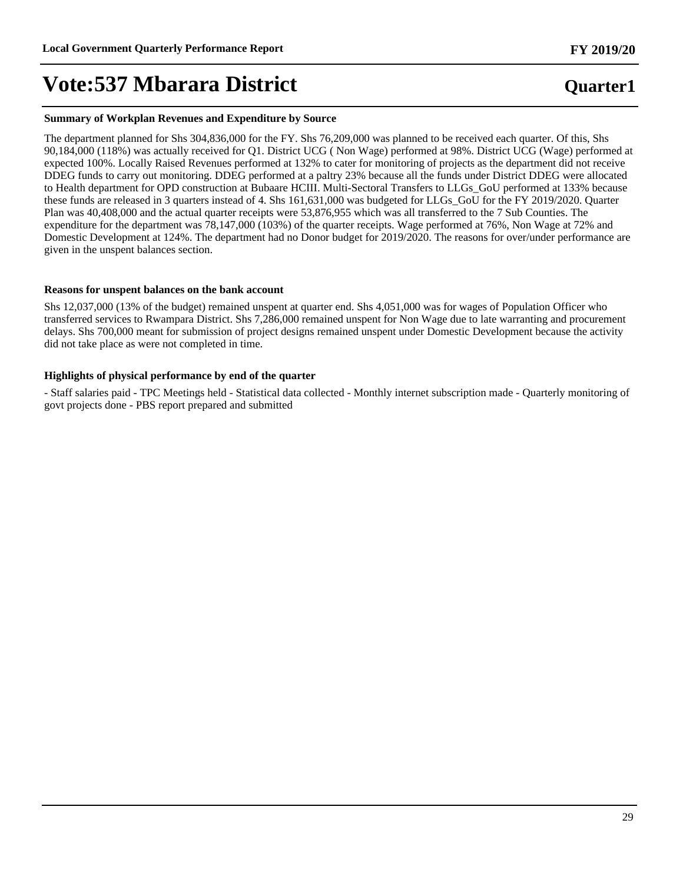#### **Summary of Workplan Revenues and Expenditure by Source**

The department planned for Shs 304,836,000 for the FY. Shs 76,209,000 was planned to be received each quarter. Of this, Shs 90,184,000 (118%) was actually received for Q1. District UCG ( Non Wage) performed at 98%. District UCG (Wage) performed at expected 100%. Locally Raised Revenues performed at 132% to cater for monitoring of projects as the department did not receive DDEG funds to carry out monitoring. DDEG performed at a paltry 23% because all the funds under District DDEG were allocated to Health department for OPD construction at Bubaare HCIII. Multi-Sectoral Transfers to LLGs\_GoU performed at 133% because these funds are released in 3 quarters instead of 4. Shs 161,631,000 was budgeted for LLGs\_GoU for the FY 2019/2020. Quarter Plan was 40,408,000 and the actual quarter receipts were 53,876,955 which was all transferred to the 7 Sub Counties. The expenditure for the department was 78,147,000 (103%) of the quarter receipts. Wage performed at 76%, Non Wage at 72% and Domestic Development at 124%. The department had no Donor budget for 2019/2020. The reasons for over/under performance are given in the unspent balances section.

### **Reasons for unspent balances on the bank account**

Shs 12,037,000 (13% of the budget) remained unspent at quarter end. Shs 4,051,000 was for wages of Population Officer who transferred services to Rwampara District. Shs 7,286,000 remained unspent for Non Wage due to late warranting and procurement delays. Shs 700,000 meant for submission of project designs remained unspent under Domestic Development because the activity did not take place as were not completed in time.

### **Highlights of physical performance by end of the quarter**

- Staff salaries paid - TPC Meetings held - Statistical data collected - Monthly internet subscription made - Quarterly monitoring of govt projects done - PBS report prepared and submitted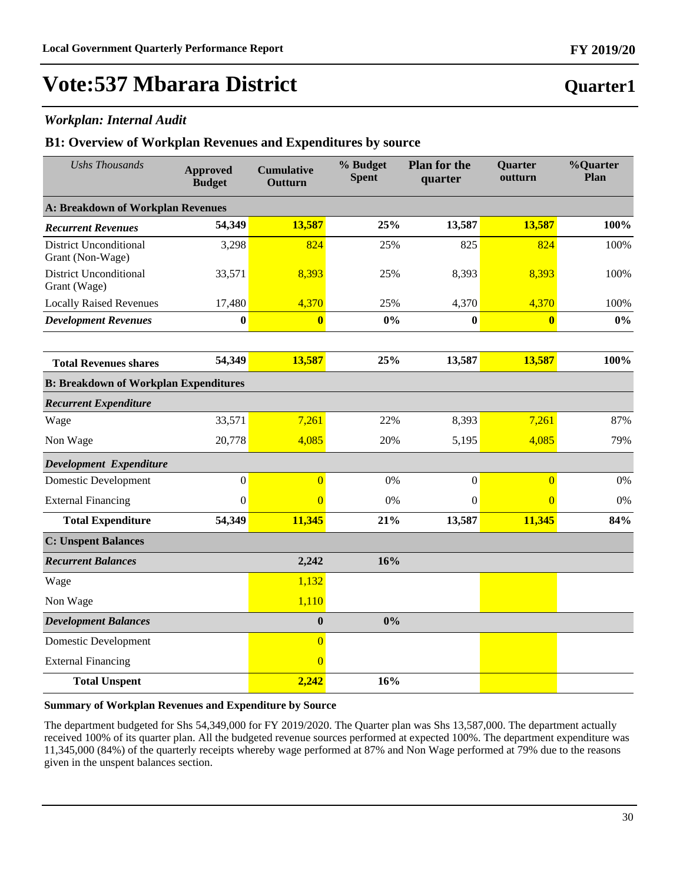### *Workplan: Internal Audit*

### **B1: Overview of Workplan Revenues and Expenditures by source**

| <b>Ushs Thousands</b>                             | <b>Approved</b><br><b>Budget</b> | <b>Cumulative</b><br>Outturn | % Budget<br><b>Spent</b> | <b>Plan for the</b><br>quarter | Quarter<br>outturn      | %Quarter<br>Plan |
|---------------------------------------------------|----------------------------------|------------------------------|--------------------------|--------------------------------|-------------------------|------------------|
| A: Breakdown of Workplan Revenues                 |                                  |                              |                          |                                |                         |                  |
| <b>Recurrent Revenues</b>                         | 54,349                           | 13,587                       | 25%                      | 13,587                         | 13,587                  | 100%             |
| <b>District Unconditional</b><br>Grant (Non-Wage) | 3,298                            | 824                          | 25%                      | 825                            | 824                     | 100%             |
| <b>District Unconditional</b><br>Grant (Wage)     | 33,571                           | 8,393                        | 25%                      | 8,393                          | 8,393                   | 100%             |
| <b>Locally Raised Revenues</b>                    | 17,480                           | 4,370                        | 25%                      | 4,370                          | 4,370                   | 100%             |
| <b>Development Revenues</b>                       | $\bf{0}$                         | $\bf{0}$                     | 0%                       | $\bf{0}$                       | $\overline{\mathbf{0}}$ | $0\%$            |
|                                                   |                                  |                              |                          |                                |                         |                  |
| <b>Total Revenues shares</b>                      | 54,349                           | 13,587                       | 25%                      | 13,587                         | 13,587                  | 100%             |
| <b>B: Breakdown of Workplan Expenditures</b>      |                                  |                              |                          |                                |                         |                  |
| <b>Recurrent Expenditure</b>                      |                                  |                              |                          |                                |                         |                  |
| Wage                                              | 33,571                           | 7,261                        | 22%                      | 8,393                          | 7,261                   | 87%              |
| Non Wage                                          | 20,778                           | 4,085                        | 20%                      | 5,195                          | 4,085                   | 79%              |
| Development Expenditure                           |                                  |                              |                          |                                |                         |                  |
| <b>Domestic Development</b>                       | $\boldsymbol{0}$                 | $\overline{0}$               | 0%                       | $\boldsymbol{0}$               | $\overline{0}$          | 0%               |
| <b>External Financing</b>                         | $\mathbf{0}$                     | $\Omega$                     | 0%                       | $\boldsymbol{0}$               | $\overline{0}$          | 0%               |
| <b>Total Expenditure</b>                          | 54,349                           | 11,345                       | 21%                      | 13,587                         | 11,345                  | 84%              |
| <b>C: Unspent Balances</b>                        |                                  |                              |                          |                                |                         |                  |
| <b>Recurrent Balances</b>                         |                                  | 2,242                        | 16%                      |                                |                         |                  |
| Wage                                              |                                  | 1,132                        |                          |                                |                         |                  |
| Non Wage                                          |                                  | 1,110                        |                          |                                |                         |                  |
| <b>Development Balances</b>                       |                                  | $\boldsymbol{0}$             | 0%                       |                                |                         |                  |
| <b>Domestic Development</b>                       |                                  | $\overline{0}$               |                          |                                |                         |                  |
| <b>External Financing</b>                         |                                  | $\overline{0}$               |                          |                                |                         |                  |
| <b>Total Unspent</b>                              |                                  | 2,242                        | 16%                      |                                |                         |                  |

### **Summary of Workplan Revenues and Expenditure by Source**

The department budgeted for Shs 54,349,000 for FY 2019/2020. The Quarter plan was Shs 13,587,000. The department actually received 100% of its quarter plan. All the budgeted revenue sources performed at expected 100%. The department expenditure was 11,345,000 (84%) of the quarterly receipts whereby wage performed at 87% and Non Wage performed at 79% due to the reasons given in the unspent balances section.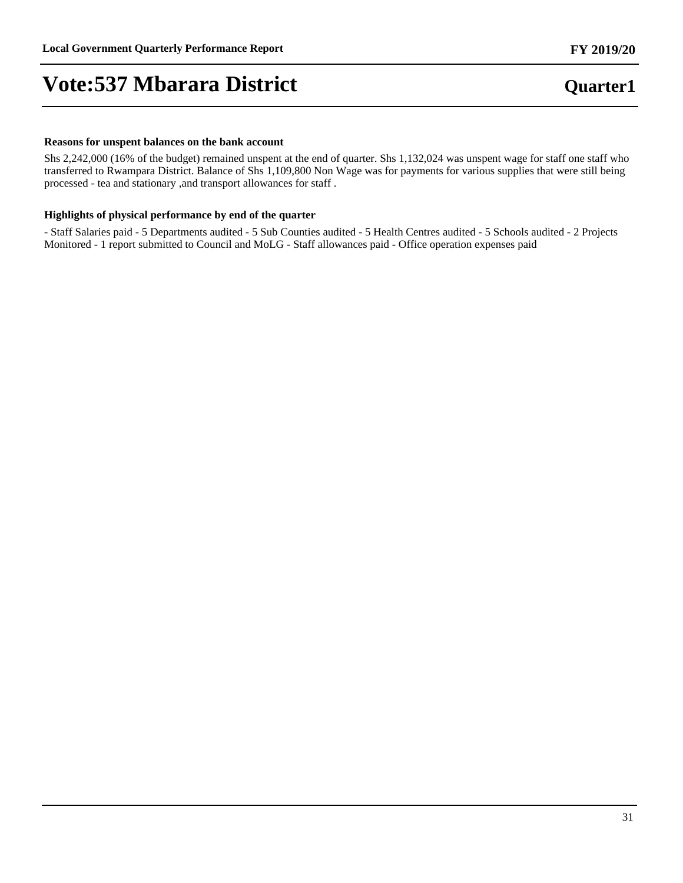#### **Reasons for unspent balances on the bank account**

Shs 2,242,000 (16% of the budget) remained unspent at the end of quarter. Shs 1,132,024 was unspent wage for staff one staff who transferred to Rwampara District. Balance of Shs 1,109,800 Non Wage was for payments for various supplies that were still being processed - tea and stationary ,and transport allowances for staff .

### **Highlights of physical performance by end of the quarter**

- Staff Salaries paid - 5 Departments audited - 5 Sub Counties audited - 5 Health Centres audited - 5 Schools audited - 2 Projects Monitored - 1 report submitted to Council and MoLG - Staff allowances paid - Office operation expenses paid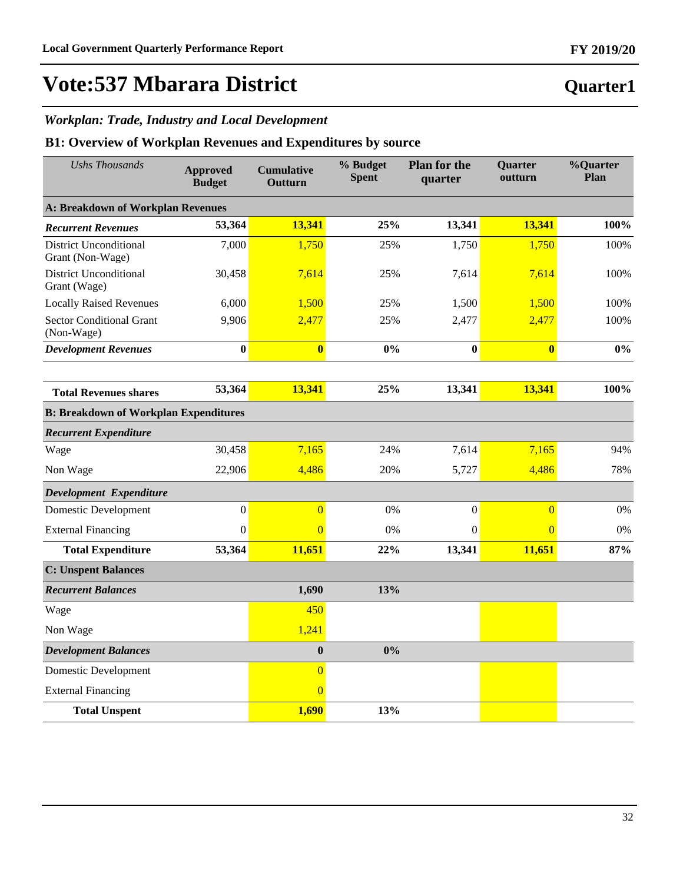# **Vote:537 Mbarara District**

### *Workplan: Trade, Industry and Local Development*

| <b>Ushs Thousands</b>                             | <b>Approved</b><br><b>Budget</b> | <b>Cumulative</b><br>Outturn | % Budget<br><b>Spent</b> | <b>Plan for the</b><br>quarter | Quarter<br>outturn | %Quarter<br>Plan |
|---------------------------------------------------|----------------------------------|------------------------------|--------------------------|--------------------------------|--------------------|------------------|
| <b>A: Breakdown of Workplan Revenues</b>          |                                  |                              |                          |                                |                    |                  |
| <b>Recurrent Revenues</b>                         | 53,364                           | 13,341                       | 25%                      | 13,341                         | 13,341             | 100%             |
| <b>District Unconditional</b><br>Grant (Non-Wage) | 7,000                            | 1,750                        | 25%                      | 1,750                          | 1,750              | 100%             |
| <b>District Unconditional</b><br>Grant (Wage)     | 30,458                           | 7,614                        | 25%                      | 7,614                          | 7,614              | 100%             |
| <b>Locally Raised Revenues</b>                    | 6,000                            | 1,500                        | 25%                      | 1,500                          | 1,500              | 100%             |
| <b>Sector Conditional Grant</b><br>(Non-Wage)     | 9,906                            | 2,477                        | 25%                      | 2,477                          | 2,477              | 100%             |
| <b>Development Revenues</b>                       | $\bf{0}$                         | $\overline{\mathbf{0}}$      | 0%                       | $\bf{0}$                       | $\bf{0}$           | $0\%$            |
|                                                   |                                  |                              |                          |                                |                    |                  |
| <b>Total Revenues shares</b>                      | 53,364                           | 13,341                       | 25%                      | 13,341                         | 13,341             | 100%             |
| <b>B: Breakdown of Workplan Expenditures</b>      |                                  |                              |                          |                                |                    |                  |
| <b>Recurrent Expenditure</b>                      |                                  |                              |                          |                                |                    |                  |
| Wage                                              | 30,458                           | 7,165                        | 24%                      | 7,614                          | 7,165              | 94%              |
| Non Wage                                          | 22,906                           | 4,486                        | 20%                      | 5,727                          | 4,486              | 78%              |
| Development Expenditure                           |                                  |                              |                          |                                |                    |                  |
| <b>Domestic Development</b>                       | $\boldsymbol{0}$                 | $\overline{0}$               | 0%                       | $\boldsymbol{0}$               | $\overline{0}$     | 0%               |
| <b>External Financing</b>                         | $\boldsymbol{0}$                 | $\overline{0}$               | 0%                       | $\boldsymbol{0}$               | $\overline{0}$     | 0%               |
| <b>Total Expenditure</b>                          | 53,364                           | 11,651                       | 22%                      | 13,341                         | 11,651             | 87%              |
| <b>C: Unspent Balances</b>                        |                                  |                              |                          |                                |                    |                  |
| <b>Recurrent Balances</b>                         |                                  | 1,690                        | 13%                      |                                |                    |                  |
| Wage                                              |                                  | 450                          |                          |                                |                    |                  |
| Non Wage                                          |                                  | 1,241                        |                          |                                |                    |                  |
| <b>Development Balances</b>                       |                                  | $\boldsymbol{0}$             | 0%                       |                                |                    |                  |
| <b>Domestic Development</b>                       |                                  | $\overline{0}$               |                          |                                |                    |                  |
| <b>External Financing</b>                         |                                  | $\overline{0}$               |                          |                                |                    |                  |
| <b>Total Unspent</b>                              |                                  | 1,690                        | 13%                      |                                |                    |                  |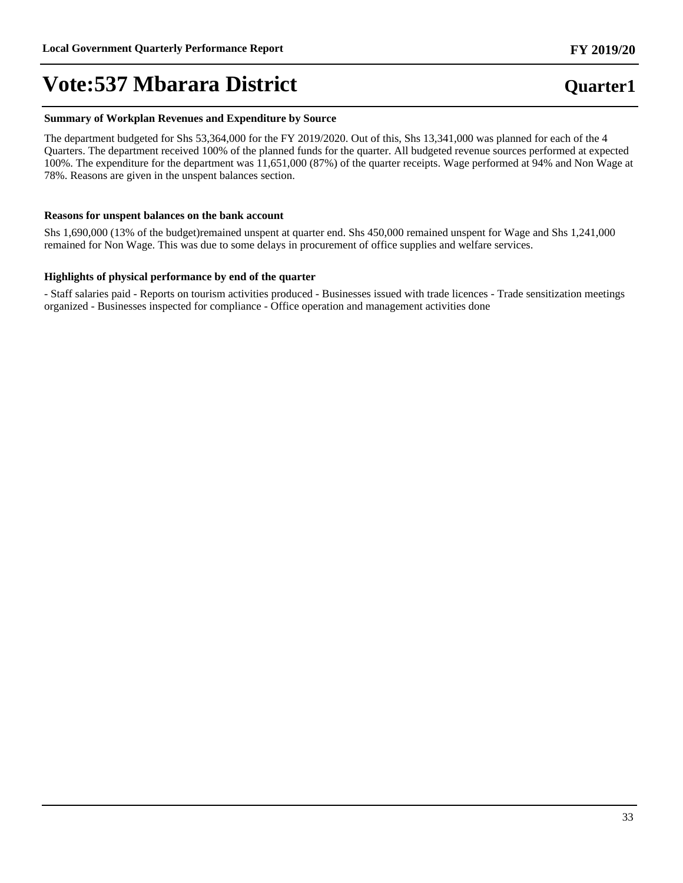#### **Summary of Workplan Revenues and Expenditure by Source**

The department budgeted for Shs 53,364,000 for the FY 2019/2020. Out of this, Shs 13,341,000 was planned for each of the 4 Quarters. The department received 100% of the planned funds for the quarter. All budgeted revenue sources performed at expected 100%. The expenditure for the department was 11,651,000 (87%) of the quarter receipts. Wage performed at 94% and Non Wage at 78%. Reasons are given in the unspent balances section.

#### **Reasons for unspent balances on the bank account**

Shs 1,690,000 (13% of the budget)remained unspent at quarter end. Shs 450,000 remained unspent for Wage and Shs 1,241,000 remained for Non Wage. This was due to some delays in procurement of office supplies and welfare services.

### **Highlights of physical performance by end of the quarter**

- Staff salaries paid - Reports on tourism activities produced - Businesses issued with trade licences - Trade sensitization meetings organized - Businesses inspected for compliance - Office operation and management activities done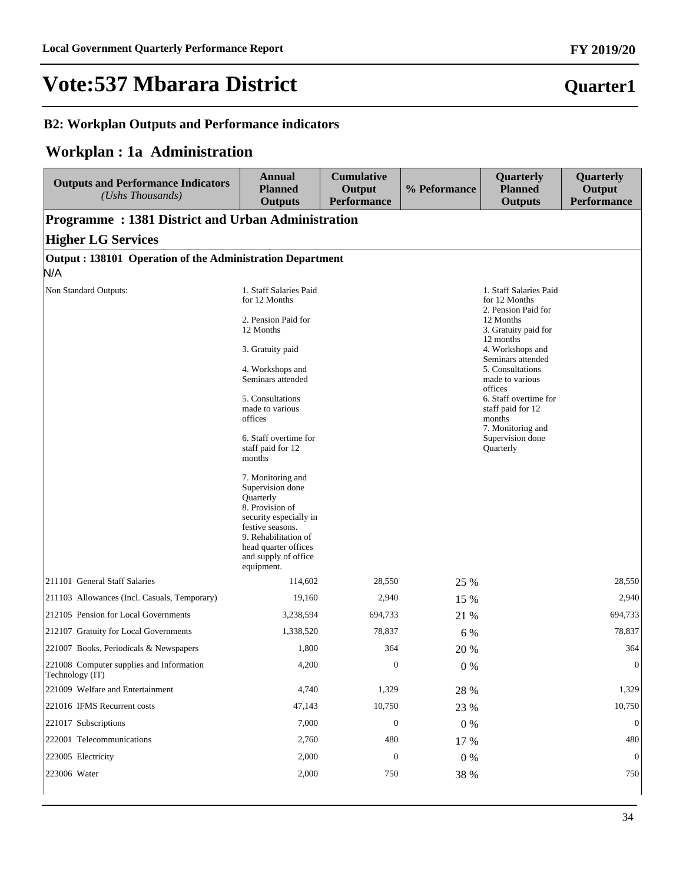### **B2: Workplan Outputs and Performance indicators**

## **Workplan : 1a Administration**

| <b>Outputs and Performance Indicators</b><br>(Ushs Thousands) | <b>Annual</b><br><b>Planned</b><br><b>Outputs</b>                                                                                                                                                         | <b>Cumulative</b><br>Output<br><b>Performance</b> | % Peformance | Quarterly<br><b>Planned</b><br><b>Outputs</b>                                                                                                             | Quarterly<br>Output<br><b>Performance</b> |
|---------------------------------------------------------------|-----------------------------------------------------------------------------------------------------------------------------------------------------------------------------------------------------------|---------------------------------------------------|--------------|-----------------------------------------------------------------------------------------------------------------------------------------------------------|-------------------------------------------|
| <b>Programme: 1381 District and Urban Administration</b>      |                                                                                                                                                                                                           |                                                   |              |                                                                                                                                                           |                                           |
| <b>Higher LG Services</b>                                     |                                                                                                                                                                                                           |                                                   |              |                                                                                                                                                           |                                           |
| Output: 138101 Operation of the Administration Department     |                                                                                                                                                                                                           |                                                   |              |                                                                                                                                                           |                                           |
| N/A                                                           |                                                                                                                                                                                                           |                                                   |              |                                                                                                                                                           |                                           |
| Non Standard Outputs:                                         | 1. Staff Salaries Paid<br>for 12 Months                                                                                                                                                                   |                                                   |              | 1. Staff Salaries Paid<br>for 12 Months<br>2. Pension Paid for<br>12 Months<br>3. Gratuity paid for<br>12 months<br>4. Workshops and<br>Seminars attended |                                           |
|                                                               | 2. Pension Paid for<br>12 Months                                                                                                                                                                          |                                                   |              |                                                                                                                                                           |                                           |
|                                                               | 3. Gratuity paid                                                                                                                                                                                          |                                                   |              |                                                                                                                                                           |                                           |
|                                                               | 4. Workshops and<br>Seminars attended                                                                                                                                                                     |                                                   |              | 5. Consultations<br>made to various                                                                                                                       |                                           |
|                                                               | 5. Consultations<br>made to various<br>offices                                                                                                                                                            |                                                   |              | offices<br>6. Staff overtime for<br>staff paid for 12<br>months<br>7. Monitoring and                                                                      |                                           |
|                                                               | 6. Staff overtime for<br>staff paid for 12<br>months                                                                                                                                                      |                                                   |              | Supervision done<br>Quarterly                                                                                                                             |                                           |
|                                                               | 7. Monitoring and<br>Supervision done<br>Quarterly<br>8. Provision of<br>security especially in<br>festive seasons.<br>9. Rehabilitation of<br>head quarter offices<br>and supply of office<br>equipment. |                                                   |              |                                                                                                                                                           |                                           |
| 211101 General Staff Salaries                                 | 114,602                                                                                                                                                                                                   | 28,550                                            | 25 %         |                                                                                                                                                           | 28,550                                    |
| 211103 Allowances (Incl. Casuals, Temporary)                  | 19,160                                                                                                                                                                                                    | 2,940                                             | 15 %         |                                                                                                                                                           | 2,940                                     |
| 212105 Pension for Local Governments                          | 3,238,594                                                                                                                                                                                                 | 694,733                                           | 21 %         |                                                                                                                                                           | 694,733                                   |
| 212107 Gratuity for Local Governments                         | 1,338,520                                                                                                                                                                                                 | 78,837                                            | 6 %          |                                                                                                                                                           | 78,837                                    |
| 221007 Books, Periodicals & Newspapers                        | 1,800                                                                                                                                                                                                     | 364                                               | 20 %         |                                                                                                                                                           | 364                                       |
| 221008 Computer supplies and Information<br>Technology (IT)   | 4,200                                                                                                                                                                                                     | $\mathbf{0}$                                      | $0\%$        |                                                                                                                                                           | $\boldsymbol{0}$                          |
| 221009 Welfare and Entertainment                              | 4,740                                                                                                                                                                                                     | 1,329                                             | 28 %         |                                                                                                                                                           | 1,329                                     |
| 221016 IFMS Recurrent costs                                   | 47,143                                                                                                                                                                                                    | 10,750                                            | 23 %         |                                                                                                                                                           | 10,750                                    |
| 221017 Subscriptions                                          | 7,000                                                                                                                                                                                                     | $\boldsymbol{0}$                                  | $0\%$        |                                                                                                                                                           | $\mathbf{0}$                              |
| 222001 Telecommunications                                     | 2,760                                                                                                                                                                                                     | 480                                               | 17 %         |                                                                                                                                                           | 480                                       |
| 223005 Electricity                                            | 2,000                                                                                                                                                                                                     | $\mathbf{0}$                                      | $0\%$        |                                                                                                                                                           | $\mathbf{0}$                              |
| 223006 Water                                                  | 2,000                                                                                                                                                                                                     | 750                                               | 38 %         |                                                                                                                                                           | 750                                       |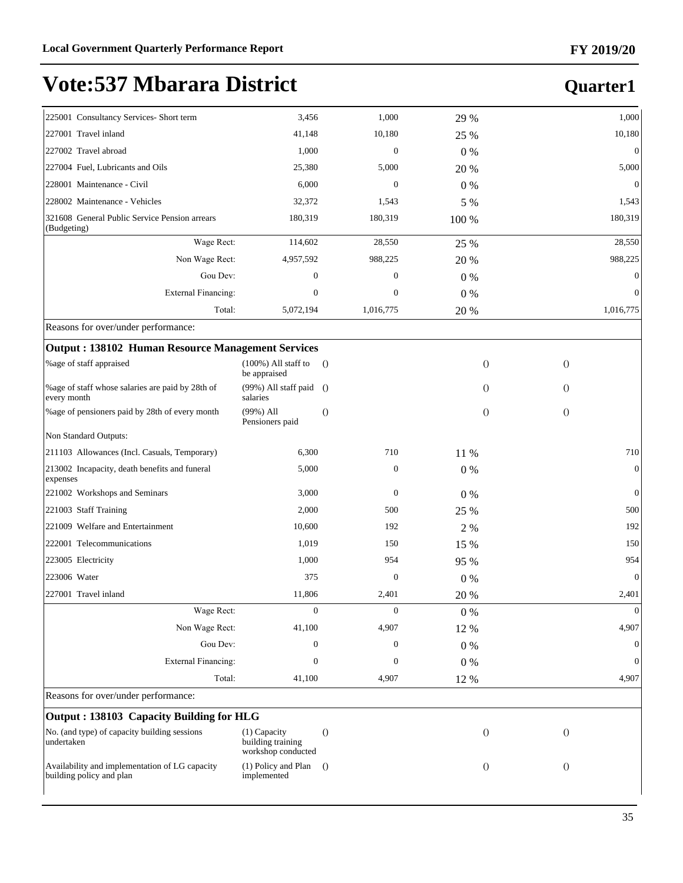| 225001 Consultancy Services- Short term                                    | 3,456                                                   | 1,000            | 29 %    |                            | 1,000          |
|----------------------------------------------------------------------------|---------------------------------------------------------|------------------|---------|----------------------------|----------------|
| 227001 Travel inland                                                       | 41.148                                                  | 10,180           | 25 %    |                            | 10,180         |
| 227002 Travel abroad                                                       | 1,000                                                   | $\boldsymbol{0}$ | 0%      |                            | $\theta$       |
| 227004 Fuel, Lubricants and Oils                                           | 25,380                                                  | 5,000            | 20 %    |                            | 5,000          |
| 228001 Maintenance - Civil                                                 | 6,000                                                   | $\boldsymbol{0}$ | 0%      |                            | $\theta$       |
| 228002 Maintenance - Vehicles                                              | 32,372                                                  | 1,543            | 5 %     |                            | 1,543          |
| 321608 General Public Service Pension arrears<br>(Budgeting)               | 180,319                                                 | 180,319          | 100 %   |                            | 180,319        |
| Wage Rect:                                                                 | 114,602                                                 | 28,550           | 25 %    |                            | 28,550         |
| Non Wage Rect:                                                             | 4,957,592                                               | 988,225          | 20 %    |                            | 988,225        |
| Gou Dev:                                                                   | $\boldsymbol{0}$                                        | $\boldsymbol{0}$ | 0%      |                            | $\theta$       |
| <b>External Financing:</b>                                                 | $\overline{0}$                                          | $\mathbf{0}$     | 0%      |                            | $\Omega$       |
| Total:                                                                     | 5,072,194                                               | 1,016,775        | 20 %    |                            | 1,016,775      |
| Reasons for over/under performance:                                        |                                                         |                  |         |                            |                |
| <b>Output: 138102 Human Resource Management Services</b>                   |                                                         |                  |         |                            |                |
| %age of staff appraised                                                    | $(100\%)$ All staff to<br>be appraised                  | $\theta$         |         | $\overline{O}$<br>$\theta$ |                |
| %age of staff whose salaries are paid by 28th of<br>every month            | (99%) All staff paid<br>salaries                        | $\theta$         |         | $\Omega$<br>$\theta$       |                |
| %age of pensioners paid by 28th of every month                             | $(99\%)$ All<br>Pensioners paid                         | $\theta$         |         | $\theta$<br>$\Omega$       |                |
| Non Standard Outputs:                                                      |                                                         |                  |         |                            |                |
| 211103 Allowances (Incl. Casuals, Temporary)                               | 6,300                                                   | 710              | 11 %    |                            | 710            |
| 213002 Incapacity, death benefits and funeral<br>expenses                  | 5,000                                                   | $\boldsymbol{0}$ | 0%      |                            | $\overline{0}$ |
| 221002 Workshops and Seminars                                              | 3,000                                                   | $\mathbf{0}$     | 0%      |                            | $\Omega$       |
| 221003 Staff Training                                                      | 2,000                                                   | 500              | 25 %    |                            | 500            |
| 221009 Welfare and Entertainment                                           | 10,600                                                  | 192              | 2 %     |                            | 192            |
| 222001 Telecommunications                                                  | 1,019                                                   | 150              | 15 %    |                            | 150            |
| 223005 Electricity                                                         | 1,000                                                   | 954              | 95 %    |                            | 954            |
| 223006 Water                                                               | 375                                                     | $\boldsymbol{0}$ | 0%      |                            | $\overline{0}$ |
| 227001 Travel inland                                                       | 11,806                                                  | 2,401            | 20 %    |                            | 2,401          |
| Wage Rect:                                                                 | $\mathbf{0}$                                            | $\mathbf{0}$     | 0%      |                            | $\mathbf{0}$   |
| Non Wage Rect:                                                             | 41,100                                                  | 4,907            | 12 %    |                            | 4,907          |
| Gou Dev:                                                                   | 0                                                       | $\mathbf{0}$     | 0%      |                            | $\theta$       |
| <b>External Financing:</b>                                                 | 0                                                       | $\boldsymbol{0}$ | $0\ \%$ |                            | $\mathbf{0}$   |
| Total:                                                                     | 41,100                                                  | 4,907            | 12 %    |                            | 4,907          |
| Reasons for over/under performance:                                        |                                                         |                  |         |                            |                |
| Output: 138103 Capacity Building for HLG                                   |                                                         |                  |         |                            |                |
| No. (and type) of capacity building sessions<br>undertaken                 | (1) Capacity<br>building training<br>workshop conducted | $\theta$         |         | $\overline{O}$<br>$\Omega$ |                |
| Availability and implementation of LG capacity<br>building policy and plan | (1) Policy and Plan<br>implemented                      | $\Omega$         |         | $\theta$<br>$\theta$       |                |
|                                                                            |                                                         |                  |         |                            |                |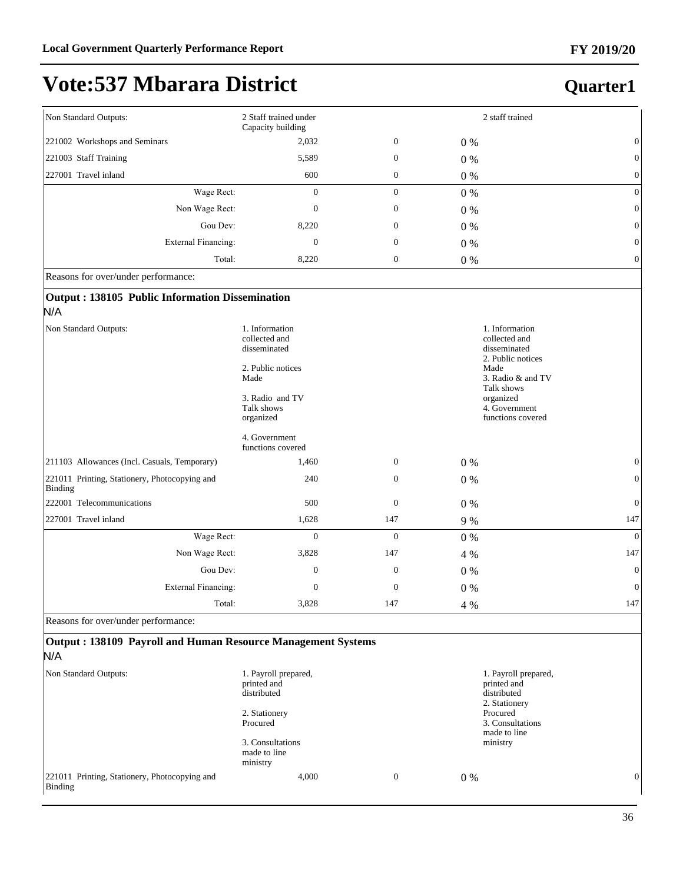### **FY 2019/20**

# **Vote:537 Mbarara District**

## **Quarter1**

| Non Standard Outputs:         | 2 Staff trained under<br>Capacity building |                  |       | 2 staff trained |
|-------------------------------|--------------------------------------------|------------------|-------|-----------------|
| 221002 Workshops and Seminars | 2,032                                      | $\boldsymbol{0}$ | $0\%$ | $\mathbf{0}$    |
| 221003 Staff Training         | 5,589                                      | $\boldsymbol{0}$ | $0\%$ | $\theta$        |
| 227001 Travel inland          | 600                                        | $\boldsymbol{0}$ | $0\%$ | $\theta$        |
| Wage Rect:                    | $\mathbf{0}$                               | $\boldsymbol{0}$ | $0\%$ | $\theta$        |
| Non Wage Rect:                | $\mathbf{0}$                               | $\boldsymbol{0}$ | $0\%$ | $\theta$        |
| Gou Dev:                      | 8,220                                      | $\boldsymbol{0}$ | $0\%$ | $\theta$        |
| External Financing:           | $\boldsymbol{0}$                           | $\boldsymbol{0}$ | $0\%$ | $\theta$        |
| Total:                        | 8,220                                      | $\boldsymbol{0}$ | $0\%$ | $\theta$        |

Reasons for over/under performance:

### **Output : 138105 Public Information Dissemination**  N/A

| Non Standard Outputs:                                    | 1. Information<br>collected and<br>disseminated<br>2. Public notices<br>Made<br>3. Radio and TV<br>Talk shows<br>organized<br>4. Government<br>functions covered |              |       | 1. Information<br>collected and<br>disseminated<br>2. Public notices<br>Made<br>3. Radio & and TV<br>Talk shows<br>organized<br>4. Government<br>functions covered |
|----------------------------------------------------------|------------------------------------------------------------------------------------------------------------------------------------------------------------------|--------------|-------|--------------------------------------------------------------------------------------------------------------------------------------------------------------------|
| 211103 Allowances (Incl. Casuals, Temporary)             | 1,460                                                                                                                                                            | $\mathbf{0}$ | 0%    | $\mathbf{0}$                                                                                                                                                       |
| 221011 Printing, Stationery, Photocopying and<br>Binding | 240                                                                                                                                                              | $\mathbf{0}$ | $0\%$ | $\Omega$                                                                                                                                                           |
| 222001 Telecommunications                                | 500                                                                                                                                                              | $\mathbf{0}$ | $0\%$ | $\mathbf{0}$                                                                                                                                                       |
| 227001 Travel inland                                     | 1,628                                                                                                                                                            | 147          | 9 %   | 147                                                                                                                                                                |
| Wage Rect:                                               | $\theta$                                                                                                                                                         | $\mathbf{0}$ | 0%    | $\theta$                                                                                                                                                           |
| Non Wage Rect:                                           | 3,828                                                                                                                                                            | 147          | 4 %   | 147                                                                                                                                                                |
| Gou Dev:                                                 | $\mathbf{0}$                                                                                                                                                     | $\mathbf{0}$ | $0\%$ | $\Omega$                                                                                                                                                           |
| <b>External Financing:</b>                               | $\Omega$                                                                                                                                                         | $\mathbf{0}$ | $0\%$ | $\theta$                                                                                                                                                           |
| Total:                                                   | 3,828                                                                                                                                                            | 147          | 4 %   | 147                                                                                                                                                                |

Reasons for over/under performance:

### **Output : 138109 Payroll and Human Resource Management Systems** N/A

| Non Standard Outputs:                                    | 1. Payroll prepared,<br>printed and<br>distributed<br>2. Stationery<br>Procured |  |              | 1. Payroll prepared,<br>printed and<br>distributed<br>2. Stationery |   |
|----------------------------------------------------------|---------------------------------------------------------------------------------|--|--------------|---------------------------------------------------------------------|---|
|                                                          |                                                                                 |  |              | Procured<br>3. Consultations<br>made to line                        |   |
|                                                          | 3. Consultations<br>made to line<br>ministry                                    |  |              | ministry                                                            |   |
| 221011 Printing, Stationery, Photocopying and<br>Binding | 4,000                                                                           |  | $\mathbf{0}$ | $0\%$                                                               | 0 |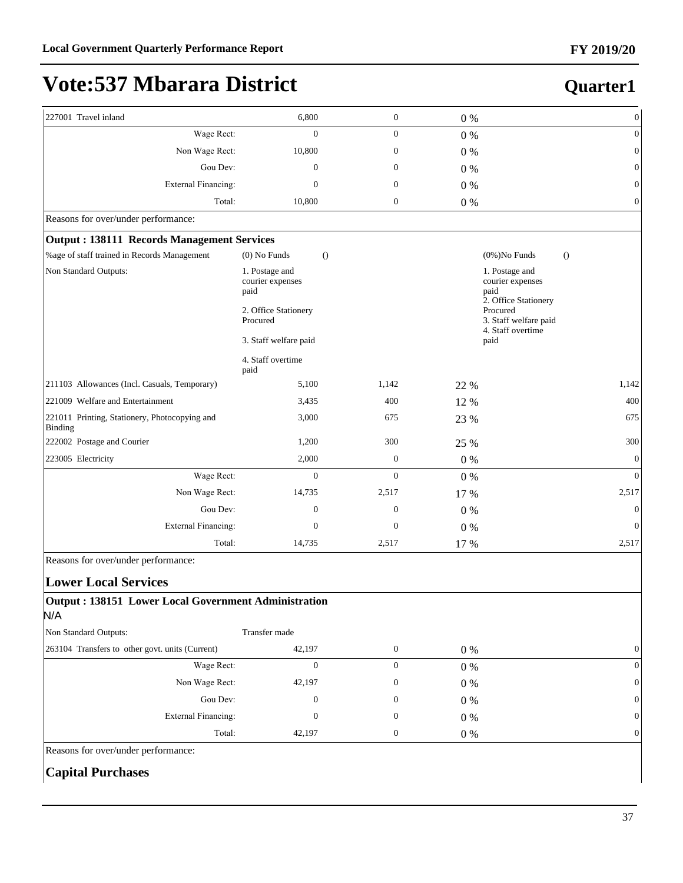**Quarter1**

# **Vote:537 Mbarara District**

| 227001 Travel inland                                     | 6,800                                      | $\boldsymbol{0}$                           | 0%    | $\mathbf{0}$                                           |  |
|----------------------------------------------------------|--------------------------------------------|--------------------------------------------|-------|--------------------------------------------------------|--|
| Wage Rect:                                               | $\Omega$                                   | $\boldsymbol{0}$                           | 0%    | $\mathbf{0}$                                           |  |
| Non Wage Rect:                                           | 10,800                                     | $\boldsymbol{0}$                           | $0\%$ | $\boldsymbol{0}$                                       |  |
| Gou Dev:                                                 | $\Omega$                                   | $\mathbf{0}$                               | $0\%$ | $\mathbf{0}$                                           |  |
| External Financing:                                      | $\mathbf{0}$                               | $\boldsymbol{0}$                           | $0\%$ | $\mathbf{0}$                                           |  |
| Total:                                                   | 10,800                                     | $\boldsymbol{0}$                           | $0\%$ | $\mathbf{0}$                                           |  |
| Reasons for over/under performance:                      |                                            |                                            |       |                                                        |  |
| <b>Output: 138111 Records Management Services</b>        |                                            |                                            |       |                                                        |  |
| %age of staff trained in Records Management              | $(0)$ No Funds                             | $\theta$                                   |       | $(0\%)$ No Funds<br>$\Omega$                           |  |
| Non Standard Outputs:                                    | 1. Postage and<br>courier expenses<br>paid | 1. Postage and<br>courier expenses<br>paid |       | 2. Office Stationery                                   |  |
|                                                          | 2. Office Stationery<br>Procured           |                                            |       | Procured<br>3. Staff welfare paid<br>4. Staff overtime |  |
|                                                          | 3. Staff welfare paid<br>paid              |                                            |       |                                                        |  |
|                                                          | 4. Staff overtime<br>paid                  |                                            |       |                                                        |  |
| 211103 Allowances (Incl. Casuals, Temporary)             | 5,100                                      | 1,142                                      | 22 %  | 1,142                                                  |  |
| 221009 Welfare and Entertainment                         | 3,435                                      | 400                                        | 12 %  | 400                                                    |  |
| 221011 Printing, Stationery, Photocopying and<br>Binding | 3,000                                      | 675                                        | 23 %  | 675                                                    |  |
| 222002 Postage and Courier                               | 1,200                                      | 300                                        | 25 %  | 300                                                    |  |
| 223005 Electricity                                       | 2,000                                      | $\boldsymbol{0}$                           | $0\%$ | $\mathbf{0}$                                           |  |
| Wage Rect:                                               | $\mathbf{0}$                               | $\theta$                                   | $0\%$ | $\overline{0}$                                         |  |
| Non Wage Rect:                                           | 14,735                                     | 2,517                                      | 17 %  | 2,517                                                  |  |
| Gou Dev:                                                 | $\mathbf{0}$                               | $\mathbf{0}$                               | $0\%$ | $\mathbf{0}$                                           |  |
| <b>External Financing:</b>                               | $\mathbf{0}$                               | $\overline{0}$                             | $0\%$ | $\mathbf{0}$                                           |  |
| Total:                                                   | 14,735                                     | 2,517                                      | 17 %  | 2,517                                                  |  |

Reasons for over/under performance:

#### **Lower Local Services**

#### **Output : 138151 Lower Local Government Administration** N/A

| Non Standard Outputs:                           | Transfer made |       |                |
|-------------------------------------------------|---------------|-------|----------------|
| 263104 Transfers to other govt. units (Current) | 42,197        | $0\%$ | $\overline{0}$ |
| Wage Rect:                                      |               | $0\%$ | 0              |
| Non Wage Rect:                                  | 42,197        | $0\%$ | 0              |
| Gou Dev:                                        | $\Omega$      | $0\%$ | 0              |
| External Financing:                             |               | $0\%$ | 0              |
| Total:                                          | 42,197        | $0\%$ | 0              |

Reasons for over/under performance:

#### **Capital Purchases**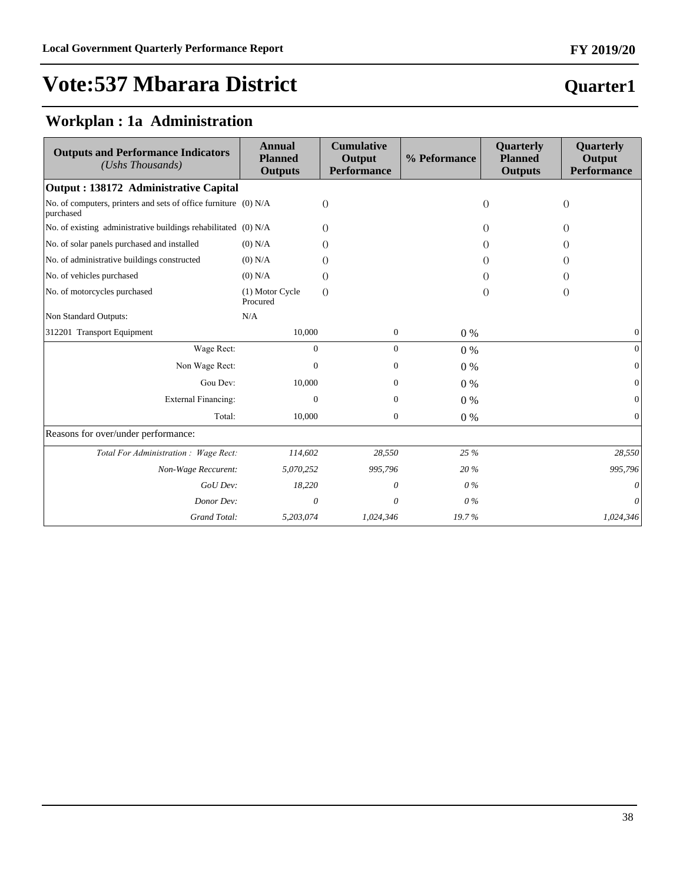### **Quarter1**

### **Workplan : 1a Administration**

| <b>Outputs and Performance Indicators</b><br>(Ushs Thousands)                | <b>Annual</b><br><b>Planned</b><br><b>Outputs</b> | <b>Cumulative</b><br>Output<br><b>Performance</b> | % Peformance | Quarterly<br><b>Planned</b><br><b>Outputs</b> | Quarterly<br>Output<br><b>Performance</b> |
|------------------------------------------------------------------------------|---------------------------------------------------|---------------------------------------------------|--------------|-----------------------------------------------|-------------------------------------------|
| Output : 138172 Administrative Capital                                       |                                                   |                                                   |              |                                               |                                           |
| No. of computers, printers and sets of office furniture (0) N/A<br>purchased |                                                   | $\Omega$                                          |              | $\Omega$                                      | $\Omega$                                  |
| No. of existing administrative buildings rehabilitated (0) N/A               |                                                   | $\Omega$                                          |              | $\Omega$                                      | $\Omega$                                  |
| No. of solar panels purchased and installed                                  | $(0)$ N/A                                         | $\Omega$                                          |              | $\Omega$                                      | $\Omega$                                  |
| No. of administrative buildings constructed                                  | $(0)$ N/A                                         | $\Omega$                                          |              | $\Omega$                                      | $\Omega$                                  |
| No. of vehicles purchased                                                    | $(0)$ N/A                                         | $\Omega$                                          |              | $\Omega$                                      | $\Omega$                                  |
| No. of motorcycles purchased                                                 | (1) Motor Cycle<br>Procured                       | $\Omega$                                          |              | $\Omega$                                      | $\Omega$                                  |
| Non Standard Outputs:                                                        | N/A                                               |                                                   |              |                                               |                                           |
| 312201 Transport Equipment                                                   | 10,000                                            | $\mathbf{0}$                                      | $0\%$        |                                               | $\mathbf{0}$                              |
| Wage Rect:                                                                   | $\mathbf{0}$                                      | $\mathbf{0}$                                      | 0%           |                                               | $\Omega$                                  |
| Non Wage Rect:                                                               | $\Omega$                                          | 0                                                 | 0%           |                                               |                                           |
| Gou Dev:                                                                     | 10,000                                            | 0                                                 | $0\%$        |                                               | $\Omega$                                  |
| External Financing:                                                          | 0                                                 | $\mathbf{0}$                                      | 0%           |                                               | $\Omega$                                  |
| Total:                                                                       | 10,000                                            | $\mathbf{0}$                                      | 0%           |                                               | $\mathbf{0}$                              |
| Reasons for over/under performance:                                          |                                                   |                                                   |              |                                               |                                           |
| Total For Administration : Wage Rect:                                        | 114,602                                           | 28,550                                            | 25 %         |                                               | 28,550                                    |
| Non-Wage Reccurent:                                                          | 5,070,252                                         | 995,796                                           | 20%          |                                               | 995,796                                   |
| GoU Dev:                                                                     | 18,220                                            | 0                                                 | $0\%$        |                                               |                                           |
| Donor Dev:                                                                   | 0                                                 | 0                                                 | $0\%$        |                                               | 0                                         |
| Grand Total:                                                                 | 5,203,074                                         | 1,024,346                                         | 19.7%        |                                               | 1,024,346                                 |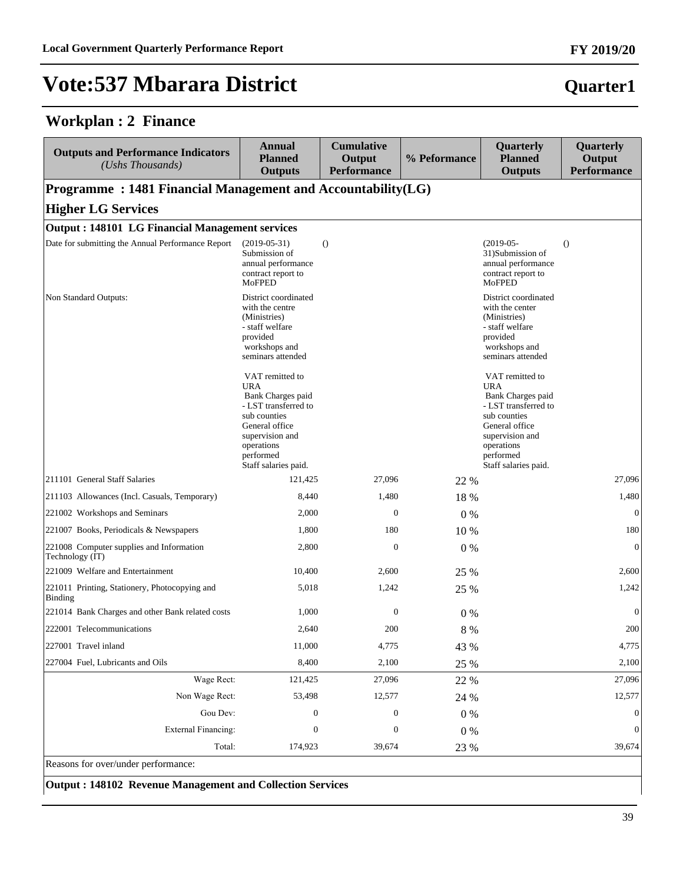#### **Workplan : 2 Finance**

| <b>Outputs and Performance Indicators</b><br>(Ushs Thousands) | <b>Annual</b><br><b>Planned</b><br><b>Outputs</b>                                                                                                                                  | <b>Cumulative</b><br>Output<br><b>Performance</b> | % Peformance | Quarterly<br><b>Planned</b><br><b>Outputs</b>                                                                                                                                      | Quarterly<br>Output<br><b>Performance</b> |
|---------------------------------------------------------------|------------------------------------------------------------------------------------------------------------------------------------------------------------------------------------|---------------------------------------------------|--------------|------------------------------------------------------------------------------------------------------------------------------------------------------------------------------------|-------------------------------------------|
| Programme: 1481 Financial Management and Accountability(LG)   |                                                                                                                                                                                    |                                                   |              |                                                                                                                                                                                    |                                           |
| <b>Higher LG Services</b>                                     |                                                                                                                                                                                    |                                                   |              |                                                                                                                                                                                    |                                           |
| <b>Output: 148101 LG Financial Management services</b>        |                                                                                                                                                                                    |                                                   |              |                                                                                                                                                                                    |                                           |
| Date for submitting the Annual Performance Report             | $(2019-05-31)$<br>Submission of<br>annual performance<br>contract report to<br>MoFPED                                                                                              | $\theta$                                          |              | $(2019-05-$<br>31)Submission of<br>annual performance<br>contract report to<br><b>MoFPED</b>                                                                                       | $\Omega$                                  |
| Non Standard Outputs:                                         | District coordinated<br>with the centre<br>(Ministries)<br>- staff welfare<br>provided<br>workshops and<br>seminars attended                                                       |                                                   |              | District coordinated<br>with the center<br>(Ministries)<br>- staff welfare<br>provided<br>workshops and<br>seminars attended                                                       |                                           |
|                                                               | VAT remitted to<br><b>URA</b><br>Bank Charges paid<br>- LST transferred to<br>sub counties<br>General office<br>supervision and<br>operations<br>performed<br>Staff salaries paid. |                                                   |              | VAT remitted to<br><b>URA</b><br>Bank Charges paid<br>- LST transferred to<br>sub counties<br>General office<br>supervision and<br>operations<br>performed<br>Staff salaries paid. |                                           |
| 211101 General Staff Salaries                                 | 121,425                                                                                                                                                                            | 27,096                                            | 22 %         |                                                                                                                                                                                    | 27,096                                    |
| 211103 Allowances (Incl. Casuals, Temporary)                  | 8,440                                                                                                                                                                              | 1,480                                             | 18 %         |                                                                                                                                                                                    | 1,480                                     |
| 221002 Workshops and Seminars                                 | 2,000                                                                                                                                                                              | $\mathbf{0}$                                      | $0\%$        |                                                                                                                                                                                    | $\overline{0}$                            |
| 221007 Books, Periodicals & Newspapers                        | 1,800                                                                                                                                                                              | 180                                               | 10 %         |                                                                                                                                                                                    | 180                                       |
| 221008 Computer supplies and Information<br>Technology (IT)   | 2,800                                                                                                                                                                              | $\boldsymbol{0}$                                  | $0\%$        |                                                                                                                                                                                    | $\mathbf{0}$                              |
| 221009 Welfare and Entertainment                              | 10,400                                                                                                                                                                             | 2,600                                             | 25 %         |                                                                                                                                                                                    | 2,600                                     |
| 221011 Printing, Stationery, Photocopying and<br>Binding      | 5,018                                                                                                                                                                              | 1,242                                             | 25 %         |                                                                                                                                                                                    | 1,242                                     |
| 221014 Bank Charges and other Bank related costs              | 1,000                                                                                                                                                                              | $\boldsymbol{0}$                                  | $0\%$        |                                                                                                                                                                                    | $\mathbf{0}$                              |
| 222001 Telecommunications                                     | 2,640                                                                                                                                                                              | 200                                               | $8\ \%$      |                                                                                                                                                                                    | 200                                       |
| 227001 Travel inland                                          | 11,000                                                                                                                                                                             | 4,775                                             | 43 %         |                                                                                                                                                                                    | 4,775                                     |
| 227004 Fuel, Lubricants and Oils                              | 8,400                                                                                                                                                                              | 2,100                                             | 25 %         |                                                                                                                                                                                    | 2,100                                     |
| Wage Rect:                                                    | 121,425                                                                                                                                                                            | 27,096                                            | 22 %         |                                                                                                                                                                                    | 27,096                                    |
| Non Wage Rect:                                                | 53,498                                                                                                                                                                             | 12,577                                            | 24 %         |                                                                                                                                                                                    | 12,577                                    |
| Gou Dev:                                                      | $\boldsymbol{0}$                                                                                                                                                                   | $\boldsymbol{0}$                                  | 0%           |                                                                                                                                                                                    | $\boldsymbol{0}$                          |
| <b>External Financing:</b>                                    | $\boldsymbol{0}$                                                                                                                                                                   | $\boldsymbol{0}$                                  | $0\ \%$      |                                                                                                                                                                                    | $\boldsymbol{0}$                          |
| Total:                                                        | 174,923                                                                                                                                                                            | 39,674                                            | 23 %         |                                                                                                                                                                                    | 39,674                                    |

Reasons for over/under performance:

**Output : 148102 Revenue Management and Collection Services**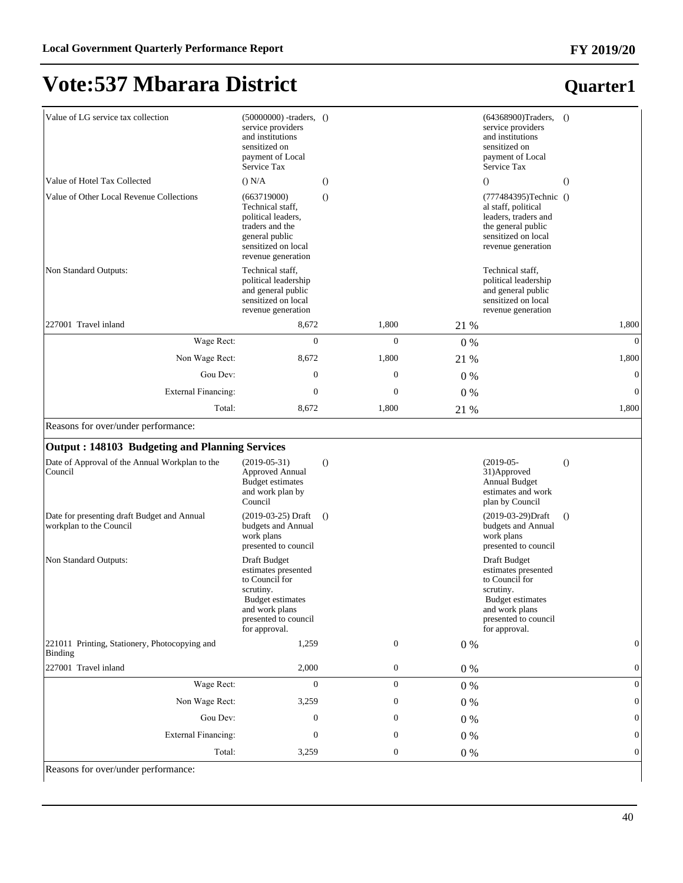#### **FY 2019/20**

# **Vote:537 Mbarara District**

| Value of LG service tax collection                                     | $(50000000)$ -traders, $()$<br>service providers<br>and institutions<br>sensitized on<br>payment of Local<br>Service Tax                                 |                  |         | $(64368900)$ Traders, $()$<br>service providers<br>and institutions<br>sensitized on<br>payment of Local<br>Service Tax                                  |                  |
|------------------------------------------------------------------------|----------------------------------------------------------------------------------------------------------------------------------------------------------|------------------|---------|----------------------------------------------------------------------------------------------------------------------------------------------------------|------------------|
| Value of Hotel Tax Collected                                           | () N/A                                                                                                                                                   | $\theta$         |         | $\Omega$                                                                                                                                                 | $\Omega$         |
| Value of Other Local Revenue Collections                               | (663719000)<br>Technical staff,<br>political leaders,<br>traders and the<br>general public<br>sensitized on local<br>revenue generation                  | $\left( \right)$ |         | (777484395)Technic ()<br>al staff, political<br>leaders, traders and<br>the general public<br>sensitized on local<br>revenue generation                  |                  |
| Non Standard Outputs:                                                  | Technical staff,<br>political leadership<br>and general public<br>sensitized on local<br>revenue generation                                              |                  |         | Technical staff,<br>political leadership<br>and general public<br>sensitized on local<br>revenue generation                                              |                  |
| 227001 Travel inland                                                   | 8,672                                                                                                                                                    | 1,800            | 21 %    |                                                                                                                                                          | 1,800            |
| Wage Rect:                                                             | $\theta$                                                                                                                                                 | $\theta$         | $0\%$   |                                                                                                                                                          | $\Omega$         |
| Non Wage Rect:                                                         | 8,672                                                                                                                                                    | 1,800            | 21 %    |                                                                                                                                                          | 1,800            |
| Gou Dev:                                                               | $\boldsymbol{0}$                                                                                                                                         | $\mathbf{0}$     | $0\%$   |                                                                                                                                                          | $\mathbf{0}$     |
| External Financing:                                                    | $\mathbf{0}$                                                                                                                                             | $\mathbf{0}$     | $0\%$   |                                                                                                                                                          | $\mathbf{0}$     |
| Total:                                                                 | 8,672                                                                                                                                                    | 1,800            | 21 %    |                                                                                                                                                          | 1,800            |
| Reasons for over/under performance:                                    |                                                                                                                                                          |                  |         |                                                                                                                                                          |                  |
| <b>Output: 148103 Budgeting and Planning Services</b>                  |                                                                                                                                                          |                  |         |                                                                                                                                                          |                  |
| Date of Approval of the Annual Workplan to the<br>Council              | $(2019-05-31)$<br><b>Approved Annual</b><br><b>Budget estimates</b><br>and work plan by<br>Council                                                       | $\theta$         |         | $(2019-05-$<br>31) Approved<br><b>Annual Budget</b><br>estimates and work<br>plan by Council                                                             | $\Omega$         |
| Date for presenting draft Budget and Annual<br>workplan to the Council | (2019-03-25) Draft<br>budgets and Annual<br>work plans<br>presented to council                                                                           | $\theta$         |         | (2019-03-29)Draft<br>budgets and Annual<br>work plans<br>presented to council                                                                            | $\Omega$         |
| Non Standard Outputs:                                                  | Draft Budget<br>estimates presented<br>to Council for<br>scrutiny.<br><b>Budget estimates</b><br>and work plans<br>presented to council<br>for approval. |                  |         | Draft Budget<br>estimates presented<br>to Council for<br>scrutiny.<br><b>Budget estimates</b><br>and work plans<br>presented to council<br>for approval. |                  |
| 221011 Printing, Stationery, Photocopying and<br><b>Binding</b>        | 1,259                                                                                                                                                    | $\mathbf{0}$     | $0\%$   |                                                                                                                                                          | $\mathbf{0}$     |
| 227001 Travel inland                                                   | 2,000                                                                                                                                                    | $\boldsymbol{0}$ | $0\ \%$ |                                                                                                                                                          | $\boldsymbol{0}$ |
| Wage Rect:                                                             | $\mathbf{0}$                                                                                                                                             | $\mathbf{0}$     | $0\ \%$ |                                                                                                                                                          | $\overline{0}$   |
| Non Wage Rect:                                                         | 3,259                                                                                                                                                    | $\boldsymbol{0}$ | $0\ \%$ |                                                                                                                                                          | $\theta$         |
| Gou Dev:                                                               | $\mathbf{0}$                                                                                                                                             | $\boldsymbol{0}$ | $0\ \%$ |                                                                                                                                                          | $\theta$         |
| <b>External Financing:</b>                                             | $\boldsymbol{0}$                                                                                                                                         | $\boldsymbol{0}$ | $0\%$   |                                                                                                                                                          | $\theta$         |
| Total:                                                                 | 3,259                                                                                                                                                    | $\boldsymbol{0}$ | $0\ \%$ |                                                                                                                                                          | $\boldsymbol{0}$ |

Reasons for over/under performance: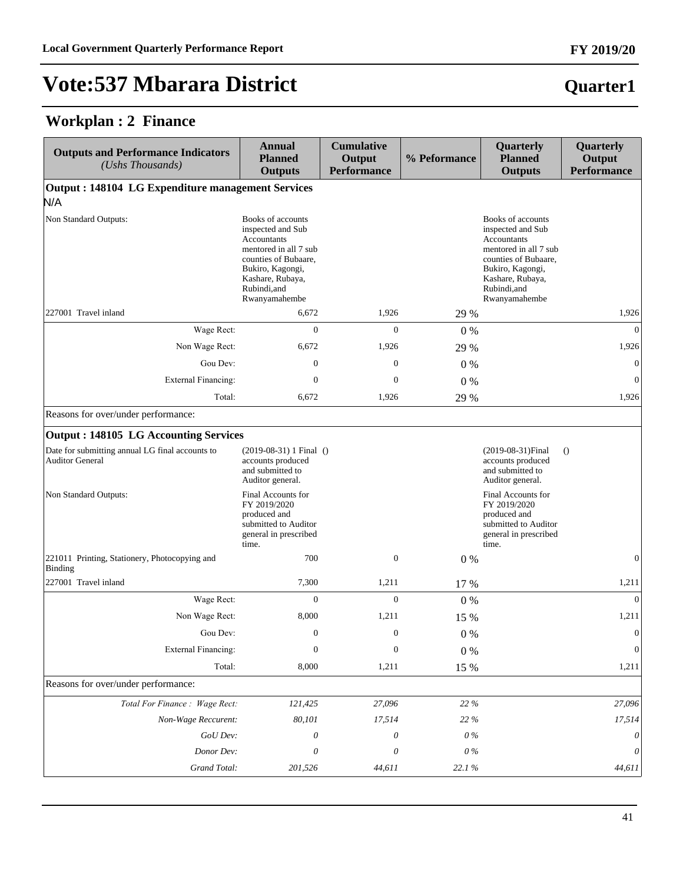**Quarter1**

# **Vote:537 Mbarara District**

#### **Workplan : 2 Finance**

| <b>Outputs and Performance Indicators</b><br>(Ushs Thousands)             | <b>Annual</b><br><b>Planned</b><br><b>Outputs</b>                                                                                                                               | <b>Cumulative</b><br>Output<br><b>Performance</b> | % Peformance | Quarterly<br><b>Planned</b><br><b>Outputs</b>                                                                                                                                   | Quarterly<br>Output<br><b>Performance</b> |
|---------------------------------------------------------------------------|---------------------------------------------------------------------------------------------------------------------------------------------------------------------------------|---------------------------------------------------|--------------|---------------------------------------------------------------------------------------------------------------------------------------------------------------------------------|-------------------------------------------|
| Output: 148104 LG Expenditure management Services                         |                                                                                                                                                                                 |                                                   |              |                                                                                                                                                                                 |                                           |
| N/A                                                                       |                                                                                                                                                                                 |                                                   |              |                                                                                                                                                                                 |                                           |
| Non Standard Outputs:                                                     | Books of accounts<br>inspected and Sub<br>Accountants<br>mentored in all 7 sub<br>counties of Bubaare,<br>Bukiro, Kagongi,<br>Kashare, Rubaya,<br>Rubindi, and<br>Rwanyamahembe |                                                   |              | Books of accounts<br>inspected and Sub<br>Accountants<br>mentored in all 7 sub<br>counties of Bubaare.<br>Bukiro, Kagongi,<br>Kashare, Rubaya,<br>Rubindi, and<br>Rwanyamahembe |                                           |
| 227001 Travel inland                                                      | 6,672                                                                                                                                                                           | 1,926                                             | 29 %         |                                                                                                                                                                                 | 1,926                                     |
| Wage Rect:                                                                | $\mathbf{0}$                                                                                                                                                                    | $\mathbf{0}$                                      | $0\%$        |                                                                                                                                                                                 | $\overline{0}$                            |
| Non Wage Rect:                                                            | 6,672                                                                                                                                                                           | 1,926                                             | 29 %         |                                                                                                                                                                                 | 1,926                                     |
| Gou Dev:                                                                  | $\boldsymbol{0}$                                                                                                                                                                | $\boldsymbol{0}$                                  | $0\%$        |                                                                                                                                                                                 | $\mathbf{0}$                              |
| External Financing:                                                       | $\boldsymbol{0}$                                                                                                                                                                | $\mathbf{0}$                                      | 0%           |                                                                                                                                                                                 | $\mathbf{0}$                              |
| Total:                                                                    | 6,672                                                                                                                                                                           | 1,926                                             | 29 %         |                                                                                                                                                                                 | 1,926                                     |
| Reasons for over/under performance:                                       |                                                                                                                                                                                 |                                                   |              |                                                                                                                                                                                 |                                           |
| Output: 148105 LG Accounting Services                                     |                                                                                                                                                                                 |                                                   |              |                                                                                                                                                                                 |                                           |
| Date for submitting annual LG final accounts to<br><b>Auditor General</b> | $(2019-08-31)$ 1 Final ()<br>accounts produced<br>and submitted to<br>Auditor general.                                                                                          |                                                   |              | (2019-08-31) Final<br>accounts produced<br>and submitted to<br>Auditor general.                                                                                                 | $\Omega$                                  |
| Non Standard Outputs:                                                     | Final Accounts for<br>FY 2019/2020<br>produced and<br>submitted to Auditor<br>general in prescribed<br>time.                                                                    |                                                   |              | Final Accounts for<br>FY 2019/2020<br>produced and<br>submitted to Auditor<br>general in prescribed<br>time.                                                                    |                                           |
| 221011 Printing, Stationery, Photocopying and<br>Binding                  | 700                                                                                                                                                                             | $\mathbf{0}$                                      | $0\%$        |                                                                                                                                                                                 | $\mathbf{0}$                              |
| 227001 Travel inland                                                      | 7,300                                                                                                                                                                           | 1,211                                             | 17 %         |                                                                                                                                                                                 | 1,211                                     |
| Wage Rect:                                                                | $\overline{0}$                                                                                                                                                                  | $\boldsymbol{0}$                                  | $0\%$        |                                                                                                                                                                                 | $\mathbf{0}$                              |
| Non Wage Rect:                                                            | 8,000                                                                                                                                                                           | 1,211                                             | 15 %         |                                                                                                                                                                                 | 1,211                                     |
| Gou Dev:                                                                  | $\Omega$                                                                                                                                                                        | $\mathbf{0}$                                      | $0\%$        |                                                                                                                                                                                 | $\Omega$                                  |
| <b>External Financing:</b>                                                | $\boldsymbol{0}$                                                                                                                                                                | $\boldsymbol{0}$                                  | $0\%$        |                                                                                                                                                                                 | $\boldsymbol{0}$                          |
| Total:                                                                    | 8,000                                                                                                                                                                           | 1,211                                             | 15 %         |                                                                                                                                                                                 | 1,211                                     |
| Reasons for over/under performance:                                       |                                                                                                                                                                                 |                                                   |              |                                                                                                                                                                                 |                                           |
| Total For Finance: Wage Rect:                                             | 121,425                                                                                                                                                                         | 27,096                                            | 22 %         |                                                                                                                                                                                 | 27,096                                    |
| Non-Wage Reccurent:                                                       | 80,101                                                                                                                                                                          | 17,514                                            | 22 %         |                                                                                                                                                                                 | 17,514                                    |
| GoU Dev:                                                                  | 0                                                                                                                                                                               | $\boldsymbol{\theta}$                             | $0\,\%$      |                                                                                                                                                                                 | $\theta$                                  |
| Donor Dev:                                                                | 0                                                                                                                                                                               | 0                                                 | $0\,\%$      |                                                                                                                                                                                 | 0                                         |
| Grand Total:                                                              | 201,526                                                                                                                                                                         | 44,611                                            | 22.1%        |                                                                                                                                                                                 | 44,611                                    |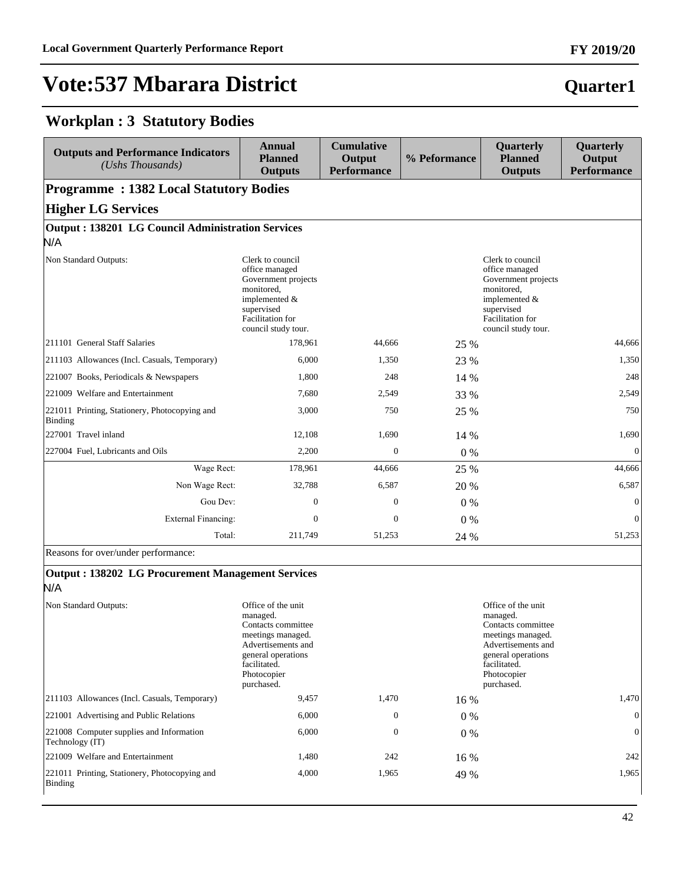#### **Workplan : 3 Statutory Bodies**

| <b>Outputs and Performance Indicators</b><br>(Ushs Thousands) | Annual<br><b>Planned</b><br><b>Outputs</b>                                                                                                                 | <b>Cumulative</b><br>Output<br><b>Performance</b> | % Peformance | Quarterly<br><b>Planned</b><br><b>Outputs</b>                                                                                                              | Quarterly<br>Output<br><b>Performance</b> |
|---------------------------------------------------------------|------------------------------------------------------------------------------------------------------------------------------------------------------------|---------------------------------------------------|--------------|------------------------------------------------------------------------------------------------------------------------------------------------------------|-------------------------------------------|
| <b>Programme: 1382 Local Statutory Bodies</b>                 |                                                                                                                                                            |                                                   |              |                                                                                                                                                            |                                           |
| <b>Higher LG Services</b>                                     |                                                                                                                                                            |                                                   |              |                                                                                                                                                            |                                           |
| Output: 138201 LG Council Administration Services             |                                                                                                                                                            |                                                   |              |                                                                                                                                                            |                                           |
| N/A                                                           |                                                                                                                                                            |                                                   |              |                                                                                                                                                            |                                           |
| Non Standard Outputs:                                         | Clerk to council<br>office managed<br>Government projects<br>monitored,<br>implemented $&$<br>supervised<br><b>Facilitation</b> for<br>council study tour. |                                                   |              | Clerk to council<br>office managed<br>Government projects<br>monitored,<br>implemented $&$<br>supervised<br><b>Facilitation</b> for<br>council study tour. |                                           |
| 211101 General Staff Salaries                                 | 178,961                                                                                                                                                    | 44.666                                            | 25 %         |                                                                                                                                                            | 44,666                                    |
| 211103 Allowances (Incl. Casuals, Temporary)                  | 6,000                                                                                                                                                      | 1,350                                             | 23 %         |                                                                                                                                                            | 1,350                                     |
| 221007 Books, Periodicals & Newspapers                        | 1.800                                                                                                                                                      | 248                                               | 14 %         |                                                                                                                                                            | 248                                       |
| 221009 Welfare and Entertainment                              | 7,680                                                                                                                                                      | 2,549                                             | 33 %         |                                                                                                                                                            | 2,549                                     |
| 221011 Printing, Stationery, Photocopying and<br>Binding      | 3,000                                                                                                                                                      | 750                                               | 25 %         |                                                                                                                                                            | 750                                       |
| 227001 Travel inland                                          | 12,108                                                                                                                                                     | 1,690                                             | 14 %         |                                                                                                                                                            | 1,690                                     |
| 227004 Fuel, Lubricants and Oils                              | 2,200                                                                                                                                                      | $\overline{0}$                                    | $0\%$        |                                                                                                                                                            | $\mathbf{0}$                              |
| Wage Rect:                                                    | 178,961                                                                                                                                                    | 44,666                                            | 25 %         |                                                                                                                                                            | 44,666                                    |
| Non Wage Rect:                                                | 32,788                                                                                                                                                     | 6,587                                             | 20 %         |                                                                                                                                                            | 6,587                                     |
| Gou Dev:                                                      | $\Omega$                                                                                                                                                   | $\Omega$                                          | $0\%$        |                                                                                                                                                            | $\mathbf{0}$                              |
| <b>External Financing:</b>                                    | $\mathbf{0}$                                                                                                                                               | $\mathbf{0}$                                      | $0\%$        |                                                                                                                                                            | $\mathbf{0}$                              |
| Total:                                                        | 211.749                                                                                                                                                    | 51.253                                            | 24 %         |                                                                                                                                                            | 51,253                                    |

Reasons for over/under performance:

#### **Output : 138202 LG Procurement Management Services** N/A

| Non Standard Outputs:                                       | Office of the unit<br>managed.<br>Contacts committee<br>meetings managed.<br>Advertisements and<br>general operations<br>facilitated.<br>Photocopier<br>purchased. |                  |       | Office of the unit<br>managed.<br>Contacts committee<br>meetings managed.<br>Advertisements and<br>general operations<br>facilitated.<br>Photocopier<br>purchased. |                |
|-------------------------------------------------------------|--------------------------------------------------------------------------------------------------------------------------------------------------------------------|------------------|-------|--------------------------------------------------------------------------------------------------------------------------------------------------------------------|----------------|
| [211103 Allowances (Incl. Casuals, Temporary)               | 9,457                                                                                                                                                              | 1,470            | 16 %  |                                                                                                                                                                    | 1,470          |
| 221001 Advertising and Public Relations                     | 6,000                                                                                                                                                              | $\mathbf{0}$     | $0\%$ |                                                                                                                                                                    | $\overline{0}$ |
| 221008 Computer supplies and Information<br>Technology (IT) | 6,000                                                                                                                                                              | $\boldsymbol{0}$ | $0\%$ |                                                                                                                                                                    | $\overline{0}$ |
| 221009 Welfare and Entertainment                            | 1,480                                                                                                                                                              | 242              | 16 %  |                                                                                                                                                                    | 242            |
| 221011 Printing, Stationery, Photocopying and<br>Binding    | 4,000                                                                                                                                                              | 1,965            | 49 %  |                                                                                                                                                                    | 1,965          |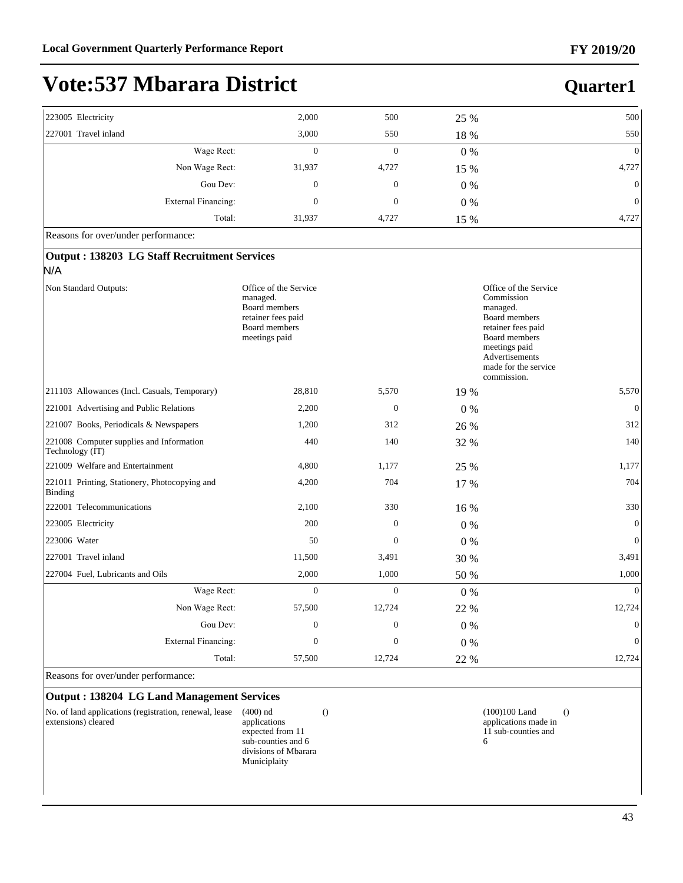**Quarter1**

# **Vote:537 Mbarara District**

| 223005 Electricity   |                     | 2,000            | 500              | 25 %  | 500            |
|----------------------|---------------------|------------------|------------------|-------|----------------|
| 227001 Travel inland |                     | 3,000            | 550              | 18 %  | 550            |
|                      | Wage Rect:          | $\mathbf{0}$     | $\boldsymbol{0}$ | $0\%$ | $\mathbf{0}$   |
|                      | Non Wage Rect:      | 31,937           | 4,727            | 15 %  | 4,727          |
|                      | Gou Dev:            | $\boldsymbol{0}$ | $\boldsymbol{0}$ | $0\%$ | $\overline{0}$ |
|                      | External Financing: | $\boldsymbol{0}$ | $\boldsymbol{0}$ | $0\%$ | $\mathbf{0}$   |
|                      | Total:              | 31,937           | 4,727            | 15 %  | 4,727          |
|                      |                     |                  |                  |       |                |

Reasons for over/under performance:

| Output: 138203 LG Staff Recruitment Services                                                                      |                |       |                                                                                                                                                                                                 |
|-------------------------------------------------------------------------------------------------------------------|----------------|-------|-------------------------------------------------------------------------------------------------------------------------------------------------------------------------------------------------|
|                                                                                                                   |                |       |                                                                                                                                                                                                 |
| Office of the Service<br>managed.<br><b>Board members</b><br>retainer fees paid<br>Board members<br>meetings paid |                |       | Office of the Service<br>Commission<br>managed.<br><b>Board</b> members<br>retainer fees paid<br><b>Board members</b><br>meetings paid<br>Advertisements<br>made for the service<br>commission. |
| 28,810                                                                                                            | 5,570          | 19 %  | 5,570                                                                                                                                                                                           |
| 2,200                                                                                                             | $\mathbf{0}$   | $0\%$ | $\mathbf{0}$                                                                                                                                                                                    |
| 1,200                                                                                                             | 312            | 26 %  | 312                                                                                                                                                                                             |
| 440                                                                                                               | 140            | 32 %  | 140                                                                                                                                                                                             |
| 4,800                                                                                                             | 1,177          | 25 %  | 1,177                                                                                                                                                                                           |
| 4,200                                                                                                             | 704            | 17 %  | 704                                                                                                                                                                                             |
| 2,100                                                                                                             | 330            | 16 %  | 330                                                                                                                                                                                             |
| 200                                                                                                               | $\mathbf{0}$   | $0\%$ | $\mathbf{0}$                                                                                                                                                                                    |
| 50                                                                                                                | $\Omega$       | $0\%$ | $\theta$                                                                                                                                                                                        |
| 11,500                                                                                                            | 3,491          | 30 %  | 3,491                                                                                                                                                                                           |
| 2,000                                                                                                             | 1,000          | 50 %  | 1,000                                                                                                                                                                                           |
| Wage Rect:<br>$\overline{0}$                                                                                      | $\overline{0}$ | $0\%$ | $\theta$                                                                                                                                                                                        |
| Non Wage Rect:<br>57,500                                                                                          | 12,724         | 22 %  | 12,724                                                                                                                                                                                          |
| Gou Dev:<br>$\overline{0}$                                                                                        | $\mathbf{0}$   | $0\%$ | $\mathbf{0}$                                                                                                                                                                                    |
| <b>External Financing:</b><br>$\theta$                                                                            | $\Omega$       | $0\%$ | $\mathbf{0}$                                                                                                                                                                                    |
| Total:<br>57,500                                                                                                  | 12,724         | 22 %  | 12,724                                                                                                                                                                                          |
|                                                                                                                   |                |       |                                                                                                                                                                                                 |

Reasons for over/under performance:

#### **Output : 138204 LG Land Management Services**

| No. of land applications (registration, renewal, lease | $(400)$ nd    |
|--------------------------------------------------------|---------------|
| extensions) cleared                                    | applications  |
|                                                        | expected from |

 $11\,$ sub-counties and 6 divisions of Mbarara Municiplaity

() (100)100 Land applications made in 11 sub-counties and 6 ()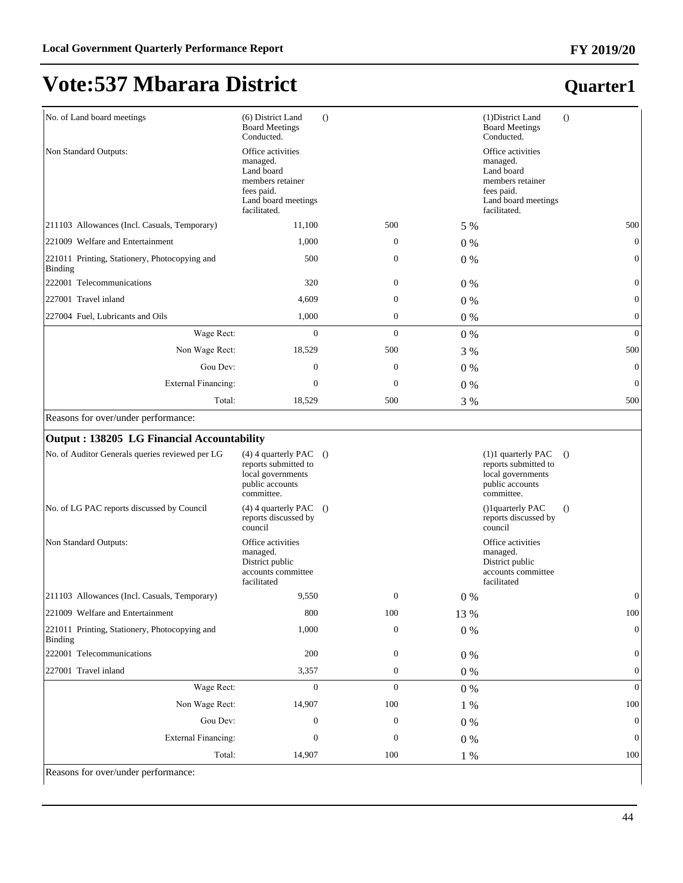### **Quarter1**

| No. of Land board meetings                               | (6) District Land<br><b>Board Meetings</b><br>Conducted.                                                             | $\Omega$         |       | (1) District Land<br><b>Board Meetings</b><br>Conducted.                                                             | $\Omega$         |
|----------------------------------------------------------|----------------------------------------------------------------------------------------------------------------------|------------------|-------|----------------------------------------------------------------------------------------------------------------------|------------------|
| Non Standard Outputs:                                    | Office activities<br>managed.<br>Land board<br>members retainer<br>fees paid.<br>Land board meetings<br>facilitated. |                  |       | Office activities<br>managed.<br>Land board<br>members retainer<br>fees paid.<br>Land board meetings<br>facilitated. |                  |
| [211103 Allowances (Incl. Casuals, Temporary)            | 11,100                                                                                                               | 500              | 5 %   |                                                                                                                      | 500              |
| 221009 Welfare and Entertainment                         | 1,000                                                                                                                | $\boldsymbol{0}$ | $0\%$ |                                                                                                                      | $\theta$         |
| 221011 Printing, Stationery, Photocopying and<br>Binding | 500                                                                                                                  | $\overline{0}$   | $0\%$ |                                                                                                                      | $\Omega$         |
| 222001 Telecommunications                                | 320                                                                                                                  | $\overline{0}$   | $0\%$ |                                                                                                                      | $\theta$         |
| 227001 Travel inland                                     | 4,609                                                                                                                | $\overline{0}$   | $0\%$ |                                                                                                                      | $\Omega$         |
| 227004 Fuel, Lubricants and Oils                         | 1,000                                                                                                                | 0                | $0\%$ |                                                                                                                      | $\mathbf{0}$     |
| Wage Rect:                                               | $\mathbf{0}$                                                                                                         | $\overline{0}$   | $0\%$ |                                                                                                                      | $\mathbf{0}$     |
| Non Wage Rect:                                           | 18,529                                                                                                               | 500              | 3 %   |                                                                                                                      | 500              |
| Gou Dev:                                                 | $\overline{0}$                                                                                                       | $\overline{0}$   | $0\%$ |                                                                                                                      | $\mathbf{0}$     |
| <b>External Financing:</b>                               | $\boldsymbol{0}$                                                                                                     | $\boldsymbol{0}$ | $0\%$ |                                                                                                                      | $\boldsymbol{0}$ |
| Total:                                                   | 18,529                                                                                                               | 500              | 3 %   |                                                                                                                      | 500              |

Reasons for over/under performance:

| Output: 138205 LG Financial Accountability               |                                                                                                          |              |       |                                                                                                    |                  |
|----------------------------------------------------------|----------------------------------------------------------------------------------------------------------|--------------|-------|----------------------------------------------------------------------------------------------------|------------------|
| No. of Auditor Generals queries reviewed per LG          | $(4)$ 4 quarterly PAC $()$<br>reports submitted to<br>local governments<br>public accounts<br>committee. |              |       | $(1)1$ quarterly PAC<br>reports submitted to<br>local governments<br>public accounts<br>committee. | $\Omega$         |
| No. of LG PAC reports discussed by Council               | $(4)$ 4 quarterly PAC $()$<br>reports discussed by<br>council                                            |              |       | ()1quarterly PAC<br>reports discussed by<br>council                                                | $\left( \right)$ |
| Non Standard Outputs:                                    | Office activities<br>managed.<br>District public<br>accounts committee<br>facilitated                    |              |       | Office activities<br>managed.<br>District public<br>accounts committee<br>facilitated              |                  |
| [211103 Allowances (Incl. Casuals, Temporary)            | 9,550                                                                                                    | $\mathbf{0}$ | $0\%$ |                                                                                                    | $\theta$         |
| 221009 Welfare and Entertainment                         | 800                                                                                                      | 100          | 13 %  |                                                                                                    | 100              |
| 221011 Printing, Stationery, Photocopying and<br>Binding | 1,000                                                                                                    | $\mathbf{0}$ | $0\%$ |                                                                                                    | $\overline{0}$   |
| 222001 Telecommunications                                | 200                                                                                                      | $\mathbf{0}$ | $0\%$ |                                                                                                    | $\overline{0}$   |
| 227001 Travel inland                                     | 3,357                                                                                                    | $\mathbf{0}$ | $0\%$ |                                                                                                    | $\overline{0}$   |
| Wage Rect:                                               | $\Omega$                                                                                                 | $\Omega$     | $0\%$ |                                                                                                    | $\Omega$         |
| Non Wage Rect:                                           | 14,907                                                                                                   | 100          | 1 %   |                                                                                                    | $100\,$          |
| Gou Dev:                                                 | $\mathbf{0}$                                                                                             | $\mathbf{0}$ | $0\%$ |                                                                                                    | $\overline{0}$   |
| <b>External Financing:</b>                               | $\Omega$                                                                                                 | $\mathbf{0}$ | $0\%$ |                                                                                                    | $\overline{0}$   |
| Total:                                                   | 14,907                                                                                                   | 100          | $1\%$ |                                                                                                    | 100              |

Reasons for over/under performance: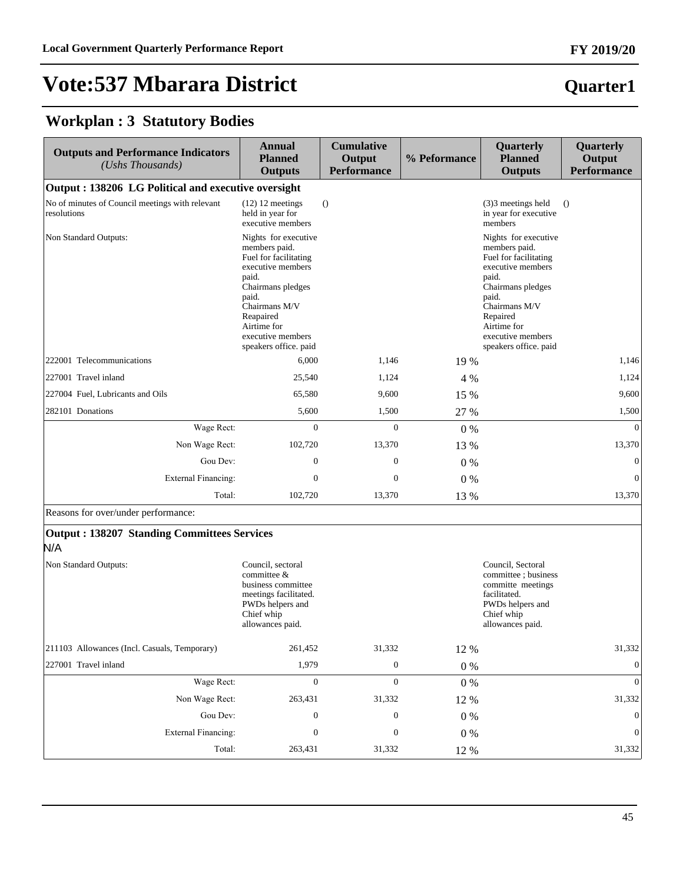### **Quarter1**

#### **Workplan : 3 Statutory Bodies**

| <b>Outputs and Performance Indicators</b><br>(Ushs Thousands)  | <b>Annual</b><br><b>Planned</b><br><b>Outputs</b>                                                                                                                                                                     | <b>Cumulative</b><br>Output<br><b>Performance</b> | % Peformance | Quarterly<br><b>Planned</b><br><b>Outputs</b>                                                                                                                                                                        | Quarterly<br>Output<br><b>Performance</b> |
|----------------------------------------------------------------|-----------------------------------------------------------------------------------------------------------------------------------------------------------------------------------------------------------------------|---------------------------------------------------|--------------|----------------------------------------------------------------------------------------------------------------------------------------------------------------------------------------------------------------------|-------------------------------------------|
| Output: 138206 LG Political and executive oversight            |                                                                                                                                                                                                                       |                                                   |              |                                                                                                                                                                                                                      |                                           |
| No of minutes of Council meetings with relevant<br>resolutions | $(12)$ 12 meetings<br>held in year for<br>executive members                                                                                                                                                           | $\Omega$                                          |              | $(3)$ 3 meetings held<br>in year for executive<br>members                                                                                                                                                            | $\Omega$                                  |
| Non Standard Outputs:                                          | Nights for executive<br>members paid.<br>Fuel for facilitating<br>executive members<br>paid.<br>Chairmans pledges<br>paid.<br>Chairmans M/V<br>Reapaired<br>Airtime for<br>executive members<br>speakers office. paid |                                                   |              | Nights for executive<br>members paid.<br>Fuel for facilitating<br>executive members<br>paid.<br>Chairmans pledges<br>paid.<br>Chairmans M/V<br>Repaired<br>Airtime for<br>executive members<br>speakers office. paid |                                           |
| 222001 Telecommunications                                      | 6,000                                                                                                                                                                                                                 | 1,146                                             | 19 %         |                                                                                                                                                                                                                      | 1,146                                     |
| 227001 Travel inland                                           | 25,540                                                                                                                                                                                                                | 1,124                                             | 4 %          |                                                                                                                                                                                                                      | 1,124                                     |
| 227004 Fuel, Lubricants and Oils                               | 65,580                                                                                                                                                                                                                | 9,600                                             | 15 %         |                                                                                                                                                                                                                      | 9,600                                     |
| 282101 Donations                                               | 5,600                                                                                                                                                                                                                 | 1,500                                             | 27 %         |                                                                                                                                                                                                                      | 1,500                                     |
| Wage Rect:                                                     | $\overline{0}$                                                                                                                                                                                                        | $\mathbf{0}$                                      | $0\%$        |                                                                                                                                                                                                                      | $\mathbf{0}$                              |
| Non Wage Rect:                                                 | 102,720                                                                                                                                                                                                               | 13,370                                            | 13 %         |                                                                                                                                                                                                                      | 13,370                                    |
| Gou Dev:                                                       | $\boldsymbol{0}$                                                                                                                                                                                                      | $\boldsymbol{0}$                                  | $0\%$        |                                                                                                                                                                                                                      | $\boldsymbol{0}$                          |
| <b>External Financing:</b>                                     | $\mathbf{0}$                                                                                                                                                                                                          | $\boldsymbol{0}$                                  | $0\%$        |                                                                                                                                                                                                                      | $\mathbf{0}$                              |
| Total:                                                         | 102,720                                                                                                                                                                                                               | 13,370                                            | 13 %         |                                                                                                                                                                                                                      | 13,370                                    |
| Reasons for over/under performance:                            |                                                                                                                                                                                                                       |                                                   |              |                                                                                                                                                                                                                      |                                           |
| <b>Output: 138207 Standing Committees Services</b><br>N/A      |                                                                                                                                                                                                                       |                                                   |              |                                                                                                                                                                                                                      |                                           |
| Non Standard Outputs:                                          | Council, sectoral<br>committee &<br>business committee<br>meetings facilitated.<br>PWDs helpers and<br>Chief whip<br>allowances paid.                                                                                 |                                                   |              | Council, Sectoral<br>committee; business<br>committe meetings<br>facilitated.<br>PWDs helpers and<br>Chief whip<br>allowances paid.                                                                                  |                                           |
| 211103 Allowances (Incl. Casuals, Temporary)                   | 261,452                                                                                                                                                                                                               | 31,332                                            | 12 %         |                                                                                                                                                                                                                      | 31,332                                    |
| 227001 Travel inland                                           | 1,979                                                                                                                                                                                                                 | $\boldsymbol{0}$                                  | $0\ \%$      |                                                                                                                                                                                                                      | $\mathbf{0}$                              |
| Wage Rect:                                                     | $\boldsymbol{0}$                                                                                                                                                                                                      | $\boldsymbol{0}$                                  | $0\ \%$      |                                                                                                                                                                                                                      | $\mathbf{0}$                              |
| Non Wage Rect:                                                 | 263,431                                                                                                                                                                                                               | 31,332                                            | 12 %         |                                                                                                                                                                                                                      | 31,332                                    |
| Gou Dev:                                                       | $\boldsymbol{0}$                                                                                                                                                                                                      | $\boldsymbol{0}$                                  | $0\ \%$      |                                                                                                                                                                                                                      | $\boldsymbol{0}$                          |
| <b>External Financing:</b>                                     | $\boldsymbol{0}$                                                                                                                                                                                                      | $\boldsymbol{0}$                                  | $0\ \%$      |                                                                                                                                                                                                                      | $\boldsymbol{0}$                          |
| Total:                                                         | 263,431                                                                                                                                                                                                               | 31,332                                            | $12~\%$      |                                                                                                                                                                                                                      | 31,332                                    |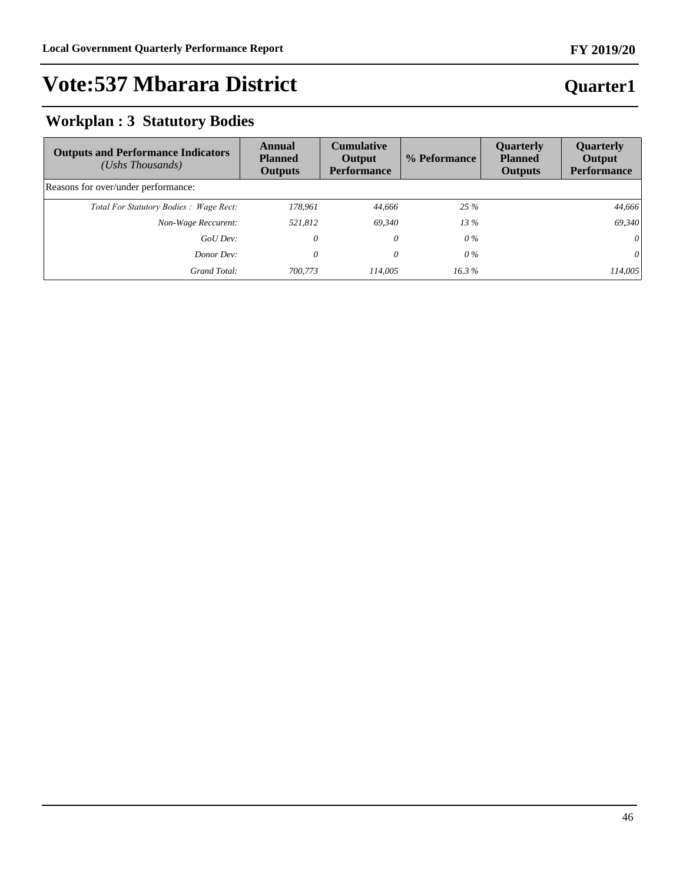#### **FY 2019/20**

# **Vote:537 Mbarara District**

### **Workplan : 3 Statutory Bodies**

| <b>Outputs and Performance Indicators</b><br>$(Ushs$ Thousands) | Annual<br><b>Planned</b><br><b>Outputs</b> | <b>Cumulative</b><br>Output<br><b>Performance</b> | % Peformance | <b>Ouarterly</b><br><b>Planned</b><br><b>Outputs</b> | Quarterly<br>Output<br><b>Performance</b> |
|-----------------------------------------------------------------|--------------------------------------------|---------------------------------------------------|--------------|------------------------------------------------------|-------------------------------------------|
| Reasons for over/under performance:                             |                                            |                                                   |              |                                                      |                                           |
| Total For Statutory Bodies: Wage Rect:                          | 178.961                                    | 44.666                                            | 25%          |                                                      | 44.666                                    |
| Non-Wage Reccurent:                                             | 521,812                                    | 69.340                                            | $13\%$       |                                                      | 69,340                                    |
| GoU Dev:                                                        | 0                                          | 0                                                 | $0\%$        |                                                      | 0                                         |
| Donor Dev:                                                      | 0                                          | 0                                                 | $0\%$        |                                                      | 0                                         |
| Grand Total:                                                    | 700,773                                    | 114,005                                           | 16.3%        |                                                      | 114.005                                   |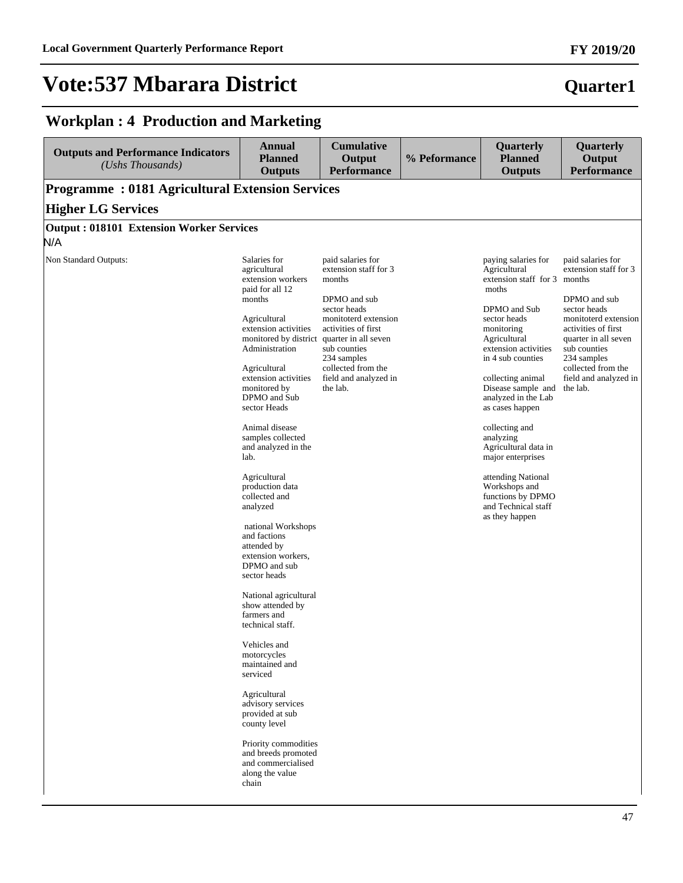### **Quarter1**

### **Workplan : 4 Production and Marketing**

| <b>Outputs and Performance Indicators</b><br>(Ushs Thousands) | <b>Annual</b><br><b>Planned</b><br><b>Outputs</b>                                                                                                                                                                                                                                                                                                                                                                                                                                                                                                                                                                                                                                            | <b>Cumulative</b><br>Output<br><b>Performance</b>                                                                                                                                                                                                     | % Peformance | Quarterly<br><b>Planned</b><br><b>Outputs</b>                                                                                                                                                                                                                                                                                                                                                                                                                 | Quarterly<br>Output<br><b>Performance</b>                                                                                                                                                                                                   |
|---------------------------------------------------------------|----------------------------------------------------------------------------------------------------------------------------------------------------------------------------------------------------------------------------------------------------------------------------------------------------------------------------------------------------------------------------------------------------------------------------------------------------------------------------------------------------------------------------------------------------------------------------------------------------------------------------------------------------------------------------------------------|-------------------------------------------------------------------------------------------------------------------------------------------------------------------------------------------------------------------------------------------------------|--------------|---------------------------------------------------------------------------------------------------------------------------------------------------------------------------------------------------------------------------------------------------------------------------------------------------------------------------------------------------------------------------------------------------------------------------------------------------------------|---------------------------------------------------------------------------------------------------------------------------------------------------------------------------------------------------------------------------------------------|
| <b>Programme: 0181 Agricultural Extension Services</b>        |                                                                                                                                                                                                                                                                                                                                                                                                                                                                                                                                                                                                                                                                                              |                                                                                                                                                                                                                                                       |              |                                                                                                                                                                                                                                                                                                                                                                                                                                                               |                                                                                                                                                                                                                                             |
| <b>Higher LG Services</b>                                     |                                                                                                                                                                                                                                                                                                                                                                                                                                                                                                                                                                                                                                                                                              |                                                                                                                                                                                                                                                       |              |                                                                                                                                                                                                                                                                                                                                                                                                                                                               |                                                                                                                                                                                                                                             |
| <b>Output: 018101 Extension Worker Services</b>               |                                                                                                                                                                                                                                                                                                                                                                                                                                                                                                                                                                                                                                                                                              |                                                                                                                                                                                                                                                       |              |                                                                                                                                                                                                                                                                                                                                                                                                                                                               |                                                                                                                                                                                                                                             |
| N/A                                                           |                                                                                                                                                                                                                                                                                                                                                                                                                                                                                                                                                                                                                                                                                              |                                                                                                                                                                                                                                                       |              |                                                                                                                                                                                                                                                                                                                                                                                                                                                               |                                                                                                                                                                                                                                             |
| Non Standard Outputs:                                         | Salaries for<br>agricultural<br>extension workers<br>paid for all 12<br>months<br>Agricultural<br>extension activities<br>monitored by district<br>Administration<br>Agricultural<br>extension activities<br>monitored by<br>DPMO and Sub<br>sector Heads<br>Animal disease<br>samples collected<br>and analyzed in the<br>lab.<br>Agricultural<br>production data<br>collected and<br>analyzed<br>national Workshops<br>and factions<br>attended by<br>extension workers,<br>DPMO and sub<br>sector heads<br>National agricultural<br>show attended by<br>farmers and<br>technical staff.<br>Vehicles and<br>motorcycles<br>maintained and<br>serviced<br>Agricultural<br>advisory services | paid salaries for<br>extension staff for 3<br>months<br>DPMO and sub<br>sector heads<br>monitoterd extension<br>activities of first<br>quarter in all seven<br>sub counties<br>234 samples<br>collected from the<br>field and analyzed in<br>the lab. |              | paying salaries for<br>Agricultural<br>extension staff for 3 months<br>moths<br>DPMO and Sub<br>sector heads<br>monitoring<br>Agricultural<br>extension activities<br>in 4 sub counties<br>collecting animal<br>Disease sample and<br>analyzed in the Lab<br>as cases happen<br>collecting and<br>analyzing<br>Agricultural data in<br>major enterprises<br>attending National<br>Workshops and<br>functions by DPMO<br>and Technical staff<br>as they happen | paid salaries for<br>extension staff for 3<br>DPMO and sub<br>sector heads<br>monitoterd extension<br>activities of first<br>quarter in all seven<br>sub counties<br>234 samples<br>collected from the<br>field and analyzed in<br>the lab. |
|                                                               | provided at sub<br>county level<br>Priority commodities<br>and breeds promoted<br>and commercialised<br>along the value<br>chain                                                                                                                                                                                                                                                                                                                                                                                                                                                                                                                                                             |                                                                                                                                                                                                                                                       |              |                                                                                                                                                                                                                                                                                                                                                                                                                                                               |                                                                                                                                                                                                                                             |

#### **FY 2019/20**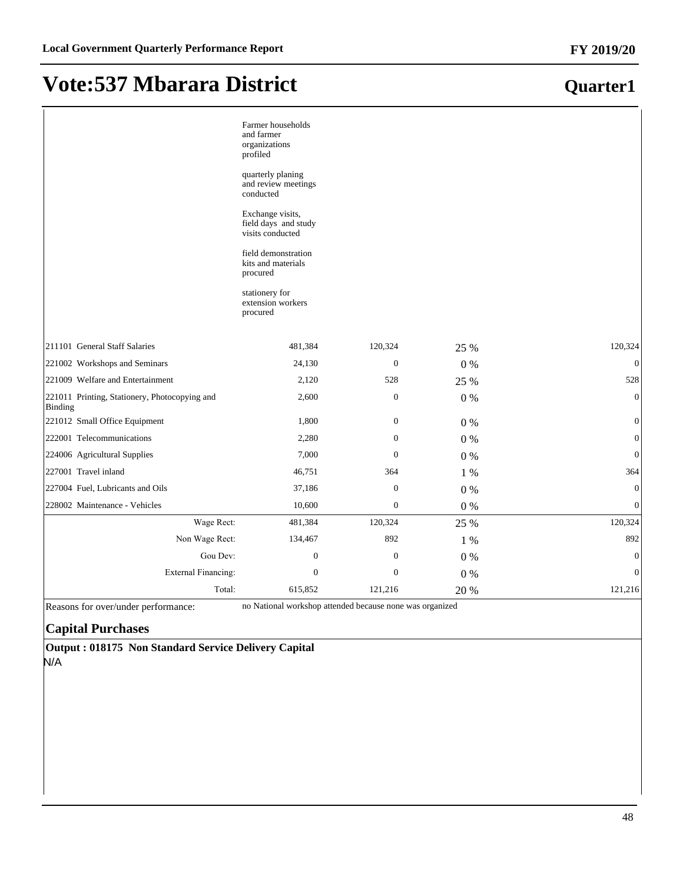|                                                          | Farmer households<br>and farmer<br>organizations<br>profiled<br>quarterly planing<br>and review meetings<br>conducted<br>Exchange visits,<br>field days and study<br>visits conducted<br>field demonstration<br>kits and materials<br>procured<br>stationery for<br>extension workers<br>procured |                  |       |                  |
|----------------------------------------------------------|---------------------------------------------------------------------------------------------------------------------------------------------------------------------------------------------------------------------------------------------------------------------------------------------------|------------------|-------|------------------|
| 211101 General Staff Salaries                            | 481,384                                                                                                                                                                                                                                                                                           | 120,324          | 25 %  | 120,324          |
| 221002 Workshops and Seminars                            | 24,130                                                                                                                                                                                                                                                                                            | $\theta$         | $0\%$ | $\overline{0}$   |
| 221009 Welfare and Entertainment                         | 2,120                                                                                                                                                                                                                                                                                             | 528              | 25 %  | 528              |
| 221011 Printing, Stationery, Photocopying and<br>Binding | 2,600                                                                                                                                                                                                                                                                                             | $\boldsymbol{0}$ | 0%    | $\boldsymbol{0}$ |
| 221012 Small Office Equipment                            | 1,800                                                                                                                                                                                                                                                                                             | $\mathbf{0}$     | 0%    | $\mathbf{0}$     |
| 222001 Telecommunications                                | 2,280                                                                                                                                                                                                                                                                                             | $\mathbf{0}$     | $0\%$ | $\boldsymbol{0}$ |
| 224006 Agricultural Supplies                             | 7,000                                                                                                                                                                                                                                                                                             | $\mathbf{0}$     | $0\%$ | $\mathbf{0}$     |
| 227001 Travel inland                                     | 46,751                                                                                                                                                                                                                                                                                            | 364              | 1 %   | 364              |
| 227004 Fuel, Lubricants and Oils                         | 37,186                                                                                                                                                                                                                                                                                            | $\mathbf{0}$     | 0%    | $\boldsymbol{0}$ |
| 228002 Maintenance - Vehicles                            | 10,600                                                                                                                                                                                                                                                                                            | $\mathbf{0}$     | 0%    | $\boldsymbol{0}$ |
| Wage Rect:                                               | 481,384                                                                                                                                                                                                                                                                                           | 120,324          | 25 %  | 120,324          |
| Non Wage Rect:                                           | 134,467                                                                                                                                                                                                                                                                                           | 892              | 1 %   | 892              |
| Gou Dev:                                                 | $\mathbf{0}$                                                                                                                                                                                                                                                                                      | $\mathbf{0}$     | 0%    | $\boldsymbol{0}$ |
| <b>External Financing:</b>                               | $\mathbf{0}$                                                                                                                                                                                                                                                                                      | $\theta$         | $0\%$ | $\mathbf{0}$     |
| Total:                                                   | 615,852                                                                                                                                                                                                                                                                                           | 121,216          | 20 %  | 121,216          |

Reasons for over/under performance: no National workshop attended because none was organized

#### **Capital Purchases**

**Output : 018175 Non Standard Service Delivery Capital** N/A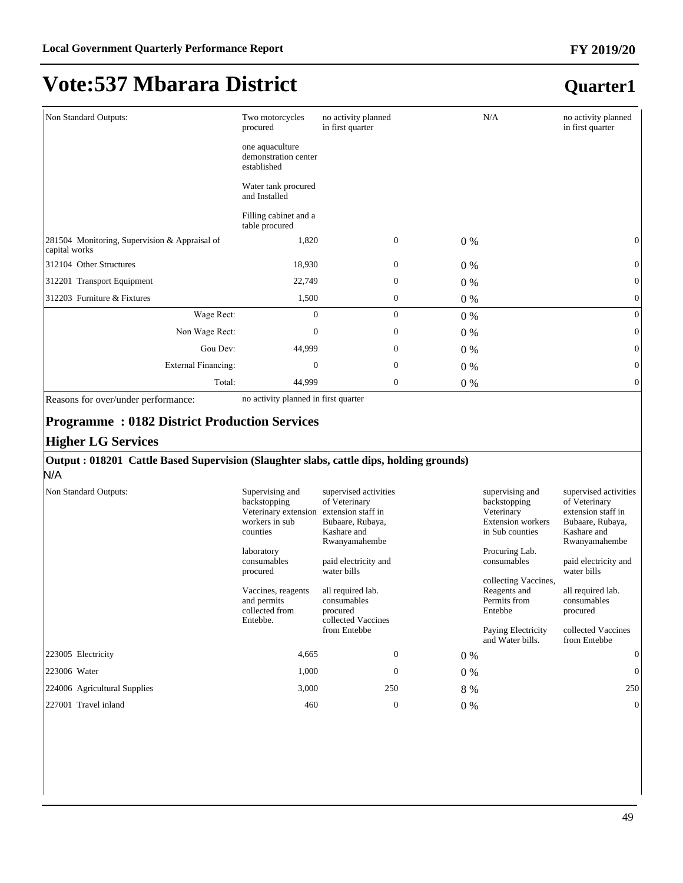### **Quarter1**

| Non Standard Outputs:                                          | Two motorcycles<br>procured                            | no activity planned<br>in first quarter |                  | N/A   | no activity planned<br>in first quarter |
|----------------------------------------------------------------|--------------------------------------------------------|-----------------------------------------|------------------|-------|-----------------------------------------|
|                                                                | one aquaculture<br>demonstration center<br>established |                                         |                  |       |                                         |
|                                                                | Water tank procured<br>and Installed                   |                                         |                  |       |                                         |
|                                                                | Filling cabinet and a<br>table procured                |                                         |                  |       |                                         |
| 281504 Monitoring, Supervision & Appraisal of<br>capital works | 1,820                                                  |                                         | $\mathbf{0}$     | $0\%$ | $\mathbf{0}$                            |
| 312104 Other Structures                                        | 18,930                                                 |                                         | $\mathbf{0}$     | $0\%$ | $\mathbf{0}$                            |
| 312201 Transport Equipment                                     | 22,749                                                 |                                         | $\mathbf{0}$     | $0\%$ | $\mathbf{0}$                            |
| 312203 Furniture & Fixtures                                    | 1,500                                                  |                                         | $\mathbf{0}$     | $0\%$ | $\mathbf{0}$                            |
| Wage Rect:                                                     | $\mathbf{0}$                                           |                                         | $\mathbf{0}$     | $0\%$ | $\mathbf{0}$                            |
| Non Wage Rect:                                                 | $\boldsymbol{0}$                                       |                                         | $\mathbf{0}$     | $0\%$ | $\mathbf{0}$                            |
| Gou Dev:                                                       | 44,999                                                 |                                         | $\mathbf{0}$     | $0\%$ | $\mathbf{0}$                            |
| <b>External Financing:</b>                                     | $\boldsymbol{0}$                                       |                                         | $\mathbf{0}$     | $0\%$ | $\mathbf{0}$                            |
| Total:                                                         | 44,999                                                 |                                         | $\boldsymbol{0}$ | $0\%$ | $\mathbf{0}$                            |

Reasons for over/under performance: no activity planned in first quarter

#### **Programme : 0182 District Production Services**

#### **Higher LG Services**

#### **Output : 018201 Cattle Based Supervision (Slaughter slabs, cattle dips, holding grounds)**

N/A

| Non Standard Outputs:        | Supervising and<br>backstopping<br>Veterinary extension<br>workers in sub<br>counties<br>laboratory<br>consumables<br>procured<br>Vaccines, reagents<br>and permits<br>collected from<br>Entebbe. | supervised activities<br>of Veterinary<br>extension staff in<br>Bubaare, Rubaya,<br>Kashare and<br>Rwanyamahembe<br>paid electricity and<br>water bills<br>all required lab.<br>consumables<br>procured<br>collected Vaccines<br>from Entebbe |       | supervising and<br>backstopping<br>Veterinary<br><b>Extension workers</b><br>in Sub counties<br>Procuring Lab.<br>consumables<br>collecting Vaccines,<br>Reagents and<br>Permits from<br>Entebbe<br>Paying Electricity<br>and Water bills. | supervised activities<br>of Veterinary<br>extension staff in<br>Bubaare, Rubaya,<br>Kashare and<br>Rwanyamahembe<br>paid electricity and<br>water bills<br>all required lab.<br>consumables<br>procured<br>collected Vaccines<br>from Entebbe |
|------------------------------|---------------------------------------------------------------------------------------------------------------------------------------------------------------------------------------------------|-----------------------------------------------------------------------------------------------------------------------------------------------------------------------------------------------------------------------------------------------|-------|--------------------------------------------------------------------------------------------------------------------------------------------------------------------------------------------------------------------------------------------|-----------------------------------------------------------------------------------------------------------------------------------------------------------------------------------------------------------------------------------------------|
| 223005 Electricity           | 4,665                                                                                                                                                                                             | $\mathbf{0}$                                                                                                                                                                                                                                  | 0 %   |                                                                                                                                                                                                                                            | $\mathbf{0}$                                                                                                                                                                                                                                  |
| 223006 Water                 | 1,000                                                                                                                                                                                             | $\Omega$                                                                                                                                                                                                                                      | $0\%$ |                                                                                                                                                                                                                                            | $\overline{0}$                                                                                                                                                                                                                                |
| 224006 Agricultural Supplies | 3,000                                                                                                                                                                                             | 250                                                                                                                                                                                                                                           | 8 %   |                                                                                                                                                                                                                                            | 250                                                                                                                                                                                                                                           |
| 227001 Travel inland         | 460                                                                                                                                                                                               | $\theta$                                                                                                                                                                                                                                      | $0\%$ |                                                                                                                                                                                                                                            | $\mathbf{0}$                                                                                                                                                                                                                                  |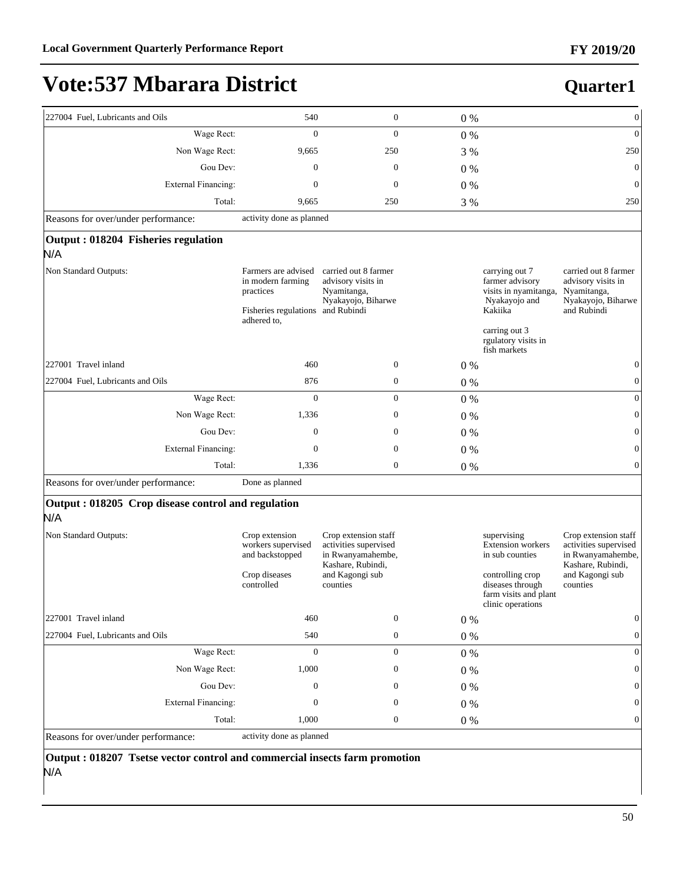**Quarter1**

# **Vote:537 Mbarara District**

| 227004 Fuel, Lubricants and Oils                          | 540                                                                                                       | $\boldsymbol{0}$                                                                        | 0%      |                                                                                        | $\boldsymbol{0}$                                                                               |
|-----------------------------------------------------------|-----------------------------------------------------------------------------------------------------------|-----------------------------------------------------------------------------------------|---------|----------------------------------------------------------------------------------------|------------------------------------------------------------------------------------------------|
| Wage Rect:                                                | $\overline{0}$                                                                                            | $\overline{0}$                                                                          | 0%      |                                                                                        | $\mathbf{0}$                                                                                   |
| Non Wage Rect:                                            | 9,665                                                                                                     | 250                                                                                     | 3 %     |                                                                                        | 250                                                                                            |
| Gou Dev:                                                  | $\boldsymbol{0}$                                                                                          | $\boldsymbol{0}$                                                                        | $0\%$   |                                                                                        | $\boldsymbol{0}$                                                                               |
| <b>External Financing:</b>                                | $\boldsymbol{0}$                                                                                          | $\boldsymbol{0}$                                                                        | 0%      |                                                                                        | $\mathbf{0}$                                                                                   |
| Total:                                                    | 9,665                                                                                                     | 250                                                                                     | 3 %     |                                                                                        | 250                                                                                            |
| Reasons for over/under performance:                       | activity done as planned                                                                                  |                                                                                         |         |                                                                                        |                                                                                                |
| Output : 018204 Fisheries regulation<br>N/A               |                                                                                                           |                                                                                         |         |                                                                                        |                                                                                                |
| Non Standard Outputs:                                     | Farmers are advised<br>in modern farming<br>practices<br>Fisheries regulations and Rubindi<br>adhered to, | carried out 8 farmer<br>advisory visits in<br>Nyamitanga,<br>Nyakayojo, Biharwe         |         | carrying out 7<br>farmer advisory<br>visits in nyamitanga,<br>Nyakayojo and<br>Kakiika | carried out 8 farmer<br>advisory visits in<br>Nyamitanga,<br>Nyakayojo, Biharwe<br>and Rubindi |
|                                                           |                                                                                                           |                                                                                         |         | carring out 3<br>rgulatory visits in<br>fish markets                                   |                                                                                                |
| 227001 Travel inland                                      | 460                                                                                                       | $\boldsymbol{0}$                                                                        | $0\%$   |                                                                                        | $\mathbf{0}$                                                                                   |
| 227004 Fuel, Lubricants and Oils                          | 876                                                                                                       | $\boldsymbol{0}$                                                                        | 0%      |                                                                                        | $\boldsymbol{0}$                                                                               |
| Wage Rect:                                                | $\overline{0}$                                                                                            | $\boldsymbol{0}$                                                                        | $0\%$   |                                                                                        | $\mathbf{0}$                                                                                   |
| Non Wage Rect:                                            | 1,336                                                                                                     | $\boldsymbol{0}$                                                                        | $0\%$   |                                                                                        | $\theta$                                                                                       |
| Gou Dev:                                                  | $\boldsymbol{0}$                                                                                          | $\boldsymbol{0}$                                                                        | $0\%$   |                                                                                        | $\mathbf{0}$                                                                                   |
| <b>External Financing:</b>                                | $\mathbf{0}$                                                                                              | $\boldsymbol{0}$                                                                        | 0%      |                                                                                        | $\boldsymbol{0}$                                                                               |
| Total:                                                    | 1,336                                                                                                     | $\boldsymbol{0}$                                                                        | 0%      |                                                                                        | $\theta$                                                                                       |
| Reasons for over/under performance:                       | Done as planned                                                                                           |                                                                                         |         |                                                                                        |                                                                                                |
| Output: 018205 Crop disease control and regulation<br>N/A |                                                                                                           |                                                                                         |         |                                                                                        |                                                                                                |
| Non Standard Outputs:                                     | Crop extension<br>workers supervised<br>and backstopped                                                   | Crop extension staff<br>activities supervised<br>in Rwanyamahembe,<br>Kashare, Rubindi, |         | supervising<br><b>Extension</b> workers<br>in sub counties                             | Crop extension staff<br>activities supervised<br>in Rwanyamahembe,<br>Kashare, Rubindi,        |
|                                                           | Crop diseases<br>controlled                                                                               | and Kagongi sub<br>counties                                                             |         | controlling crop<br>diseases through<br>farm visits and plant<br>clinic operations     | and Kagongi sub<br>counties                                                                    |
| 227001 Travel inland                                      | 460                                                                                                       | $\boldsymbol{0}$                                                                        | 0%      |                                                                                        | $\boldsymbol{0}$                                                                               |
| 227004 Fuel, Lubricants and Oils                          | 540                                                                                                       | $\boldsymbol{0}$                                                                        | $0\%$   |                                                                                        | $\boldsymbol{0}$                                                                               |
| Wage Rect:                                                | $\boldsymbol{0}$                                                                                          | $\boldsymbol{0}$                                                                        | $0\ \%$ |                                                                                        | $\mathbf{0}$                                                                                   |
| Non Wage Rect:                                            | 1,000                                                                                                     | 0                                                                                       | $0\ \%$ |                                                                                        | $\mathbf{0}$                                                                                   |
| Gou Dev:                                                  | $\boldsymbol{0}$                                                                                          | 0                                                                                       | $0\%$   |                                                                                        | 0                                                                                              |
| <b>External Financing:</b>                                | $\boldsymbol{0}$                                                                                          | 0                                                                                       | 0%      |                                                                                        | $\mathbf{0}$                                                                                   |
| Total:                                                    | 1,000                                                                                                     | $\boldsymbol{0}$                                                                        | $0\ \%$ |                                                                                        | 0                                                                                              |
| Reasons for over/under performance:                       | activity done as planned                                                                                  |                                                                                         |         |                                                                                        |                                                                                                |

**Output : 018207 Tsetse vector control and commercial insects farm promotion**  N/A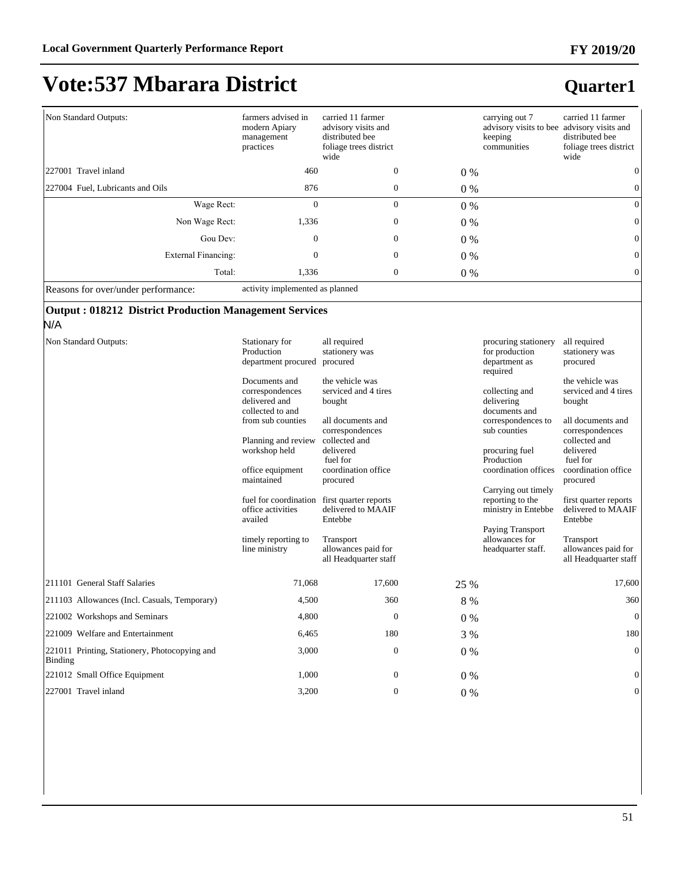### **Quarter1**

| Non Standard Outputs:            | farmers advised in<br>modern Apiary<br>management<br>practices | carried 11 farmer<br>advisory visits and<br>distributed bee<br>foliage trees district<br>wide |       | carrying out 7<br>advisory visits to bee advisory visits and<br>keeping<br>communities | carried 11 farmer<br>distributed bee<br>foliage trees district<br>wide |
|----------------------------------|----------------------------------------------------------------|-----------------------------------------------------------------------------------------------|-------|----------------------------------------------------------------------------------------|------------------------------------------------------------------------|
| 227001 Travel inland             | 460                                                            | $\mathbf{0}$                                                                                  | $0\%$ |                                                                                        | $\mathbf{0}$                                                           |
| 227004 Fuel, Lubricants and Oils | 876                                                            | $\boldsymbol{0}$                                                                              | $0\%$ |                                                                                        | $\mathbf{0}$                                                           |
| Wage Rect:                       | 0                                                              | $\mathbf{0}$                                                                                  | $0\%$ |                                                                                        | $\overline{0}$                                                         |
| Non Wage Rect:                   | 1,336                                                          | $\boldsymbol{0}$                                                                              | $0\%$ |                                                                                        | $\overline{0}$                                                         |
| Gou Dev:                         | $\mathbf{0}$                                                   | $\mathbf{0}$                                                                                  | $0\%$ |                                                                                        | $\overline{0}$                                                         |
| External Financing:              | 0                                                              | $\boldsymbol{0}$                                                                              | $0\%$ |                                                                                        | $\mathbf{0}$                                                           |
| Total:                           | 1,336                                                          | $\mathbf{0}$                                                                                  | $0\%$ |                                                                                        | $\mathbf{0}$                                                           |

Reasons for over/under performance: activity implemented as planned

#### **Output : 018212 District Production Management Services**

| N/A                                                      |                                                                       |                                                           |         |                                                                     |                                                           |
|----------------------------------------------------------|-----------------------------------------------------------------------|-----------------------------------------------------------|---------|---------------------------------------------------------------------|-----------------------------------------------------------|
| Non Standard Outputs:                                    | Stationary for<br>Production<br>department procured                   | all required<br>stationery was<br>procured                |         | procuring stationery<br>for production<br>department as<br>required | all required<br>stationery was<br>procured                |
|                                                          | Documents and<br>correspondences<br>delivered and<br>collected to and | the vehicle was<br>serviced and 4 tires<br>bought         |         | collecting and<br>delivering<br>documents and                       | the vehicle was<br>serviced and 4 tires<br>bought         |
|                                                          | from sub counties                                                     | all documents and<br>correspondences                      |         | correspondences to<br>sub counties                                  | all documents and<br>correspondences                      |
|                                                          | Planning and review<br>workshop held                                  | collected and<br>delivered<br>fuel for                    |         | procuring fuel<br>Production                                        | collected and<br>delivered<br>fuel for                    |
|                                                          | office equipment<br>maintained                                        | coordination office<br>procured                           |         | coordination offices                                                | coordination office<br>procured                           |
|                                                          | fuel for coordination<br>office activities<br>availed                 | first quarter reports<br>delivered to MAAIF<br>Entebbe    |         | Carrying out timely<br>reporting to the<br>ministry in Entebbe      | first quarter reports<br>delivered to MAAIF<br>Entebbe    |
|                                                          | timely reporting to<br>line ministry                                  | Transport<br>allowances paid for<br>all Headquarter staff |         | Paying Transport<br>allowances for<br>headquarter staff.            | Transport<br>allowances paid for<br>all Headquarter staff |
| 211101 General Staff Salaries                            | 71,068                                                                | 17,600                                                    | 25 %    |                                                                     | 17,600                                                    |
| [211103 Allowances (Incl. Casuals, Temporary)            | 4,500                                                                 | 360                                                       | $8\ \%$ |                                                                     | 360                                                       |
| 221002 Workshops and Seminars                            | 4,800                                                                 | $\theta$                                                  | $0\%$   |                                                                     | $\theta$                                                  |
| 221009 Welfare and Entertainment                         | 6,465                                                                 | 180                                                       | 3 %     |                                                                     | 180                                                       |
| 221011 Printing, Stationery, Photocopying and<br>Binding | 3,000                                                                 | $\theta$                                                  | $0\%$   |                                                                     | $\mathbf{0}$                                              |
| 221012 Small Office Equipment                            | 1,000                                                                 | $\theta$                                                  | $0\%$   |                                                                     | $\mathbf{0}$                                              |
| 227001 Travel inland                                     | 3,200                                                                 | $\theta$                                                  | $0\%$   |                                                                     | $\boldsymbol{0}$                                          |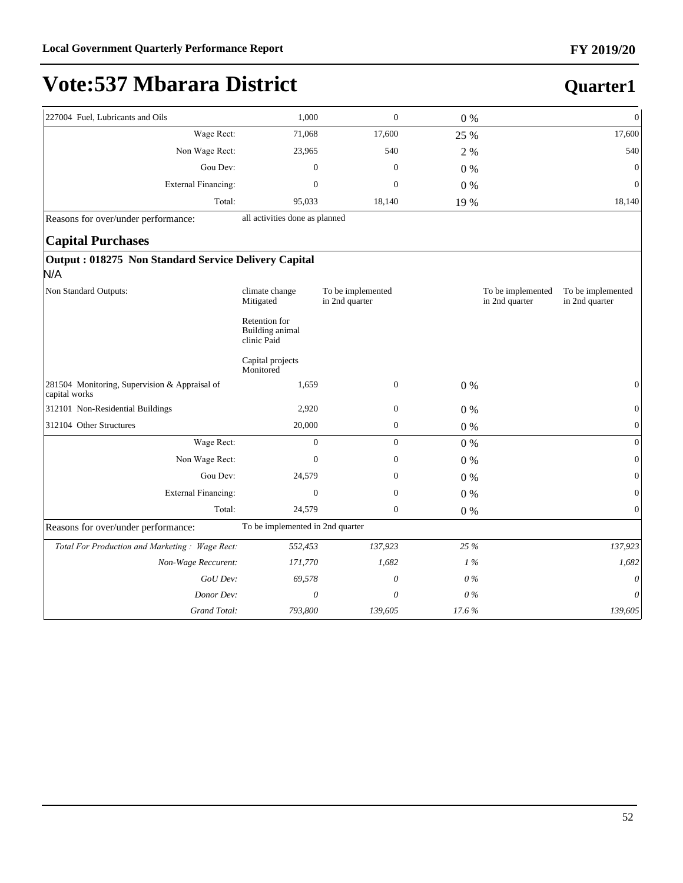**Quarter1**

# **Vote:537 Mbarara District**

| 227004 Fuel, Lubricants and Oils | 1,000  | 0      | $0\%$ | $\Omega$       |
|----------------------------------|--------|--------|-------|----------------|
| Wage Rect:                       | 71,068 | 17,600 | 25 %  | 17,600         |
| Non Wage Rect:                   | 23,965 | 540    | 2 %   | 540            |
| Gou Dev:                         | 0      | 0      | $0\%$ | $\overline{0}$ |
| External Financing:              | 0      | 0      | $0\%$ | $\overline{0}$ |
| Total:                           | 95,033 | 18,140 | 19 %  | 18,140         |

Reasons for over/under performance: all activities done as planned

#### **Capital Purchases**

#### **Output : 018275 Non Standard Service Delivery Capital** N/A

| Non Standard Outputs:                                          | climate change<br>Mitigated                     | To be implemented<br>in 2nd quarter |         | To be implemented<br>in 2nd quarter | To be implemented<br>in 2nd quarter |
|----------------------------------------------------------------|-------------------------------------------------|-------------------------------------|---------|-------------------------------------|-------------------------------------|
|                                                                | Retention for<br>Building animal<br>clinic Paid |                                     |         |                                     |                                     |
|                                                                | Capital projects<br>Monitored                   |                                     |         |                                     |                                     |
| 281504 Monitoring, Supervision & Appraisal of<br>capital works | 1,659                                           | $\boldsymbol{0}$                    | $0\%$   |                                     | 0                                   |
| 312101 Non-Residential Buildings                               | 2,920                                           | $\boldsymbol{0}$                    | $0\%$   |                                     | 0                                   |
| 312104 Other Structures                                        | 20,000                                          | $\mathbf{0}$                        | $0\%$   |                                     | $\overline{0}$                      |
| Wage Rect:                                                     | $\mathbf{0}$                                    | $\boldsymbol{0}$                    | $0\%$   |                                     | $\overline{0}$                      |
| Non Wage Rect:                                                 | $\mathbf{0}$                                    | $\boldsymbol{0}$                    | $0\%$   |                                     | $\boldsymbol{0}$                    |
| Gou Dev:                                                       | 24,579                                          | $\mathbf{0}$                        | $0\%$   |                                     | 0                                   |
| <b>External Financing:</b>                                     | $\mathbf{0}$                                    | $\mathbf{0}$                        | $0\ \%$ |                                     | $\mathbf{0}$                        |
| Total:                                                         | 24,579                                          | $\mathbf{0}$                        | $0\%$   |                                     | $\boldsymbol{0}$                    |
| Reasons for over/under performance:                            | To be implemented in 2nd quarter                |                                     |         |                                     |                                     |
| Total For Production and Marketing: Wage Rect:                 | 552,453                                         | 137,923                             | 25 %    |                                     | 137,923                             |
| Non-Wage Reccurent:                                            | 171,770                                         | 1,682                               | 1%      |                                     | 1,682                               |
| GoU Dev:                                                       | 69,578                                          | 0                                   | $0\%$   |                                     | 0                                   |
| Donor Dev:                                                     | 0                                               | 0                                   | $0\%$   |                                     | 0                                   |
| Grand Total:                                                   | 793,800                                         | 139,605                             | 17.6%   |                                     | 139,605                             |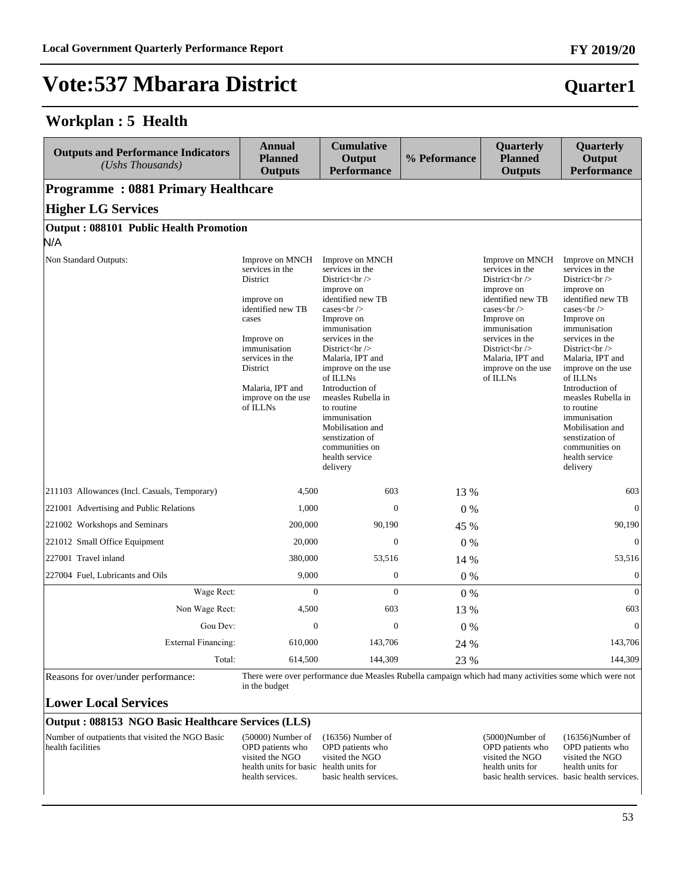#### **Workplan : 5 Health**

| <b>Outputs and Performance Indicators</b><br>(Ushs Thousands) | <b>Annual</b><br><b>Planned</b><br><b>Outputs</b>                                                                                                                                                             | <b>Cumulative</b><br>Output<br><b>Performance</b>                                                                                                                                                                                                                                                                                                                                                       | % Peformance | Quarterly<br><b>Planned</b><br><b>Outputs</b>                                                                                                                                                                                                              | Quarterly<br>Output<br><b>Performance</b>                                                                                                                                                                                                                                                                                                                                                                                          |
|---------------------------------------------------------------|---------------------------------------------------------------------------------------------------------------------------------------------------------------------------------------------------------------|---------------------------------------------------------------------------------------------------------------------------------------------------------------------------------------------------------------------------------------------------------------------------------------------------------------------------------------------------------------------------------------------------------|--------------|------------------------------------------------------------------------------------------------------------------------------------------------------------------------------------------------------------------------------------------------------------|------------------------------------------------------------------------------------------------------------------------------------------------------------------------------------------------------------------------------------------------------------------------------------------------------------------------------------------------------------------------------------------------------------------------------------|
| <b>Programme: 0881 Primary Healthcare</b>                     |                                                                                                                                                                                                               |                                                                                                                                                                                                                                                                                                                                                                                                         |              |                                                                                                                                                                                                                                                            |                                                                                                                                                                                                                                                                                                                                                                                                                                    |
| <b>Higher LG Services</b>                                     |                                                                                                                                                                                                               |                                                                                                                                                                                                                                                                                                                                                                                                         |              |                                                                                                                                                                                                                                                            |                                                                                                                                                                                                                                                                                                                                                                                                                                    |
| Output: 088101 Public Health Promotion<br>N/A                 |                                                                                                                                                                                                               |                                                                                                                                                                                                                                                                                                                                                                                                         |              |                                                                                                                                                                                                                                                            |                                                                                                                                                                                                                                                                                                                                                                                                                                    |
| Non Standard Outputs:                                         | Improve on MNCH<br>services in the<br>District<br>improve on<br>identified new TB<br>cases<br>Improve on<br>immunisation<br>services in the<br>District<br>Malaria, IPT and<br>improve on the use<br>of ILLNs | Improve on MNCH<br>services in the<br>District $br>$<br>improve on<br>identified new TB<br>cases $\text{chr}$ /><br>Improve on<br>immunisation<br>services in the<br>District $br>$<br>Malaria, IPT and<br>improve on the use<br>of ILLNs<br>Introduction of<br>measles Rubella in<br>to routine<br>immunisation<br>Mobilisation and<br>senstization of<br>communities on<br>health service<br>delivery |              | Improve on MNCH<br>services in the<br>District $br>$<br>improve on<br>identified new TB<br>cases $\text{chr}$ /><br>Improve on<br>immunisation<br>services in the<br>District $\langle$ br $\rangle$<br>Malaria, IPT and<br>improve on the use<br>of ILLNs | Improve on MNCH<br>services in the<br>District $\langle$ br $\rangle$<br>improve on<br>identified new TB<br>cases $\text{chr}$ / $\text{S}$<br>Improve on<br>immunisation<br>services in the<br>District $br>$<br>Malaria, IPT and<br>improve on the use<br>of ILLNs<br>Introduction of<br>measles Rubella in<br>to routine<br>immunisation<br>Mobilisation and<br>senstization of<br>communities on<br>health service<br>delivery |
| 211103 Allowances (Incl. Casuals, Temporary)                  | 4.500                                                                                                                                                                                                         | 603                                                                                                                                                                                                                                                                                                                                                                                                     | 13 %         |                                                                                                                                                                                                                                                            | 603                                                                                                                                                                                                                                                                                                                                                                                                                                |
| 221001 Advertising and Public Relations                       | 1,000                                                                                                                                                                                                         | $\Omega$                                                                                                                                                                                                                                                                                                                                                                                                | $0\%$        |                                                                                                                                                                                                                                                            | $\Omega$                                                                                                                                                                                                                                                                                                                                                                                                                           |
| 221002 Workshops and Seminars                                 | 200,000                                                                                                                                                                                                       | 90,190                                                                                                                                                                                                                                                                                                                                                                                                  | 45 %         |                                                                                                                                                                                                                                                            | 90,190                                                                                                                                                                                                                                                                                                                                                                                                                             |
| 221012 Small Office Equipment                                 | 20,000                                                                                                                                                                                                        | $\Omega$                                                                                                                                                                                                                                                                                                                                                                                                | 0%           |                                                                                                                                                                                                                                                            | $\mathbf{0}$                                                                                                                                                                                                                                                                                                                                                                                                                       |
| 227001 Travel inland                                          | 380,000                                                                                                                                                                                                       | 53,516                                                                                                                                                                                                                                                                                                                                                                                                  | 14 %         |                                                                                                                                                                                                                                                            | 53,516                                                                                                                                                                                                                                                                                                                                                                                                                             |
| 227004 Fuel, Lubricants and Oils                              | 9,000                                                                                                                                                                                                         | $\mathbf{0}$                                                                                                                                                                                                                                                                                                                                                                                            | $0\%$        |                                                                                                                                                                                                                                                            | $\mathbf{0}$                                                                                                                                                                                                                                                                                                                                                                                                                       |
| Wage Rect:                                                    | $\overline{0}$                                                                                                                                                                                                | $\Omega$                                                                                                                                                                                                                                                                                                                                                                                                | $0\%$        |                                                                                                                                                                                                                                                            | $\mathbf{0}$                                                                                                                                                                                                                                                                                                                                                                                                                       |
| Non Wage Rect:                                                | 4,500                                                                                                                                                                                                         | 603                                                                                                                                                                                                                                                                                                                                                                                                     | 13 %         |                                                                                                                                                                                                                                                            | 603                                                                                                                                                                                                                                                                                                                                                                                                                                |
| Gou Dev:                                                      | $\mathbf{0}$                                                                                                                                                                                                  | $\mathbf{0}$                                                                                                                                                                                                                                                                                                                                                                                            | 0%           |                                                                                                                                                                                                                                                            | $\overline{0}$                                                                                                                                                                                                                                                                                                                                                                                                                     |
| <b>External Financing:</b>                                    | 610,000                                                                                                                                                                                                       | 143,706                                                                                                                                                                                                                                                                                                                                                                                                 | 24 %         |                                                                                                                                                                                                                                                            | 143,706                                                                                                                                                                                                                                                                                                                                                                                                                            |
| Total:                                                        | 614,500                                                                                                                                                                                                       | 144,309                                                                                                                                                                                                                                                                                                                                                                                                 | 23 %         |                                                                                                                                                                                                                                                            | 144,309                                                                                                                                                                                                                                                                                                                                                                                                                            |

Reasons for over/under performance: There were over performance due Measles Rubella campaign which had many activities some which were not in the budget

#### **Lower Local Services**

#### **Output : 088153 NGO Basic Healthcare Services (LLS)**

Number of outpatients that visited the NGO Basic health facilities

(50000) Number of OPD patients who visited the NGO health units for basic health units for health services.

(16356) Number of OPD patients who visited the NGO basic health services. (5000)Number of OPD patients who visited the NGO health units for basic health services. basic health services. (16356)Number of OPD patients who visited the NGO health units for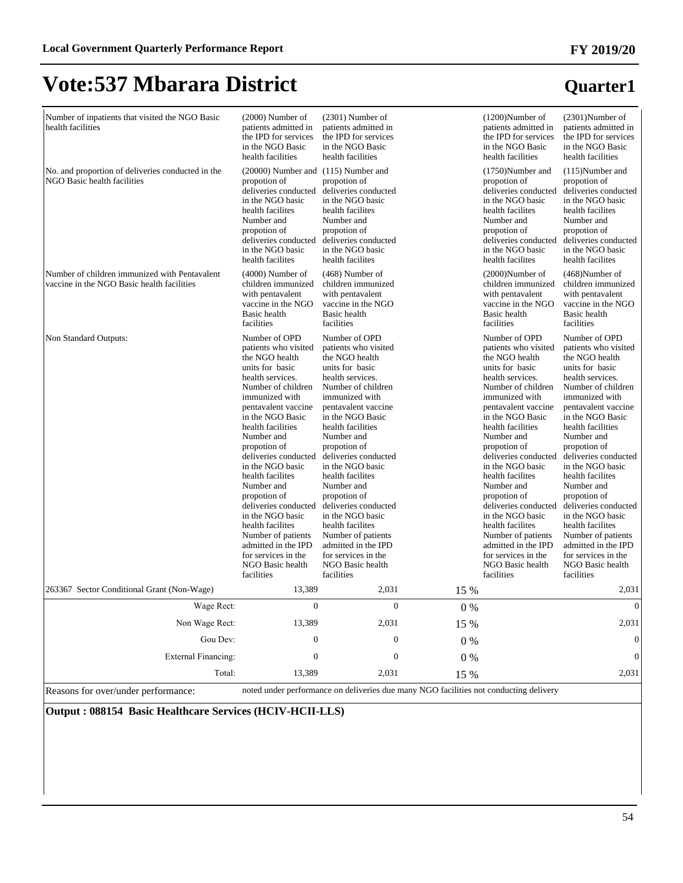**Quarter1**

# **Vote:537 Mbarara District**

| Number of inpatients that visited the NGO Basic<br>health facilities                        | $(2000)$ Number of<br>patients admitted in<br>the IPD for services<br>in the NGO Basic<br>health facilities                                                                                                                                                                                                                                                                                                                                                                                              | $(2301)$ Number of<br>patients admitted in<br>the IPD for services<br>in the NGO Basic<br>health facilities                                                                                                                                                                                                                                                                                                                                                                                              |       | $(1200)$ Number of<br>patients admitted in<br>the IPD for services<br>in the NGO Basic<br>health facilities                                                                                                                                                                                                                                                                                                                                                                                              | $(2301)$ Number of<br>patients admitted in<br>the IPD for services<br>in the NGO Basic<br>health facilities                                                                                                                                                                                                                                                                                                                                                                                              |
|---------------------------------------------------------------------------------------------|----------------------------------------------------------------------------------------------------------------------------------------------------------------------------------------------------------------------------------------------------------------------------------------------------------------------------------------------------------------------------------------------------------------------------------------------------------------------------------------------------------|----------------------------------------------------------------------------------------------------------------------------------------------------------------------------------------------------------------------------------------------------------------------------------------------------------------------------------------------------------------------------------------------------------------------------------------------------------------------------------------------------------|-------|----------------------------------------------------------------------------------------------------------------------------------------------------------------------------------------------------------------------------------------------------------------------------------------------------------------------------------------------------------------------------------------------------------------------------------------------------------------------------------------------------------|----------------------------------------------------------------------------------------------------------------------------------------------------------------------------------------------------------------------------------------------------------------------------------------------------------------------------------------------------------------------------------------------------------------------------------------------------------------------------------------------------------|
| No. and proportion of deliveries conducted in the<br>NGO Basic health facilities            | (20000) Number and (115) Number and<br>propotion of<br>deliveries conducted<br>in the NGO basic<br>health facilites<br>Number and<br>propotion of<br>deliveries conducted<br>in the NGO basic<br>health facilites                                                                                                                                                                                                                                                                                        | propotion of<br>deliveries conducted<br>in the NGO basic<br>health facilites<br>Number and<br>propotion of<br>deliveries conducted<br>in the NGO basic<br>health facilites                                                                                                                                                                                                                                                                                                                               |       | $(1750)$ Number and<br>propotion of<br>deliveries conducted<br>in the NGO basic<br>health facilites<br>Number and<br>propotion of<br>deliveries conducted<br>in the NGO basic<br>health facilites                                                                                                                                                                                                                                                                                                        | $(115)$ Number and<br>propotion of<br>deliveries conducted<br>in the NGO basic<br>health facilites<br>Number and<br>propotion of<br>deliveries conducted<br>in the NGO basic<br>health facilites                                                                                                                                                                                                                                                                                                         |
| Number of children immunized with Pentavalent<br>vaccine in the NGO Basic health facilities | $(4000)$ Number of<br>children immunized<br>with pentavalent<br>vaccine in the NGO<br>Basic health<br>facilities                                                                                                                                                                                                                                                                                                                                                                                         | $(468)$ Number of<br>children immunized<br>with pentavalent<br>vaccine in the NGO<br>Basic health<br>facilities                                                                                                                                                                                                                                                                                                                                                                                          |       | $(2000)$ Number of<br>children immunized<br>with pentavalent<br>vaccine in the NGO<br>Basic health<br>facilities                                                                                                                                                                                                                                                                                                                                                                                         | $(468)$ Number of<br>children immunized<br>with pentavalent<br>vaccine in the NGO<br>Basic health<br>facilities                                                                                                                                                                                                                                                                                                                                                                                          |
| Non Standard Outputs:                                                                       | Number of OPD<br>patients who visited<br>the NGO health<br>units for basic<br>health services.<br>Number of children<br>immunized with<br>pentavalent vaccine<br>in the NGO Basic<br>health facilities<br>Number and<br>propotion of<br>deliveries conducted<br>in the NGO basic<br>health facilites<br>Number and<br>propotion of<br>deliveries conducted<br>in the NGO basic<br>health facilites<br>Number of patients<br>admitted in the IPD<br>for services in the<br>NGO Basic health<br>facilities | Number of OPD<br>patients who visited<br>the NGO health<br>units for basic<br>health services.<br>Number of children<br>immunized with<br>pentavalent vaccine<br>in the NGO Basic<br>health facilities<br>Number and<br>propotion of<br>deliveries conducted<br>in the NGO basic<br>health facilites<br>Number and<br>propotion of<br>deliveries conducted<br>in the NGO basic<br>health facilites<br>Number of patients<br>admitted in the IPD<br>for services in the<br>NGO Basic health<br>facilities |       | Number of OPD<br>patients who visited<br>the NGO health<br>units for basic<br>health services.<br>Number of children<br>immunized with<br>pentavalent vaccine<br>in the NGO Basic<br>health facilities<br>Number and<br>propotion of<br>deliveries conducted<br>in the NGO basic<br>health facilites<br>Number and<br>propotion of<br>deliveries conducted<br>in the NGO basic<br>health facilites<br>Number of patients<br>admitted in the IPD<br>for services in the<br>NGO Basic health<br>facilities | Number of OPD<br>patients who visited<br>the NGO health<br>units for basic<br>health services.<br>Number of children<br>immunized with<br>pentavalent vaccine<br>in the NGO Basic<br>health facilities<br>Number and<br>propotion of<br>deliveries conducted<br>in the NGO basic<br>health facilites<br>Number and<br>propotion of<br>deliveries conducted<br>in the NGO basic<br>health facilites<br>Number of patients<br>admitted in the IPD<br>for services in the<br>NGO Basic health<br>facilities |
| 263367 Sector Conditional Grant (Non-Wage)                                                  | 13,389                                                                                                                                                                                                                                                                                                                                                                                                                                                                                                   | 2,031                                                                                                                                                                                                                                                                                                                                                                                                                                                                                                    | 15 %  |                                                                                                                                                                                                                                                                                                                                                                                                                                                                                                          | 2,031                                                                                                                                                                                                                                                                                                                                                                                                                                                                                                    |
| Wage Rect:                                                                                  | $\mathbf{0}$                                                                                                                                                                                                                                                                                                                                                                                                                                                                                             | $\mathbf{0}$                                                                                                                                                                                                                                                                                                                                                                                                                                                                                             | $0\%$ |                                                                                                                                                                                                                                                                                                                                                                                                                                                                                                          | $\Omega$                                                                                                                                                                                                                                                                                                                                                                                                                                                                                                 |
| Non Wage Rect:                                                                              | 13,389                                                                                                                                                                                                                                                                                                                                                                                                                                                                                                   | 2,031                                                                                                                                                                                                                                                                                                                                                                                                                                                                                                    | 15 %  |                                                                                                                                                                                                                                                                                                                                                                                                                                                                                                          | 2,031                                                                                                                                                                                                                                                                                                                                                                                                                                                                                                    |
| Gou Dev:                                                                                    | $\mathbf{0}$                                                                                                                                                                                                                                                                                                                                                                                                                                                                                             | $\mathbf{0}$                                                                                                                                                                                                                                                                                                                                                                                                                                                                                             | 0%    |                                                                                                                                                                                                                                                                                                                                                                                                                                                                                                          | $\mathbf{0}$                                                                                                                                                                                                                                                                                                                                                                                                                                                                                             |
| <b>External Financing:</b>                                                                  | $\mathbf{0}$                                                                                                                                                                                                                                                                                                                                                                                                                                                                                             | $\mathbf{0}$                                                                                                                                                                                                                                                                                                                                                                                                                                                                                             | $0\%$ |                                                                                                                                                                                                                                                                                                                                                                                                                                                                                                          | $\mathbf{0}$                                                                                                                                                                                                                                                                                                                                                                                                                                                                                             |
| Total:                                                                                      | 13,389                                                                                                                                                                                                                                                                                                                                                                                                                                                                                                   | 2,031                                                                                                                                                                                                                                                                                                                                                                                                                                                                                                    | 15 %  |                                                                                                                                                                                                                                                                                                                                                                                                                                                                                                          | 2,031                                                                                                                                                                                                                                                                                                                                                                                                                                                                                                    |

Reasons for over/under performance: noted under performance on deliveries due many NGO facilities not conducting delivery

**Output : 088154 Basic Healthcare Services (HCIV-HCII-LLS)**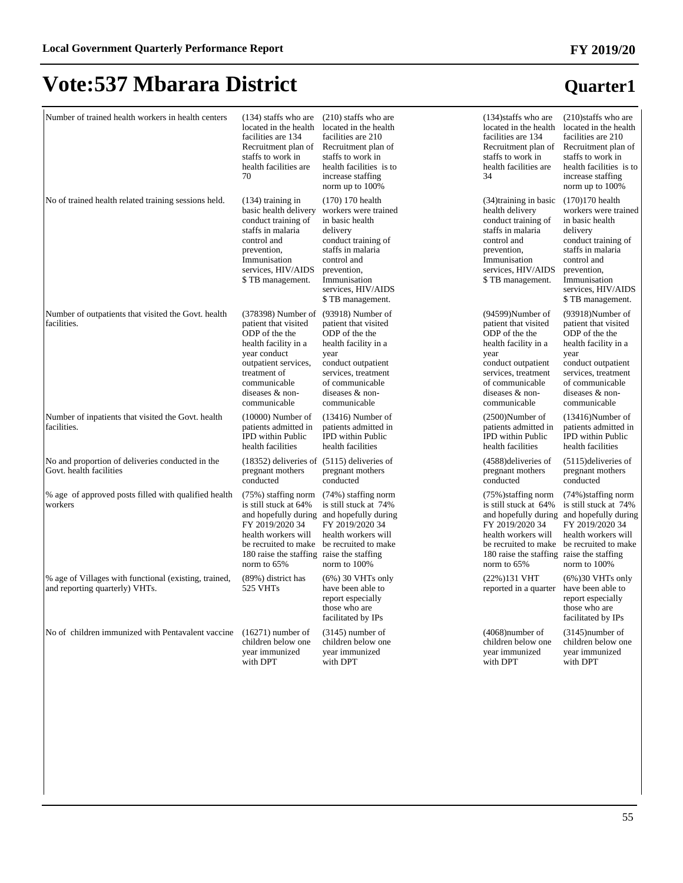| Number of trained health workers in health centers                                      | $(134)$ staffs who are<br>located in the health<br>facilities are 134<br>Recruitment plan of<br>staffs to work in<br>health facilities are<br>70                                                | $(210)$ staffs who are<br>located in the health<br>facilities are 210<br>Recruitment plan of<br>staffs to work in<br>health facilities is to<br>increase staffing<br>norm up to 100%                          | $(134)$ staffs who are<br>located in the health<br>facilities are 134<br>Recruitment plan of<br>staffs to work in<br>health facilities are<br>34                                              | $(210)$ staffs who are<br>located in the health<br>facilities are 210<br>Recruitment plan of<br>staffs to work in<br>health facilities is to<br>increase staffing<br>norm up to 100%                         |
|-----------------------------------------------------------------------------------------|-------------------------------------------------------------------------------------------------------------------------------------------------------------------------------------------------|---------------------------------------------------------------------------------------------------------------------------------------------------------------------------------------------------------------|-----------------------------------------------------------------------------------------------------------------------------------------------------------------------------------------------|--------------------------------------------------------------------------------------------------------------------------------------------------------------------------------------------------------------|
| No of trained health related training sessions held.                                    | $(134)$ training in<br>basic health delivery<br>conduct training of<br>staffs in malaria<br>control and<br>prevention,<br>Immunisation<br>services, HIV/AIDS<br>\$TB management.                | $(170)$ 170 health<br>workers were trained<br>in basic health<br>delivery<br>conduct training of<br>staffs in malaria<br>control and<br>prevention,<br>Immunisation<br>services, HIV/AIDS<br>\$TB management. | (34) training in basic<br>health delivery<br>conduct training of<br>staffs in malaria<br>control and<br>prevention,<br>Immunisation<br>services, HIV/AIDS<br>\$TB management.                 | $(170)170$ health<br>workers were trained<br>in basic health<br>delivery<br>conduct training of<br>staffs in malaria<br>control and<br>prevention,<br>Immunisation<br>services, HIV/AIDS<br>\$TB management. |
| Number of outpatients that visited the Govt. health<br>facilities.                      | (378398) Number of<br>patient that visited<br>ODP of the the<br>health facility in a<br>year conduct<br>outpatient services,<br>treatment of<br>communicable<br>diseases & non-<br>communicable | $(93918)$ Number of<br>patient that visited<br>ODP of the the<br>health facility in a<br>year<br>conduct outpatient<br>services, treatment<br>of communicable<br>diseases & non-<br>communicable              | (94599)Number of<br>patient that visited<br>ODP of the the<br>health facility in a<br>year<br>conduct outpatient<br>services, treatment<br>of communicable<br>diseases & non-<br>communicable | (93918)Number of<br>patient that visited<br>ODP of the the<br>health facility in a<br>year<br>conduct outpatient<br>services, treatment<br>of communicable<br>diseases & non-<br>communicable                |
| Number of inpatients that visited the Govt. health<br>facilities.                       | $(10000)$ Number of<br>patients admitted in<br><b>IPD</b> within Public<br>health facilities                                                                                                    | $(13416)$ Number of<br>patients admitted in<br><b>IPD</b> within Public<br>health facilities                                                                                                                  | $(2500)$ Number of<br>patients admitted in<br><b>IPD</b> within Public<br>health facilities                                                                                                   | $(13416)$ Number of<br>patients admitted in<br><b>IPD</b> within Public<br>health facilities                                                                                                                 |
| No and proportion of deliveries conducted in the<br>Govt. health facilities             | $(18352)$ deliveries of $(5115)$ deliveries of<br>pregnant mothers<br>conducted                                                                                                                 | pregnant mothers<br>conducted                                                                                                                                                                                 | (4588) deliveries of<br>pregnant mothers<br>conducted                                                                                                                                         | $(5115)$ deliveries of<br>pregnant mothers<br>conducted                                                                                                                                                      |
| % age of approved posts filled with qualified health<br>workers                         | (75%) staffing norm<br>is still stuck at 64%<br>FY 2019/2020 34<br>health workers will<br>be recruited to make<br>180 raise the staffing raise the staffing<br>norm to 65%                      | (74%) staffing norm<br>is still stuck at 74%<br>and hopefully during and hopefully during<br>FY 2019/2020 34<br>health workers will<br>be recruited to make<br>norm to 100%                                   | (75%) staffing norm<br>is still stuck at 64%<br>FY 2019/2020 34<br>health workers will<br>be recruited to make<br>180 raise the staffing raise the staffing<br>norm to 65%                    | (74%) staffing norm<br>is still stuck at 74%<br>and hopefully during and hopefully during<br>FY 2019/2020 34<br>health workers will<br>be recruited to make<br>norm to 100%                                  |
| % age of Villages with functional (existing, trained,<br>and reporting quarterly) VHTs. | (89%) district has<br>525 VHTs                                                                                                                                                                  | $(6\%)$ 30 VHTs only<br>have been able to<br>report especially<br>those who are<br>facilitated by IPs                                                                                                         | (22%)131 VHT<br>reported in a quarter                                                                                                                                                         | $(6\%)$ 30 VHTs only<br>have been able to<br>report especially<br>those who are<br>facilitated by IPs                                                                                                        |
| No of children immunized with Pentavalent vaccine                                       | $(16271)$ number of<br>children below one<br>year immunized<br>with DPT                                                                                                                         | $(3145)$ number of<br>children below one<br>year immunized<br>with DPT                                                                                                                                        | $(4068)$ number of<br>children below one<br>year immunized<br>with DPT                                                                                                                        | $(3145)$ number of<br>children below one<br>year immunized<br>with DPT                                                                                                                                       |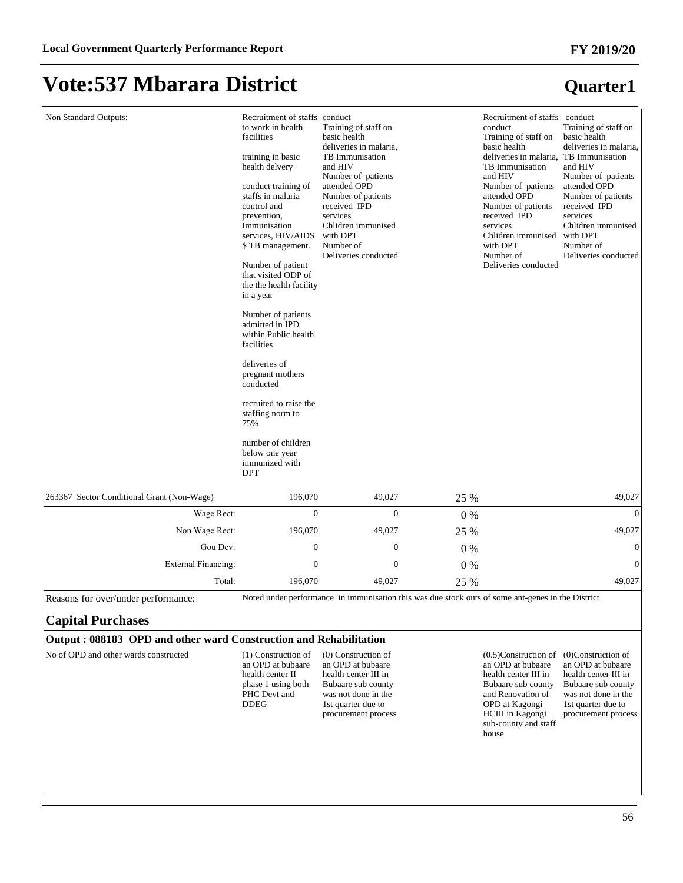#### **FY 2019/20**

**Quarter1**

### **Vote:537 Mbarara District**

| Non Standard Outputs:                      | Recruitment of staffs conduct<br>to work in health<br>facilities<br>training in basic<br>health delvery<br>conduct training of<br>staffs in malaria<br>control and<br>prevention,<br>Immunisation<br>services, HIV/AIDS<br>\$TB management.<br>Number of patient<br>that visited ODP of<br>the the health facility<br>in a year<br>Number of patients | Training of staff on<br>basic health<br>deliveries in malaria,<br>TB Immunisation<br>and HIV<br>Number of patients<br>attended OPD<br>Number of patients<br>received IPD<br>services<br>Chlidren immunised<br>with DPT<br>Number of<br>Deliveries conducted |       | Recruitment of staffs conduct<br>conduct<br>Training of staff on<br>basic health<br>deliveries in malaria. TB Immunisation<br>TB Immunisation<br>and HIV<br>Number of patients<br>attended OPD<br>Number of patients<br>received IPD<br>services<br>Chlidren immunised<br>with DPT<br>Number of<br>Deliveries conducted | Training of staff on<br>basic health<br>deliveries in malaria,<br>and HIV<br>Number of patients<br>attended OPD<br>Number of patients<br>received IPD<br>services<br>Chlidren immunised<br>with DPT<br>Number of<br>Deliveries conducted |
|--------------------------------------------|-------------------------------------------------------------------------------------------------------------------------------------------------------------------------------------------------------------------------------------------------------------------------------------------------------------------------------------------------------|-------------------------------------------------------------------------------------------------------------------------------------------------------------------------------------------------------------------------------------------------------------|-------|-------------------------------------------------------------------------------------------------------------------------------------------------------------------------------------------------------------------------------------------------------------------------------------------------------------------------|------------------------------------------------------------------------------------------------------------------------------------------------------------------------------------------------------------------------------------------|
|                                            |                                                                                                                                                                                                                                                                                                                                                       |                                                                                                                                                                                                                                                             |       |                                                                                                                                                                                                                                                                                                                         |                                                                                                                                                                                                                                          |
|                                            |                                                                                                                                                                                                                                                                                                                                                       |                                                                                                                                                                                                                                                             |       |                                                                                                                                                                                                                                                                                                                         |                                                                                                                                                                                                                                          |
|                                            |                                                                                                                                                                                                                                                                                                                                                       |                                                                                                                                                                                                                                                             |       |                                                                                                                                                                                                                                                                                                                         |                                                                                                                                                                                                                                          |
|                                            | admitted in IPD<br>within Public health<br>facilities                                                                                                                                                                                                                                                                                                 |                                                                                                                                                                                                                                                             |       |                                                                                                                                                                                                                                                                                                                         |                                                                                                                                                                                                                                          |
|                                            | deliveries of<br>pregnant mothers<br>conducted                                                                                                                                                                                                                                                                                                        |                                                                                                                                                                                                                                                             |       |                                                                                                                                                                                                                                                                                                                         |                                                                                                                                                                                                                                          |
|                                            | recruited to raise the<br>staffing norm to<br>75%                                                                                                                                                                                                                                                                                                     |                                                                                                                                                                                                                                                             |       |                                                                                                                                                                                                                                                                                                                         |                                                                                                                                                                                                                                          |
|                                            | number of children<br>below one year<br>immunized with<br><b>DPT</b>                                                                                                                                                                                                                                                                                  |                                                                                                                                                                                                                                                             |       |                                                                                                                                                                                                                                                                                                                         |                                                                                                                                                                                                                                          |
| 263367 Sector Conditional Grant (Non-Wage) | 196,070                                                                                                                                                                                                                                                                                                                                               | 49,027                                                                                                                                                                                                                                                      | 25 %  |                                                                                                                                                                                                                                                                                                                         | 49,027                                                                                                                                                                                                                                   |
| Wage Rect:                                 | $\Omega$                                                                                                                                                                                                                                                                                                                                              | $\theta$                                                                                                                                                                                                                                                    | $0\%$ |                                                                                                                                                                                                                                                                                                                         | $\Omega$                                                                                                                                                                                                                                 |
| Non Wage Rect:                             | 196,070                                                                                                                                                                                                                                                                                                                                               | 49,027                                                                                                                                                                                                                                                      | 25 %  |                                                                                                                                                                                                                                                                                                                         | 49,027                                                                                                                                                                                                                                   |
| Gou Dev:                                   | $\mathbf{0}$                                                                                                                                                                                                                                                                                                                                          | $\overline{0}$                                                                                                                                                                                                                                              | $0\%$ |                                                                                                                                                                                                                                                                                                                         | $\mathbf{0}$                                                                                                                                                                                                                             |
| <b>External Financing:</b>                 | $\mathbf{0}$                                                                                                                                                                                                                                                                                                                                          | $\overline{0}$                                                                                                                                                                                                                                              | 0%    |                                                                                                                                                                                                                                                                                                                         | $\overline{0}$                                                                                                                                                                                                                           |
| Total:                                     | 196,070                                                                                                                                                                                                                                                                                                                                               | 49,027                                                                                                                                                                                                                                                      | 25 %  |                                                                                                                                                                                                                                                                                                                         | 49,027                                                                                                                                                                                                                                   |

Reasons for over/under performance: Noted under performance in immunisation this was due stock outs of some ant-genes in the District

#### **Capital Purchases**

#### **Output : 088183 OPD and other ward Construction and Rehabilitation**

No of OPD and other wards constructed (1) Construction of an OPD at bubaare health center II phase 1 using both PHC Devt and DDEG (0) Construction of an OPD at bubaare health center III in Bubaare sub county was not done in the 1st quarter due to procurement process (0.5)Construction of (0)Construction of an OPD at bubaare health center III in Bubaare sub county Bubaare sub county and Renovation of OPD at Kagongi HCIII in Kagongi sub-county and staff house an OPD at bubaare health center III in was not done in the 1st quarter due to procurement process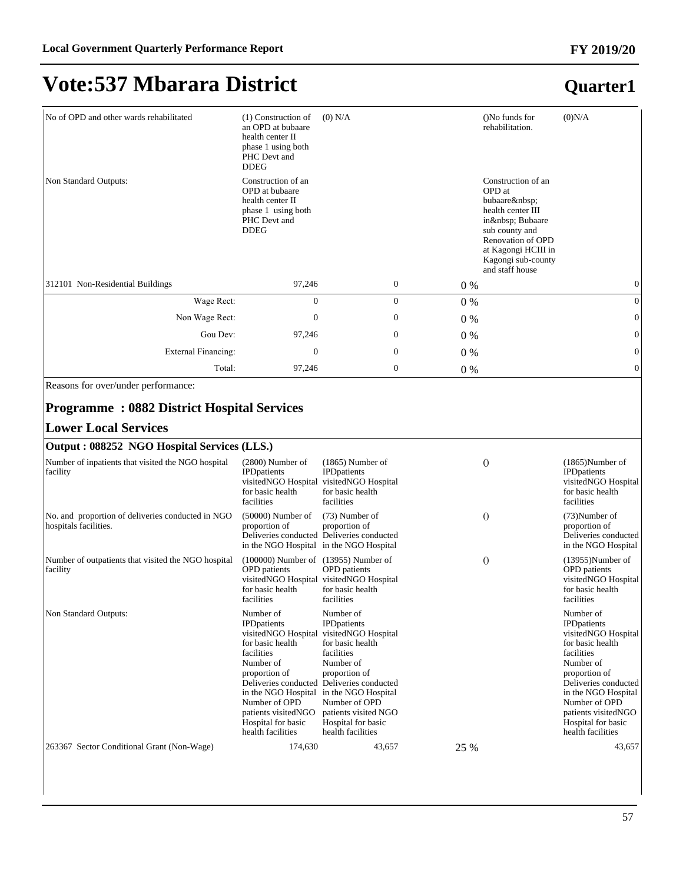### **Quarter1**

| No of OPD and other wards rehabilitated | $(1)$ Construction of<br>an OPD at bubaare<br>health center II<br>phase 1 using both<br>PHC Devt and<br><b>DDEG</b> | $(0)$ N/A |                  | ()No funds for<br>rehabilitation.                                                                                                                                                  | (0)N/A         |
|-----------------------------------------|---------------------------------------------------------------------------------------------------------------------|-----------|------------------|------------------------------------------------------------------------------------------------------------------------------------------------------------------------------------|----------------|
| Non Standard Outputs:                   | Construction of an<br>OPD at bubaare<br>health center II<br>phase 1 using both<br>PHC Devt and<br><b>DDEG</b>       |           |                  | Construction of an<br>OPD at<br>bubaare<br>health center III<br>in  Bubaare<br>sub county and<br>Renovation of OPD<br>at Kagongi HCIII in<br>Kagongi sub-county<br>and staff house |                |
| 312101 Non-Residential Buildings        | 97,246                                                                                                              |           | $\boldsymbol{0}$ | 0 %                                                                                                                                                                                | $\mathbf{0}$   |
| Wage Rect:                              | $\mathbf{0}$                                                                                                        |           | $\boldsymbol{0}$ | $0\%$                                                                                                                                                                              | $\overline{0}$ |
| Non Wage Rect:                          | $\mathbf{0}$                                                                                                        |           | $\mathbf{0}$     | $0\%$                                                                                                                                                                              | $\mathbf{0}$   |
| Gou Dev:                                | 97,246                                                                                                              |           | $\mathbf{0}$     | $0\%$                                                                                                                                                                              | $\mathbf{0}$   |
| External Financing:                     | $\mathbf{0}$                                                                                                        |           | $\mathbf{0}$     | $0\%$                                                                                                                                                                              | $\mathbf{0}$   |
| Total:                                  | 97,246                                                                                                              |           | $\mathbf{0}$     | $0\%$                                                                                                                                                                              | $\mathbf{0}$   |

Reasons for over/under performance:

#### **Programme : 0882 District Hospital Services**

#### **Lower Local Services**

| Output: 088252 NGO Hospital Services (LLS.)                                |                                                                                                                                                                                                            |                                                                                                                                                                                                                                                                                                     |          |                                                                                                                                                                                                                                                           |
|----------------------------------------------------------------------------|------------------------------------------------------------------------------------------------------------------------------------------------------------------------------------------------------------|-----------------------------------------------------------------------------------------------------------------------------------------------------------------------------------------------------------------------------------------------------------------------------------------------------|----------|-----------------------------------------------------------------------------------------------------------------------------------------------------------------------------------------------------------------------------------------------------------|
| Number of inpatients that visited the NGO hospital<br>facility             | $(2800)$ Number of<br><b>IPD</b> patients<br>visitedNGO Hospital<br>for basic health<br>facilities                                                                                                         | $(1865)$ Number of<br><b>IPD</b> patients<br>visitedNGO Hospital<br>for basic health<br>facilities                                                                                                                                                                                                  | $\Omega$ | $(1865)$ Number of<br><b>IPD</b> patients<br>visitedNGO Hospital<br>for basic health<br>facilities                                                                                                                                                        |
| No. and proportion of deliveries conducted in NGO<br>hospitals facilities. | $(50000)$ Number of<br>proportion of                                                                                                                                                                       | $(73)$ Number of<br>proportion of<br>Deliveries conducted Deliveries conducted<br>in the NGO Hospital in the NGO Hospital                                                                                                                                                                           | $\Omega$ | $(73)$ Number of<br>proportion of<br>Deliveries conducted<br>in the NGO Hospital                                                                                                                                                                          |
| Number of outpatients that visited the NGO hospital<br>  facility          | $(100000)$ Number of $(13955)$ Number of<br><b>OPD</b> patients<br>visitedNGO Hospital<br>for basic health<br>facilities                                                                                   | <b>OPD</b> patients<br>visitedNGO Hospital<br>for basic health<br>facilities                                                                                                                                                                                                                        | $\Omega$ | $(13955)$ Number of<br><b>OPD</b> patients<br>visitedNGO Hospital<br>for basic health<br>facilities                                                                                                                                                       |
| Non Standard Outputs:                                                      | Number of<br><b>IPD</b> patients<br>visitedNGO Hospital<br>for basic health<br>facilities<br>Number of<br>proportion of<br>Number of OPD<br>patients visitedNGO<br>Hospital for basic<br>health facilities | Number of<br><b>IPD</b> patients<br>visitedNGO Hospital<br>for basic health<br>facilities<br>Number of<br>proportion of<br>Deliveries conducted Deliveries conducted<br>in the NGO Hospital in the NGO Hospital<br>Number of OPD<br>patients visited NGO<br>Hospital for basic<br>health facilities |          | Number of<br><b>IPD</b> patients<br>visitedNGO Hospital<br>for basic health<br>facilities<br>Number of<br>proportion of<br>Deliveries conducted<br>in the NGO Hospital<br>Number of OPD<br>patients visitedNGO<br>Hospital for basic<br>health facilities |
| 263367 Sector Conditional Grant (Non-Wage)                                 | 174,630                                                                                                                                                                                                    | 43,657                                                                                                                                                                                                                                                                                              | 25 %     | 43,657                                                                                                                                                                                                                                                    |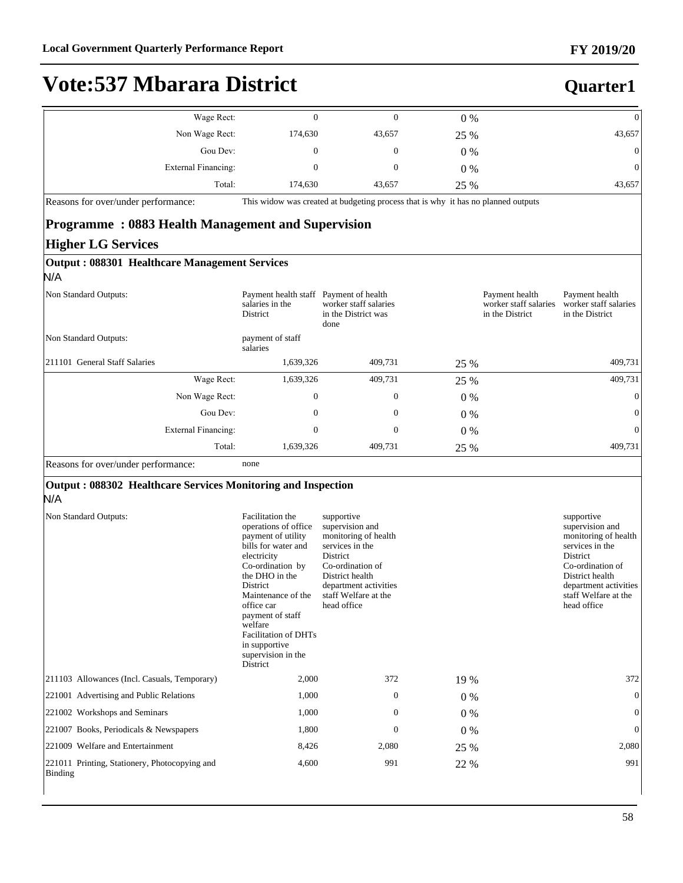**Quarter1**

# **Vote:537 Mbarara District**

| $\theta$       | $0\%$ |        |         | Wage Rect:          |
|----------------|-------|--------|---------|---------------------|
| 43,657         | 25 %  | 43,657 | 174,630 | Non Wage Rect:      |
| $\overline{0}$ | $0\%$ | 0      |         | Gou Dev:            |
| $\theta$       | $0\%$ | 0      |         | External Financing: |
| 43,657         | 25 %  | 43,657 | 174,630 | Total:              |

Reasons for over/under performance: This widow was created at budgeting process that is why it has no planned outputs

#### **Programme : 0883 Health Management and Supervision Higher LG Services**

| Output: 088301 Healthcare Management Services<br>N/A |                                                     |                                                                           |       |                                                            |                                                            |
|------------------------------------------------------|-----------------------------------------------------|---------------------------------------------------------------------------|-------|------------------------------------------------------------|------------------------------------------------------------|
| Non Standard Outputs:                                | Payment health staff<br>salaries in the<br>District | Payment of health<br>worker staff salaries<br>in the District was<br>done |       | Payment health<br>worker staff salaries<br>in the District | Payment health<br>worker staff salaries<br>in the District |
| Non Standard Outputs:                                | payment of staff<br>salaries                        |                                                                           |       |                                                            |                                                            |
| 211101 General Staff Salaries                        | 1,639,326                                           | 409,731                                                                   | 25 %  |                                                            | 409,731                                                    |
| Wage Rect:                                           | 1,639,326                                           | 409,731                                                                   | 25 %  |                                                            | 409,731                                                    |
| Non Wage Rect:                                       | $\mathbf{0}$                                        | $\mathbf{0}$                                                              | $0\%$ |                                                            | $\mathbf{0}$                                               |
| Gou Dev:                                             | $\mathbf{0}$                                        | $\mathbf{0}$                                                              | $0\%$ |                                                            | $\overline{0}$                                             |
| External Financing:                                  | $\mathbf{0}$                                        | $\mathbf{0}$                                                              | $0\%$ |                                                            | $\overline{0}$                                             |
| Total:                                               | 1,639,326                                           | 409,731                                                                   | 25 %  |                                                            | 409,731                                                    |

#### Reasons for over/under performance: none

#### **Output : 088302 Healthcare Services Monitoring and Inspection**

#### N/A

| Non Standard Outputs:                                    | Facilitation the<br>operations of office<br>payment of utility<br>bills for water and<br>electricity<br>Co-ordination by<br>the DHO in the<br>District<br>Maintenance of the<br>office car<br>payment of staff<br>welfare<br><b>Facilitation of DHTs</b><br>in supportive<br>supervision in the<br>District | supportive<br>supervision and<br>monitoring of health<br>services in the<br>District<br>Co-ordination of<br>District health<br>department activities<br>staff Welfare at the<br>head office |       | supportive<br>supervision and<br>monitoring of health<br>services in the<br>District<br>Co-ordination of<br>District health<br>department activities<br>staff Welfare at the<br>head office |
|----------------------------------------------------------|-------------------------------------------------------------------------------------------------------------------------------------------------------------------------------------------------------------------------------------------------------------------------------------------------------------|---------------------------------------------------------------------------------------------------------------------------------------------------------------------------------------------|-------|---------------------------------------------------------------------------------------------------------------------------------------------------------------------------------------------|
| [211103 Allowances (Incl. Casuals, Temporary)            | 2,000                                                                                                                                                                                                                                                                                                       | 372                                                                                                                                                                                         | 19 %  | 372                                                                                                                                                                                         |
| 221001 Advertising and Public Relations                  | 1,000                                                                                                                                                                                                                                                                                                       | $\Omega$                                                                                                                                                                                    | $0\%$ | $\Omega$                                                                                                                                                                                    |
| 221002 Workshops and Seminars                            | 1,000                                                                                                                                                                                                                                                                                                       | $\mathbf{0}$                                                                                                                                                                                | $0\%$ | $\Omega$                                                                                                                                                                                    |
| 221007 Books, Periodicals & Newspapers                   | 1,800                                                                                                                                                                                                                                                                                                       | $\mathbf{0}$                                                                                                                                                                                | $0\%$ | $\overline{0}$                                                                                                                                                                              |
| 221009 Welfare and Entertainment                         | 8,426                                                                                                                                                                                                                                                                                                       | 2,080                                                                                                                                                                                       | 25 %  | 2,080                                                                                                                                                                                       |
| 221011 Printing, Stationery, Photocopying and<br>Binding | 4,600                                                                                                                                                                                                                                                                                                       | 991                                                                                                                                                                                         | 22 %  | 991                                                                                                                                                                                         |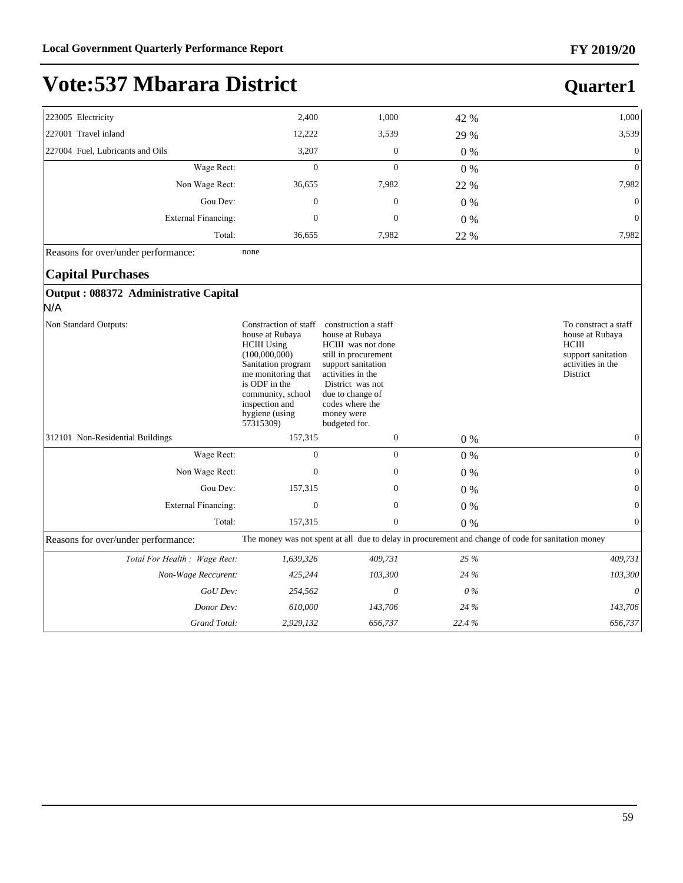### **Quarter1**

| 223005 Electricity               | 2,400        | 1,000            | 42 %  | 1,000           |
|----------------------------------|--------------|------------------|-------|-----------------|
| 227001 Travel inland             | 12,222       | 3,539            | 29 %  | 3,539           |
| 227004 Fuel, Lubricants and Oils | 3,207        | $\boldsymbol{0}$ | $0\%$ | $\overline{0}$  |
| Wage Rect:                       | 0            | 0                | $0\%$ | $\overline{0}$  |
| Non Wage Rect:                   | 36,655       | 7,982            | 22 %  | 7,982           |
| Gou Dev:                         | $\mathbf{0}$ | $\boldsymbol{0}$ | $0\%$ | $\vert 0 \vert$ |
| External Financing:              | 0            | $\mathbf{0}$     | $0\%$ | $\vert 0 \vert$ |
| Total:                           | 36,655       | 7,982            | 22 %  | 7,982           |
|                                  |              |                  |       |                 |

Reasons for over/under performance: none

#### **Capital Purchases**

#### **Output : 088372 Administrative Capital**

N/A

| Non Standard Outputs:               | Constraction of staff<br>house at Rubaya<br><b>HCIII</b> Using<br>(100,000,000)<br>Sanitation program<br>me monitoring that<br>is ODF in the<br>community, school<br>inspection and<br>hygiene (using<br>57315309) | construction a staff<br>house at Rubaya<br><b>HCIII</b> was not done<br>still in procurement<br>support sanitation<br>activities in the<br>District was not<br>due to change of<br>codes where the<br>money were<br>budgeted for. |       | To constract a staff<br>house at Rubaya<br><b>HCIII</b><br>support sanitation<br>activities in the<br>District |
|-------------------------------------|--------------------------------------------------------------------------------------------------------------------------------------------------------------------------------------------------------------------|-----------------------------------------------------------------------------------------------------------------------------------------------------------------------------------------------------------------------------------|-------|----------------------------------------------------------------------------------------------------------------|
| 312101 Non-Residential Buildings    | 157,315                                                                                                                                                                                                            | $\boldsymbol{0}$                                                                                                                                                                                                                  | $0\%$ | $\mathbf{0}$                                                                                                   |
| Wage Rect:                          | 0                                                                                                                                                                                                                  | $\mathbf{0}$                                                                                                                                                                                                                      | $0\%$ | $\mathbf{0}$                                                                                                   |
| Non Wage Rect:                      | $\mathbf{0}$                                                                                                                                                                                                       | $\mathbf{0}$                                                                                                                                                                                                                      | $0\%$ | $\mathbf{0}$                                                                                                   |
| Gou Dev:                            | 157,315                                                                                                                                                                                                            | $\mathbf{0}$                                                                                                                                                                                                                      | $0\%$ | $\mathbf{0}$                                                                                                   |
| <b>External Financing:</b>          | $\mathbf{0}$                                                                                                                                                                                                       | $\mathbf{0}$                                                                                                                                                                                                                      | $0\%$ | $\mathbf{0}$                                                                                                   |
| Total:                              | 157,315                                                                                                                                                                                                            | $\mathbf{0}$                                                                                                                                                                                                                      | 0%    | $\mathbf{0}$                                                                                                   |
| Reasons for over/under performance: |                                                                                                                                                                                                                    |                                                                                                                                                                                                                                   |       | The money was not spent at all due to delay in procurement and change of code for sanitation money             |
| Total For Health : Wage Rect:       | 1,639,326                                                                                                                                                                                                          | 409,731                                                                                                                                                                                                                           | 25 %  | 409,731                                                                                                        |
| Non-Wage Reccurent:                 | 425,244                                                                                                                                                                                                            | 103,300                                                                                                                                                                                                                           | 24 %  | 103,300                                                                                                        |
| GoU Dev:                            | 254,562                                                                                                                                                                                                            | 0                                                                                                                                                                                                                                 | $0\%$ | 0                                                                                                              |
| Donor Dev:                          | 610,000                                                                                                                                                                                                            | 143,706                                                                                                                                                                                                                           | 24 %  | 143,706                                                                                                        |
| Grand Total:                        | 2,929,132                                                                                                                                                                                                          | 656,737                                                                                                                                                                                                                           | 22.4% | 656,737                                                                                                        |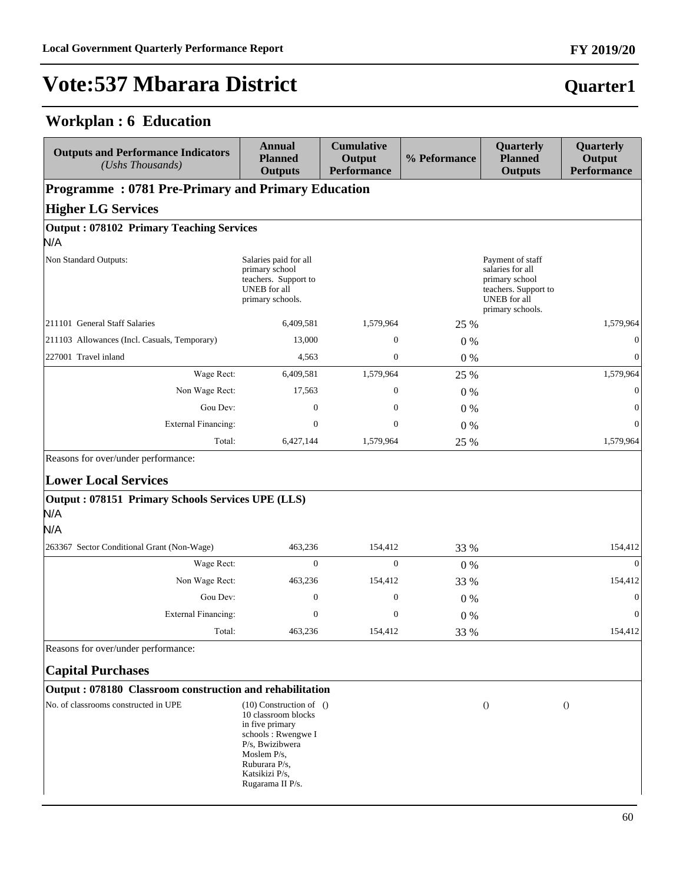### **Workplan : 6 Education**

| <b>Outputs and Performance Indicators</b><br>(Ushs Thousands)                                  | <b>Annual</b><br><b>Planned</b><br><b>Outputs</b>                                                                                                                                    | <b>Cumulative</b><br>Output<br><b>Performance</b> | % Peformance | Quarterly<br><b>Planned</b><br><b>Outputs</b>                                                                             | Quarterly<br>Output<br><b>Performance</b> |
|------------------------------------------------------------------------------------------------|--------------------------------------------------------------------------------------------------------------------------------------------------------------------------------------|---------------------------------------------------|--------------|---------------------------------------------------------------------------------------------------------------------------|-------------------------------------------|
| <b>Programme: 0781 Pre-Primary and Primary Education</b>                                       |                                                                                                                                                                                      |                                                   |              |                                                                                                                           |                                           |
| <b>Higher LG Services</b>                                                                      |                                                                                                                                                                                      |                                                   |              |                                                                                                                           |                                           |
| <b>Output: 078102 Primary Teaching Services</b><br>N/A                                         |                                                                                                                                                                                      |                                                   |              |                                                                                                                           |                                           |
| Non Standard Outputs:                                                                          | Salaries paid for all<br>primary school<br>teachers. Support to<br><b>UNEB</b> for all<br>primary schools.                                                                           |                                                   |              | Payment of staff<br>salaries for all<br>primary school<br>teachers. Support to<br><b>UNEB</b> for all<br>primary schools. |                                           |
| 211101 General Staff Salaries                                                                  | 6,409,581                                                                                                                                                                            | 1,579,964                                         | 25 %         |                                                                                                                           | 1,579,964                                 |
| 211103 Allowances (Incl. Casuals, Temporary)                                                   | 13,000                                                                                                                                                                               | $\boldsymbol{0}$                                  | $0\%$        |                                                                                                                           | $\mathbf{0}$                              |
| 227001 Travel inland                                                                           | 4,563                                                                                                                                                                                | $\boldsymbol{0}$                                  | $0\%$        |                                                                                                                           | $\mathbf{0}$                              |
| Wage Rect:                                                                                     | 6,409,581                                                                                                                                                                            | 1,579,964                                         | 25 %         |                                                                                                                           | 1,579,964                                 |
| Non Wage Rect:                                                                                 | 17,563                                                                                                                                                                               | $\boldsymbol{0}$                                  | $0\%$        |                                                                                                                           | $\boldsymbol{0}$                          |
| Gou Dev:                                                                                       | $\boldsymbol{0}$                                                                                                                                                                     | $\boldsymbol{0}$                                  | $0\%$        |                                                                                                                           | $\mathbf{0}$                              |
| <b>External Financing:</b>                                                                     | $\boldsymbol{0}$                                                                                                                                                                     | $\boldsymbol{0}$                                  | $0\%$        |                                                                                                                           | $\mathbf{0}$                              |
| Total:                                                                                         | 6,427,144                                                                                                                                                                            | 1,579,964                                         | 25 %         |                                                                                                                           | 1,579,964                                 |
| <b>Lower Local Services</b><br>Output: 078151 Primary Schools Services UPE (LLS)<br>N/A<br>N/A |                                                                                                                                                                                      |                                                   |              |                                                                                                                           |                                           |
| 263367 Sector Conditional Grant (Non-Wage)                                                     | 463,236                                                                                                                                                                              | 154,412                                           | 33 %         |                                                                                                                           | 154,412                                   |
| Wage Rect:                                                                                     | $\mathbf{0}$                                                                                                                                                                         | $\mathbf{0}$                                      | $0\%$        |                                                                                                                           | $\mathbf{0}$                              |
| Non Wage Rect:                                                                                 | 463,236                                                                                                                                                                              | 154,412                                           | 33 %         |                                                                                                                           | 154,412                                   |
| Gou Dev:                                                                                       | $\mathbf{0}$                                                                                                                                                                         | $\boldsymbol{0}$                                  | $0\%$        |                                                                                                                           | $\boldsymbol{0}$                          |
| <b>External Financing:</b>                                                                     | $\boldsymbol{0}$                                                                                                                                                                     | $\boldsymbol{0}$                                  | 0%           |                                                                                                                           | $\mathbf{0}$                              |
| Total:                                                                                         | 463,236                                                                                                                                                                              | 154,412                                           | 33 %         |                                                                                                                           | 154,412                                   |
| Reasons for over/under performance:                                                            |                                                                                                                                                                                      |                                                   |              |                                                                                                                           |                                           |
| <b>Capital Purchases</b>                                                                       |                                                                                                                                                                                      |                                                   |              |                                                                                                                           |                                           |
| Output: 078180 Classroom construction and rehabilitation                                       |                                                                                                                                                                                      |                                                   |              |                                                                                                                           |                                           |
| No. of classrooms constructed in UPE                                                           | $(10)$ Construction of $()$<br>10 classroom blocks<br>in five primary<br>schools: Rwengwe I<br>P/s, Bwizibwera<br>Moslem P/s,<br>Ruburara P/s.<br>Katsikizi P/s,<br>Rugarama II P/s. |                                                   |              | $\left( \right)$                                                                                                          | $\theta$                                  |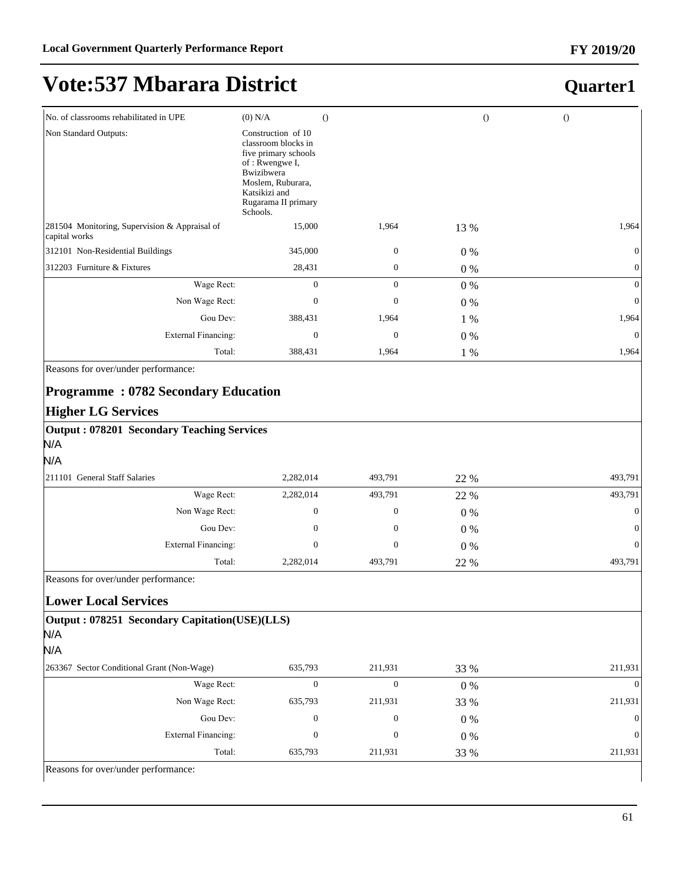#### **FY 2019/20**

# **Vote:537 Mbarara District**

| No. of classrooms rehabilitated in UPE                                                     | $(0)$ N/A                                                                                                                                                                  | $\theta$           | $\Omega$      | $\theta$       |
|--------------------------------------------------------------------------------------------|----------------------------------------------------------------------------------------------------------------------------------------------------------------------------|--------------------|---------------|----------------|
| Non Standard Outputs:                                                                      | Construction of 10<br>classroom blocks in<br>five primary schools<br>of: Rwengwe I,<br>Bwizibwera<br>Moslem, Ruburara,<br>Katsikizi and<br>Rugarama II primary<br>Schools. |                    |               |                |
| 281504 Monitoring, Supervision & Appraisal of<br>capital works                             | 15,000                                                                                                                                                                     | 1,964              | 13 %          | 1,964          |
| 312101 Non-Residential Buildings                                                           | 345,000                                                                                                                                                                    | $\boldsymbol{0}$   | $0\%$         |                |
| 312203 Furniture & Fixtures                                                                | 28,431                                                                                                                                                                     | $\mathbf{0}$       | $0\%$         | $\mathbf{0}$   |
| Wage Rect:                                                                                 | $\overline{0}$                                                                                                                                                             | $\mathbf{0}$       | $0\%$         | $\mathbf{0}$   |
| Non Wage Rect:                                                                             | $\boldsymbol{0}$                                                                                                                                                           | $\mathbf{0}$       | $0\%$         | $\overline{0}$ |
| Gou Dev:                                                                                   | 388,431                                                                                                                                                                    | 1,964              | 1 %           | 1,964          |
| <b>External Financing:</b>                                                                 | $\mathbf{0}$                                                                                                                                                               | $\mathbf{0}$       | $0\%$         | $\theta$       |
| Total:                                                                                     | 388,431                                                                                                                                                                    | 1,964              | 1 %           | 1,964          |
| <b>Programme: 0782 Secondary Education</b><br><b>Higher LG Services</b>                    |                                                                                                                                                                            |                    |               |                |
| <b>Output: 078201 Secondary Teaching Services</b><br>N/A                                   |                                                                                                                                                                            |                    |               |                |
| N/A                                                                                        |                                                                                                                                                                            |                    |               |                |
| 211101 General Staff Salaries                                                              | 2,282,014<br>2,282,014                                                                                                                                                     | 493,791<br>493,791 | 22 %          | 493,791        |
| Wage Rect:                                                                                 | 0                                                                                                                                                                          | $\boldsymbol{0}$   | 22 %          | 493,791        |
| Non Wage Rect:<br>Gou Dev:                                                                 | $\boldsymbol{0}$                                                                                                                                                           | $\boldsymbol{0}$   | $0\%$         | $\Omega$       |
| <b>External Financing:</b>                                                                 | $\mathbf{0}$                                                                                                                                                               | $\mathbf{0}$       | $0\%$         | $\Omega$       |
| Total:                                                                                     | 2,282,014                                                                                                                                                                  | 493,791            | $0\%$<br>22 % | 493,791        |
| Reasons for over/under performance:                                                        |                                                                                                                                                                            |                    |               |                |
|                                                                                            |                                                                                                                                                                            |                    |               |                |
| <b>Lower Local Services</b><br>Output: 078251 Secondary Capitation(USE)(LLS)<br>N/A<br>N/A |                                                                                                                                                                            |                    |               |                |
| 263367 Sector Conditional Grant (Non-Wage)                                                 | 635,793                                                                                                                                                                    | 211,931            | 33 %          | 211,931        |
| Wage Rect:                                                                                 | $\boldsymbol{0}$                                                                                                                                                           | $\boldsymbol{0}$   | $0\%$         | $\Omega$       |
| Non Wage Rect:                                                                             | 635,793                                                                                                                                                                    | 211,931            | 33 %          | 211,931        |
| Gou Dev:                                                                                   | $\boldsymbol{0}$                                                                                                                                                           | $\boldsymbol{0}$   | $0\%$         |                |
| <b>External Financing:</b>                                                                 | $\boldsymbol{0}$                                                                                                                                                           | $\boldsymbol{0}$   | $0\%$         | $\Omega$       |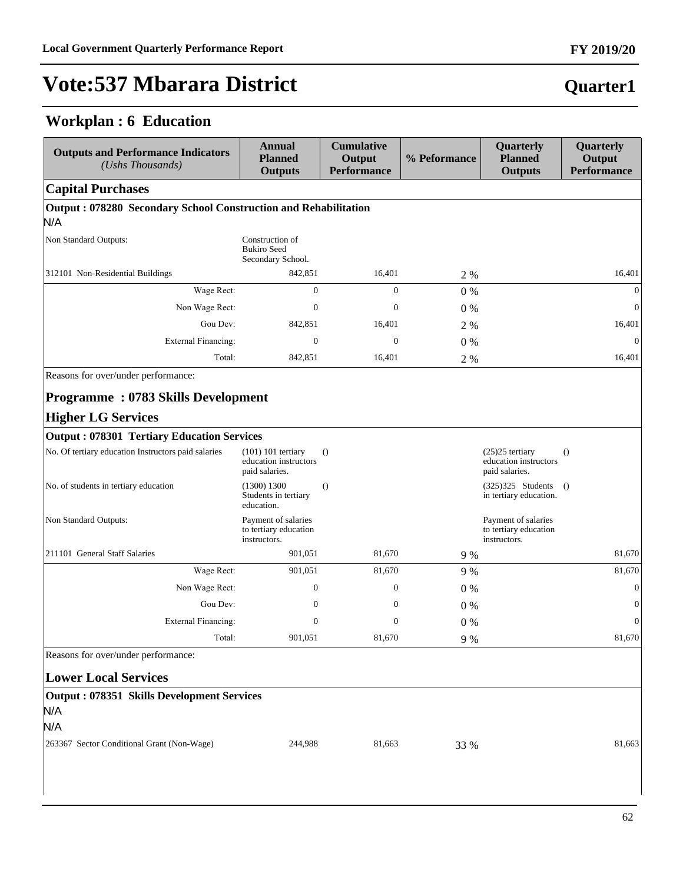### **Workplan : 6 Education**

 $\overline{\phantom{a}}$ 

| <b>Outputs and Performance Indicators</b><br>(Ushs Thousands)   | <b>Annual</b><br><b>Planned</b><br><b>Outputs</b>               | <b>Cumulative</b><br>Output<br><b>Performance</b> | % Peformance | Quarterly<br><b>Planned</b><br><b>Outputs</b>                | Quarterly<br>Output<br><b>Performance</b> |
|-----------------------------------------------------------------|-----------------------------------------------------------------|---------------------------------------------------|--------------|--------------------------------------------------------------|-------------------------------------------|
| <b>Capital Purchases</b>                                        |                                                                 |                                                   |              |                                                              |                                           |
| Output: 078280 Secondary School Construction and Rehabilitation |                                                                 |                                                   |              |                                                              |                                           |
| N/A                                                             |                                                                 |                                                   |              |                                                              |                                           |
| Non Standard Outputs:                                           | Construction of<br><b>Bukiro</b> Seed<br>Secondary School.      |                                                   |              |                                                              |                                           |
| 312101 Non-Residential Buildings                                | 842,851                                                         | 16,401                                            | 2 %          |                                                              | 16,401                                    |
| Wage Rect:                                                      | $\mathbf{0}$                                                    | $\mathbf{0}$                                      | 0%           |                                                              | $\mathbf{0}$                              |
| Non Wage Rect:                                                  | $\mathbf{0}$                                                    | $\mathbf{0}$                                      | $0\%$        |                                                              | $\boldsymbol{0}$                          |
| Gou Dev:                                                        | 842,851                                                         | 16,401                                            | 2 %          |                                                              | 16,401                                    |
| <b>External Financing:</b>                                      | $\mathbf{0}$                                                    | $\mathbf{0}$                                      | $0\%$        |                                                              | $\mathbf{0}$                              |
| Total:                                                          | 842,851                                                         | 16,401                                            | 2 %          |                                                              | 16,401                                    |
| Reasons for over/under performance:                             |                                                                 |                                                   |              |                                                              |                                           |
| <b>Programme: 0783 Skills Development</b>                       |                                                                 |                                                   |              |                                                              |                                           |
| <b>Higher LG Services</b>                                       |                                                                 |                                                   |              |                                                              |                                           |
| <b>Output: 078301 Tertiary Education Services</b>               |                                                                 |                                                   |              |                                                              |                                           |
| No. Of tertiary education Instructors paid salaries             | $(101)$ 101 tertiary<br>education instructors<br>paid salaries. | $\theta$                                          |              | $(25)25$ tertiary<br>education instructors<br>paid salaries. | $\Omega$                                  |
| No. of students in tertiary education                           | (1300) 1300<br>Students in tertiary<br>education.               | $\theta$                                          |              | $(325)325$ Students<br>in tertiary education.                | $\Omega$                                  |
| Non Standard Outputs:                                           | Payment of salaries<br>to tertiary education<br>instructors.    |                                                   |              | Payment of salaries<br>to tertiary education<br>instructors. |                                           |
| 211101 General Staff Salaries                                   | 901,051                                                         | 81,670                                            | 9 %          |                                                              | 81,670                                    |
| Wage Rect:                                                      | 901,051                                                         | 81,670                                            | 9 %          |                                                              | 81,670                                    |
| Non Wage Rect:                                                  | $\boldsymbol{0}$                                                | $\boldsymbol{0}$                                  | $0\%$        |                                                              | $\boldsymbol{0}$                          |
| Gou Dev:                                                        | $\boldsymbol{0}$                                                | $\boldsymbol{0}$                                  | $0\%$        |                                                              | $\boldsymbol{0}$                          |
| <b>External Financing:</b>                                      | $\mathbf{0}$                                                    | $\mathbf{0}$                                      | $0\%$        |                                                              | $\boldsymbol{0}$                          |
| Total:                                                          | 901,051                                                         | 81,670                                            | 9 %          |                                                              | 81,670                                    |
| Reasons for over/under performance:                             |                                                                 |                                                   |              |                                                              |                                           |
| <b>Lower Local Services</b>                                     |                                                                 |                                                   |              |                                                              |                                           |
| <b>Output: 078351 Skills Development Services</b>               |                                                                 |                                                   |              |                                                              |                                           |
| N/A                                                             |                                                                 |                                                   |              |                                                              |                                           |
| N/A                                                             |                                                                 |                                                   |              |                                                              |                                           |
| 263367 Sector Conditional Grant (Non-Wage)                      | 244,988                                                         | 81,663                                            | 33 %         |                                                              | 81,663                                    |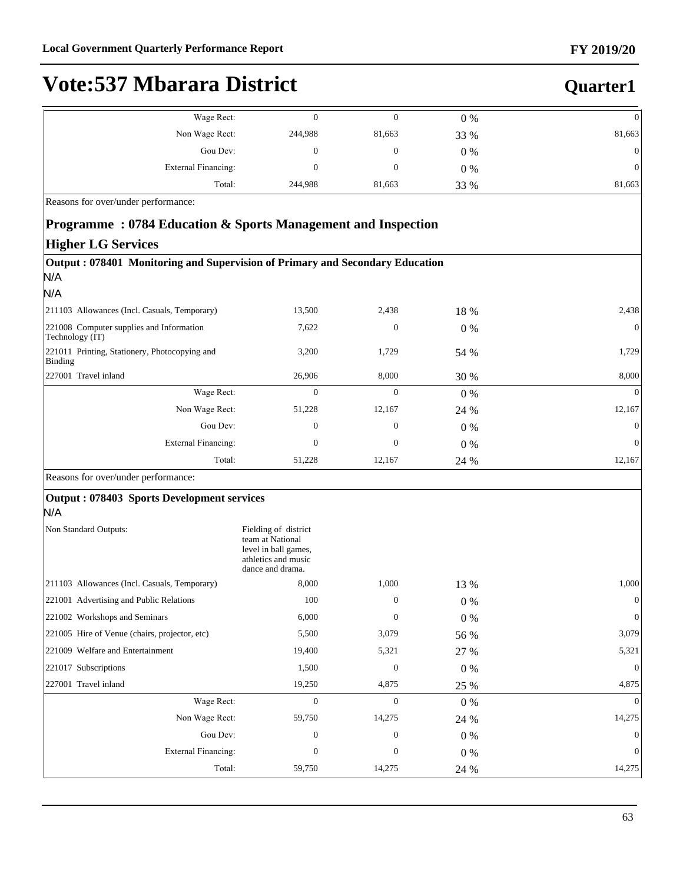### **Quarter1**

| Wage Rect:                 |         |        | $0\%$ | 0                |
|----------------------------|---------|--------|-------|------------------|
| Non Wage Rect:             | 244,988 | 81,663 | 33 %  | 81,663           |
| Gou Dev:                   |         |        | $0\%$ | 0                |
| <b>External Financing:</b> |         |        | $0\%$ | $\boldsymbol{0}$ |
| Total:                     | 244,988 | 81,663 | 33 %  | 81,663           |

Reasons for over/under performance:

#### **Programme : 0784 Education & Sports Management and Inspection**

#### **Higher LG Services**

| Output: 078401 Monitoring and Supervision of Primary and Secondary Education<br>N/A |                                                                                                             |                |       |              |
|-------------------------------------------------------------------------------------|-------------------------------------------------------------------------------------------------------------|----------------|-------|--------------|
| N/A                                                                                 |                                                                                                             |                |       |              |
| 211103 Allowances (Incl. Casuals, Temporary)                                        | 13,500                                                                                                      | 2,438          | 18 %  | 2,438        |
| 221008 Computer supplies and Information<br>Technology (IT)                         | 7,622                                                                                                       | $\overline{0}$ | 0%    | $\Omega$     |
| 221011 Printing, Stationery, Photocopying and<br><b>Binding</b>                     | 3,200                                                                                                       | 1,729          | 54 %  | 1,729        |
| 227001 Travel inland                                                                | 26,906                                                                                                      | 8,000          | 30 %  | 8,000        |
| Wage Rect:                                                                          | $\Omega$                                                                                                    | $\Omega$       | $0\%$ |              |
| Non Wage Rect:                                                                      | 51,228                                                                                                      | 12,167         | 24 %  | 12,167       |
| Gou Dev:                                                                            | $\mathbf{0}$                                                                                                | $\theta$       | $0\%$ |              |
| <b>External Financing:</b>                                                          | $\mathbf{0}$                                                                                                | $\overline{0}$ | $0\%$ | $\mathbf{0}$ |
| Total:                                                                              | 51,228                                                                                                      | 12,167         | 24 %  | 12,167       |
| Reasons for over/under performance:                                                 |                                                                                                             |                |       |              |
| Output: 078403 Sports Development services                                          |                                                                                                             |                |       |              |
| N/A                                                                                 |                                                                                                             |                |       |              |
| Non Standard Outputs:                                                               | Fielding of district<br>team at National<br>level in ball games,<br>athletics and music<br>dance and drama. |                |       |              |

|                                               | auncues and music<br>dance and drama. |          |       |                |
|-----------------------------------------------|---------------------------------------|----------|-------|----------------|
| 211103 Allowances (Incl. Casuals, Temporary)  | 8,000                                 | 1,000    | 13 %  | 1,000          |
| 221001 Advertising and Public Relations       | 100                                   | $\theta$ | $0\%$ | $\theta$       |
| 221002 Workshops and Seminars                 | 6,000                                 | $\theta$ | $0\%$ | $\mathbf{0}$   |
| 221005 Hire of Venue (chairs, projector, etc) | 5,500                                 | 3,079    | 56 %  | 3,079          |
| 221009 Welfare and Entertainment              | 19,400                                | 5,321    | 27 %  | 5,321          |
| 221017 Subscriptions                          | 1,500                                 | $\theta$ | $0\%$ | $\overline{0}$ |
| 227001 Travel inland                          | 19,250                                | 4,875    | 25 %  | 4,875          |
| Wage Rect:                                    | $\overline{0}$                        | $\theta$ | 0 %   | $\theta$       |
| Non Wage Rect:                                | 59,750                                | 14,275   | 24 %  | 14,275         |
| Gou Dev:                                      | $\theta$                              | $\theta$ | $0\%$ | $\theta$       |
| External Financing:                           | $\Omega$                              | $\theta$ | $0\%$ | $\theta$       |
| Total:                                        | 59,750                                | 14,275   | 24 %  | 14,275         |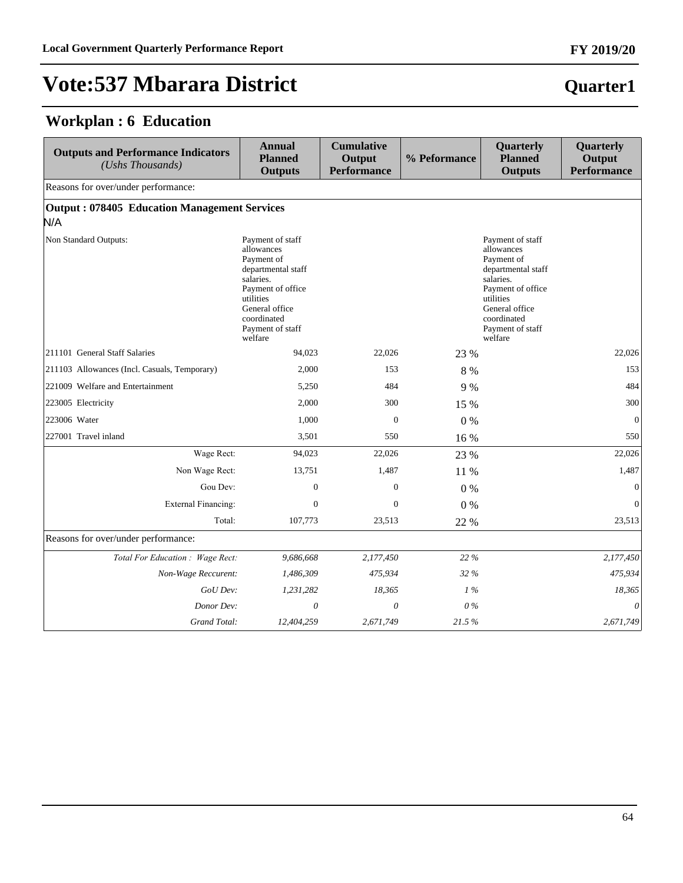### **Workplan : 6 Education**

| <b>Outputs and Performance Indicators</b><br>(Ushs Thousands) | <b>Annual</b><br><b>Planned</b><br><b>Outputs</b>                                                                                                                                 | <b>Cumulative</b><br>Output<br><b>Performance</b> | % Peformance | Quarterly<br><b>Planned</b><br><b>Outputs</b>                                                                                                                                     | Quarterly<br>Output<br><b>Performance</b> |
|---------------------------------------------------------------|-----------------------------------------------------------------------------------------------------------------------------------------------------------------------------------|---------------------------------------------------|--------------|-----------------------------------------------------------------------------------------------------------------------------------------------------------------------------------|-------------------------------------------|
| Reasons for over/under performance:                           |                                                                                                                                                                                   |                                                   |              |                                                                                                                                                                                   |                                           |
| <b>Output: 078405 Education Management Services</b><br>N/A    |                                                                                                                                                                                   |                                                   |              |                                                                                                                                                                                   |                                           |
| Non Standard Outputs:                                         | Payment of staff<br>allowances<br>Payment of<br>departmental staff<br>salaries.<br>Payment of office<br>utilities<br>General office<br>coordinated<br>Payment of staff<br>welfare |                                                   |              | Payment of staff<br>allowances<br>Payment of<br>departmental staff<br>salaries.<br>Payment of office<br>utilities<br>General office<br>coordinated<br>Payment of staff<br>welfare |                                           |
| 211101 General Staff Salaries                                 | 94.023                                                                                                                                                                            | 22,026                                            | 23 %         |                                                                                                                                                                                   | 22,026                                    |
| 211103 Allowances (Incl. Casuals, Temporary)                  | 2,000                                                                                                                                                                             | 153                                               | 8 %          |                                                                                                                                                                                   | 153                                       |
| 221009 Welfare and Entertainment                              | 5,250                                                                                                                                                                             | 484                                               | 9 %          |                                                                                                                                                                                   | 484                                       |
| 223005 Electricity                                            | 2,000                                                                                                                                                                             | 300                                               | 15 %         |                                                                                                                                                                                   | 300                                       |
| 223006 Water                                                  | 1,000                                                                                                                                                                             | $\mathbf{0}$                                      | $0\%$        |                                                                                                                                                                                   | $\overline{0}$                            |
| 227001 Travel inland                                          | 3,501                                                                                                                                                                             | 550                                               | 16 %         |                                                                                                                                                                                   | 550                                       |
| Wage Rect:                                                    | 94,023                                                                                                                                                                            | 22,026                                            | 23 %         |                                                                                                                                                                                   | 22,026                                    |
| Non Wage Rect:                                                | 13,751                                                                                                                                                                            | 1,487                                             | 11 %         |                                                                                                                                                                                   | 1,487                                     |
| Gou Dev:                                                      | $\mathbf{0}$                                                                                                                                                                      | $\mathbf{0}$                                      | $0\%$        |                                                                                                                                                                                   | $\mathbf{0}$                              |
| <b>External Financing:</b>                                    | $\Omega$                                                                                                                                                                          | $\Omega$                                          | $0\%$        |                                                                                                                                                                                   | $\mathbf{0}$                              |
| Total:                                                        | 107,773                                                                                                                                                                           | 23,513                                            | 22 %         |                                                                                                                                                                                   | 23,513                                    |
| Reasons for over/under performance:                           |                                                                                                                                                                                   |                                                   |              |                                                                                                                                                                                   |                                           |
| Total For Education : Wage Rect:                              | 9,686,668                                                                                                                                                                         | 2,177,450                                         | 22 %         |                                                                                                                                                                                   | 2,177,450                                 |
| Non-Wage Reccurent:                                           | 1,486,309                                                                                                                                                                         | 475,934                                           | 32 %         |                                                                                                                                                                                   | 475,934                                   |
| GoU Dev:                                                      | 1,231,282                                                                                                                                                                         | 18,365                                            | 1%           |                                                                                                                                                                                   | 18,365                                    |
| Donor Dev:                                                    | $\theta$                                                                                                                                                                          | 0                                                 | $0\%$        |                                                                                                                                                                                   | $\theta$                                  |
| Grand Total:                                                  | 12,404,259                                                                                                                                                                        | 2,671,749                                         | 21.5%        |                                                                                                                                                                                   | 2,671,749                                 |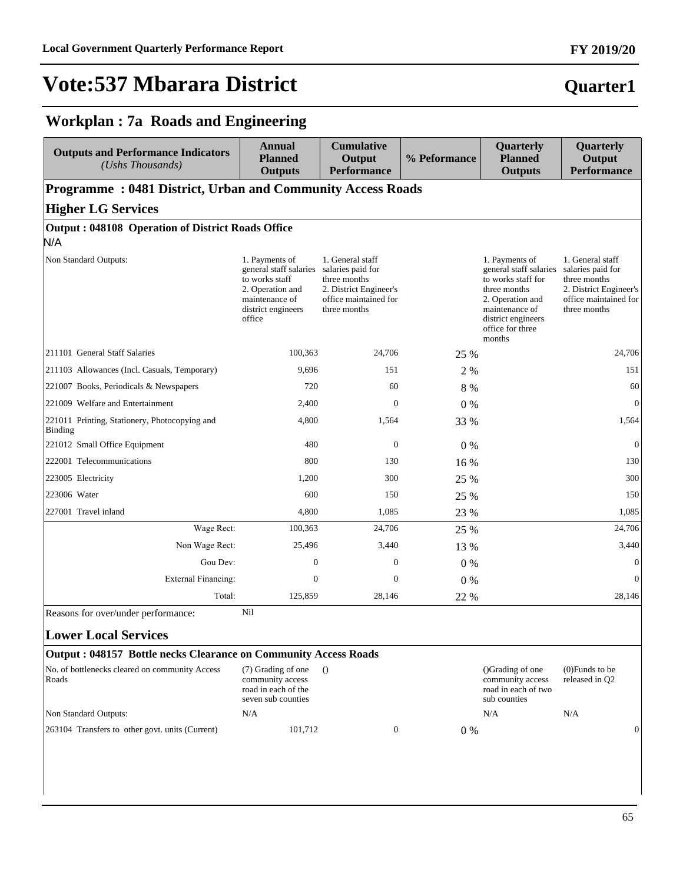#### **FY 2019/20**

### **Quarter1**

#### **Workplan : 7a Roads and Engineering**

| <b>Outputs and Performance Indicators</b><br>(Ushs Thousands)                                                                                | Annual<br><b>Planned</b><br><b>Outputs</b>                                                                                       | <b>Cumulative</b><br>Output<br><b>Performance</b>                                                                        | % Peformance | <b>Quarterly</b><br><b>Planned</b><br><b>Outputs</b>                                                                                                                     | Quarterly<br>Output<br><b>Performance</b>                                                                                |
|----------------------------------------------------------------------------------------------------------------------------------------------|----------------------------------------------------------------------------------------------------------------------------------|--------------------------------------------------------------------------------------------------------------------------|--------------|--------------------------------------------------------------------------------------------------------------------------------------------------------------------------|--------------------------------------------------------------------------------------------------------------------------|
| <b>Programme: 0481 District, Urban and Community Access Roads</b>                                                                            |                                                                                                                                  |                                                                                                                          |              |                                                                                                                                                                          |                                                                                                                          |
| <b>Higher LG Services</b>                                                                                                                    |                                                                                                                                  |                                                                                                                          |              |                                                                                                                                                                          |                                                                                                                          |
| <b>Output: 048108 Operation of District Roads Office</b>                                                                                     |                                                                                                                                  |                                                                                                                          |              |                                                                                                                                                                          |                                                                                                                          |
| N/A                                                                                                                                          |                                                                                                                                  |                                                                                                                          |              |                                                                                                                                                                          |                                                                                                                          |
| Non Standard Outputs:                                                                                                                        | 1. Payments of<br>general staff salaries<br>to works staff<br>2. Operation and<br>maintenance of<br>district engineers<br>office | 1. General staff<br>salaries paid for<br>three months<br>2. District Engineer's<br>office maintained for<br>three months |              | 1. Payments of<br>general staff salaries<br>to works staff for<br>three months<br>2. Operation and<br>maintenance of<br>district engineers<br>office for three<br>months | 1. General staff<br>salaries paid for<br>three months<br>2. District Engineer's<br>office maintained for<br>three months |
| 211101 General Staff Salaries                                                                                                                | 100,363                                                                                                                          | 24,706                                                                                                                   | 25 %         |                                                                                                                                                                          | 24,706                                                                                                                   |
| 211103 Allowances (Incl. Casuals, Temporary)                                                                                                 | 9,696                                                                                                                            | 151                                                                                                                      | 2 %          |                                                                                                                                                                          | 151                                                                                                                      |
| 221007 Books, Periodicals & Newspapers                                                                                                       | 720                                                                                                                              | 60                                                                                                                       | 8 %          |                                                                                                                                                                          | 60                                                                                                                       |
| 221009 Welfare and Entertainment                                                                                                             | 2,400                                                                                                                            | $\mathbf{0}$                                                                                                             | 0%           |                                                                                                                                                                          | $\overline{0}$                                                                                                           |
| 221011 Printing, Stationery, Photocopying and<br><b>Binding</b>                                                                              | 4,800                                                                                                                            | 1,564                                                                                                                    | 33 %         |                                                                                                                                                                          | 1,564                                                                                                                    |
| 221012 Small Office Equipment                                                                                                                | 480                                                                                                                              | $\overline{0}$                                                                                                           | $0\%$        |                                                                                                                                                                          | $\mathbf{0}$                                                                                                             |
| 222001 Telecommunications                                                                                                                    | 800                                                                                                                              | 130                                                                                                                      | 16 %         |                                                                                                                                                                          | 130                                                                                                                      |
| 223005 Electricity                                                                                                                           | 1,200                                                                                                                            | 300                                                                                                                      | 25 %         |                                                                                                                                                                          | 300                                                                                                                      |
| 223006 Water                                                                                                                                 | 600                                                                                                                              | 150                                                                                                                      | 25 %         |                                                                                                                                                                          | 150                                                                                                                      |
| 227001 Travel inland                                                                                                                         | 4,800                                                                                                                            | 1,085                                                                                                                    | 23 %         |                                                                                                                                                                          | 1,085                                                                                                                    |
| Wage Rect:                                                                                                                                   | 100,363                                                                                                                          | 24,706                                                                                                                   | 25 %         |                                                                                                                                                                          | 24,706                                                                                                                   |
| Non Wage Rect:                                                                                                                               | 25,496                                                                                                                           | 3,440                                                                                                                    | 13 %         |                                                                                                                                                                          | 3,440                                                                                                                    |
| Gou Dev:                                                                                                                                     | $\mathbf{0}$                                                                                                                     | $\mathbf{0}$                                                                                                             | 0%           |                                                                                                                                                                          | $\mathbf{0}$                                                                                                             |
| <b>External Financing:</b>                                                                                                                   | $\mathbf{0}$                                                                                                                     | $\mathbf{0}$                                                                                                             | $0\%$        |                                                                                                                                                                          | $\Omega$                                                                                                                 |
| Total:                                                                                                                                       | 125,859                                                                                                                          | 28,146                                                                                                                   | 22 %         |                                                                                                                                                                          | 28,146                                                                                                                   |
| Reasons for over/under performance:<br><b>Lower Local Services</b><br><b>Output: 048157 Bottle necks Clearance on Community Access Roads</b> | Nil                                                                                                                              |                                                                                                                          |              |                                                                                                                                                                          |                                                                                                                          |

| No. of bottlenecks cleared on community Access<br>Roads | (7) Grading of one<br>community access<br>road in each of the<br>seven sub counties |  |     | ()Grading of one<br>community access<br>road in each of two<br>sub counties | $(0)$ Funds to be<br>released in O <sub>2</sub> |  |
|---------------------------------------------------------|-------------------------------------------------------------------------------------|--|-----|-----------------------------------------------------------------------------|-------------------------------------------------|--|
| Non Standard Outputs:                                   | N/A                                                                                 |  |     | N/A                                                                         | N/A                                             |  |
| 263104 Transfers to other govt. units (Current)         | 101.712                                                                             |  | 0 % |                                                                             |                                                 |  |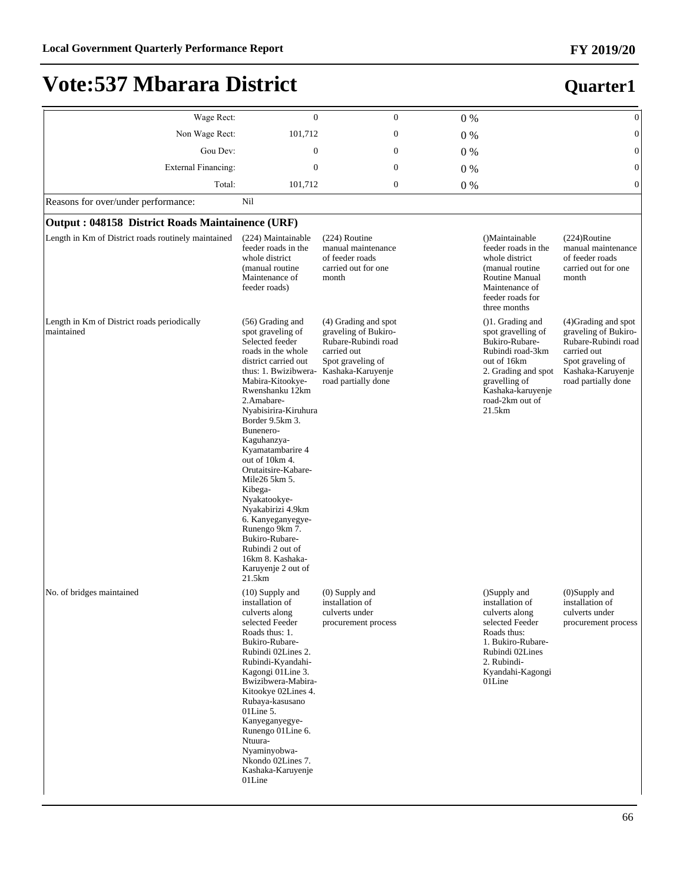| Wage Rect:                                                | $\overline{0}$                                                                                                                                                                                                                                                                                                                                                                                                                                                                                                            | $\boldsymbol{0}$                                                                                                                                    | 0%    |                                                                                                                                                                                          | $\boldsymbol{0}$                                                                                                                                    |
|-----------------------------------------------------------|---------------------------------------------------------------------------------------------------------------------------------------------------------------------------------------------------------------------------------------------------------------------------------------------------------------------------------------------------------------------------------------------------------------------------------------------------------------------------------------------------------------------------|-----------------------------------------------------------------------------------------------------------------------------------------------------|-------|------------------------------------------------------------------------------------------------------------------------------------------------------------------------------------------|-----------------------------------------------------------------------------------------------------------------------------------------------------|
| Non Wage Rect:                                            | 101,712                                                                                                                                                                                                                                                                                                                                                                                                                                                                                                                   | $\mathbf{0}$                                                                                                                                        | 0%    |                                                                                                                                                                                          | $\mathbf{0}$                                                                                                                                        |
| Gou Dev:                                                  | $\mathbf{0}$                                                                                                                                                                                                                                                                                                                                                                                                                                                                                                              | $\boldsymbol{0}$                                                                                                                                    | $0\%$ |                                                                                                                                                                                          | $\mathbf{0}$                                                                                                                                        |
| <b>External Financing:</b>                                | $\mathbf{0}$                                                                                                                                                                                                                                                                                                                                                                                                                                                                                                              | $\mathbf{0}$                                                                                                                                        | $0\%$ |                                                                                                                                                                                          | $\mathbf{0}$                                                                                                                                        |
| Total:                                                    | 101,712                                                                                                                                                                                                                                                                                                                                                                                                                                                                                                                   | $\boldsymbol{0}$                                                                                                                                    | $0\%$ |                                                                                                                                                                                          | $\boldsymbol{0}$                                                                                                                                    |
| Reasons for over/under performance:                       | Nil                                                                                                                                                                                                                                                                                                                                                                                                                                                                                                                       |                                                                                                                                                     |       |                                                                                                                                                                                          |                                                                                                                                                     |
| <b>Output: 048158 District Roads Maintainence (URF)</b>   |                                                                                                                                                                                                                                                                                                                                                                                                                                                                                                                           |                                                                                                                                                     |       |                                                                                                                                                                                          |                                                                                                                                                     |
| Length in Km of District roads routinely maintained       | (224) Maintainable<br>feeder roads in the<br>whole district<br>(manual routine)<br>Maintenance of<br>feeder roads)                                                                                                                                                                                                                                                                                                                                                                                                        | $(224)$ Routine<br>manual maintenance<br>of feeder roads<br>carried out for one<br>month                                                            |       | ()Maintainable<br>feeder roads in the<br>whole district<br>(manual routine)<br>Routine Manual<br>Maintenance of<br>feeder roads for<br>three months                                      | $(224)$ Routine<br>manual maintenance<br>of feeder roads<br>carried out for one<br>month                                                            |
| Length in Km of District roads periodically<br>maintained | (56) Grading and<br>spot graveling of<br>Selected feeder<br>roads in the whole<br>district carried out<br>thus: 1. Bwizibwera-<br>Mabira-Kitookye-<br>Rwenshanku 12km<br>2.Amabare-<br>Nyabisirira-Kiruhura<br>Border 9.5km 3.<br>Bunenero-<br>Kaguhanzya-<br>Kyamatambarire 4<br>out of 10km 4.<br>Orutaitsire-Kabare-<br>Mile26 5km 5.<br>Kibega-<br>Nyakatookye-<br>Nyakabirizi 4.9km<br>6. Kanyeganyegye-<br>Runengo 9km 7.<br>Bukiro-Rubare-<br>Rubindi 2 out of<br>16km 8. Kashaka-<br>Karuyenje 2 out of<br>21.5km | (4) Grading and spot<br>graveling of Bukiro-<br>Rubare-Rubindi road<br>carried out<br>Spot graveling of<br>Kashaka-Karuyenje<br>road partially done |       | $( )1.$ Grading and<br>spot gravelling of<br>Bukiro-Rubare-<br>Rubindi road-3km<br>out of 16km<br>2. Grading and spot<br>gravelling of<br>Kashaka-karuyenje<br>road-2km out of<br>21.5km | (4) Grading and spot<br>graveling of Bukiro-<br>Rubare-Rubindi road<br>carried out<br>Spot graveling of<br>Kashaka-Karuyenje<br>road partially done |
| No. of bridges maintained                                 | (10) Supply and<br>installation of<br>culverts along<br>selected Feeder<br>Roads thus: 1.<br>Bukiro-Rubare-<br>Rubindi 02Lines 2.<br>Rubindi-Kyandahi-<br>Kagongi 01Line 3.<br>Bwizibwera-Mabira-<br>Kitookye 02Lines 4.<br>Rubaya-kasusano<br>$01$ Line 5.<br>Kanyeganyegye-<br>Runengo 01Line 6.<br>Ntuura-<br>Nyaminyobwa-<br>Nkondo 02Lines 7.<br>Kashaka-Karuyenje<br>01Line                                                                                                                                         | $(0)$ Supply and<br>installation of<br>culverts under<br>procurement process                                                                        |       | ()Supply and<br>installation of<br>culverts along<br>selected Feeder<br>Roads thus:<br>1. Bukiro-Rubare-<br>Rubindi 02Lines<br>2. Rubindi-<br>Kyandahi-Kagongi<br>01Line                 | $(0)$ Supply and<br>installation of<br>culverts under<br>procurement process                                                                        |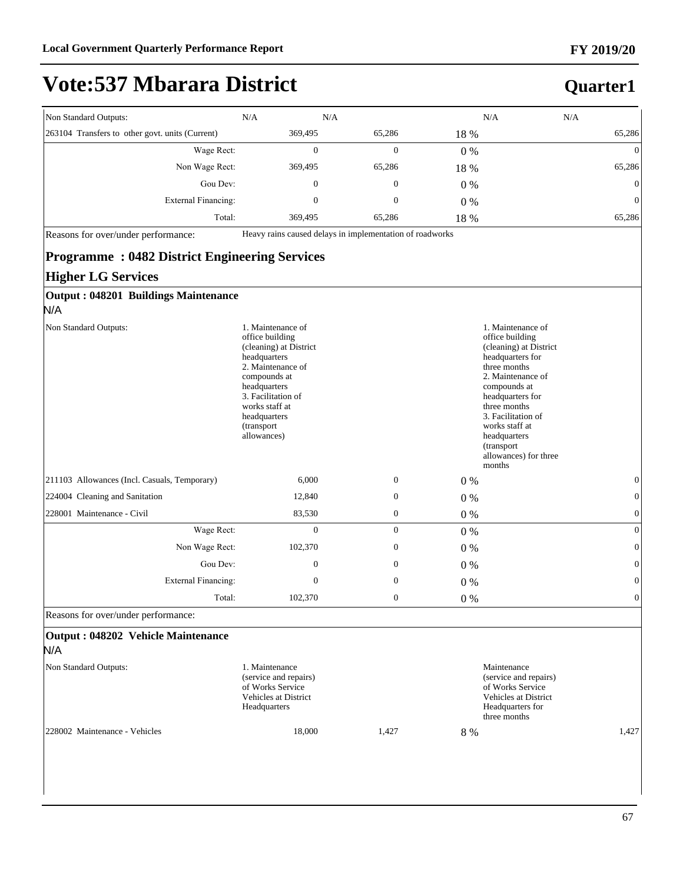#### **FY 2019/20**

# **Vote:537 Mbarara District**

#### **Quarter1**

| Non Standard Outputs:                           | N/A     | N/A    |       | N/A<br>N/A     |
|-------------------------------------------------|---------|--------|-------|----------------|
| 263104 Transfers to other govt. units (Current) | 369,495 | 65,286 | 18 %  | 65,286         |
| Wage Rect:                                      | 0       | 0      | $0\%$ | $\overline{0}$ |
| Non Wage Rect:                                  | 369,495 | 65,286 | 18 %  | 65,286         |
| Gou Dev:                                        | 0       | 0      | $0\%$ | $\overline{0}$ |
| External Financing:                             | 0       | 0      | $0\%$ | $\overline{0}$ |
| Total:                                          | 369,495 | 65,286 | 18 %  | 65,286         |

Reasons for over/under performance: Heavy rains caused delays in implementation of roadworks

#### **Programme : 0482 District Engineering Services**

#### **Higher LG Services**

| Output: 048201 Buildings Maintenance         |                                                                                                                                                                                                                                                                                                                                                                                                                                                                                                                    |              |       |              |
|----------------------------------------------|--------------------------------------------------------------------------------------------------------------------------------------------------------------------------------------------------------------------------------------------------------------------------------------------------------------------------------------------------------------------------------------------------------------------------------------------------------------------------------------------------------------------|--------------|-------|--------------|
| N/A                                          |                                                                                                                                                                                                                                                                                                                                                                                                                                                                                                                    |              |       |              |
| Non Standard Outputs:                        | 1. Maintenance of<br>1. Maintenance of<br>office building<br>office building<br>(cleaning) at District<br>(cleaning) at District<br>headquarters<br>headquarters for<br>2. Maintenance of<br>three months<br>2. Maintenance of<br>compounds at<br>headquarters<br>compounds at<br>3. Facilitation of<br>headquarters for<br>works staff at<br>three months<br>3. Facilitation of<br>headquarters<br>works staff at<br>(transport)<br>allowances)<br>headquarters<br>(transport)<br>allowances) for three<br>months |              |       |              |
| 211103 Allowances (Incl. Casuals, Temporary) | 6,000                                                                                                                                                                                                                                                                                                                                                                                                                                                                                                              | $\mathbf{0}$ | $0\%$ | $\mathbf{0}$ |
| 224004 Cleaning and Sanitation               | 12,840                                                                                                                                                                                                                                                                                                                                                                                                                                                                                                             | $\mathbf{0}$ | $0\%$ | $\mathbf{0}$ |
| 228001 Maintenance - Civil                   | 83,530                                                                                                                                                                                                                                                                                                                                                                                                                                                                                                             | $\mathbf{0}$ | $0\%$ | $\mathbf{0}$ |
| Wage Rect:                                   | $\overline{0}$                                                                                                                                                                                                                                                                                                                                                                                                                                                                                                     | $\mathbf{0}$ | $0\%$ | $\mathbf{0}$ |
| Non Wage Rect:                               | 102,370                                                                                                                                                                                                                                                                                                                                                                                                                                                                                                            | $\mathbf{0}$ | $0\%$ | $\mathbf{0}$ |
| Gou Dev:                                     | $\mathbf{0}$                                                                                                                                                                                                                                                                                                                                                                                                                                                                                                       | $\mathbf{0}$ | $0\%$ | $\mathbf{0}$ |
| <b>External Financing:</b>                   | $\mathbf{0}$                                                                                                                                                                                                                                                                                                                                                                                                                                                                                                       | $\mathbf{0}$ | $0\%$ | $\mathbf{0}$ |
| Total:                                       | 102,370                                                                                                                                                                                                                                                                                                                                                                                                                                                                                                            | $\mathbf{0}$ | $0\%$ | $\mathbf{0}$ |

Reasons for over/under performance:

#### **Output : 048202 Vehicle Maintenance**  N/A Non Standard Outputs: 1. Maintenance (service and repairs) of Works Service Vehicles at District Headquarters Maintenance (service and repairs) of Works Service Vehicles at District Headquarters for three months 228002 Maintenance - Vehicles 18,000 1,427 8 % 1,427 1,427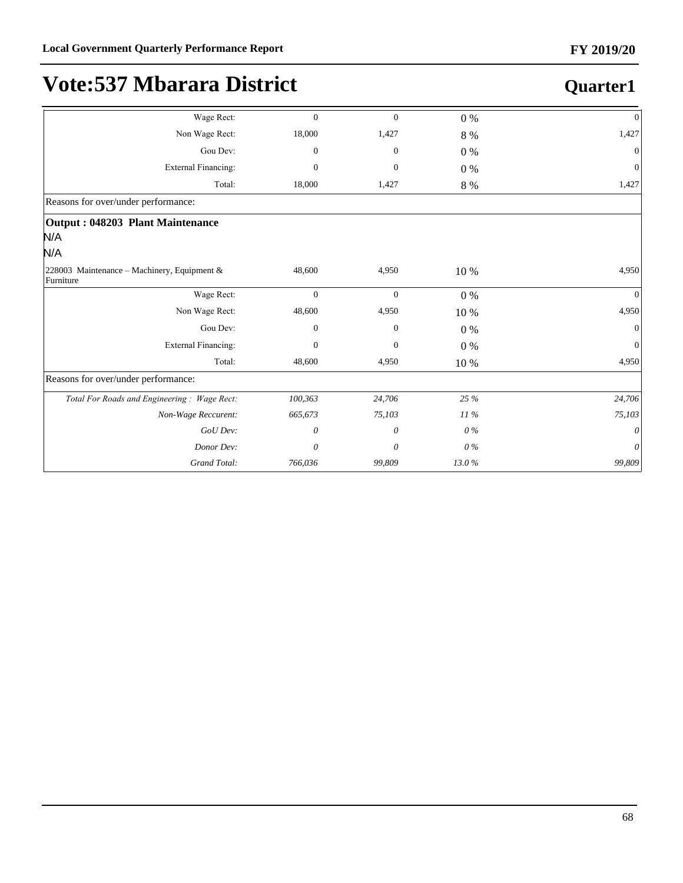| Wage Rect:                                               | $\mathbf{0}$   | $\overline{0}$ | $0\%$   | $\mathbf{0}$ |
|----------------------------------------------------------|----------------|----------------|---------|--------------|
| Non Wage Rect:                                           | 18,000         | 1,427          | $8\ \%$ | 1,427        |
| Gou Dev:                                                 | $\theta$       | $\mathbf{0}$   | $0\%$   | $\mathbf{0}$ |
| <b>External Financing:</b>                               | $\theta$       | $\mathbf{0}$   | $0\%$   | $\Omega$     |
| Total:                                                   | 18,000         | 1,427          | $8\ \%$ | 1,427        |
| Reasons for over/under performance:                      |                |                |         |              |
| Output: 048203 Plant Maintenance                         |                |                |         |              |
| N/A                                                      |                |                |         |              |
| N/A                                                      |                |                |         |              |
| 228003 Maintenance - Machinery, Equipment &<br>Furniture | 48,600         | 4,950          | 10 %    | 4,950        |
| Wage Rect:                                               | $\overline{0}$ | $\mathbf{0}$   | $0\%$   | $\Omega$     |
| Non Wage Rect:                                           | 48,600         | 4,950          | 10 %    | 4,950        |
| Gou Dev:                                                 | $\mathbf{0}$   | 0              | $0\%$   | $\Omega$     |
| <b>External Financing:</b>                               | $\theta$       | $\mathbf{0}$   | $0\%$   | $\theta$     |
| Total:                                                   | 48,600         | 4,950          | 10 %    | 4,950        |
| Reasons for over/under performance:                      |                |                |         |              |
| Total For Roads and Engineering: Wage Rect:              | 100,363        | 24,706         | 25 %    | 24,706       |
| Non-Wage Reccurent:                                      | 665,673        | 75,103         | $11\%$  | 75,103       |
| GoU Dev:                                                 | 0              | 0              | $0\%$   | 0            |
| Donor Dev:                                               | 0              | 0              | 0%      | 0            |
| Grand Total:                                             | 766,036        | 99,809         | 13.0%   | 99,809       |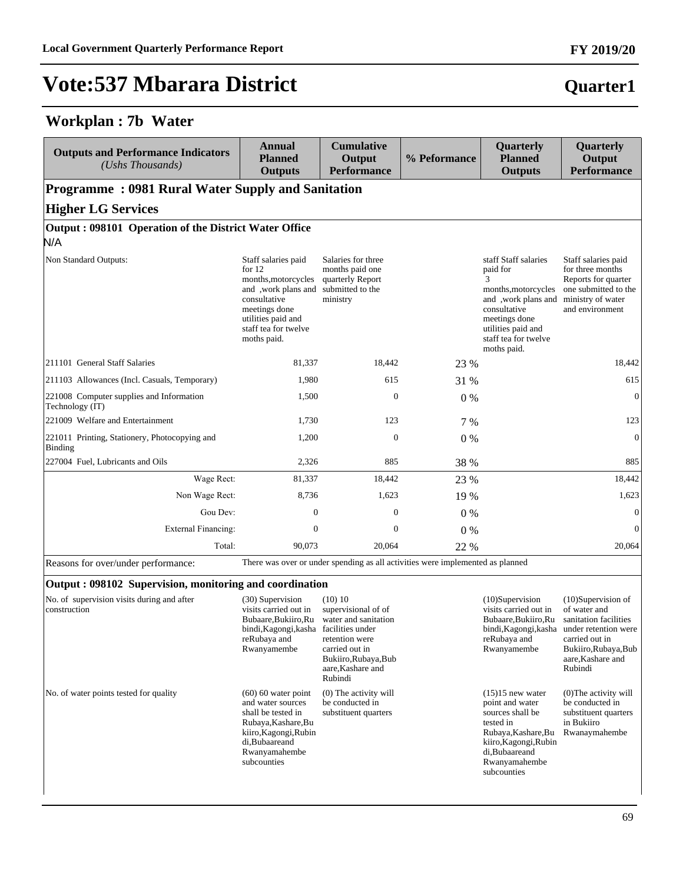#### **Workplan : 7b Water**

| <b>Outputs and Performance Indicators</b><br>(Ushs Thousands) | <b>Annual</b><br><b>Planned</b><br><b>Outputs</b>                                                                                                                            | <b>Cumulative</b><br>Output<br><b>Performance</b>                                         | % Peformance | <b>Quarterly</b><br><b>Planned</b><br><b>Outputs</b>                                                                                                                              | <b>Quarterly</b><br>Output<br><b>Performance</b>                                                                               |  |  |  |
|---------------------------------------------------------------|------------------------------------------------------------------------------------------------------------------------------------------------------------------------------|-------------------------------------------------------------------------------------------|--------------|-----------------------------------------------------------------------------------------------------------------------------------------------------------------------------------|--------------------------------------------------------------------------------------------------------------------------------|--|--|--|
| <b>Programme: 0981 Rural Water Supply and Sanitation</b>      |                                                                                                                                                                              |                                                                                           |              |                                                                                                                                                                                   |                                                                                                                                |  |  |  |
| <b>Higher LG Services</b>                                     |                                                                                                                                                                              |                                                                                           |              |                                                                                                                                                                                   |                                                                                                                                |  |  |  |
| Output: 098101 Operation of the District Water Office<br>N/A  |                                                                                                                                                                              |                                                                                           |              |                                                                                                                                                                                   |                                                                                                                                |  |  |  |
| Non Standard Outputs:                                         | Staff salaries paid<br>for $12$<br>months, motorcycles<br>and , work plans and<br>consultative<br>meetings done<br>utilities paid and<br>staff tea for twelve<br>moths paid. | Salaries for three<br>months paid one<br>quarterly Report<br>submitted to the<br>ministry |              | staff Staff salaries<br>paid for<br>3<br>months, motorcycles<br>and ,work plans and<br>consultative<br>meetings done<br>utilities paid and<br>staff tea for twelve<br>moths paid. | Staff salaries paid<br>for three months<br>Reports for quarter<br>one submitted to the<br>ministry of water<br>and environment |  |  |  |
| 211101 General Staff Salaries                                 | 81,337                                                                                                                                                                       | 18,442                                                                                    | 23 %         |                                                                                                                                                                                   | 18,442                                                                                                                         |  |  |  |
| 211103 Allowances (Incl. Casuals, Temporary)                  | 1,980                                                                                                                                                                        | 615                                                                                       | 31 %         |                                                                                                                                                                                   | 615                                                                                                                            |  |  |  |
| 221008 Computer supplies and Information<br>Technology (IT)   | 1,500                                                                                                                                                                        | $\mathbf{0}$                                                                              | $0\%$        |                                                                                                                                                                                   | $\mathbf{0}$                                                                                                                   |  |  |  |
| 221009 Welfare and Entertainment                              | 1,730                                                                                                                                                                        | 123                                                                                       | 7 %          |                                                                                                                                                                                   | 123                                                                                                                            |  |  |  |
| 221011 Printing, Stationery, Photocopying and<br>Binding      | 1,200                                                                                                                                                                        | $\mathbf{0}$                                                                              | $0\%$        |                                                                                                                                                                                   | $\boldsymbol{0}$                                                                                                               |  |  |  |
| 227004 Fuel, Lubricants and Oils                              | 2,326                                                                                                                                                                        | 885                                                                                       | 38 %         |                                                                                                                                                                                   | 885                                                                                                                            |  |  |  |
| Wage Rect:                                                    | 81,337                                                                                                                                                                       | 18,442                                                                                    | 23 %         |                                                                                                                                                                                   | 18,442                                                                                                                         |  |  |  |
| Non Wage Rect:                                                | 8,736                                                                                                                                                                        | 1,623                                                                                     | 19 %         |                                                                                                                                                                                   | 1,623                                                                                                                          |  |  |  |
| Gou Dev:                                                      | $\mathbf{0}$                                                                                                                                                                 | $\boldsymbol{0}$                                                                          | $0\%$        |                                                                                                                                                                                   | $\mathbf{0}$                                                                                                                   |  |  |  |
| <b>External Financing:</b>                                    | $\theta$                                                                                                                                                                     | $\mathbf{0}$                                                                              | $0\%$        |                                                                                                                                                                                   | $\mathbf{0}$                                                                                                                   |  |  |  |
| Total:                                                        | 90,073                                                                                                                                                                       | 20,064                                                                                    | 22 %         |                                                                                                                                                                                   | 20,064                                                                                                                         |  |  |  |

Reasons for over/under performance: There was over or under spending as all activities were implemented as planned

#### **Output : 098102 Supervision, monitoring and coordination**

| No. of supervision visits during and after<br>construction | (30) Supervision<br>visits carried out in<br>Bubaare, Bukiiro, Ru<br>bindi, Kagongi, kasha<br>reRubaya and<br>Rwanyamembe                                          | (10) 10<br>supervisional of of<br>water and sanitation<br>facilities under<br>retention were<br>carried out in<br>Bukiiro, Rubaya, Bub<br>aare, Kashare and<br>Rubindi | $(10)$ Supervision<br>visits carried out in<br>Bubaare, Bukiiro, Ru<br>bindi, Kagongi, kasha<br>reRubaya and<br>Rwanyamembe                                              | $(10)$ Supervision of<br>of water and<br>sanitation facilities<br>under retention were<br>carried out in<br>Bukiiro, Rubaya, Bub<br>aare, Kashare and<br>Rubindi |
|------------------------------------------------------------|--------------------------------------------------------------------------------------------------------------------------------------------------------------------|------------------------------------------------------------------------------------------------------------------------------------------------------------------------|--------------------------------------------------------------------------------------------------------------------------------------------------------------------------|------------------------------------------------------------------------------------------------------------------------------------------------------------------|
| No. of water points tested for quality                     | $(60)$ 60 water point<br>and water sources<br>shall be tested in<br>Rubaya, Kashare, Bu<br>kiiro, Kagongi, Rubin<br>di, Bubaareand<br>Rwanyamahembe<br>subcounties | $(0)$ The activity will<br>be conducted in<br>substituent quarters                                                                                                     | $(15)15$ new water<br>point and water<br>sources shall be<br>tested in<br>Rubaya, Kashare, Bu<br>kiiro, Kagongi, Rubin<br>di, Bubaareand<br>Rwanyamahembe<br>subcounties | $(0)$ The activity will<br>be conducted in<br>substituent quarters<br>in Bukiiro<br>Rwanaymahembe                                                                |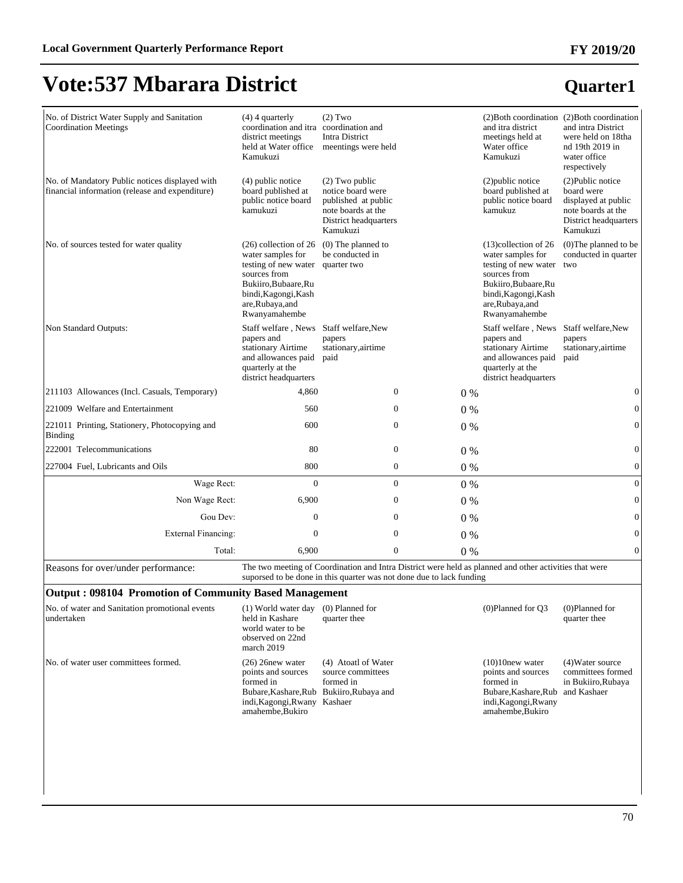| No. of District Water Supply and Sanitation<br><b>Coordination Meetings</b>                       | $(4)$ 4 quarterly<br>coordination and itra coordination and<br>district meetings<br>held at Water office<br>Kamukuzi                                                                | $(2)$ Two<br><b>Intra District</b><br>meentings were held                                                               |                |       | (2) Both coordination (2) Both coordination<br>and itra district<br>meetings held at<br>Water office<br>Kamukuzi                                                        | and intra District<br>were held on 18tha<br>nd 19th 2019 in<br>water office<br>respectively                       |
|---------------------------------------------------------------------------------------------------|-------------------------------------------------------------------------------------------------------------------------------------------------------------------------------------|-------------------------------------------------------------------------------------------------------------------------|----------------|-------|-------------------------------------------------------------------------------------------------------------------------------------------------------------------------|-------------------------------------------------------------------------------------------------------------------|
| No. of Mandatory Public notices displayed with<br>financial information (release and expenditure) | (4) public notice<br>board published at<br>public notice board<br>kamukuzi                                                                                                          | $(2)$ Two public<br>notice board were<br>published at public<br>note boards at the<br>District headquarters<br>Kamukuzi |                |       | (2) public notice<br>board published at<br>public notice board<br>kamukuz                                                                                               | (2) Public notice<br>board were<br>displayed at public<br>note boards at the<br>District headquarters<br>Kamukuzi |
| No. of sources tested for water quality                                                           | $(26)$ collection of 26<br>water samples for<br>testing of new water quarter two<br>sources from<br>Bukiiro.Bubaare.Ru<br>bindi, Kagongi, Kash<br>are, Rubaya, and<br>Rwanyamahembe | (0) The planned to<br>be conducted in                                                                                   |                |       | $(13)$ collection of 26<br>water samples for<br>testing of new water<br>sources from<br>Bukiiro.Bubaare.Ru<br>bindi, Kagongi, Kash<br>are, Rubaya, and<br>Rwanyamahembe | (0) The planned to be<br>conducted in quarter<br>two                                                              |
| Non Standard Outputs:                                                                             | Staff welfare, News<br>papers and<br>stationary Airtime<br>and allowances paid<br>quarterly at the<br>district headquarters                                                         | Staff welfare, New<br>papers<br>stationary, airtime<br>paid                                                             |                |       | Staff welfare, News<br>papers and<br>stationary Airtime<br>and allowances paid<br>quarterly at the<br>district headquarters                                             | Staff welfare, New<br>papers<br>stationary, airtime<br>paid                                                       |
| 211103 Allowances (Incl. Casuals, Temporary)                                                      | 4,860                                                                                                                                                                               |                                                                                                                         | $\overline{0}$ | 0%    |                                                                                                                                                                         | $\boldsymbol{0}$                                                                                                  |
| 221009 Welfare and Entertainment                                                                  | 560                                                                                                                                                                                 |                                                                                                                         | $\Omega$       | 0%    |                                                                                                                                                                         | $\mathbf{0}$                                                                                                      |
| 221011 Printing, Stationery, Photocopying and<br>Binding                                          | 600                                                                                                                                                                                 |                                                                                                                         | $\mathbf{0}$   | 0%    |                                                                                                                                                                         | $\boldsymbol{0}$                                                                                                  |
| 222001 Telecommunications                                                                         | 80                                                                                                                                                                                  |                                                                                                                         | $\mathbf{0}$   | $0\%$ |                                                                                                                                                                         | $\mathbf{0}$                                                                                                      |
| 227004 Fuel, Lubricants and Oils                                                                  | 800                                                                                                                                                                                 |                                                                                                                         | $\overline{0}$ | $0\%$ |                                                                                                                                                                         | $\boldsymbol{0}$                                                                                                  |
| Wage Rect:                                                                                        | $\mathbf{0}$                                                                                                                                                                        |                                                                                                                         | $\Omega$       | 0%    |                                                                                                                                                                         | $\boldsymbol{0}$                                                                                                  |
| Non Wage Rect:                                                                                    | 6,900                                                                                                                                                                               |                                                                                                                         | $\overline{0}$ | 0%    |                                                                                                                                                                         | $\boldsymbol{0}$                                                                                                  |
| Gou Dev:                                                                                          | $\mathbf{0}$                                                                                                                                                                        |                                                                                                                         | $\overline{0}$ | 0%    |                                                                                                                                                                         | $\boldsymbol{0}$                                                                                                  |
| <b>External Financing:</b>                                                                        | $\theta$                                                                                                                                                                            |                                                                                                                         | $\Omega$       | 0%    |                                                                                                                                                                         | $\mathbf{0}$                                                                                                      |
| Total:                                                                                            | 6.900                                                                                                                                                                               |                                                                                                                         | $\overline{0}$ | 0%    |                                                                                                                                                                         | $\mathbf{0}$                                                                                                      |

Reasons for over/under performance: The two meeting of Coordination and Intra District were held as planned and other activities that were suporsed to be done in this quarter was not done due to lack funding

#### **Output : 098104 Promotion of Community Based Management**

| No. of water and Sanitation promotional events<br>undertaken | (1) World water day<br>held in Kashare<br>world water to be<br>observed on 22nd<br>march $2019$                                                        | (0) Planned for<br>quarter thee                       | $(0)$ Planned for $O3$                                                                                                                | $(0)$ Planned for<br>quarter thee                           |
|--------------------------------------------------------------|--------------------------------------------------------------------------------------------------------------------------------------------------------|-------------------------------------------------------|---------------------------------------------------------------------------------------------------------------------------------------|-------------------------------------------------------------|
| No. of water user committees formed.                         | $(26)$ 26 new water<br>points and sources<br>formed in<br>Bubare, Kashare, Rub Bukiiro, Rubaya and<br>indi, Kagongi, Rwany Kashaer<br>amahembe, Bukiro | (4) Atoatl of Water<br>source committees<br>formed in | $(10)10$ new water<br>points and sources<br>formed in<br>Bubare, Kashare, Rub and Kashaer<br>indi, Kagongi, Rwany<br>amahembe, Bukiro | (4) Water source<br>committees formed<br>in Bukiiro, Rubaya |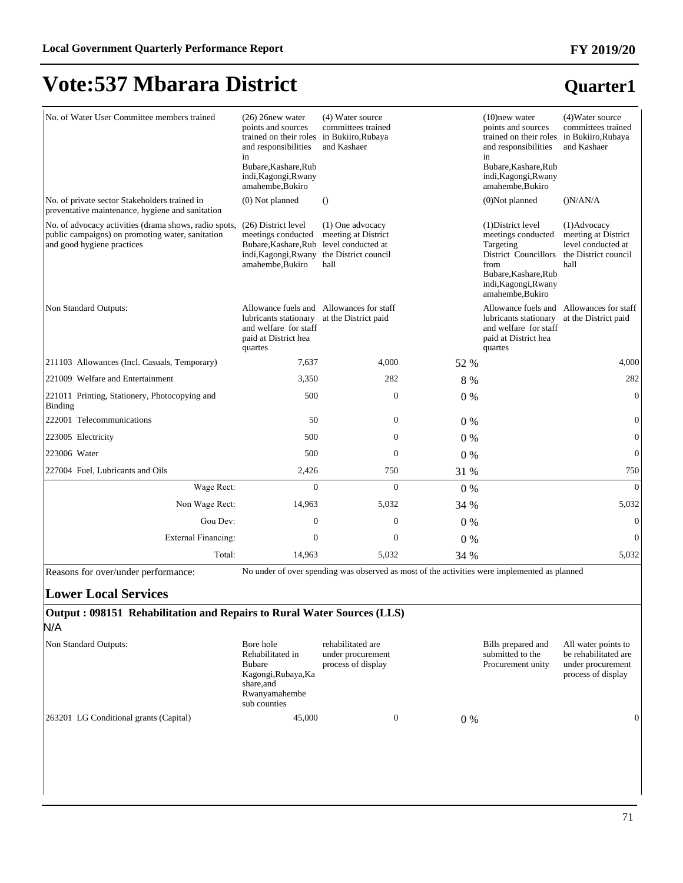#### No. of Water User Committee members trained (26) 26new water points and sources trained on their roles in Bukiiro,Rubaya and responsibilities in Bubare,Kashare,Rub indi,Kagongi,Rwany amahembe,Bukiro (4) Water source committees trained and Kashaer (10)new water points and sources trained on their roles and responsibilities in Bubare,Kashare,Rub indi,Kagongi,Rwany amahembe,Bukiro (4)Water source committees trained in Bukiiro,Rubaya and Kashaer No. of private sector Stakeholders trained in preventative maintenance, hygiene and sanitation (0) Not planned (1) (0) Not planned (1) N/AN/A No. of advocacy activities (drama shows, radio spots, (26) District level public campaigns) on promoting water, sanitation and good hygiene practices meetings conducted Bubare,Kashare,Rub level conducted at indi,Kagongi,Rwany the District council amahembe,Bukiro (1) One advocacy meeting at District hall (1)District level meetings conducted Targeting District Councillors from Bubare,Kashare,Rub indi,Kagongi,Rwany amahembe,Bukiro (1)Advocacy meeting at District level conducted at the District council hall Non Standard Outputs: lubricants stationary at the District paid and welfare for staff paid at District hea quartes Allowance fuels and Allowances for staff Allowance fuels and Allowances for staff lubricants stationary at the District paid and welfare for staff paid at District hea quartes 211103 Allowances (Incl. Casuals, Temporary) 7,637 4,000 52 % 4,000 221009 Welfare and Entertainment 23,350 282 8 % 282 8 % 282 221011 Printing, Stationery, Photocopying and Binding  $500$  0 0 0 % 0  $222001$  Telecommunications  $50$   $0$   $0\%$ 223005 Electricity 600  $\sqrt{0.00}$  0  $\sqrt{0.00}$  0  $\sqrt{0.00}$  0  $\sqrt{0.00}$  0  $\sqrt{0.00}$  0  $\sqrt{0.00}$  0  $\sqrt{0.00}$  0  $\sqrt{0.00}$  0  $\sqrt{0.00}$  0  $\sqrt{0.00}$  0  $\sqrt{0.00}$  0  $\sqrt{0.00}$  0  $\sqrt{0.00}$  0  $\sqrt{0.00}$  0  $\sqrt{0.00}$  0  $\sqrt$ 223006 Water 500 0 0 % 0 227004 Fuel, Lubricants and Oils 2,426 750 31 % 750 31 % 750 :DJH5HFW 0 0 0 % 0 Non Wage Rect: 14,963 5,032 34 % 5,032 5,032 Gou Dev:  $0 \t 0 \t 0 \t 0 \t 0$ External Financing:  $\begin{array}{ccc} 0 & 0 & 0 \\ 0 & 0 & 0 \end{array}$ 70tal: 14,963 5,032 34 % 5,032

Reasons for over/under performance: No under of over spending was observed as most of the activities were implemented as planned

#### **Lower Local Services**

#### **Output : 098151 Rehabilitation and Repairs to Rural Water Sources (LLS)** N/A

| Non Standard Outputs:                   | Bore hole<br>Rehabilitated in<br>Bubare<br>Kagongi, Rubaya, Ka<br>share, and<br>Rwanyamahembe<br>sub counties | rehabilitated are<br>under procurement<br>process of display | Bills prepared and<br>submitted to the<br>Procurement unity | All water points to<br>be rehabilitated are<br>under procurement<br>process of display |
|-----------------------------------------|---------------------------------------------------------------------------------------------------------------|--------------------------------------------------------------|-------------------------------------------------------------|----------------------------------------------------------------------------------------|
| [263201 LG Conditional grants (Capital) | 45,000                                                                                                        |                                                              | $0\%$                                                       |                                                                                        |

**FY 2019/20**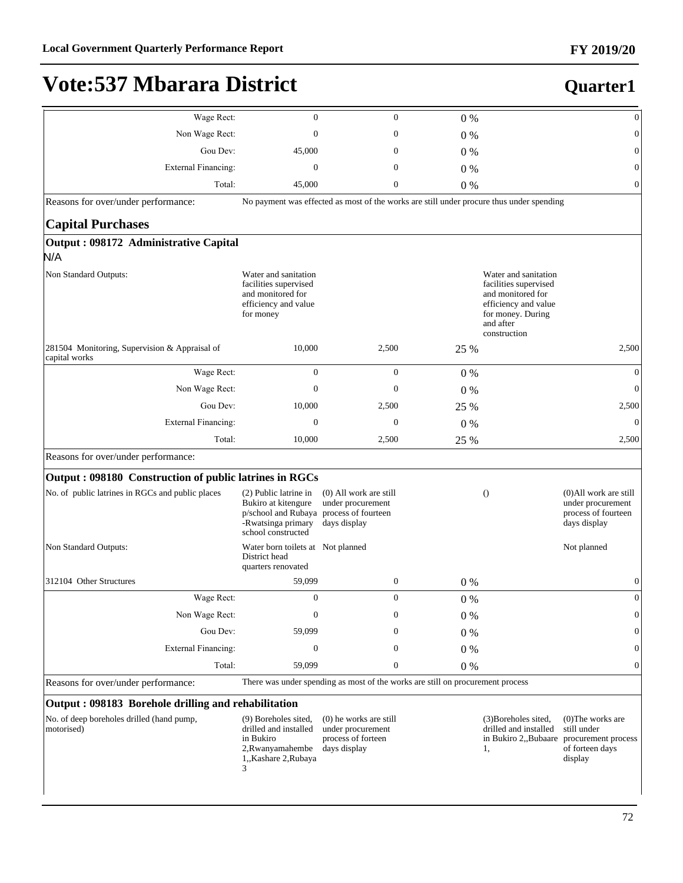| Wage Rect:                                                     | $\boldsymbol{0}$                                                                                                                    | $\overline{0}$                                                                           | $0\%$   |                                                                                                                                              | $\boldsymbol{0}$                                                                                              |
|----------------------------------------------------------------|-------------------------------------------------------------------------------------------------------------------------------------|------------------------------------------------------------------------------------------|---------|----------------------------------------------------------------------------------------------------------------------------------------------|---------------------------------------------------------------------------------------------------------------|
| Non Wage Rect:                                                 | $\mathbf{0}$                                                                                                                        | $\mathbf{0}$                                                                             | $0\%$   |                                                                                                                                              | $\boldsymbol{0}$                                                                                              |
| Gou Dev:                                                       | 45,000                                                                                                                              | $\mathbf{0}$                                                                             | $0\%$   |                                                                                                                                              | $\boldsymbol{0}$                                                                                              |
| <b>External Financing:</b>                                     | $\mathbf{0}$                                                                                                                        | $\mathbf{0}$                                                                             | 0%      |                                                                                                                                              | $\boldsymbol{0}$                                                                                              |
| Total:                                                         | 45,000                                                                                                                              | $\mathbf{0}$                                                                             | $0\%$   |                                                                                                                                              | $\boldsymbol{0}$                                                                                              |
| Reasons for over/under performance:                            |                                                                                                                                     | No payment was effected as most of the works are still under procure thus under spending |         |                                                                                                                                              |                                                                                                               |
| <b>Capital Purchases</b>                                       |                                                                                                                                     |                                                                                          |         |                                                                                                                                              |                                                                                                               |
| Output: 098172 Administrative Capital<br>N/A                   |                                                                                                                                     |                                                                                          |         |                                                                                                                                              |                                                                                                               |
| Non Standard Outputs:                                          | Water and sanitation<br>facilities supervised<br>and monitored for<br>efficiency and value<br>for money                             |                                                                                          |         | Water and sanitation<br>facilities supervised<br>and monitored for<br>efficiency and value<br>for money. During<br>and after<br>construction |                                                                                                               |
| 281504 Monitoring, Supervision & Appraisal of<br>capital works | 10,000                                                                                                                              | 2,500                                                                                    | 25 %    |                                                                                                                                              | 2,500                                                                                                         |
| Wage Rect:                                                     | $\boldsymbol{0}$                                                                                                                    | $\mathbf{0}$                                                                             | $0\%$   |                                                                                                                                              | $\theta$                                                                                                      |
| Non Wage Rect:                                                 | $\overline{0}$                                                                                                                      | $\mathbf{0}$                                                                             | $0\%$   |                                                                                                                                              | $\theta$                                                                                                      |
| Gou Dev:                                                       | 10,000                                                                                                                              | 2,500                                                                                    | 25 %    |                                                                                                                                              | 2,500                                                                                                         |
| <b>External Financing:</b>                                     | $\overline{0}$                                                                                                                      | $\mathbf{0}$                                                                             | $0\%$   |                                                                                                                                              | $\theta$                                                                                                      |
| Total:                                                         | 10,000                                                                                                                              | 2,500                                                                                    | 25 %    |                                                                                                                                              | 2,500                                                                                                         |
| Reasons for over/under performance:                            |                                                                                                                                     |                                                                                          |         |                                                                                                                                              |                                                                                                               |
| Output: 098180 Construction of public latrines in RGCs         |                                                                                                                                     |                                                                                          |         |                                                                                                                                              |                                                                                                               |
| No. of public latrines in RGCs and public places               | (2) Public latrine in<br>Bukiro at kitengure<br>p/school and Rubaya process of fourteen<br>-Rwatsinga primary<br>school constructed | (0) All work are still<br>under procurement<br>days display                              |         | $\theta$                                                                                                                                     | $(0)$ All work are still<br>under procurement<br>process of fourteen<br>days display                          |
| Non Standard Outputs:                                          | Water born toilets at Not planned<br>District head<br>quarters renovated                                                            |                                                                                          |         |                                                                                                                                              | Not planned                                                                                                   |
| 312104 Other Structures                                        | 59,099                                                                                                                              | $\boldsymbol{0}$                                                                         | $0\%$   |                                                                                                                                              | $\boldsymbol{0}$                                                                                              |
| Wage Rect:                                                     | $\overline{0}$                                                                                                                      | $\mathbf{0}$                                                                             | $0\ \%$ |                                                                                                                                              | $\overline{0}$                                                                                                |
| Non Wage Rect:                                                 | $\mathbf{0}$                                                                                                                        | $\mathbf{0}$                                                                             | 0 %     |                                                                                                                                              | $\boldsymbol{0}$                                                                                              |
| Gou Dev:                                                       | 59,099                                                                                                                              | $\mathbf{0}$                                                                             | $0\%$   |                                                                                                                                              | $\boldsymbol{0}$                                                                                              |
| <b>External Financing:</b>                                     | $\boldsymbol{0}$                                                                                                                    | $\mathbf{0}$                                                                             | 0%      |                                                                                                                                              | $\boldsymbol{0}$                                                                                              |
| Total:                                                         | 59,099                                                                                                                              | $\boldsymbol{0}$                                                                         | 0%      |                                                                                                                                              | $\boldsymbol{0}$                                                                                              |
| Reasons for over/under performance:                            |                                                                                                                                     | There was under spending as most of the works are still on procurement process           |         |                                                                                                                                              |                                                                                                               |
| Output: 098183 Borehole drilling and rehabilitation            |                                                                                                                                     |                                                                                          |         |                                                                                                                                              |                                                                                                               |
| No. of deep boreholes drilled (hand pump,<br>motorised)        | (9) Boreholes sited,<br>drilled and installed<br>in Bukiro<br>2, Rwanyamahembe<br>1,,Kashare 2,Rubaya<br>3                          | $(0)$ he works are still<br>under procurement<br>process of forteen<br>days display      |         | (3) Boreholes sited,<br>drilled and installed<br>1,                                                                                          | $(0)$ The works are<br>still under<br>in Bukiro 2,, Bubaare procurement process<br>of forteen days<br>display |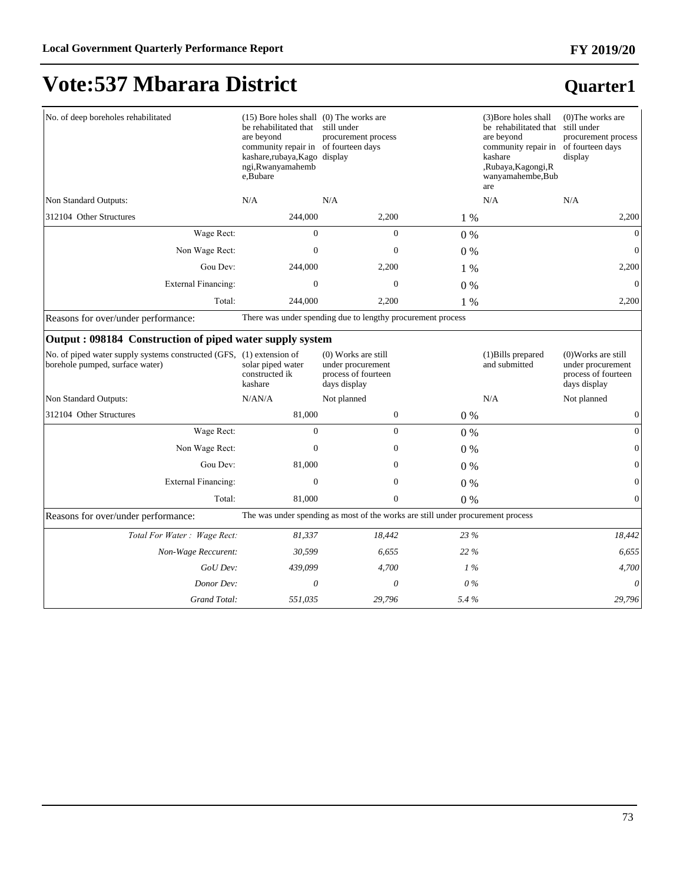### **Quarter1**

| No. of deep boreholes rehabilitated                                                                     | $(15)$ Bore holes shall $(0)$ The works are<br>be rehabilitated that<br>are beyond<br>community repair in of fourteen days<br>kashare,rubaya,Kago display<br>ngi, Rwanyamahemb<br>e.Bubare | still under<br>procurement process                                                |       | (3) Bore holes shall<br>be rehabilitated that<br>are beyond<br>community repair in<br>kashare<br>,Rubaya,Kagongi,R<br>wanyamahembe, Bub<br>are | $(0)$ The works are<br>still under<br>procurement process<br>of fourteen days<br>display |
|---------------------------------------------------------------------------------------------------------|--------------------------------------------------------------------------------------------------------------------------------------------------------------------------------------------|-----------------------------------------------------------------------------------|-------|------------------------------------------------------------------------------------------------------------------------------------------------|------------------------------------------------------------------------------------------|
| Non Standard Outputs:                                                                                   | N/A                                                                                                                                                                                        | N/A                                                                               |       | N/A                                                                                                                                            | N/A                                                                                      |
| 312104 Other Structures                                                                                 | 244,000                                                                                                                                                                                    | 2,200                                                                             | 1 %   |                                                                                                                                                | 2,200                                                                                    |
| Wage Rect:                                                                                              | $\Omega$                                                                                                                                                                                   | $\Omega$                                                                          | $0\%$ |                                                                                                                                                | $\mathbf{0}$                                                                             |
| Non Wage Rect:                                                                                          | $\Omega$                                                                                                                                                                                   | $\Omega$                                                                          | 0%    |                                                                                                                                                | $\mathbf{0}$                                                                             |
| Gou Dev:                                                                                                | 244,000                                                                                                                                                                                    | 2,200                                                                             | 1 %   |                                                                                                                                                | 2,200                                                                                    |
| <b>External Financing:</b>                                                                              | $\overline{0}$                                                                                                                                                                             | $\theta$                                                                          | 0%    |                                                                                                                                                | $\theta$                                                                                 |
| Total:                                                                                                  | 244,000                                                                                                                                                                                    | 2,200                                                                             | 1 %   |                                                                                                                                                | 2,200                                                                                    |
| Reasons for over/under performance:                                                                     |                                                                                                                                                                                            | There was under spending due to lengthy procurement process                       |       |                                                                                                                                                |                                                                                          |
| Output: 098184 Construction of piped water supply system                                                |                                                                                                                                                                                            |                                                                                   |       |                                                                                                                                                |                                                                                          |
| No. of piped water supply systems constructed (GFS, (1) extension of<br>borehole pumped, surface water) | solar piped water<br>constructed ik<br>kashare                                                                                                                                             | $(0)$ Works are still<br>under procurement<br>process of fourteen<br>days display |       | $(1)$ Bills prepared<br>and submitted                                                                                                          | $(0)$ Works are still<br>under procurement<br>process of fourteen<br>days display        |
| Non Standard Outputs:                                                                                   | N/AN/A                                                                                                                                                                                     | Not planned                                                                       |       | N/A                                                                                                                                            | Not planned                                                                              |
| 312104 Other Structures                                                                                 | 81,000                                                                                                                                                                                     | $\mathbf{0}$                                                                      | $0\%$ |                                                                                                                                                | $\mathbf{0}$                                                                             |
| Wage Rect:                                                                                              | $\Omega$                                                                                                                                                                                   | $\Omega$                                                                          | $0\%$ |                                                                                                                                                | $\mathbf{0}$                                                                             |
| Non Wage Rect:                                                                                          | $\theta$                                                                                                                                                                                   | $\overline{0}$                                                                    | 0%    |                                                                                                                                                | $\mathbf{0}$                                                                             |
| Gou Dev:                                                                                                | 81,000                                                                                                                                                                                     | $\overline{0}$                                                                    | 0%    |                                                                                                                                                | $\mathbf{0}$                                                                             |
| <b>External Financing:</b>                                                                              | $\Omega$                                                                                                                                                                                   | $\overline{0}$                                                                    | 0%    |                                                                                                                                                | $\mathbf{0}$                                                                             |
| Total:                                                                                                  | 81,000                                                                                                                                                                                     | $\overline{0}$                                                                    | 0%    |                                                                                                                                                | $\boldsymbol{0}$                                                                         |
| Reasons for over/under performance:                                                                     |                                                                                                                                                                                            | The was under spending as most of the works are still under procurement process   |       |                                                                                                                                                |                                                                                          |
| Total For Water: Wage Rect:                                                                             | 81,337                                                                                                                                                                                     | 18,442                                                                            | 23 %  |                                                                                                                                                | 18,442                                                                                   |

 *Non-Wage Reccurent: 30,599 6,655 22 % 6,655*

*GoU Dev: 439,099 4,700 1 % 4,700 Donor Dev: 0 0 0 % 0 Grand Total: 551,035 29,796 5.4 % 29,796*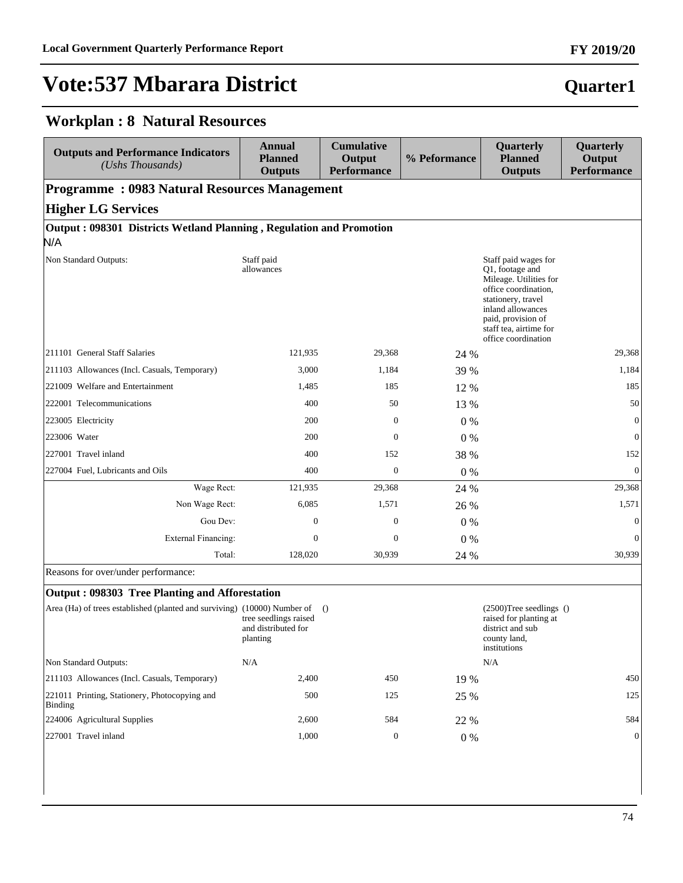# **Quarter1**

#### **Workplan : 8 Natural Resources**

| <b>Outputs and Performance Indicators</b><br>(Ushs Thousands)                         | Annual<br><b>Planned</b><br><b>Outputs</b> | <b>Cumulative</b><br>Output<br><b>Performance</b> | % Peformance | Quarterly<br><b>Planned</b><br><b>Outputs</b>                                                                                                                                                               | Quarterly<br>Output<br><b>Performance</b> |
|---------------------------------------------------------------------------------------|--------------------------------------------|---------------------------------------------------|--------------|-------------------------------------------------------------------------------------------------------------------------------------------------------------------------------------------------------------|-------------------------------------------|
| <b>Programme: 0983 Natural Resources Management</b>                                   |                                            |                                                   |              |                                                                                                                                                                                                             |                                           |
| <b>Higher LG Services</b>                                                             |                                            |                                                   |              |                                                                                                                                                                                                             |                                           |
| Output: 098301 Districts Wetland Planning, Regulation and Promotion<br>N/A            |                                            |                                                   |              |                                                                                                                                                                                                             |                                           |
| Non Standard Outputs:                                                                 | Staff paid<br>allowances                   |                                                   |              | Staff paid wages for<br>O1, footage and<br>Mileage. Utilities for<br>office coordination,<br>stationery, travel<br>inland allowances<br>paid, provision of<br>staff tea, airtime for<br>office coordination |                                           |
| 211101 General Staff Salaries                                                         | 121,935                                    | 29,368                                            | 24 %         |                                                                                                                                                                                                             | 29,368                                    |
| 211103 Allowances (Incl. Casuals, Temporary)                                          | 3,000                                      | 1,184                                             | 39 %         |                                                                                                                                                                                                             | 1,184                                     |
| 221009 Welfare and Entertainment                                                      | 1,485                                      | 185                                               | 12 %         |                                                                                                                                                                                                             | 185                                       |
| 222001 Telecommunications                                                             | 400                                        | 50                                                | 13 %         |                                                                                                                                                                                                             | 50                                        |
| 223005 Electricity                                                                    | 200                                        | $\boldsymbol{0}$                                  | $0\%$        |                                                                                                                                                                                                             | $\overline{0}$                            |
| 223006 Water                                                                          | 200                                        | $\Omega$                                          | $0\%$        |                                                                                                                                                                                                             | $\mathbf{0}$                              |
| 227001 Travel inland                                                                  | 400                                        | 152                                               | 38 %         |                                                                                                                                                                                                             | 152                                       |
| 227004 Fuel, Lubricants and Oils                                                      | 400                                        | $\mathbf{0}$                                      | 0%           |                                                                                                                                                                                                             | $\overline{0}$                            |
| Wage Rect:                                                                            | 121,935                                    | 29,368                                            | 24 %         |                                                                                                                                                                                                             | 29,368                                    |
| Non Wage Rect:                                                                        | 6,085                                      | 1,571                                             | 26 %         |                                                                                                                                                                                                             | 1,571                                     |
| Gou Dev:                                                                              | $\mathbf{0}$                               | $\mathbf{0}$                                      | $0\%$        |                                                                                                                                                                                                             | $\overline{0}$                            |
| <b>External Financing:</b>                                                            | $\mathbf{0}$                               | $\mathbf{0}$                                      | $0\%$        |                                                                                                                                                                                                             | $\Omega$                                  |
| Total:                                                                                | 128,020                                    | 30,939                                            | 24 %         |                                                                                                                                                                                                             | 30,939                                    |
| Reasons for over/under performance:<br>Output: 098303 Tree Planting and Afforestation |                                            |                                                   |              |                                                                                                                                                                                                             |                                           |

#### **Output : 098303 Tree Planting and Afforestation**

| $Area (Ha)$ of trees established (planted and surviving) (10000) Number of | tree seedlings raised<br>and distributed for<br>planting | $\bigcirc$ |       | $(2500)$ Tree seedlings ()<br>raised for planting at<br>district and sub<br>county land,<br>institutions |
|----------------------------------------------------------------------------|----------------------------------------------------------|------------|-------|----------------------------------------------------------------------------------------------------------|
| Non Standard Outputs:                                                      | N/A                                                      |            |       | N/A                                                                                                      |
| [211103 Allowances (Incl. Casuals, Temporary)                              | 2,400                                                    | 450        | 19 %  | 450                                                                                                      |
| [221011 Printing, Stationery, Photocopying and<br>Binding                  | 500                                                      | 125        | 25 %  | 125                                                                                                      |
| 224006 Agricultural Supplies                                               | 2.600                                                    | 584        | 22 %  | 584                                                                                                      |
| 227001 Travel inland                                                       | 1,000                                                    | 0          | $0\%$ | $\overline{0}$                                                                                           |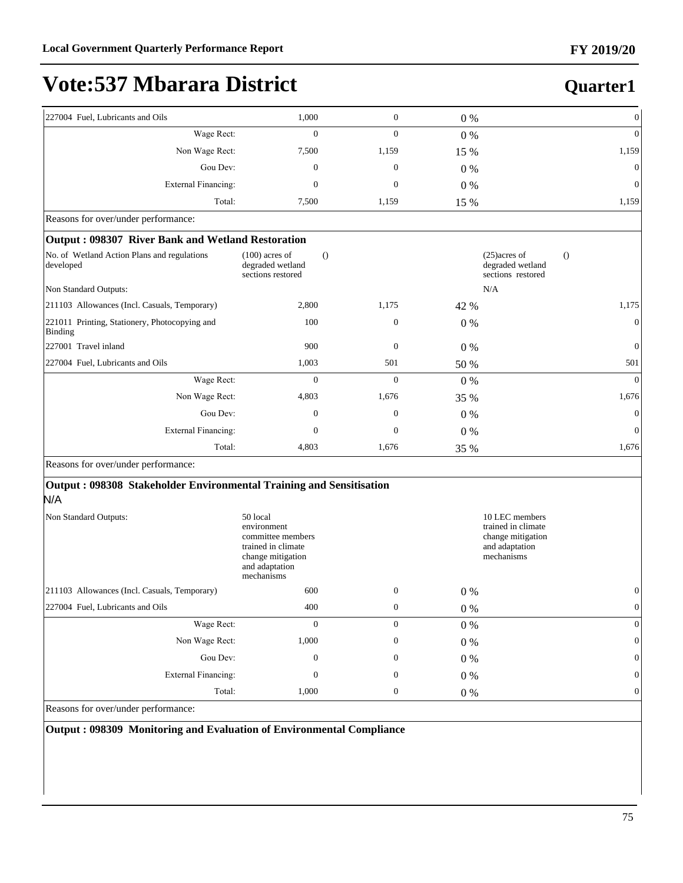**Quarter1**

## **Vote:537 Mbarara District**

| 227004 Fuel, Lubricants and Oils                         | 1,000                                                     | $\mathbf{0}$     | $0\%$ | $\Omega$                                                            |
|----------------------------------------------------------|-----------------------------------------------------------|------------------|-------|---------------------------------------------------------------------|
| Wage Rect:                                               | $\mathbf{0}$                                              | $\boldsymbol{0}$ | 0%    | $\overline{0}$                                                      |
| Non Wage Rect:                                           | 7,500                                                     | 1,159            | 15 %  | 1,159                                                               |
| Gou Dev:                                                 | $\mathbf{0}$                                              | $\theta$         | $0\%$ | $\boldsymbol{0}$                                                    |
| <b>External Financing:</b>                               | $\mathbf{0}$                                              | $\theta$         | $0\%$ | $\mathbf{0}$                                                        |
| Total:                                                   | 7,500                                                     | 1,159            | 15 %  | 1,159                                                               |
| Reasons for over/under performance:                      |                                                           |                  |       |                                                                     |
| Output: 098307 River Bank and Wetland Restoration        |                                                           |                  |       |                                                                     |
| No. of Wetland Action Plans and regulations<br>developed | $(100)$ acres of<br>degraded wetland<br>sections restored | $\Omega$         |       | $(25)$ acres of<br>$\circ$<br>degraded wetland<br>sections restored |
| Non Standard Outputs:                                    |                                                           |                  |       | N/A                                                                 |
| 211103 Allowances (Incl. Casuals, Temporary)             | 2,800                                                     | 1,175            | 42 %  | 1,175                                                               |
| 221011 Printing, Stationery, Photocopying and<br>Binding | 100                                                       | $\boldsymbol{0}$ | $0\%$ | $\mathbf{0}$                                                        |
| 227001 Travel inland                                     | 900                                                       | $\mathbf{0}$     | $0\%$ | $\mathbf{0}$                                                        |
| 227004 Fuel, Lubricants and Oils                         | 1,003                                                     | 501              | 50 %  | 501                                                                 |
| Wage Rect:                                               | $\mathbf{0}$                                              | $\mathbf{0}$     | 0%    | $\Omega$                                                            |
| Non Wage Rect:                                           | 4,803                                                     | 1,676            | 35 %  | 1,676                                                               |
| Gou Dev:                                                 | $\mathbf{0}$                                              | $\boldsymbol{0}$ | $0\%$ | $\overline{0}$                                                      |
| External Financing:                                      | $\Omega$                                                  | $\theta$         | $0\%$ | $\Omega$                                                            |
| Total:                                                   | 4,803                                                     | 1,676            | 35 %  | 1,676                                                               |
| Reasons for over/under performance:                      |                                                           |                  |       |                                                                     |

#### **Output : 098308 Stakeholder Environmental Training and Sensitisation**  N/A

| Non Standard Outputs:                         | 50 local<br>environment<br>committee members<br>trained in climate<br>change mitigation<br>and adaptation<br>mechanisms | 10 LEC members<br>trained in climate<br>change mitigation<br>and adaptation<br>mechanisms |       |                |
|-----------------------------------------------|-------------------------------------------------------------------------------------------------------------------------|-------------------------------------------------------------------------------------------|-------|----------------|
| [211103 Allowances (Incl. Casuals, Temporary) | 600                                                                                                                     | $\mathbf{0}$                                                                              | $0\%$ | $\overline{0}$ |
| 227004 Fuel, Lubricants and Oils              | 400                                                                                                                     | $\mathbf{0}$                                                                              | $0\%$ | $\mathbf{0}$   |
| Wage Rect:                                    | $\Omega$                                                                                                                | $\Omega$                                                                                  | 0 %   | $\mathbf{0}$   |
| Non Wage Rect:                                | 1,000                                                                                                                   | $\mathbf{0}$                                                                              | $0\%$ | $\overline{0}$ |
| Gou Dev:                                      | $\mathbf{0}$                                                                                                            | $\mathbf{0}$                                                                              | $0\%$ | $\overline{0}$ |
| External Financing:                           | $\mathbf{0}$                                                                                                            | $\mathbf{0}$                                                                              | $0\%$ | $\overline{0}$ |
| Total:                                        | 1,000                                                                                                                   | $\boldsymbol{0}$                                                                          | $0\%$ | $\mathbf{0}$   |

Reasons for over/under performance:

**Output : 098309 Monitoring and Evaluation of Environmental Compliance**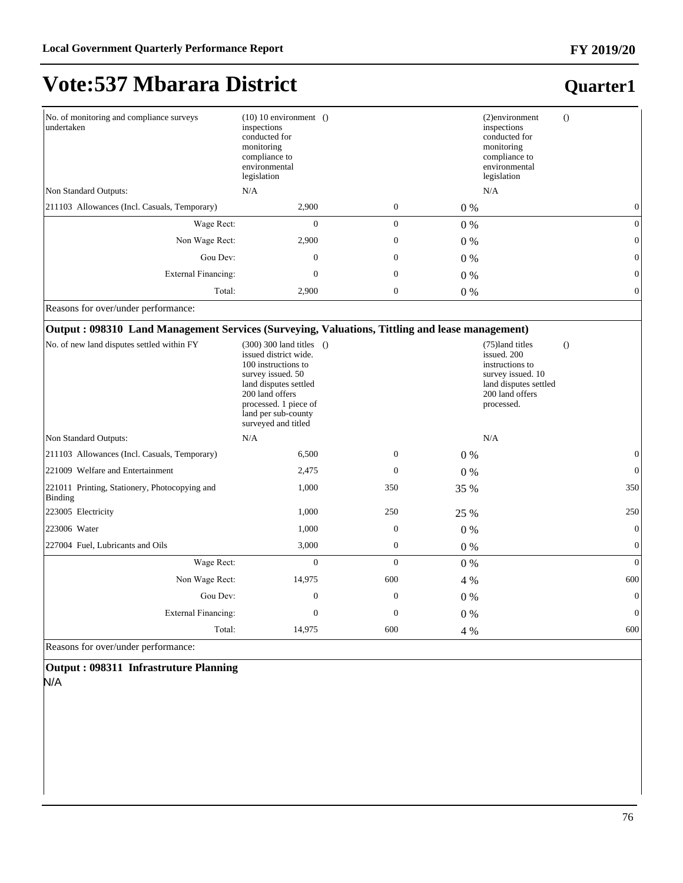## **Vote:537 Mbarara District**

| No. of monitoring and compliance surveys<br>undertaken | $(10)$ 10 environment ()<br>inspections<br>conducted for<br>monitoring<br>compliance to<br>environmental<br>legislation |                  |       | (2)environment<br>$\Omega$<br>inspections<br>conducted for<br>monitoring<br>compliance to<br>environmental<br>legislation |
|--------------------------------------------------------|-------------------------------------------------------------------------------------------------------------------------|------------------|-------|---------------------------------------------------------------------------------------------------------------------------|
| Non Standard Outputs:                                  | N/A                                                                                                                     |                  |       | N/A                                                                                                                       |
| [211103 Allowances (Incl. Casuals, Temporary)          | 2,900                                                                                                                   | $\mathbf{0}$     | $0\%$ |                                                                                                                           |
| Wage Rect:                                             | $\mathbf{0}$                                                                                                            | $\mathbf{0}$     | $0\%$ | $\Omega$                                                                                                                  |
| Non Wage Rect:                                         | 2,900                                                                                                                   | $\boldsymbol{0}$ | $0\%$ | $\Omega$                                                                                                                  |
| Gou Dev:                                               | $\mathbf{0}$                                                                                                            | $\boldsymbol{0}$ | $0\%$ | 0                                                                                                                         |
| <b>External Financing:</b>                             | 0                                                                                                                       | $\boldsymbol{0}$ | $0\%$ | $\Omega$                                                                                                                  |
| Total:                                                 | 2,900                                                                                                                   | $\boldsymbol{0}$ | $0\%$ | $\theta$                                                                                                                  |

Reasons for over/under performance:

#### **Output : 098310 Land Management Services (Surveying, Valuations, Tittling and lease management)**

| No. of new land disputes settled within FY               | $(300)$ 300 land titles $()$<br>issued district wide.<br>100 instructions to<br>survey issued. 50<br>land disputes settled<br>200 land offers<br>processed. 1 piece of<br>land per sub-county<br>surveyed and titled |                  |       | (75)land titles<br>$\Omega$<br>issued. 200<br>instructions to<br>survey issued. 10<br>land disputes settled<br>200 land offers<br>processed. |
|----------------------------------------------------------|----------------------------------------------------------------------------------------------------------------------------------------------------------------------------------------------------------------------|------------------|-------|----------------------------------------------------------------------------------------------------------------------------------------------|
| Non Standard Outputs:                                    | N/A                                                                                                                                                                                                                  |                  |       | N/A                                                                                                                                          |
| 211103 Allowances (Incl. Casuals, Temporary)             | 6,500                                                                                                                                                                                                                | $\mathbf{0}$     | $0\%$ | 0                                                                                                                                            |
| 221009 Welfare and Entertainment                         | 2,475                                                                                                                                                                                                                | $\Omega$         | $0\%$ | $\Omega$                                                                                                                                     |
| 221011 Printing, Stationery, Photocopying and<br>Binding | 1,000                                                                                                                                                                                                                | 350              | 35 %  | 350                                                                                                                                          |
| 223005 Electricity                                       | 1,000                                                                                                                                                                                                                | 250              | 25 %  | 250                                                                                                                                          |
| 223006 Water                                             | 1,000                                                                                                                                                                                                                | $\boldsymbol{0}$ | $0\%$ | $\overline{0}$                                                                                                                               |
| 227004 Fuel, Lubricants and Oils                         | 3,000                                                                                                                                                                                                                | $\mathbf{0}$     | $0\%$ | $\overline{0}$                                                                                                                               |
| Wage Rect:                                               | $\mathbf{0}$                                                                                                                                                                                                         | $\mathbf{0}$     | $0\%$ | $\overline{0}$                                                                                                                               |
| Non Wage Rect:                                           | 14,975                                                                                                                                                                                                               | 600              | 4 %   | 600                                                                                                                                          |
| Gou Dev:                                                 | $\Omega$                                                                                                                                                                                                             | $\mathbf{0}$     | $0\%$ | $\overline{0}$                                                                                                                               |
| <b>External Financing:</b>                               | $\Omega$                                                                                                                                                                                                             | $\mathbf{0}$     | $0\%$ | $\overline{0}$                                                                                                                               |
| Total:                                                   | 14,975                                                                                                                                                                                                               | 600              | 4 %   | 600                                                                                                                                          |
| $\mathbf{n}$ $\mathbf{c}$ $\mathbf{1}$ $\mathbf{1}$      |                                                                                                                                                                                                                      |                  |       |                                                                                                                                              |

Reasons for over/under performance:

**Output : 098311 Infrastruture Planning**  N/A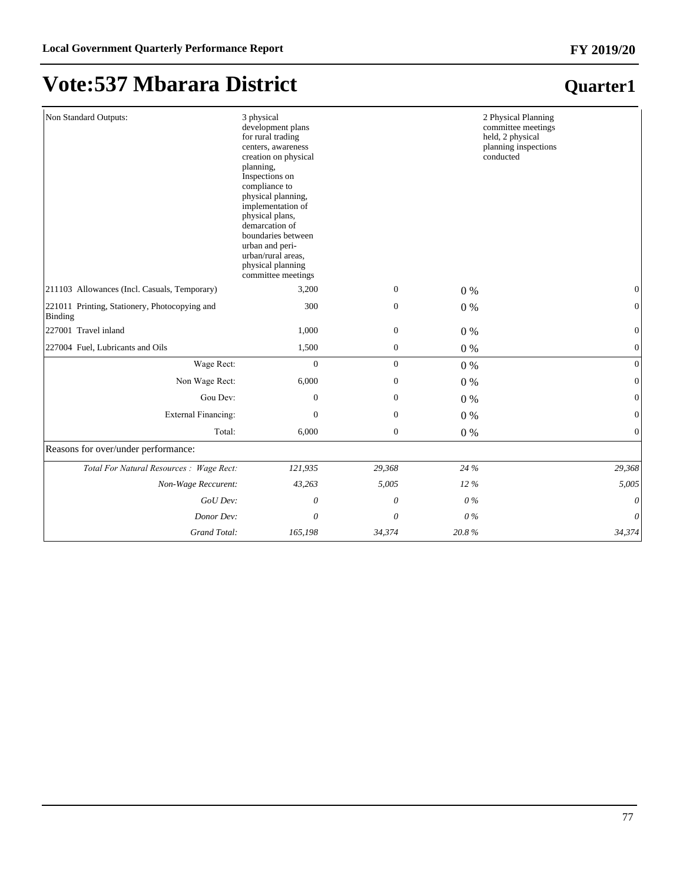## **Vote:537 Mbarara District**

| Non Standard Outputs:                                    | 3 physical<br>development plans<br>for rural trading<br>centers, awareness<br>creation on physical<br>planning,<br>Inspections on<br>compliance to<br>physical planning,<br>implementation of<br>physical plans,<br>demarcation of<br>boundaries between<br>urban and peri-<br>urban/rural areas,<br>physical planning<br>committee meetings |                  |        | 2 Physical Planning<br>committee meetings<br>held, 2 physical<br>planning inspections<br>conducted |
|----------------------------------------------------------|----------------------------------------------------------------------------------------------------------------------------------------------------------------------------------------------------------------------------------------------------------------------------------------------------------------------------------------------|------------------|--------|----------------------------------------------------------------------------------------------------|
| 211103 Allowances (Incl. Casuals, Temporary)             | 3,200                                                                                                                                                                                                                                                                                                                                        | $\mathbf{0}$     | $0\%$  | $\overline{0}$                                                                                     |
| 221011 Printing, Stationery, Photocopying and<br>Binding | 300                                                                                                                                                                                                                                                                                                                                          | $\boldsymbol{0}$ | 0%     | $\boldsymbol{0}$                                                                                   |
| 227001 Travel inland                                     | 1,000                                                                                                                                                                                                                                                                                                                                        | $\boldsymbol{0}$ | 0%     | $\boldsymbol{0}$                                                                                   |
| 227004 Fuel, Lubricants and Oils                         | 1,500                                                                                                                                                                                                                                                                                                                                        | $\boldsymbol{0}$ | 0%     | $\boldsymbol{0}$                                                                                   |
| Wage Rect:                                               | $\mathbf{0}$                                                                                                                                                                                                                                                                                                                                 | $\overline{0}$   | 0%     | $\overline{0}$                                                                                     |
| Non Wage Rect:                                           | 6,000                                                                                                                                                                                                                                                                                                                                        | $\boldsymbol{0}$ | 0%     | $\overline{0}$                                                                                     |
| Gou Dev:                                                 | $\boldsymbol{0}$                                                                                                                                                                                                                                                                                                                             | $\boldsymbol{0}$ | 0%     | $\boldsymbol{0}$                                                                                   |
| <b>External Financing:</b>                               | $\mathbf{0}$                                                                                                                                                                                                                                                                                                                                 | $\boldsymbol{0}$ | 0%     | $\overline{0}$                                                                                     |
| Total:                                                   | 6,000                                                                                                                                                                                                                                                                                                                                        | $\boldsymbol{0}$ | 0%     | $\boldsymbol{0}$                                                                                   |
| Reasons for over/under performance:                      |                                                                                                                                                                                                                                                                                                                                              |                  |        |                                                                                                    |
| Total For Natural Resources : Wage Rect:                 | 121,935                                                                                                                                                                                                                                                                                                                                      | 29,368           | 24 %   | 29,368                                                                                             |
| Non-Wage Reccurent:                                      | 43,263                                                                                                                                                                                                                                                                                                                                       | 5,005            | $12\%$ | 5,005                                                                                              |
| GoU Dev:                                                 | 0                                                                                                                                                                                                                                                                                                                                            | 0                | $0\%$  | 0                                                                                                  |
| Donor Dev:                                               | 0                                                                                                                                                                                                                                                                                                                                            | 0                | $0\%$  | 0                                                                                                  |
| Grand Total:                                             | 165,198                                                                                                                                                                                                                                                                                                                                      | 34,374           | 20.8%  | 34,374                                                                                             |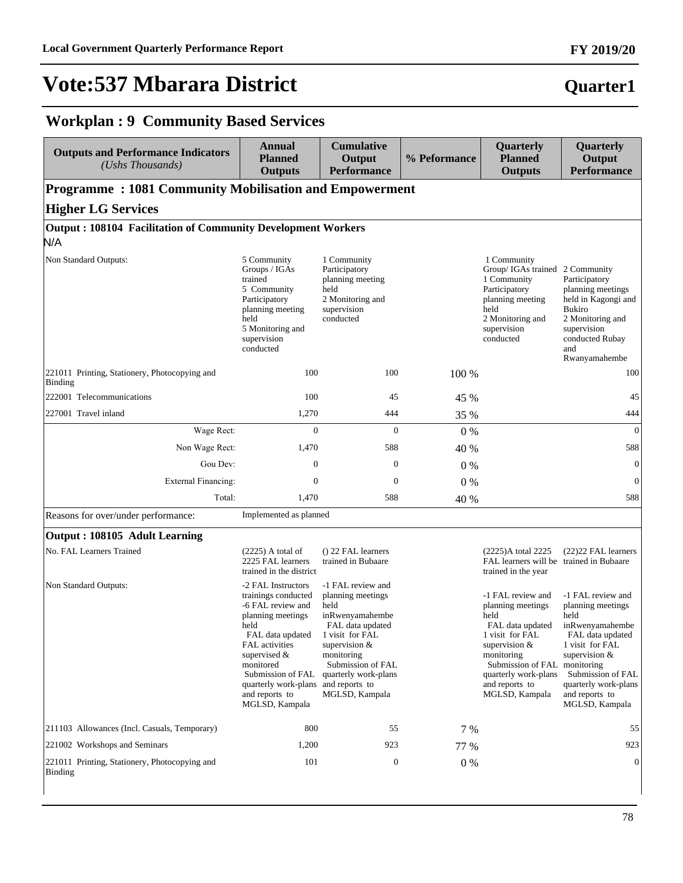#### **FY 2019/20**

## **Quarter1**

### **Workplan : 9 Community Based Services**

| <b>Outputs and Performance Indicators</b><br>$(Ushs$ Thousands)            | <b>Annual</b><br><b>Planned</b><br><b>Outputs</b>                                                                                                                                                                                                  | <b>Cumulative</b><br>Output<br><b>Performance</b>                                                                                                                                                                        | % Peformance | Quarterly<br><b>Planned</b><br><b>Outputs</b>                                                                                                                                                         | Quarterly<br>Output<br><b>Performance</b>                                                                                                                                                                                |
|----------------------------------------------------------------------------|----------------------------------------------------------------------------------------------------------------------------------------------------------------------------------------------------------------------------------------------------|--------------------------------------------------------------------------------------------------------------------------------------------------------------------------------------------------------------------------|--------------|-------------------------------------------------------------------------------------------------------------------------------------------------------------------------------------------------------|--------------------------------------------------------------------------------------------------------------------------------------------------------------------------------------------------------------------------|
| <b>Programme: 1081 Community Mobilisation and Empowerment</b>              |                                                                                                                                                                                                                                                    |                                                                                                                                                                                                                          |              |                                                                                                                                                                                                       |                                                                                                                                                                                                                          |
| <b>Higher LG Services</b>                                                  |                                                                                                                                                                                                                                                    |                                                                                                                                                                                                                          |              |                                                                                                                                                                                                       |                                                                                                                                                                                                                          |
| <b>Output: 108104 Facilitation of Community Development Workers</b><br>N/A |                                                                                                                                                                                                                                                    |                                                                                                                                                                                                                          |              |                                                                                                                                                                                                       |                                                                                                                                                                                                                          |
| Non Standard Outputs:                                                      | 5 Community<br>Groups / IGAs<br>trained<br>5 Community<br>Participatory<br>planning meeting<br>held<br>5 Monitoring and<br>supervision<br>conducted                                                                                                | 1 Community<br>Participatory<br>planning meeting<br>held<br>2 Monitoring and<br>supervision<br>conducted                                                                                                                 |              | 1 Community<br>Group/ IGAs trained<br>1 Community<br>Participatory<br>planning meeting<br>held<br>2 Monitoring and<br>supervision<br>conducted                                                        | 2 Community<br>Participatory<br>planning meetings<br>held in Kagongi and<br><b>Bukiro</b><br>2 Monitoring and<br>supervision<br>conducted Rubay<br>and<br>Rwanyamahembe                                                  |
| 221011 Printing, Stationery, Photocopying and<br>Binding                   | 100                                                                                                                                                                                                                                                | 100                                                                                                                                                                                                                      | 100 %        |                                                                                                                                                                                                       | 100                                                                                                                                                                                                                      |
| 222001 Telecommunications                                                  | 100                                                                                                                                                                                                                                                | 45                                                                                                                                                                                                                       | 45 %         |                                                                                                                                                                                                       | 45                                                                                                                                                                                                                       |
| 227001 Travel inland                                                       | 1,270                                                                                                                                                                                                                                              | 444                                                                                                                                                                                                                      | 35 %         |                                                                                                                                                                                                       | 444                                                                                                                                                                                                                      |
| Wage Rect:                                                                 | $\overline{0}$                                                                                                                                                                                                                                     | $\mathbf{0}$                                                                                                                                                                                                             | $0\%$        |                                                                                                                                                                                                       | $\overline{0}$                                                                                                                                                                                                           |
| Non Wage Rect:                                                             | 1,470                                                                                                                                                                                                                                              | 588                                                                                                                                                                                                                      | 40 %         |                                                                                                                                                                                                       | 588                                                                                                                                                                                                                      |
| Gou Dev:                                                                   | $\mathbf{0}$                                                                                                                                                                                                                                       | $\mathbf{0}$                                                                                                                                                                                                             | $0\%$        |                                                                                                                                                                                                       | $\mathbf{0}$                                                                                                                                                                                                             |
| <b>External Financing:</b>                                                 | $\mathbf{0}$                                                                                                                                                                                                                                       | $\mathbf{0}$                                                                                                                                                                                                             | $0\%$        |                                                                                                                                                                                                       | $\overline{0}$                                                                                                                                                                                                           |
| Total:                                                                     | 1,470                                                                                                                                                                                                                                              | 588                                                                                                                                                                                                                      | 40 %         |                                                                                                                                                                                                       | 588                                                                                                                                                                                                                      |
| Reasons for over/under performance:                                        | Implemented as planned                                                                                                                                                                                                                             |                                                                                                                                                                                                                          |              |                                                                                                                                                                                                       |                                                                                                                                                                                                                          |
| Output: 108105 Adult Learning                                              |                                                                                                                                                                                                                                                    |                                                                                                                                                                                                                          |              |                                                                                                                                                                                                       |                                                                                                                                                                                                                          |
| No. FAL Learners Trained                                                   | $(2225)$ A total of<br>2225 FAL learners<br>trained in the district                                                                                                                                                                                | () 22 FAL learners<br>trained in Bubaare                                                                                                                                                                                 |              | (2225)A total 2225<br>FAL learners will be trained in Bubaare<br>trained in the year                                                                                                                  | (22) 22 FAL learners                                                                                                                                                                                                     |
| Non Standard Outputs:                                                      | -2 FAL Instructors<br>trainings conducted<br>-6 FAL review and<br>planning meetings<br>held<br>FAL data updated<br>FAL activities<br>supervised $\&$<br>monitored<br>Submission of FAL<br>quarterly work-plans<br>and reports to<br>MGLSD, Kampala | -1 FAL review and<br>planning meetings<br>held<br>inRwenyamahembe<br>FAL data updated<br>1 visit for FAL<br>supervision &<br>monitoring<br>Submission of FAL<br>quarterly work-plans<br>and reports to<br>MGLSD, Kampala |              | -1 FAL review and<br>planning meetings<br>held<br>FAL data updated<br>1 visit for FAL<br>supervision &<br>monitoring<br>Submission of FAL<br>quarterly work-plans<br>and reports to<br>MGLSD, Kampala | -1 FAL review and<br>planning meetings<br>held<br>inRwenyamahembe<br>FAL data updated<br>1 visit for FAL<br>supervision &<br>monitoring<br>Submission of FAL<br>quarterly work-plans<br>and reports to<br>MGLSD, Kampala |
| 211103 Allowances (Incl. Casuals, Temporary)                               | 800                                                                                                                                                                                                                                                | 55                                                                                                                                                                                                                       | 7 %          |                                                                                                                                                                                                       | 55                                                                                                                                                                                                                       |
| 221002 Workshops and Seminars                                              | 1,200                                                                                                                                                                                                                                              | 923                                                                                                                                                                                                                      | 77 %         |                                                                                                                                                                                                       | 923                                                                                                                                                                                                                      |
| 221011 Printing, Stationery, Photocopying and<br><b>Binding</b>            | 101                                                                                                                                                                                                                                                | $\boldsymbol{0}$                                                                                                                                                                                                         | 0%           |                                                                                                                                                                                                       | $\theta$                                                                                                                                                                                                                 |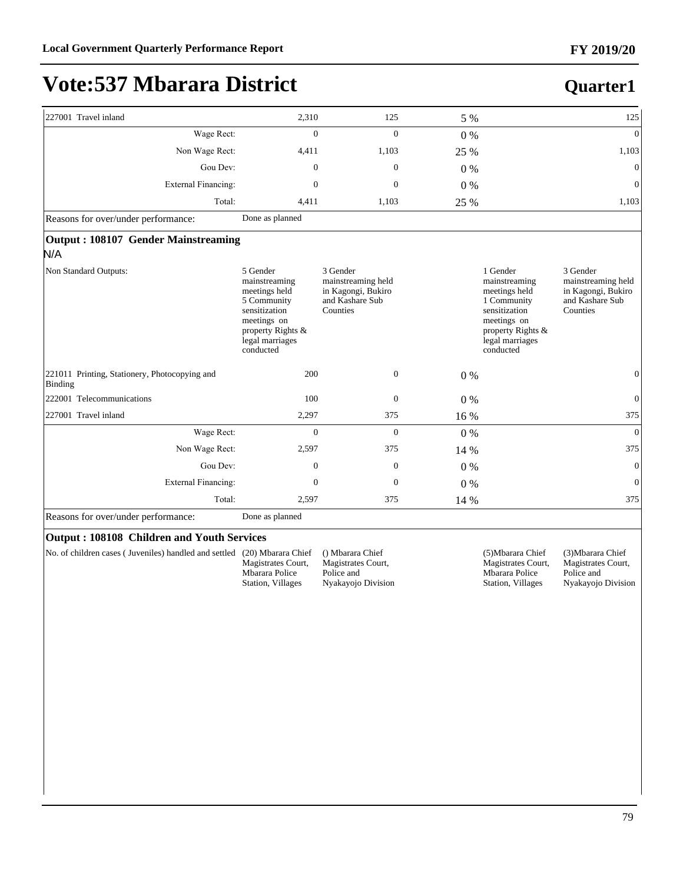**Quarter1**

## **Vote:537 Mbarara District**

| 227001 Travel inland                                     | 2,310                                                                                                                                          | 125                                                                                 | 5 %   |                                                                                                                                                | 125                                                                                 |
|----------------------------------------------------------|------------------------------------------------------------------------------------------------------------------------------------------------|-------------------------------------------------------------------------------------|-------|------------------------------------------------------------------------------------------------------------------------------------------------|-------------------------------------------------------------------------------------|
| Wage Rect:                                               | $\Omega$                                                                                                                                       | $\Omega$                                                                            | $0\%$ |                                                                                                                                                | $\overline{0}$                                                                      |
| Non Wage Rect:                                           | 4,411                                                                                                                                          | 1,103                                                                               | 25 %  |                                                                                                                                                | 1,103                                                                               |
| Gou Dev:                                                 | $\mathbf{0}$                                                                                                                                   | $\overline{0}$                                                                      | $0\%$ |                                                                                                                                                | $\overline{0}$                                                                      |
| <b>External Financing:</b>                               | $\mathbf{0}$                                                                                                                                   | $\mathbf{0}$                                                                        | $0\%$ |                                                                                                                                                | $\overline{0}$                                                                      |
| Total:                                                   | 4,411                                                                                                                                          | 1,103                                                                               | 25 %  |                                                                                                                                                | 1,103                                                                               |
| Reasons for over/under performance:                      | Done as planned                                                                                                                                |                                                                                     |       |                                                                                                                                                |                                                                                     |
| Output: 108107 Gender Mainstreaming                      |                                                                                                                                                |                                                                                     |       |                                                                                                                                                |                                                                                     |
| N/A                                                      |                                                                                                                                                |                                                                                     |       |                                                                                                                                                |                                                                                     |
| Non Standard Outputs:                                    | 5 Gender<br>mainstreaming<br>meetings held<br>5 Community<br>sensitization<br>meetings on<br>property Rights &<br>legal marriages<br>conducted | 3 Gender<br>mainstreaming held<br>in Kagongi, Bukiro<br>and Kashare Sub<br>Counties |       | 1 Gender<br>mainstreaming<br>meetings held<br>1 Community<br>sensitization<br>meetings on<br>property Rights &<br>legal marriages<br>conducted | 3 Gender<br>mainstreaming held<br>in Kagongi, Bukiro<br>and Kashare Sub<br>Counties |
| 221011 Printing, Stationery, Photocopying and<br>Binding | 200                                                                                                                                            | $\mathbf{0}$                                                                        | $0\%$ |                                                                                                                                                | $\overline{0}$                                                                      |
| 222001 Telecommunications                                | 100                                                                                                                                            | $\theta$                                                                            | $0\%$ |                                                                                                                                                | $\mathbf{0}$                                                                        |
| 227001 Travel inland                                     | 2,297                                                                                                                                          | 375                                                                                 | 16 %  |                                                                                                                                                | 375                                                                                 |
| Wage Rect:                                               | $\mathbf{0}$                                                                                                                                   | $\theta$                                                                            | $0\%$ |                                                                                                                                                | $\overline{0}$                                                                      |
| Non Wage Rect:                                           | 2,597                                                                                                                                          | 375                                                                                 | 14 %  |                                                                                                                                                | 375                                                                                 |
| Gou Dev:                                                 | $\mathbf{0}$                                                                                                                                   | $\mathbf{0}$                                                                        | $0\%$ |                                                                                                                                                | $\mathbf{0}$                                                                        |
| <b>External Financing:</b>                               | $\mathbf{0}$                                                                                                                                   | $\boldsymbol{0}$                                                                    | $0\%$ |                                                                                                                                                | $\overline{0}$                                                                      |
| Total:                                                   | 2,597                                                                                                                                          | 375                                                                                 | 14 %  |                                                                                                                                                | 375                                                                                 |
| Reasons for over/under performance:                      | Done as planned                                                                                                                                |                                                                                     |       |                                                                                                                                                |                                                                                     |

#### **Output : 108108 Children and Youth Services**

No. of children cases ( Juveniles) handled and settled (20) Mbarara Chief

Magistrates Court, Mbarara Police Station, Villages

() Mbarara Chief Magistrates Court, Police and Nyakayojo Division (5)Mbarara Chief Magistrates Court, Mbarara Police Station, Villages

(3)Mbarara Chief Magistrates Court, Police and Nyakayojo Division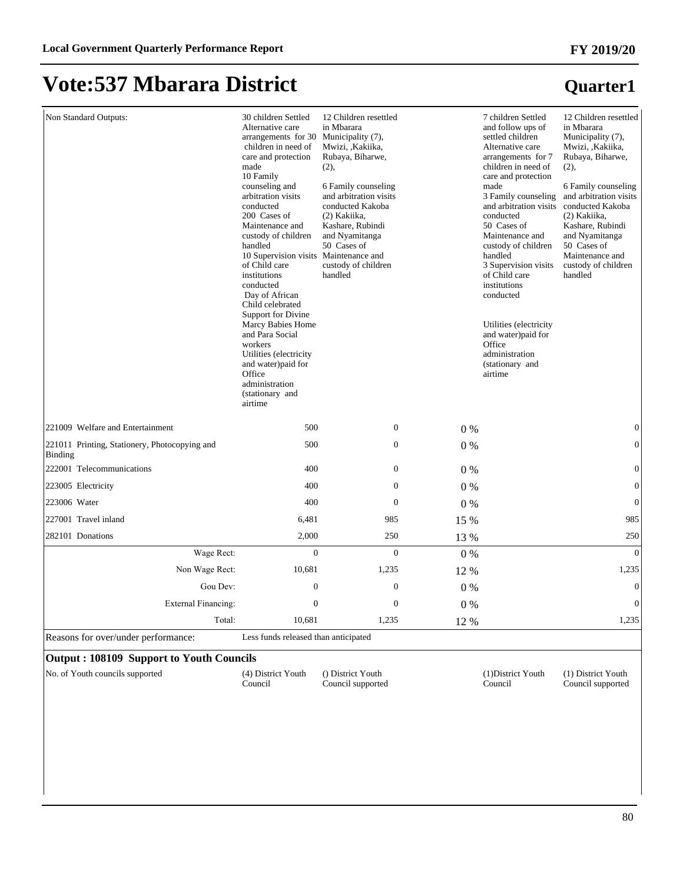## **Vote:537 Mbarara District**

| Non Standard Outputs:                                           | 30 children Settled<br>Alternative care<br>arrangements for 30<br>children in need of<br>care and protection<br>made<br>10 Family<br>counseling and<br>arbitration visits<br>conducted<br>200 Cases of<br>Maintenance and<br>custody of children<br>handled<br>10 Supervision visits Maintenance and<br>of Child care<br>institutions<br>conducted<br>Day of African<br>Child celebrated<br><b>Support for Divine</b><br>Marcy Babies Home<br>and Para Social<br>workers<br>Utilities (electricity<br>and water)paid for<br>Office<br>administration<br>(stationary and<br>airtime | 12 Children resettled<br>in Mbarara<br>Municipality (7),<br>Mwizi, ,Kakiika,<br>Rubaya, Biharwe,<br>(2),<br>6 Family counseling<br>and arbitration visits<br>conducted Kakoba<br>(2) Kakiika.<br>Kashare, Rubindi<br>and Nyamitanga<br>50 Cases of<br>custody of children<br>handled |       | 7 children Settled<br>and follow ups of<br>settled children<br>Alternative care<br>arrangements for 7<br>children in need of<br>care and protection<br>made<br>3 Family counseling<br>and arbitration visits<br>conducted<br>50 Cases of<br>Maintenance and<br>custody of children<br>handled<br>3 Supervision visits<br>of Child care<br>institutions<br>conducted<br>Utilities (electricity<br>and water)paid for<br>Office<br>administration<br>(stationary and<br>airtime | 12 Children resettled<br>in Mbarara<br>Municipality (7),<br>Mwizi, , Kakiika,<br>Rubaya, Biharwe,<br>(2),<br>6 Family counseling<br>and arbitration visits<br>conducted Kakoba<br>(2) Kakiika.<br>Kashare, Rubindi<br>and Nyamitanga<br>50 Cases of<br>Maintenance and<br>custody of children<br>handled |
|-----------------------------------------------------------------|------------------------------------------------------------------------------------------------------------------------------------------------------------------------------------------------------------------------------------------------------------------------------------------------------------------------------------------------------------------------------------------------------------------------------------------------------------------------------------------------------------------------------------------------------------------------------------|--------------------------------------------------------------------------------------------------------------------------------------------------------------------------------------------------------------------------------------------------------------------------------------|-------|-------------------------------------------------------------------------------------------------------------------------------------------------------------------------------------------------------------------------------------------------------------------------------------------------------------------------------------------------------------------------------------------------------------------------------------------------------------------------------|----------------------------------------------------------------------------------------------------------------------------------------------------------------------------------------------------------------------------------------------------------------------------------------------------------|
| 221009 Welfare and Entertainment                                | 500                                                                                                                                                                                                                                                                                                                                                                                                                                                                                                                                                                                | $\boldsymbol{0}$                                                                                                                                                                                                                                                                     | 0%    |                                                                                                                                                                                                                                                                                                                                                                                                                                                                               | $\mathbf{0}$                                                                                                                                                                                                                                                                                             |
| 221011 Printing, Stationery, Photocopying and<br><b>Binding</b> | 500                                                                                                                                                                                                                                                                                                                                                                                                                                                                                                                                                                                | $\mathbf{0}$                                                                                                                                                                                                                                                                         | 0%    |                                                                                                                                                                                                                                                                                                                                                                                                                                                                               | $\mathbf{0}$                                                                                                                                                                                                                                                                                             |
| 222001 Telecommunications                                       | 400                                                                                                                                                                                                                                                                                                                                                                                                                                                                                                                                                                                | $\boldsymbol{0}$                                                                                                                                                                                                                                                                     | $0\%$ |                                                                                                                                                                                                                                                                                                                                                                                                                                                                               | $\boldsymbol{0}$                                                                                                                                                                                                                                                                                         |
| 223005 Electricity                                              | 400                                                                                                                                                                                                                                                                                                                                                                                                                                                                                                                                                                                | $\boldsymbol{0}$                                                                                                                                                                                                                                                                     | 0%    |                                                                                                                                                                                                                                                                                                                                                                                                                                                                               | $\boldsymbol{0}$                                                                                                                                                                                                                                                                                         |
| 223006 Water                                                    | 400                                                                                                                                                                                                                                                                                                                                                                                                                                                                                                                                                                                | $\Omega$                                                                                                                                                                                                                                                                             | 0%    |                                                                                                                                                                                                                                                                                                                                                                                                                                                                               | $\mathbf{0}$                                                                                                                                                                                                                                                                                             |
| 227001 Travel inland                                            | 6,481                                                                                                                                                                                                                                                                                                                                                                                                                                                                                                                                                                              | 985                                                                                                                                                                                                                                                                                  | 15 %  |                                                                                                                                                                                                                                                                                                                                                                                                                                                                               | 985                                                                                                                                                                                                                                                                                                      |
| 282101 Donations                                                | 2,000                                                                                                                                                                                                                                                                                                                                                                                                                                                                                                                                                                              | 250                                                                                                                                                                                                                                                                                  | 13 %  |                                                                                                                                                                                                                                                                                                                                                                                                                                                                               | 250                                                                                                                                                                                                                                                                                                      |
| Wage Rect:                                                      | $\overline{0}$                                                                                                                                                                                                                                                                                                                                                                                                                                                                                                                                                                     | $\mathbf{0}$                                                                                                                                                                                                                                                                         | $0\%$ |                                                                                                                                                                                                                                                                                                                                                                                                                                                                               | $\Omega$                                                                                                                                                                                                                                                                                                 |
| Non Wage Rect:                                                  | 10,681                                                                                                                                                                                                                                                                                                                                                                                                                                                                                                                                                                             | 1,235                                                                                                                                                                                                                                                                                | 12 %  |                                                                                                                                                                                                                                                                                                                                                                                                                                                                               | 1,235                                                                                                                                                                                                                                                                                                    |
| Gou Dev:                                                        | $\boldsymbol{0}$                                                                                                                                                                                                                                                                                                                                                                                                                                                                                                                                                                   | $\boldsymbol{0}$                                                                                                                                                                                                                                                                     | 0%    |                                                                                                                                                                                                                                                                                                                                                                                                                                                                               | $\mathbf{0}$                                                                                                                                                                                                                                                                                             |
| External Financing:                                             | $\overline{0}$                                                                                                                                                                                                                                                                                                                                                                                                                                                                                                                                                                     | $\Omega$                                                                                                                                                                                                                                                                             | 0%    |                                                                                                                                                                                                                                                                                                                                                                                                                                                                               | $\Omega$                                                                                                                                                                                                                                                                                                 |
| Total:                                                          | 10,681                                                                                                                                                                                                                                                                                                                                                                                                                                                                                                                                                                             | 1,235                                                                                                                                                                                                                                                                                | 12 %  |                                                                                                                                                                                                                                                                                                                                                                                                                                                                               | 1,235                                                                                                                                                                                                                                                                                                    |
| Reasons for over/under performance:                             | Less funds released than anticipated                                                                                                                                                                                                                                                                                                                                                                                                                                                                                                                                               |                                                                                                                                                                                                                                                                                      |       |                                                                                                                                                                                                                                                                                                                                                                                                                                                                               |                                                                                                                                                                                                                                                                                                          |

#### **Output : 108109 Support to Youth Councils**

No. of Youth councils supported (4) District Youth

Council

() District Youth Council supported (1)District Youth Council

(1) District Youth Council supported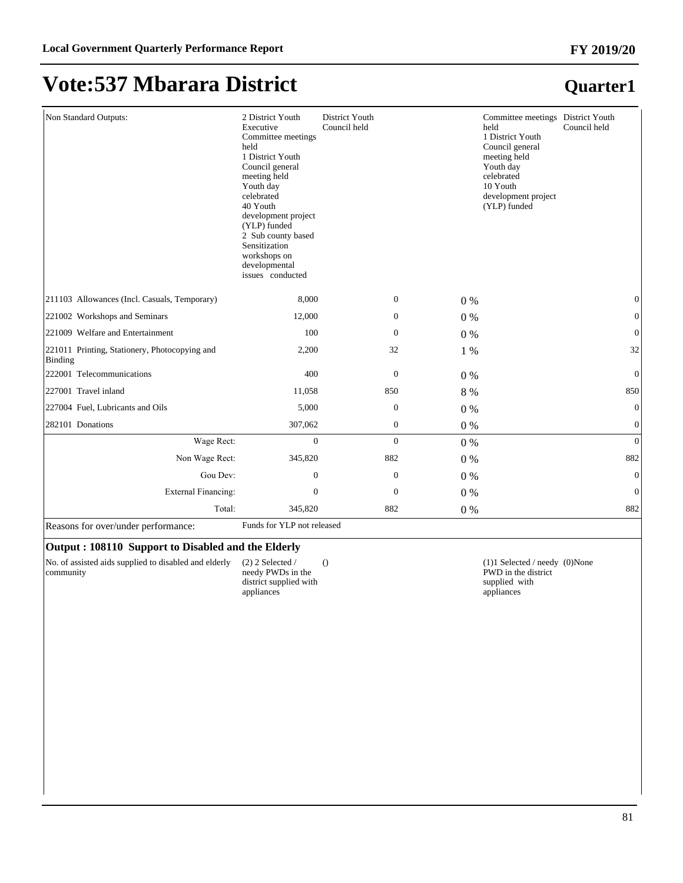| Non Standard Outputs:                                    | 2 District Youth<br>Executive<br>Committee meetings<br>held<br>1 District Youth<br>Council general<br>meeting held<br>Youth day<br>celebrated<br>40 Youth<br>development project<br>(YLP) funded<br>2 Sub county based<br>Sensitization<br>workshops on<br>developmental<br>issues conducted | District Youth<br>Council held |                  | Committee meetings District Youth<br>held<br>1 District Youth<br>Council general<br>meeting held<br>Youth day<br>celebrated<br>10 Youth<br>development project<br>(YLP) funded | Council held     |
|----------------------------------------------------------|----------------------------------------------------------------------------------------------------------------------------------------------------------------------------------------------------------------------------------------------------------------------------------------------|--------------------------------|------------------|--------------------------------------------------------------------------------------------------------------------------------------------------------------------------------|------------------|
| 211103 Allowances (Incl. Casuals, Temporary)             | 8,000                                                                                                                                                                                                                                                                                        |                                | $\overline{0}$   | $0\%$                                                                                                                                                                          | $\mathbf{0}$     |
| 221002 Workshops and Seminars                            | 12,000                                                                                                                                                                                                                                                                                       |                                | $\mathbf{0}$     | $0\%$                                                                                                                                                                          | $\boldsymbol{0}$ |
| 221009 Welfare and Entertainment                         | 100                                                                                                                                                                                                                                                                                          |                                | $\mathbf{0}$     | $0\%$                                                                                                                                                                          | $\boldsymbol{0}$ |
| 221011 Printing, Stationery, Photocopying and<br>Binding | 2,200                                                                                                                                                                                                                                                                                        | 32                             |                  | 1 %                                                                                                                                                                            | 32               |
| 222001 Telecommunications                                | 400                                                                                                                                                                                                                                                                                          |                                | $\boldsymbol{0}$ | $0\%$                                                                                                                                                                          | $\mathbf{0}$     |
| 227001 Travel inland                                     | 11,058                                                                                                                                                                                                                                                                                       | 850                            |                  | 8 %                                                                                                                                                                            | 850              |
| 227004 Fuel, Lubricants and Oils                         | 5,000                                                                                                                                                                                                                                                                                        |                                | $\mathbf{0}$     | $0\%$                                                                                                                                                                          | $\mathbf{0}$     |
| 282101 Donations                                         | 307,062                                                                                                                                                                                                                                                                                      |                                | $\mathbf{0}$     | 0%                                                                                                                                                                             | $\mathbf{0}$     |
| Wage Rect:                                               | $\Omega$                                                                                                                                                                                                                                                                                     |                                | $\overline{0}$   | 0%                                                                                                                                                                             | $\overline{0}$   |
| Non Wage Rect:                                           | 345,820                                                                                                                                                                                                                                                                                      | 882                            |                  | $0\%$                                                                                                                                                                          | 882              |
| Gou Dev:                                                 | $\boldsymbol{0}$                                                                                                                                                                                                                                                                             |                                | $\boldsymbol{0}$ | 0%                                                                                                                                                                             | $\boldsymbol{0}$ |
| <b>External Financing:</b>                               | $\mathbf{0}$                                                                                                                                                                                                                                                                                 |                                | $\mathbf{0}$     | $0\%$                                                                                                                                                                          | $\mathbf{0}$     |
| Total:                                                   | 345,820                                                                                                                                                                                                                                                                                      | 882                            |                  | $0\%$                                                                                                                                                                          | 882              |

Reasons for over/under performance: Funds for YLP not released

#### **Output : 108110 Support to Disabled and the Elderly**

No. of assisted aids supplied to disabled and elderly community

(2) 2 Selected / needy PWDs in the district supplied with appliances

(1)1 Selected / needy (0)None PWD in the district supplied with appliances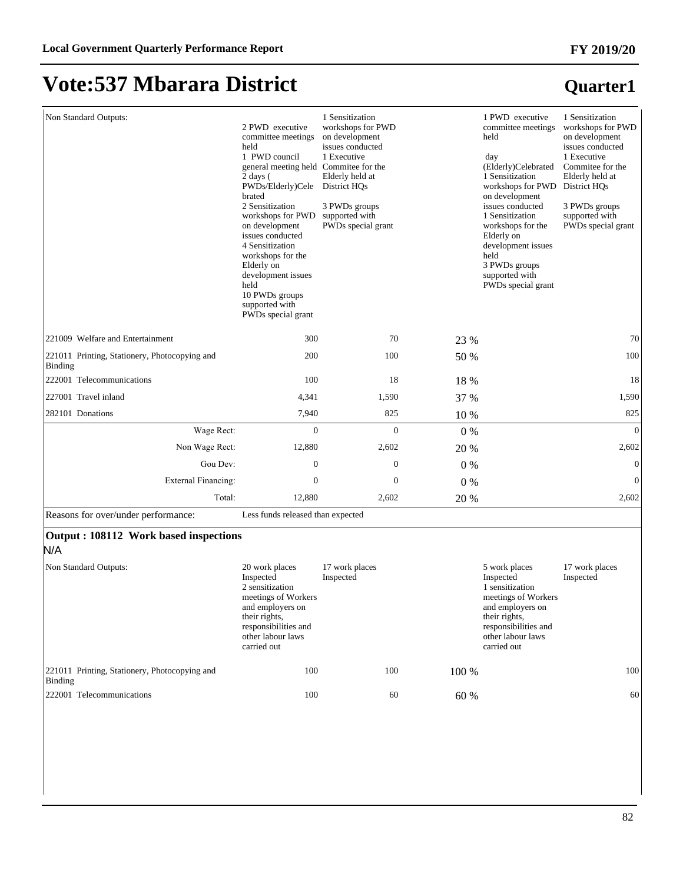## **Vote:537 Mbarara District**

N/A

#### **Quarter1**

| Non Standard Outputs:                                    | 2 PWD executive<br>committee meetings<br>held<br>1 PWD council<br>general meeting held Commitee for the<br>$2 \text{ days}$ (<br>PWDs/Elderly)Cele<br>brated<br>2 Sensitization<br>workshops for PWD<br>on development<br>issues conducted<br>4 Sensitization<br>workshops for the<br>Elderly on<br>development issues<br>held<br>10 PWDs groups<br>supported with<br>PWDs special grant | 1 Sensitization<br>workshops for PWD<br>on development<br>issues conducted<br>1 Executive<br>Elderly held at<br>District HQs<br>3 PWDs groups<br>supported with<br>PWDs special grant |       | 1 PWD executive<br>committee meetings<br>held<br>day<br>(Elderly)Celebrated<br>1 Sensitization<br>workshops for PWD<br>on development<br>issues conducted<br>1 Sensitization<br>workshops for the<br>Elderly on<br>development issues<br>held<br>3 PWDs groups<br>supported with<br>PWDs special grant | 1 Sensitization<br>workshops for PWD<br>on development<br>issues conducted<br>1 Executive<br>Commitee for the<br>Elderly held at<br>District HQs<br>3 PWDs groups<br>supported with<br>PWDs special grant |
|----------------------------------------------------------|------------------------------------------------------------------------------------------------------------------------------------------------------------------------------------------------------------------------------------------------------------------------------------------------------------------------------------------------------------------------------------------|---------------------------------------------------------------------------------------------------------------------------------------------------------------------------------------|-------|--------------------------------------------------------------------------------------------------------------------------------------------------------------------------------------------------------------------------------------------------------------------------------------------------------|-----------------------------------------------------------------------------------------------------------------------------------------------------------------------------------------------------------|
| 221009 Welfare and Entertainment                         | 300                                                                                                                                                                                                                                                                                                                                                                                      | 70                                                                                                                                                                                    | 23 %  |                                                                                                                                                                                                                                                                                                        | 70                                                                                                                                                                                                        |
| 221011 Printing, Stationery, Photocopying and<br>Binding | 200                                                                                                                                                                                                                                                                                                                                                                                      | 100                                                                                                                                                                                   | 50 %  |                                                                                                                                                                                                                                                                                                        | 100                                                                                                                                                                                                       |
| 222001 Telecommunications                                | 100                                                                                                                                                                                                                                                                                                                                                                                      | 18                                                                                                                                                                                    | 18 %  |                                                                                                                                                                                                                                                                                                        | 18                                                                                                                                                                                                        |
| 227001 Travel inland                                     | 4,341                                                                                                                                                                                                                                                                                                                                                                                    | 1,590                                                                                                                                                                                 | 37 %  |                                                                                                                                                                                                                                                                                                        | 1,590                                                                                                                                                                                                     |
| 282101 Donations                                         | 7,940                                                                                                                                                                                                                                                                                                                                                                                    | 825                                                                                                                                                                                   | 10 %  |                                                                                                                                                                                                                                                                                                        | 825                                                                                                                                                                                                       |
| Wage Rect:                                               | $\overline{0}$                                                                                                                                                                                                                                                                                                                                                                           | $\overline{0}$                                                                                                                                                                        | $0\%$ |                                                                                                                                                                                                                                                                                                        | $\mathbf{0}$                                                                                                                                                                                              |
| Non Wage Rect:                                           | 12,880                                                                                                                                                                                                                                                                                                                                                                                   | 2,602                                                                                                                                                                                 | 20 %  |                                                                                                                                                                                                                                                                                                        | 2,602                                                                                                                                                                                                     |
| Gou Dev:                                                 | $\mathbf{0}$                                                                                                                                                                                                                                                                                                                                                                             | $\mathbf{0}$                                                                                                                                                                          | $0\%$ |                                                                                                                                                                                                                                                                                                        | $\Omega$                                                                                                                                                                                                  |
| External Financing:                                      | $\mathbf{0}$                                                                                                                                                                                                                                                                                                                                                                             | $\mathbf{0}$                                                                                                                                                                          | $0\%$ |                                                                                                                                                                                                                                                                                                        | $\mathbf{0}$                                                                                                                                                                                              |
| Total:                                                   | 12,880                                                                                                                                                                                                                                                                                                                                                                                   | 2,602                                                                                                                                                                                 | 20 %  |                                                                                                                                                                                                                                                                                                        | 2,602                                                                                                                                                                                                     |
| Reasons for over/under performance:                      | Less funds released than expected                                                                                                                                                                                                                                                                                                                                                        |                                                                                                                                                                                       |       |                                                                                                                                                                                                                                                                                                        |                                                                                                                                                                                                           |
| Output: 108112 Work based inspections                    |                                                                                                                                                                                                                                                                                                                                                                                          |                                                                                                                                                                                       |       |                                                                                                                                                                                                                                                                                                        |                                                                                                                                                                                                           |

#### Non Standard Outputs: 20 work places Inspected 2 sensitization meetings of Workers and employers on their rights, responsibilities and other labour laws carried out 17 work places Inspected 5 work places Inspected 1 sensitization meetings of Workers and employers on their rights, responsibilities and other labour laws carried out 17 work places Inspected 221011 Printing, Stationery, Photocopying and Binding 100 100 100 % 100 222001 Telecommunications 100 60 60 % 60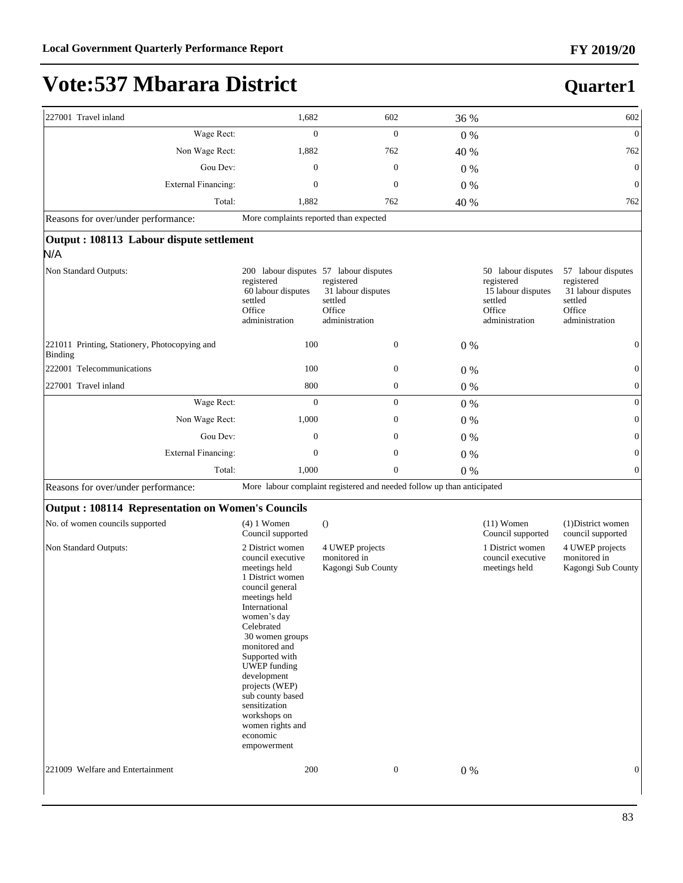| 227001 Travel inland                                     | 1,682                                                                                                                                                                                                                                                                                                                                                                          | 602                                                                     | 36 %  |                                                                                               | 602                                                                                           |
|----------------------------------------------------------|--------------------------------------------------------------------------------------------------------------------------------------------------------------------------------------------------------------------------------------------------------------------------------------------------------------------------------------------------------------------------------|-------------------------------------------------------------------------|-------|-----------------------------------------------------------------------------------------------|-----------------------------------------------------------------------------------------------|
| Wage Rect:                                               | $\overline{0}$                                                                                                                                                                                                                                                                                                                                                                 | $\mathbf{0}$                                                            | 0%    |                                                                                               | $\mathbf{0}$                                                                                  |
| Non Wage Rect:                                           | 1,882                                                                                                                                                                                                                                                                                                                                                                          | 762                                                                     | 40 %  |                                                                                               | 762                                                                                           |
| Gou Dev:                                                 | $\mathbf{0}$                                                                                                                                                                                                                                                                                                                                                                   | $\mathbf{0}$                                                            | $0\%$ |                                                                                               | $\mathbf{0}$                                                                                  |
| <b>External Financing:</b>                               | $\mathbf{0}$                                                                                                                                                                                                                                                                                                                                                                   | $\mathbf{0}$                                                            | 0%    |                                                                                               | $\mathbf{0}$                                                                                  |
| Total:                                                   | 1,882                                                                                                                                                                                                                                                                                                                                                                          | 762                                                                     | 40 %  |                                                                                               | 762                                                                                           |
| Reasons for over/under performance:                      | More complaints reported than expected                                                                                                                                                                                                                                                                                                                                         |                                                                         |       |                                                                                               |                                                                                               |
| Output: 108113 Labour dispute settlement<br>N/A          |                                                                                                                                                                                                                                                                                                                                                                                |                                                                         |       |                                                                                               |                                                                                               |
| Non Standard Outputs:                                    | 200 labour disputes 57 labour disputes<br>registered<br>60 labour disputes<br>settled<br>Office<br>administration                                                                                                                                                                                                                                                              | registered<br>31 labour disputes<br>settled<br>Office<br>administration |       | 50 labour disputes<br>registered<br>15 labour disputes<br>settled<br>Office<br>administration | 57 labour disputes<br>registered<br>31 labour disputes<br>settled<br>Office<br>administration |
| 221011 Printing, Stationery, Photocopying and<br>Binding | 100                                                                                                                                                                                                                                                                                                                                                                            | $\mathbf{0}$                                                            | 0%    |                                                                                               | $\boldsymbol{0}$                                                                              |
| 222001 Telecommunications                                | 100                                                                                                                                                                                                                                                                                                                                                                            | $\boldsymbol{0}$                                                        | $0\%$ |                                                                                               | $\boldsymbol{0}$                                                                              |
| 227001 Travel inland                                     | 800                                                                                                                                                                                                                                                                                                                                                                            | $\boldsymbol{0}$                                                        | 0%    |                                                                                               | $\mathbf{0}$                                                                                  |
| Wage Rect:                                               | $\overline{0}$                                                                                                                                                                                                                                                                                                                                                                 | $\boldsymbol{0}$                                                        | 0%    |                                                                                               | $\mathbf{0}$                                                                                  |
| Non Wage Rect:                                           | 1,000                                                                                                                                                                                                                                                                                                                                                                          | $\boldsymbol{0}$                                                        | $0\%$ |                                                                                               | $\boldsymbol{0}$                                                                              |
| Gou Dev:                                                 | $\boldsymbol{0}$                                                                                                                                                                                                                                                                                                                                                               | $\boldsymbol{0}$                                                        | $0\%$ |                                                                                               | $\boldsymbol{0}$                                                                              |
| <b>External Financing:</b>                               | $\boldsymbol{0}$                                                                                                                                                                                                                                                                                                                                                               | $\boldsymbol{0}$                                                        | $0\%$ |                                                                                               | $\boldsymbol{0}$                                                                              |
| Total:                                                   | 1,000                                                                                                                                                                                                                                                                                                                                                                          | $\boldsymbol{0}$                                                        | 0%    |                                                                                               | $\boldsymbol{0}$                                                                              |
| Reasons for over/under performance:                      |                                                                                                                                                                                                                                                                                                                                                                                | More labour complaint registered and needed follow up than anticipated  |       |                                                                                               |                                                                                               |
| <b>Output: 108114 Representation on Women's Councils</b> |                                                                                                                                                                                                                                                                                                                                                                                |                                                                         |       |                                                                                               |                                                                                               |
| No. of women councils supported                          | $(4)$ 1 Women<br>Council supported                                                                                                                                                                                                                                                                                                                                             | $\theta$                                                                |       | $(11)$ Women<br>Council supported                                                             | (1) District women<br>council supported                                                       |
| Non Standard Outputs:                                    | 2 District women<br>council executive<br>meetings held<br>1 District women<br>council general<br>meetings held<br>International<br>women's day<br>Celebrated<br>30 women groups<br>monitored and<br>Supported with<br><b>UWEP</b> funding<br>development<br>projects (WEP)<br>sub county based<br>sensitization<br>workshops on<br>women rights and<br>economic<br>empowerment | 4 UWEP projects<br>monitored in<br>Kagongi Sub County                   |       | 1 District women<br>council executive<br>meetings held                                        | 4 UWEP projects<br>monitored in<br>Kagongi Sub County                                         |
| 221009 Welfare and Entertainment                         | 200                                                                                                                                                                                                                                                                                                                                                                            | $\boldsymbol{0}$                                                        | 0%    |                                                                                               | $\mathbf{0}$                                                                                  |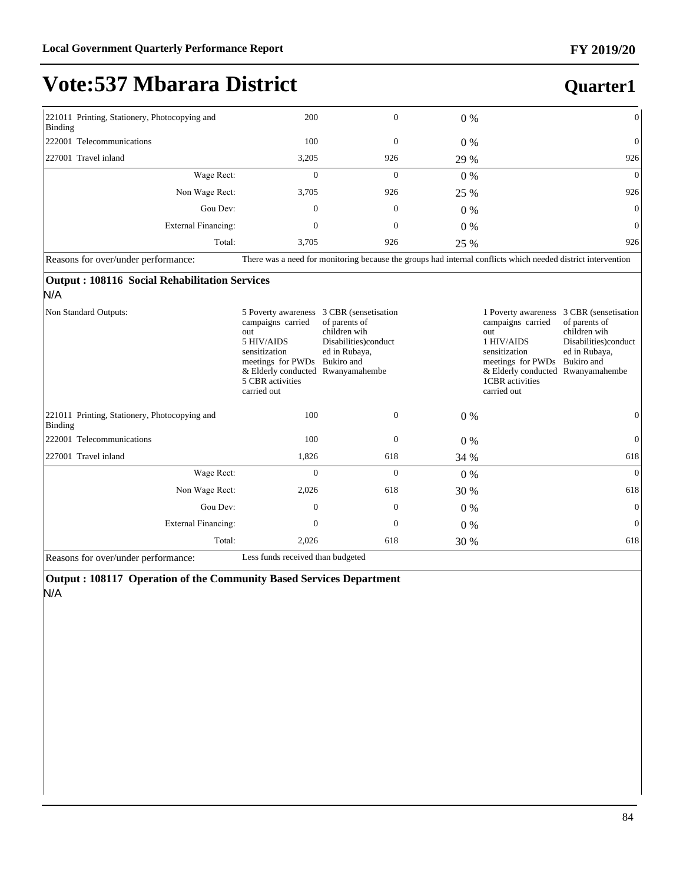### **Quarter1**

| 221011 Printing, Stationery, Photocopying and<br>Binding | 200                                                                                                           | $\mathbf{0}$ | $0\%$ | $\overline{0}$ |  |
|----------------------------------------------------------|---------------------------------------------------------------------------------------------------------------|--------------|-------|----------------|--|
| 222001 Telecommunications                                | 100                                                                                                           | $\mathbf{0}$ | $0\%$ | $\overline{0}$ |  |
| 227001 Travel inland                                     | 3,205                                                                                                         | 926          | 29 %  | 926            |  |
| Wage Rect:                                               | $\Omega$                                                                                                      | $\Omega$     | $0\%$ | $\overline{0}$ |  |
| Non Wage Rect:                                           | 3,705                                                                                                         | 926          | 25 %  | 926            |  |
| Gou Dev:                                                 | $\Omega$                                                                                                      | 0            | $0\%$ | $\overline{0}$ |  |
| External Financing:                                      | 0                                                                                                             | 0            | $0\%$ | $\overline{0}$ |  |
| Total:                                                   | 3.705                                                                                                         | 926          | 25 %  | 926            |  |
| Dessens for everlunder performance                       | There were a need for monitoring because the groups had internal conflicts which needed district intervention |              |       |                |  |

Reasons for over/under performance: There was a need for monitoring because the groups had internal conflicts which needed district intervention

#### **Output : 108116 Social Rehabilitation Services**

#### N/A

| Non Standard Outputs:                                    | 5 Poverty awareness<br>campaigns carried<br>out<br>5 HIV/AIDS<br>sensitization<br>meetings for PWDs<br>& Elderly conducted<br>5 CBR activities<br>carried out | 3 CBR (sensetisation)<br>of parents of<br>children wih<br>Disabilities)conduct<br>ed in Rubaya,<br>Bukiro and<br>Rwanyamahembe |             | 1 Poverty awareness<br>campaigns carried<br>out<br>1 HIV/AIDS<br>sensitization<br>meetings for PWDs<br>& Elderly conducted Rwanyamahembe<br>1CBR activities<br>carried out | 3 CBR (sensetisation)<br>of parents of<br>children wih<br>Disabilities)conduct<br>ed in Rubaya,<br>Bukiro and |
|----------------------------------------------------------|---------------------------------------------------------------------------------------------------------------------------------------------------------------|--------------------------------------------------------------------------------------------------------------------------------|-------------|----------------------------------------------------------------------------------------------------------------------------------------------------------------------------|---------------------------------------------------------------------------------------------------------------|
| 221011 Printing, Stationery, Photocopying and<br>Binding | 100                                                                                                                                                           | $\mathbf{0}$                                                                                                                   | $0\%$       |                                                                                                                                                                            | $\theta$                                                                                                      |
| 222001 Telecommunications                                | 100                                                                                                                                                           | $\mathbf{0}$                                                                                                                   | $0\%$       |                                                                                                                                                                            | $\theta$                                                                                                      |
| 227001 Travel inland                                     | 1,826                                                                                                                                                         | 618                                                                                                                            | 34 %        |                                                                                                                                                                            | 618                                                                                                           |
| Wage Rect:                                               | $\Omega$                                                                                                                                                      | $\Omega$                                                                                                                       | $0\%$       |                                                                                                                                                                            | $\overline{0}$                                                                                                |
| Non Wage Rect:                                           | 2,026                                                                                                                                                         | 618                                                                                                                            | 30 %        |                                                                                                                                                                            | 618                                                                                                           |
| Gou Dev:                                                 | $\Omega$                                                                                                                                                      | $\mathbf{0}$                                                                                                                   | $0\%$       |                                                                                                                                                                            | $\overline{0}$                                                                                                |
| External Financing:                                      | $\mathbf{0}$                                                                                                                                                  | $\mathbf{0}$                                                                                                                   | $0\%$       |                                                                                                                                                                            | $\mathbf{0}$                                                                                                  |
| Total:                                                   | 2,026                                                                                                                                                         | 618                                                                                                                            | <b>30 %</b> |                                                                                                                                                                            | 618                                                                                                           |
| Reasons for over/under performance:                      | Less funds received than budgeted                                                                                                                             |                                                                                                                                |             |                                                                                                                                                                            |                                                                                                               |

**Output : 108117 Operation of the Community Based Services Department**  N/A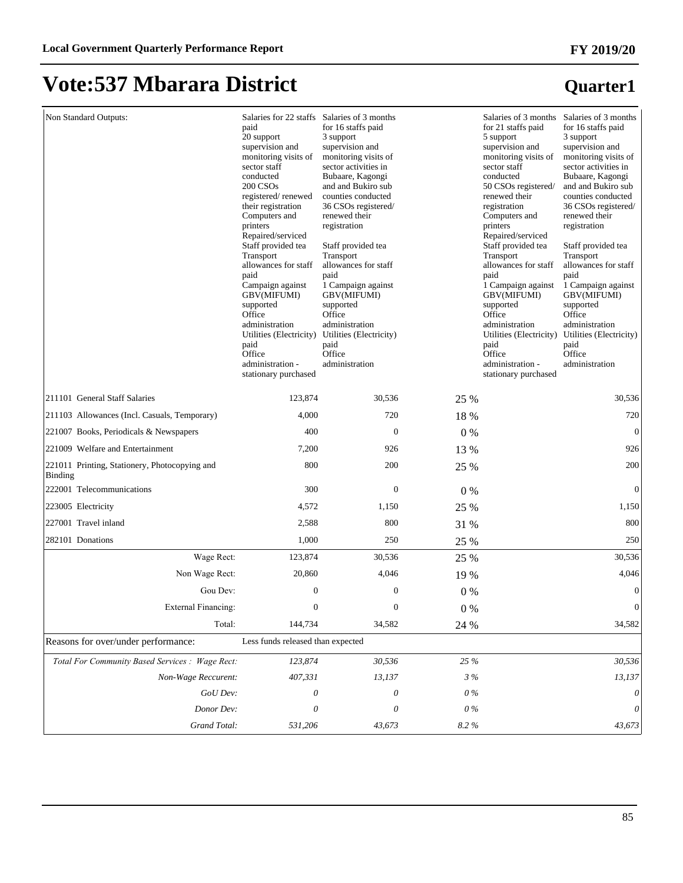## **Vote:537 Mbarara District**

| Non Standard Outputs:                                           | paid<br>20 support<br>supervision and<br>monitoring visits of<br>sector staff<br>conducted<br>200 CSOs<br>registered/renewed<br>their registration<br>Computers and<br>printers<br>Repaired/serviced<br>Staff provided tea<br>Transport<br>allowances for staff<br>paid<br>Campaign against<br><b>GBV(MIFUMI)</b><br>supported<br>Office<br>administration<br>Utilities (Electricity)<br>paid<br>Office<br>administration -<br>stationary purchased | Salaries for 22 staffs Salaries of 3 months<br>for 16 staffs paid<br>3 support<br>supervision and<br>monitoring visits of<br>sector activities in<br>Bubaare, Kagongi<br>and and Bukiro sub<br>counties conducted<br>36 CSOs registered/<br>renewed their<br>registration<br>Staff provided tea<br>Transport<br>allowances for staff<br>paid<br>1 Campaign against<br><b>GBV(MIFUMI)</b><br>supported<br>Office<br>administration<br>Utilities (Electricity)<br>paid<br>Office<br>administration |          | for 21 staffs paid<br>5 support<br>supervision and<br>monitoring visits of<br>sector staff<br>conducted<br>50 CSOs registered/<br>renewed their<br>registration<br>Computers and<br>printers<br>Repaired/serviced<br>Staff provided tea<br>Transport<br>allowances for staff<br>paid<br>1 Campaign against<br><b>GBV(MIFUMI)</b><br>supported<br>Office<br>administration<br>Utilities (Electricity)<br>paid<br>Office<br>administration -<br>stationary purchased | Salaries of 3 months Salaries of 3 months<br>for 16 staffs paid<br>3 support<br>supervision and<br>monitoring visits of<br>sector activities in<br>Bubaare, Kagongi<br>and and Bukiro sub<br>counties conducted<br>36 CSOs registered/<br>renewed their<br>registration<br>Staff provided tea<br>Transport<br>allowances for staff<br>paid<br>1 Campaign against<br><b>GBV(MIFUMI)</b><br>supported<br>Office<br>administration<br>Utilities (Electricity)<br>paid<br>Office<br>administration |
|-----------------------------------------------------------------|-----------------------------------------------------------------------------------------------------------------------------------------------------------------------------------------------------------------------------------------------------------------------------------------------------------------------------------------------------------------------------------------------------------------------------------------------------|--------------------------------------------------------------------------------------------------------------------------------------------------------------------------------------------------------------------------------------------------------------------------------------------------------------------------------------------------------------------------------------------------------------------------------------------------------------------------------------------------|----------|--------------------------------------------------------------------------------------------------------------------------------------------------------------------------------------------------------------------------------------------------------------------------------------------------------------------------------------------------------------------------------------------------------------------------------------------------------------------|------------------------------------------------------------------------------------------------------------------------------------------------------------------------------------------------------------------------------------------------------------------------------------------------------------------------------------------------------------------------------------------------------------------------------------------------------------------------------------------------|
| 211101 General Staff Salaries                                   | 123,874                                                                                                                                                                                                                                                                                                                                                                                                                                             | 30,536                                                                                                                                                                                                                                                                                                                                                                                                                                                                                           | 25 %     |                                                                                                                                                                                                                                                                                                                                                                                                                                                                    | 30,536                                                                                                                                                                                                                                                                                                                                                                                                                                                                                         |
| 211103 Allowances (Incl. Casuals, Temporary)                    | 4,000                                                                                                                                                                                                                                                                                                                                                                                                                                               | 720                                                                                                                                                                                                                                                                                                                                                                                                                                                                                              | 18 %     |                                                                                                                                                                                                                                                                                                                                                                                                                                                                    | 720                                                                                                                                                                                                                                                                                                                                                                                                                                                                                            |
| 221007 Books, Periodicals & Newspapers                          | 400                                                                                                                                                                                                                                                                                                                                                                                                                                                 | $\theta$                                                                                                                                                                                                                                                                                                                                                                                                                                                                                         | $0\%$    |                                                                                                                                                                                                                                                                                                                                                                                                                                                                    | $\mathbf{0}$                                                                                                                                                                                                                                                                                                                                                                                                                                                                                   |
| 221009 Welfare and Entertainment                                | 7,200                                                                                                                                                                                                                                                                                                                                                                                                                                               | 926                                                                                                                                                                                                                                                                                                                                                                                                                                                                                              | 13 %     |                                                                                                                                                                                                                                                                                                                                                                                                                                                                    | 926                                                                                                                                                                                                                                                                                                                                                                                                                                                                                            |
| 221011 Printing, Stationery, Photocopying and<br><b>Binding</b> | 800                                                                                                                                                                                                                                                                                                                                                                                                                                                 | 200                                                                                                                                                                                                                                                                                                                                                                                                                                                                                              | 25 %     |                                                                                                                                                                                                                                                                                                                                                                                                                                                                    | 200                                                                                                                                                                                                                                                                                                                                                                                                                                                                                            |
| 222001 Telecommunications                                       | 300                                                                                                                                                                                                                                                                                                                                                                                                                                                 | $\mathbf{0}$                                                                                                                                                                                                                                                                                                                                                                                                                                                                                     | $0\%$    |                                                                                                                                                                                                                                                                                                                                                                                                                                                                    | $\mathbf{0}$                                                                                                                                                                                                                                                                                                                                                                                                                                                                                   |
| 223005 Electricity                                              | 4,572                                                                                                                                                                                                                                                                                                                                                                                                                                               | 1,150                                                                                                                                                                                                                                                                                                                                                                                                                                                                                            | 25 %     |                                                                                                                                                                                                                                                                                                                                                                                                                                                                    | 1,150                                                                                                                                                                                                                                                                                                                                                                                                                                                                                          |
| 227001 Travel inland                                            | 2,588                                                                                                                                                                                                                                                                                                                                                                                                                                               | 800                                                                                                                                                                                                                                                                                                                                                                                                                                                                                              | 31 %     |                                                                                                                                                                                                                                                                                                                                                                                                                                                                    | 800                                                                                                                                                                                                                                                                                                                                                                                                                                                                                            |
| 282101 Donations                                                | 1,000                                                                                                                                                                                                                                                                                                                                                                                                                                               | 250                                                                                                                                                                                                                                                                                                                                                                                                                                                                                              | 25 %     |                                                                                                                                                                                                                                                                                                                                                                                                                                                                    | 250                                                                                                                                                                                                                                                                                                                                                                                                                                                                                            |
| Wage Rect:                                                      | 123,874                                                                                                                                                                                                                                                                                                                                                                                                                                             | 30,536                                                                                                                                                                                                                                                                                                                                                                                                                                                                                           | 25 %     |                                                                                                                                                                                                                                                                                                                                                                                                                                                                    | 30,536                                                                                                                                                                                                                                                                                                                                                                                                                                                                                         |
| Non Wage Rect:                                                  | 20,860                                                                                                                                                                                                                                                                                                                                                                                                                                              | 4,046                                                                                                                                                                                                                                                                                                                                                                                                                                                                                            | 19 %     |                                                                                                                                                                                                                                                                                                                                                                                                                                                                    | 4,046                                                                                                                                                                                                                                                                                                                                                                                                                                                                                          |
| Gou Dev:                                                        | $\mathbf{0}$                                                                                                                                                                                                                                                                                                                                                                                                                                        | $\boldsymbol{0}$                                                                                                                                                                                                                                                                                                                                                                                                                                                                                 | $0\%$    |                                                                                                                                                                                                                                                                                                                                                                                                                                                                    | $\mathbf{0}$                                                                                                                                                                                                                                                                                                                                                                                                                                                                                   |
| External Financing:                                             | $\Omega$                                                                                                                                                                                                                                                                                                                                                                                                                                            | $\overline{0}$                                                                                                                                                                                                                                                                                                                                                                                                                                                                                   | $0\ \%$  |                                                                                                                                                                                                                                                                                                                                                                                                                                                                    | $\boldsymbol{0}$                                                                                                                                                                                                                                                                                                                                                                                                                                                                               |
| Total:                                                          | 144,734                                                                                                                                                                                                                                                                                                                                                                                                                                             | 34,582                                                                                                                                                                                                                                                                                                                                                                                                                                                                                           | 24 %     |                                                                                                                                                                                                                                                                                                                                                                                                                                                                    | 34,582                                                                                                                                                                                                                                                                                                                                                                                                                                                                                         |
| Reasons for over/under performance:                             | Less funds released than expected                                                                                                                                                                                                                                                                                                                                                                                                                   |                                                                                                                                                                                                                                                                                                                                                                                                                                                                                                  |          |                                                                                                                                                                                                                                                                                                                                                                                                                                                                    |                                                                                                                                                                                                                                                                                                                                                                                                                                                                                                |
| Total For Community Based Services : Wage Rect:                 | 123,874                                                                                                                                                                                                                                                                                                                                                                                                                                             | 30,536                                                                                                                                                                                                                                                                                                                                                                                                                                                                                           | 25 %     |                                                                                                                                                                                                                                                                                                                                                                                                                                                                    | 30,536                                                                                                                                                                                                                                                                                                                                                                                                                                                                                         |
| Non-Wage Reccurent:                                             | 407,331                                                                                                                                                                                                                                                                                                                                                                                                                                             | 13,137                                                                                                                                                                                                                                                                                                                                                                                                                                                                                           | 3%       |                                                                                                                                                                                                                                                                                                                                                                                                                                                                    | 13,137                                                                                                                                                                                                                                                                                                                                                                                                                                                                                         |
| GoU Dev:                                                        | 0                                                                                                                                                                                                                                                                                                                                                                                                                                                   | 0                                                                                                                                                                                                                                                                                                                                                                                                                                                                                                | $0\%$    |                                                                                                                                                                                                                                                                                                                                                                                                                                                                    | $\boldsymbol{\mathit{0}}$                                                                                                                                                                                                                                                                                                                                                                                                                                                                      |
| Donor Dev:                                                      | 0                                                                                                                                                                                                                                                                                                                                                                                                                                                   | 0                                                                                                                                                                                                                                                                                                                                                                                                                                                                                                | $0\%$    |                                                                                                                                                                                                                                                                                                                                                                                                                                                                    | $\boldsymbol{\mathit{0}}$                                                                                                                                                                                                                                                                                                                                                                                                                                                                      |
| Grand Total:                                                    | 531,206                                                                                                                                                                                                                                                                                                                                                                                                                                             | 43,673                                                                                                                                                                                                                                                                                                                                                                                                                                                                                           | $8.2~\%$ |                                                                                                                                                                                                                                                                                                                                                                                                                                                                    | 43,673                                                                                                                                                                                                                                                                                                                                                                                                                                                                                         |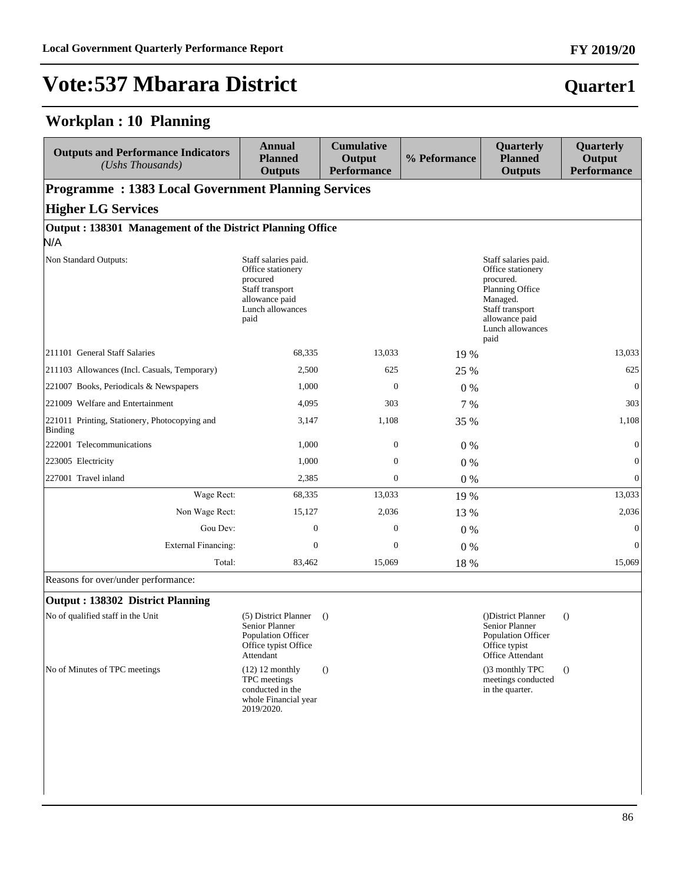#### **Workplan : 10 Planning**

| <b>Outputs and Performance Indicators</b><br>(Ushs Thousands) | <b>Annual</b><br><b>Planned</b><br><b>Outputs</b>                                                                      | <b>Cumulative</b><br>Output<br><b>Performance</b> | % Peformance | Quarterly<br><b>Planned</b><br><b>Outputs</b>                                                                                                          | Quarterly<br>Output<br><b>Performance</b> |  |  |  |  |
|---------------------------------------------------------------|------------------------------------------------------------------------------------------------------------------------|---------------------------------------------------|--------------|--------------------------------------------------------------------------------------------------------------------------------------------------------|-------------------------------------------|--|--|--|--|
|                                                               | <b>Programme: 1383 Local Government Planning Services</b>                                                              |                                                   |              |                                                                                                                                                        |                                           |  |  |  |  |
| <b>Higher LG Services</b>                                     |                                                                                                                        |                                                   |              |                                                                                                                                                        |                                           |  |  |  |  |
| Output: 138301 Management of the District Planning Office     |                                                                                                                        |                                                   |              |                                                                                                                                                        |                                           |  |  |  |  |
| N/A                                                           |                                                                                                                        |                                                   |              |                                                                                                                                                        |                                           |  |  |  |  |
| Non Standard Outputs:                                         | Staff salaries paid.<br>Office stationery<br>procured<br>Staff transport<br>allowance paid<br>Lunch allowances<br>paid |                                                   |              | Staff salaries paid.<br>Office stationery<br>procured.<br>Planning Office<br>Managed.<br>Staff transport<br>allowance paid<br>Lunch allowances<br>paid |                                           |  |  |  |  |
| 211101 General Staff Salaries                                 | 68,335                                                                                                                 | 13,033                                            | 19 %         |                                                                                                                                                        | 13,033                                    |  |  |  |  |
| [211103 Allowances (Incl. Casuals, Temporary)                 | 2,500                                                                                                                  | 625                                               | 25 %         |                                                                                                                                                        | 625                                       |  |  |  |  |
| 221007 Books, Periodicals & Newspapers                        | 1,000                                                                                                                  | $\Omega$                                          | $0\%$        |                                                                                                                                                        | $\mathbf{0}$                              |  |  |  |  |
| 221009 Welfare and Entertainment                              | 4,095                                                                                                                  | 303                                               | 7 %          |                                                                                                                                                        | 303                                       |  |  |  |  |
| 221011 Printing, Stationery, Photocopying and<br>Binding      | 3,147                                                                                                                  | 1,108                                             | 35 %         |                                                                                                                                                        | 1,108                                     |  |  |  |  |
| 222001 Telecommunications                                     | 1,000                                                                                                                  | $\boldsymbol{0}$                                  | $0\%$        |                                                                                                                                                        | $\mathbf{0}$                              |  |  |  |  |
| 223005 Electricity                                            | 1,000                                                                                                                  | $\boldsymbol{0}$                                  | $0\%$        |                                                                                                                                                        | $\boldsymbol{0}$                          |  |  |  |  |
| 227001 Travel inland                                          | 2,385                                                                                                                  | $\boldsymbol{0}$                                  | $0\%$        |                                                                                                                                                        | $\boldsymbol{0}$                          |  |  |  |  |
| Wage Rect:                                                    | 68,335                                                                                                                 | 13,033                                            | 19 %         |                                                                                                                                                        | 13,033                                    |  |  |  |  |
| Non Wage Rect:                                                | 15,127                                                                                                                 | 2,036                                             | 13 %         |                                                                                                                                                        | 2,036                                     |  |  |  |  |
| Gou Dev:                                                      | $\overline{0}$                                                                                                         | $\mathbf{0}$                                      | $0\%$        |                                                                                                                                                        | $\mathbf{0}$                              |  |  |  |  |
| <b>External Financing:</b>                                    | $\Omega$                                                                                                               | $\Omega$                                          | $0\%$        |                                                                                                                                                        | $\mathbf{0}$                              |  |  |  |  |
| Total:                                                        | 83,462                                                                                                                 | 15,069                                            | 18 %         |                                                                                                                                                        | 15,069                                    |  |  |  |  |

Reasons for over/under performance:

#### **Output : 138302 District Planning**

No of qualified staff in the Unit (5) District Planner (1) Senior Planner Population Officer Office typist Office Attendant () ()District Planner Senior Planner Population Officer Office typist Office Attendant () No of Minutes of TPC meetings (12) 12 monthly TPC meetings conducted in the whole Financial year 2019/2020. () ()3 monthly TPC meetings conducted in the quarter. ()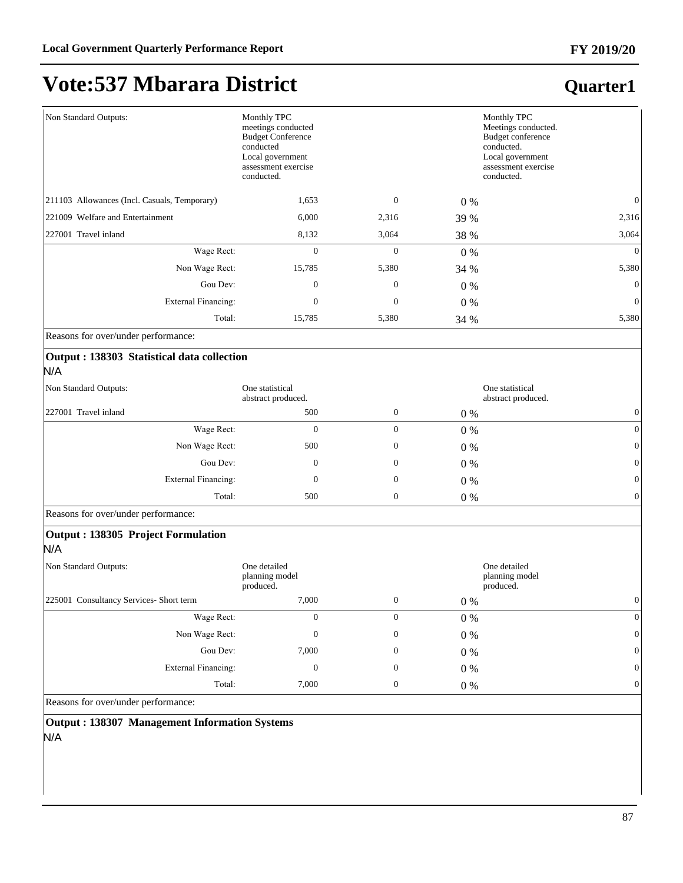#### **Quarter1**

| Non Standard Outputs:                        | Monthly TPC<br>meetings conducted<br><b>Budget Conference</b><br>conducted<br>Local government<br>assessment exercise<br>conducted. |              |       | Monthly TPC<br>Meetings conducted.<br>Budget conference<br>conducted.<br>Local government<br>assessment exercise<br>conducted. |
|----------------------------------------------|-------------------------------------------------------------------------------------------------------------------------------------|--------------|-------|--------------------------------------------------------------------------------------------------------------------------------|
| 211103 Allowances (Incl. Casuals, Temporary) | 1,653                                                                                                                               | $\theta$     | $0\%$ | $\mathbf{0}$                                                                                                                   |
| 221009 Welfare and Entertainment             | 6,000                                                                                                                               | 2,316        | 39 %  | 2,316                                                                                                                          |
| 227001 Travel inland                         | 8,132                                                                                                                               | 3,064        | 38 %  | 3,064                                                                                                                          |
| Wage Rect:                                   | $\mathbf{0}$                                                                                                                        | $\Omega$     | 0 %   | $\overline{0}$                                                                                                                 |
| Non Wage Rect:                               | 15,785                                                                                                                              | 5,380        | 34 %  | 5,380                                                                                                                          |
| Gou Dev:                                     | $\mathbf{0}$                                                                                                                        | $\theta$     | 0 %   | $\theta$                                                                                                                       |
| <b>External Financing:</b>                   | $\boldsymbol{0}$                                                                                                                    | $\mathbf{0}$ | $0\%$ | $\boldsymbol{0}$                                                                                                               |
| Total:                                       | 15,785                                                                                                                              | 5,380        | 34 %  | 5,380                                                                                                                          |
| Reasons for over/under performance:          |                                                                                                                                     |              |       |                                                                                                                                |
| Output : 138303 Statistical data collection  |                                                                                                                                     |              |       |                                                                                                                                |
| N/A                                          |                                                                                                                                     |              |       |                                                                                                                                |
| Non Standard Outputs:                        | One statistical<br>abstract produced.                                                                                               |              |       | One statistical<br>abstract produced.                                                                                          |
| 227001 Travel inland                         | 500                                                                                                                                 | $\mathbf{0}$ | $0\%$ | $\boldsymbol{0}$                                                                                                               |

| 22/001 Travel inland       | 500           |   | $0\%$ | U |
|----------------------------|---------------|---|-------|---|
| Wage Rect:                 | 0             |   | $0\%$ | U |
| Non Wage Rect:             | 500           |   | $0\%$ | 0 |
| Gou Dev:                   | 0             |   | $0\%$ | 0 |
| <b>External Financing:</b> | 0             |   | $0\%$ | 0 |
|                            | Total:<br>500 | U | $0\%$ | U |
| _<br>$\sim$                |               |   |       |   |

Reasons for over/under performance:

#### **Output : 138305 Project Formulation**

N/A

| Non Standard Outputs:<br>One detailed<br>planning model<br>produced. |       |                  | One detailed<br>planning model<br>produced. |          |
|----------------------------------------------------------------------|-------|------------------|---------------------------------------------|----------|
| 225001 Consultancy Services-Short term                               | 7,000 | $\boldsymbol{0}$ | $0\%$                                       |          |
| Wage Rect:                                                           | 0     | 0                | $0\%$                                       |          |
| Non Wage Rect:                                                       | 0     | 0                | $0\%$                                       | $\Omega$ |
| Gou Dev:                                                             | 7,000 | 0                | $0\%$                                       | $\Omega$ |
| External Financing:                                                  | 0     | 0                | $0\%$                                       | $\Omega$ |
| Total:                                                               | 7,000 | $\mathbf{0}$     | $0\%$                                       |          |

Reasons for over/under performance:

**Output : 138307 Management Information Systems** N/A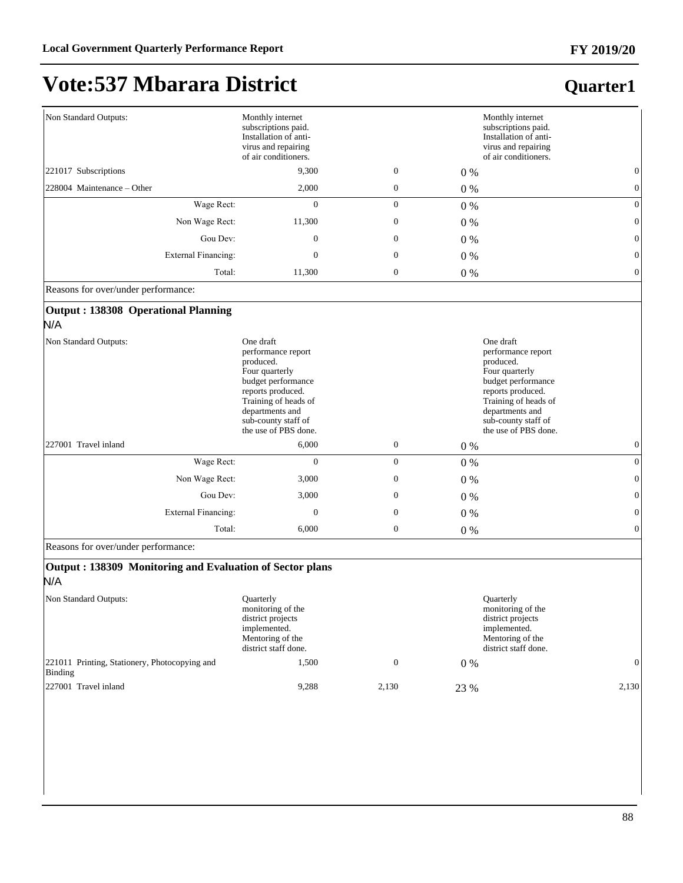## **Vote:537 Mbarara District**

#### **Quarter1**

| Non Standard Outputs:                             | Monthly internet<br>subscriptions paid.<br>Installation of anti-<br>virus and repairing<br>of air conditioners.                                                                                     |                  |       | Monthly internet<br>subscriptions paid.<br>Installation of anti-<br>virus and repairing<br>of air conditioners.                                                                                     |
|---------------------------------------------------|-----------------------------------------------------------------------------------------------------------------------------------------------------------------------------------------------------|------------------|-------|-----------------------------------------------------------------------------------------------------------------------------------------------------------------------------------------------------|
| 221017 Subscriptions                              | 9.300                                                                                                                                                                                               | $\mathbf{0}$     | $0\%$ | $\overline{0}$                                                                                                                                                                                      |
| 228004 Maintenance – Other                        | 2,000                                                                                                                                                                                               | $\boldsymbol{0}$ | $0\%$ | $\mathbf{0}$                                                                                                                                                                                        |
| Wage Rect:                                        | $\mathbf{0}$                                                                                                                                                                                        | $\mathbf{0}$     | $0\%$ | $\theta$                                                                                                                                                                                            |
| Non Wage Rect:                                    | 11,300                                                                                                                                                                                              | $\mathbf{0}$     | $0\%$ | $\mathbf{0}$                                                                                                                                                                                        |
| Gou Dev:                                          | $\mathbf{0}$                                                                                                                                                                                        | $\mathbf{0}$     | $0\%$ | $\mathbf{0}$                                                                                                                                                                                        |
| <b>External Financing:</b>                        | $\overline{0}$                                                                                                                                                                                      | $\boldsymbol{0}$ | $0\%$ | $\mathbf{0}$                                                                                                                                                                                        |
| Total:                                            | 11,300                                                                                                                                                                                              | $\boldsymbol{0}$ | $0\%$ | $\boldsymbol{0}$                                                                                                                                                                                    |
| Reasons for over/under performance:               |                                                                                                                                                                                                     |                  |       |                                                                                                                                                                                                     |
| <b>Output: 138308 Operational Planning</b><br>N/A |                                                                                                                                                                                                     |                  |       |                                                                                                                                                                                                     |
| Non Standard Outputs:                             | One draft<br>performance report<br>produced.<br>Four quarterly<br>budget performance<br>reports produced.<br>Training of heads of<br>departments and<br>sub-county staff of<br>the use of PBS done. |                  |       | One draft<br>performance report<br>produced.<br>Four quarterly<br>budget performance<br>reports produced.<br>Training of heads of<br>departments and<br>sub-county staff of<br>the use of PBS done. |
| 227001 Travel inland                              | 6,000                                                                                                                                                                                               | $\boldsymbol{0}$ | $0\%$ | $\boldsymbol{0}$                                                                                                                                                                                    |
| Wage Rect:                                        | $\mathbf{0}$                                                                                                                                                                                        | $\mathbf{0}$     | $0\%$ | $\mathbf{0}$                                                                                                                                                                                        |
| Non Wage Rect:                                    | 3,000                                                                                                                                                                                               | $\boldsymbol{0}$ | $0\%$ | $\Omega$                                                                                                                                                                                            |
| Gou Dev:                                          | 3,000                                                                                                                                                                                               | $\mathbf{0}$     | $0\%$ | $\Omega$                                                                                                                                                                                            |
| <b>External Financing:</b>                        | $\mathbf{0}$                                                                                                                                                                                        | $\mathbf{0}$     | $0\%$ | $\mathbf{0}$                                                                                                                                                                                        |
| Total:                                            | 6,000                                                                                                                                                                                               | $\mathbf{0}$     | $0\%$ | $\mathbf{0}$                                                                                                                                                                                        |
|                                                   |                                                                                                                                                                                                     |                  |       |                                                                                                                                                                                                     |

Reasons for over/under performance:

#### **Output : 138309 Monitoring and Evaluation of Sector plans** N/A

Non Standard Outputs: Quarterly monitoring of the district projects implemented. Mentoring of the district staff done. Quarterly monitoring of the district projects implemented. Mentoring of the district staff done. 221011 Printing, Stationery, Photocopying and Binding  $1,500$  0 0 0 % 0 227001 Travel inland 9,288 2,130 23 % 2,130 23 % 2,130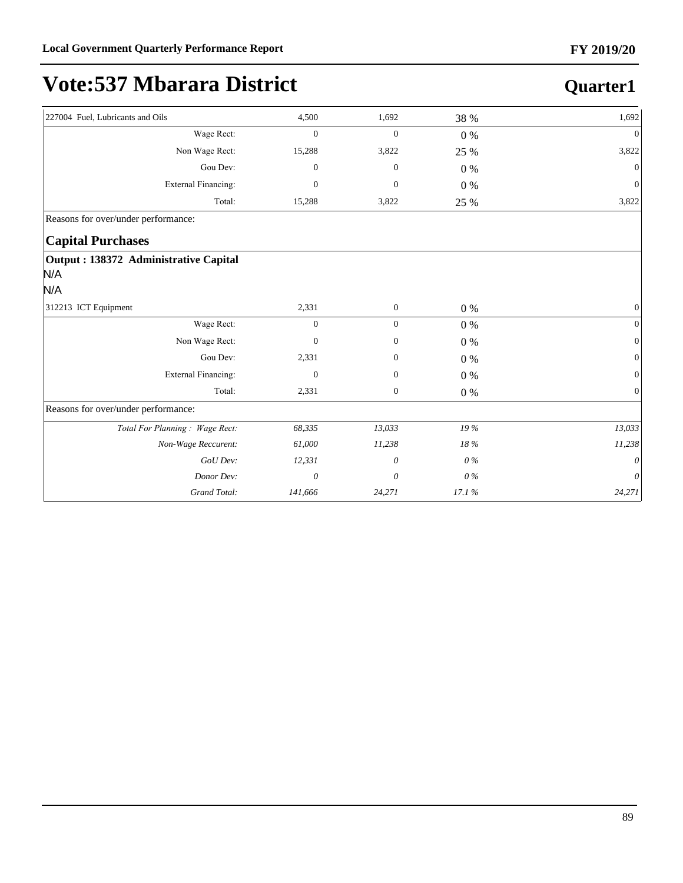| 227004 Fuel, Lubricants and Oils                     | 4,500            | 1,692            | 38 %    | 1,692            |
|------------------------------------------------------|------------------|------------------|---------|------------------|
| Wage Rect:                                           | $\boldsymbol{0}$ | $\boldsymbol{0}$ | $0\%$   | $\Omega$         |
| Non Wage Rect:                                       | 15,288           | 3,822            | 25 %    | 3,822            |
| Gou Dev:                                             | $\mathbf{0}$     | $\mathbf{0}$     | $0\ \%$ | $\Omega$         |
| <b>External Financing:</b>                           | $\mathbf{0}$     | $\mathbf{0}$     | $0\%$   | $\mathbf{0}$     |
| Total:                                               | 15,288           | 3,822            | 25 %    | 3,822            |
| Reasons for over/under performance:                  |                  |                  |         |                  |
| <b>Capital Purchases</b>                             |                  |                  |         |                  |
| Output : 138372 Administrative Capital<br>N/A<br>N/A |                  |                  |         |                  |
| 312213 ICT Equipment                                 | 2,331            | $\boldsymbol{0}$ | $0\%$   | $\boldsymbol{0}$ |
| Wage Rect:                                           | $\boldsymbol{0}$ | $\boldsymbol{0}$ | $0\ \%$ | $\Omega$         |
| Non Wage Rect:                                       | $\mathbf{0}$     | $\boldsymbol{0}$ | 0%      | $\Omega$         |
| Gou Dev:                                             | 2,331            | $\mathbf{0}$     | $0\%$   | $\mathbf{0}$     |
| <b>External Financing:</b>                           | $\mathbf{0}$     | $\mathbf{0}$     | $0\%$   | $\Omega$         |
| Total:                                               | 2,331            | $\boldsymbol{0}$ | $0\%$   | $\boldsymbol{0}$ |
| Reasons for over/under performance:                  |                  |                  |         |                  |
| Total For Planning: Wage Rect:                       | 68,335           | 13,033           | 19 %    | 13,033           |
| Non-Wage Reccurent:                                  | 61,000           | 11,238           | 18%     | 11,238           |
| GoU Dev:                                             | 12,331           | 0                | $0\%$   | $\theta$         |
| Donor Dev:                                           | 0                | 0                | $0\%$   | 0                |
| <b>Grand Total:</b>                                  | 141,666          | 24,271           | 17.1%   | 24,271           |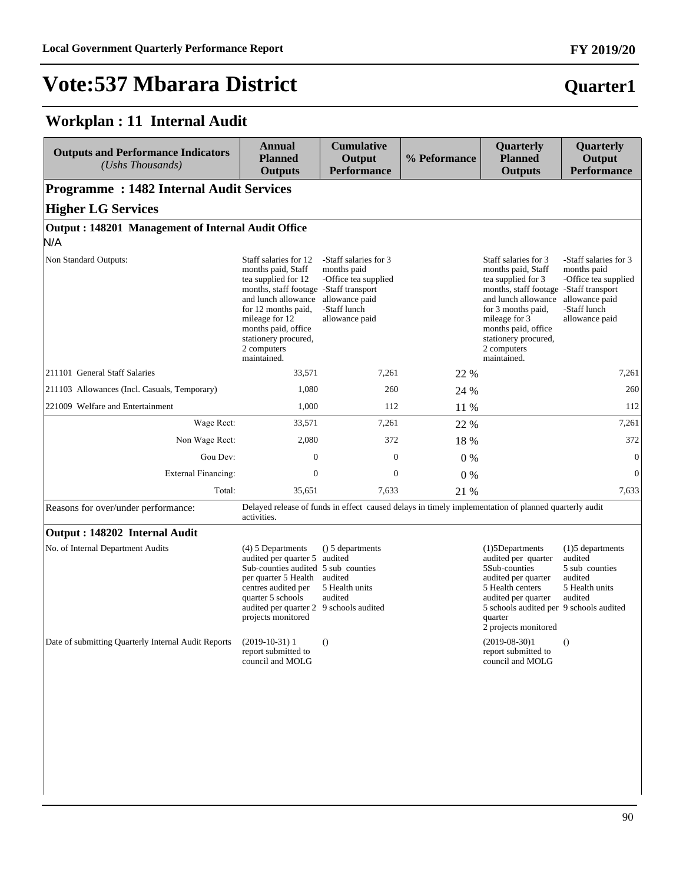## **Vote:537 Mbarara District**

## **Quarter1**

### **Workplan : 11 Internal Audit**

| <b>Outputs and Performance Indicators</b><br>(Ushs Thousands) | <b>Annual</b><br><b>Planned</b><br><b>Outputs</b>                                                                                                                                                                                                         | <b>Cumulative</b><br>Output<br><b>Performance</b>                                                                | % Peformance | Quarterly<br><b>Planned</b><br><b>Outputs</b>                                                                                                                                                                                                         | Quarterly<br>Output<br><b>Performance</b>                                                                        |  |  |  |  |
|---------------------------------------------------------------|-----------------------------------------------------------------------------------------------------------------------------------------------------------------------------------------------------------------------------------------------------------|------------------------------------------------------------------------------------------------------------------|--------------|-------------------------------------------------------------------------------------------------------------------------------------------------------------------------------------------------------------------------------------------------------|------------------------------------------------------------------------------------------------------------------|--|--|--|--|
|                                                               | <b>Programme: 1482 Internal Audit Services</b>                                                                                                                                                                                                            |                                                                                                                  |              |                                                                                                                                                                                                                                                       |                                                                                                                  |  |  |  |  |
| <b>Higher LG Services</b>                                     |                                                                                                                                                                                                                                                           |                                                                                                                  |              |                                                                                                                                                                                                                                                       |                                                                                                                  |  |  |  |  |
| Output: 148201 Management of Internal Audit Office<br>N/A     |                                                                                                                                                                                                                                                           |                                                                                                                  |              |                                                                                                                                                                                                                                                       |                                                                                                                  |  |  |  |  |
| Non Standard Outputs:                                         | Staff salaries for 12<br>months paid, Staff<br>tea supplied for 12<br>months, staff footage -Staff transport<br>and lunch allowance<br>for 12 months paid,<br>mileage for 12<br>months paid, office<br>stationery procured,<br>2 computers<br>maintained. | -Staff salaries for 3<br>months paid<br>-Office tea supplied<br>allowance paid<br>-Staff lunch<br>allowance paid |              | Staff salaries for 3<br>months paid, Staff<br>tea supplied for 3<br>months, staff footage -Staff transport<br>and lunch allowance<br>for 3 months paid,<br>mileage for 3<br>months paid, office<br>stationery procured,<br>2 computers<br>maintained. | -Staff salaries for 3<br>months paid<br>-Office tea supplied<br>allowance paid<br>-Staff lunch<br>allowance paid |  |  |  |  |
| 211101 General Staff Salaries                                 | 33,571                                                                                                                                                                                                                                                    | 7,261                                                                                                            | 22 %         |                                                                                                                                                                                                                                                       | 7,261                                                                                                            |  |  |  |  |
| 211103 Allowances (Incl. Casuals, Temporary)                  | 1,080                                                                                                                                                                                                                                                     | 260                                                                                                              | 24 %         |                                                                                                                                                                                                                                                       | 260                                                                                                              |  |  |  |  |
| 221009 Welfare and Entertainment                              | 1,000                                                                                                                                                                                                                                                     | 112                                                                                                              | 11 %         |                                                                                                                                                                                                                                                       | 112                                                                                                              |  |  |  |  |
| Wage Rect:                                                    | 33,571                                                                                                                                                                                                                                                    | 7,261                                                                                                            | 22 %         |                                                                                                                                                                                                                                                       | 7,261                                                                                                            |  |  |  |  |
| Non Wage Rect:                                                | 2,080                                                                                                                                                                                                                                                     | 372                                                                                                              | 18 %         |                                                                                                                                                                                                                                                       | 372                                                                                                              |  |  |  |  |
| Gou Dev:                                                      | $\boldsymbol{0}$                                                                                                                                                                                                                                          | $\boldsymbol{0}$                                                                                                 | $0\%$        |                                                                                                                                                                                                                                                       | $\mathbf{0}$                                                                                                     |  |  |  |  |
| <b>External Financing:</b>                                    | $\mathbf{0}$                                                                                                                                                                                                                                              | $\mathbf{0}$                                                                                                     | 0%           |                                                                                                                                                                                                                                                       | $\theta$                                                                                                         |  |  |  |  |
| Total:                                                        | 35,651                                                                                                                                                                                                                                                    | 7,633                                                                                                            | 21 %         |                                                                                                                                                                                                                                                       | 7,633                                                                                                            |  |  |  |  |
| Reasons for over/under performance:                           | activities.                                                                                                                                                                                                                                               |                                                                                                                  |              | Delayed release of funds in effect caused delays in timely implementation of planned quarterly audit                                                                                                                                                  |                                                                                                                  |  |  |  |  |
| Output: 148202 Internal Audit                                 |                                                                                                                                                                                                                                                           |                                                                                                                  |              |                                                                                                                                                                                                                                                       |                                                                                                                  |  |  |  |  |
| No. of Internal Department Audits                             | $(4)$ 5 Departments<br>audited per quarter 5<br>Sub-counties audited 5 sub counties<br>per quarter 5 Health<br>centres audited per<br>quarter 5 schools<br>audited per quarter 2 9 schools audited<br>projects monitored                                  | () 5 departments<br>audited<br>audited<br>5 Health units<br>audited                                              |              | $(1)$ 5Departments<br>audited per quarter<br>5Sub-counties<br>audited per quarter<br>5 Health centers<br>audited per quarter<br>5 schools audited per 9 schools audited<br>quarter<br>2 projects monitored                                            | $(1)5$ departments<br>audited<br>5 sub counties<br>audited<br>5 Health units<br>audited                          |  |  |  |  |
| Date of submitting Quarterly Internal Audit Reports           | $(2019-10-31)1$<br>report submitted to<br>council and MOLG                                                                                                                                                                                                | $\Omega$                                                                                                         |              | $(2019-08-30)1$<br>report submitted to<br>council and MOLG                                                                                                                                                                                            | $\theta$                                                                                                         |  |  |  |  |
|                                                               |                                                                                                                                                                                                                                                           |                                                                                                                  |              |                                                                                                                                                                                                                                                       |                                                                                                                  |  |  |  |  |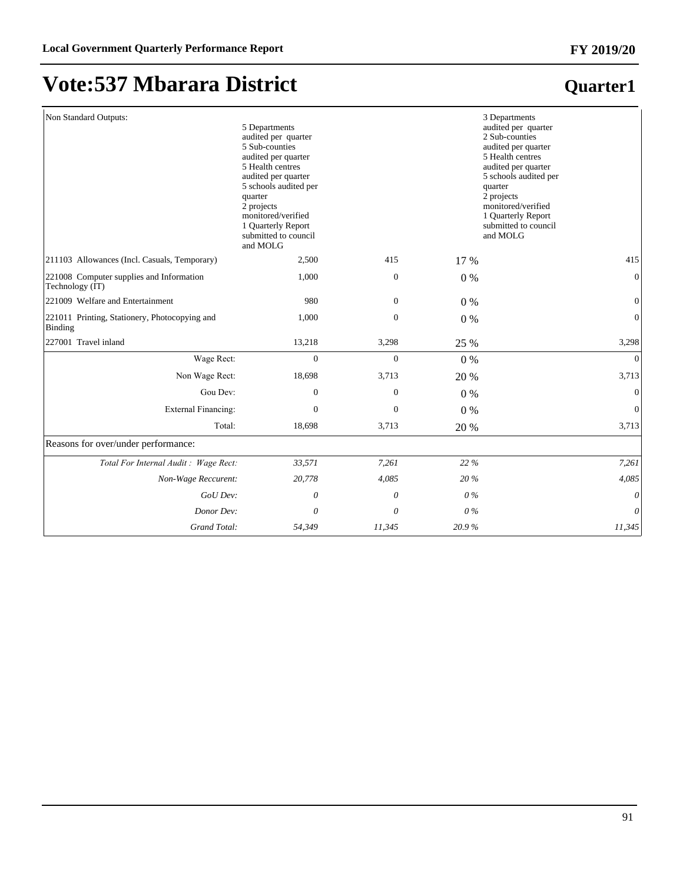## **Vote:537 Mbarara District**

| Non Standard Outputs:                                       | 5 Departments<br>audited per quarter<br>5 Sub-counties<br>audited per quarter<br>5 Health centres<br>audited per quarter<br>5 schools audited per<br>quarter<br>2 projects<br>monitored/verified<br>1 Quarterly Report<br>submitted to council<br>and MOLG |                  |       | 3 Departments<br>audited per quarter<br>2 Sub-counties<br>audited per quarter<br>5 Health centres<br>audited per quarter<br>5 schools audited per<br>quarter<br>2 projects<br>monitored/verified<br>1 Quarterly Report<br>submitted to council<br>and MOLG |
|-------------------------------------------------------------|------------------------------------------------------------------------------------------------------------------------------------------------------------------------------------------------------------------------------------------------------------|------------------|-------|------------------------------------------------------------------------------------------------------------------------------------------------------------------------------------------------------------------------------------------------------------|
| 211103 Allowances (Incl. Casuals, Temporary)                | 2,500                                                                                                                                                                                                                                                      | 415              | 17 %  | 415                                                                                                                                                                                                                                                        |
| 221008 Computer supplies and Information<br>Technology (IT) | 1,000                                                                                                                                                                                                                                                      | $\boldsymbol{0}$ | 0%    | $\mathbf{0}$                                                                                                                                                                                                                                               |
| 221009 Welfare and Entertainment                            | 980                                                                                                                                                                                                                                                        | 0                | 0%    | $\mathbf{0}$                                                                                                                                                                                                                                               |
| 221011 Printing, Stationery, Photocopying and<br>Binding    | 1,000                                                                                                                                                                                                                                                      | $\boldsymbol{0}$ | $0\%$ | $\boldsymbol{0}$                                                                                                                                                                                                                                           |
| 227001 Travel inland                                        | 13,218                                                                                                                                                                                                                                                     | 3,298            | 25 %  | 3,298                                                                                                                                                                                                                                                      |
| Wage Rect:                                                  | $\mathbf{0}$                                                                                                                                                                                                                                               | $\overline{0}$   | 0%    | $\mathbf{0}$                                                                                                                                                                                                                                               |
| Non Wage Rect:                                              | 18,698                                                                                                                                                                                                                                                     | 3,713            | 20 %  | 3,713                                                                                                                                                                                                                                                      |
| Gou Dev:                                                    | $\boldsymbol{0}$                                                                                                                                                                                                                                           | $\boldsymbol{0}$ | 0%    | $\boldsymbol{0}$                                                                                                                                                                                                                                           |
| <b>External Financing:</b>                                  | $\mathbf{0}$                                                                                                                                                                                                                                               | $\mathbf{0}$     | 0%    | $\mathbf{0}$                                                                                                                                                                                                                                               |
| Total:                                                      | 18,698                                                                                                                                                                                                                                                     | 3,713            | 20 %  | 3,713                                                                                                                                                                                                                                                      |
| Reasons for over/under performance:                         |                                                                                                                                                                                                                                                            |                  |       |                                                                                                                                                                                                                                                            |
| Total For Internal Audit: Wage Rect:                        | 33,571                                                                                                                                                                                                                                                     | 7,261            | 22 %  | 7,261                                                                                                                                                                                                                                                      |
| Non-Wage Reccurent:                                         | 20,778                                                                                                                                                                                                                                                     | 4,085            | 20%   | 4,085                                                                                                                                                                                                                                                      |
| GoU Dev:                                                    | 0                                                                                                                                                                                                                                                          | 0                | $0\%$ | 0                                                                                                                                                                                                                                                          |
| Donor Dev:                                                  | 0                                                                                                                                                                                                                                                          | 0                | $0\%$ | $\theta$                                                                                                                                                                                                                                                   |
| Grand Total:                                                | 54,349                                                                                                                                                                                                                                                     | 11,345           | 20.9% | 11,345                                                                                                                                                                                                                                                     |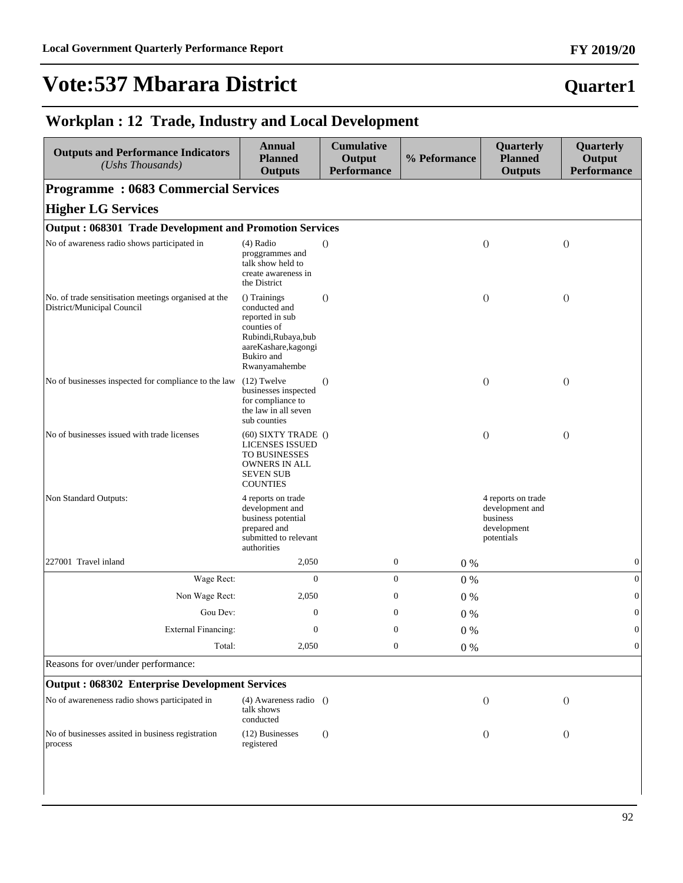## **Vote:537 Mbarara District**

### **Quarter1**

#### **Workplan : 12 Trade, Industry and Local Development**

| <b>Outputs and Performance Indicators</b><br>(Ushs Thousands)                                          | <b>Annual</b><br><b>Planned</b><br><b>Outputs</b>                                                                                              | <b>Cumulative</b><br>Output<br><b>Performance</b> | % Peformance | Quarterly<br><b>Planned</b><br><b>Outputs</b>                                  | Quarterly<br>Output<br><b>Performance</b> |  |  |  |  |
|--------------------------------------------------------------------------------------------------------|------------------------------------------------------------------------------------------------------------------------------------------------|---------------------------------------------------|--------------|--------------------------------------------------------------------------------|-------------------------------------------|--|--|--|--|
| <b>Programme: 0683 Commercial Services</b>                                                             |                                                                                                                                                |                                                   |              |                                                                                |                                           |  |  |  |  |
| <b>Higher LG Services</b>                                                                              |                                                                                                                                                |                                                   |              |                                                                                |                                           |  |  |  |  |
| <b>Output: 068301 Trade Development and Promotion Services</b>                                         |                                                                                                                                                |                                                   |              |                                                                                |                                           |  |  |  |  |
| No of awareness radio shows participated in                                                            | $(4)$ Radio<br>proggrammes and<br>talk show held to<br>create awareness in<br>the District                                                     | $\Omega$                                          |              | $\theta$                                                                       | $\theta$                                  |  |  |  |  |
| No. of trade sensitisation meetings organised at the<br>District/Municipal Council                     | () Trainings<br>conducted and<br>reported in sub<br>counties of<br>Rubindi, Rubaya, bub<br>aareKashare, kagongi<br>Bukiro and<br>Rwanyamahembe | $\Omega$                                          |              | $\theta$                                                                       | $\theta$                                  |  |  |  |  |
| No of businesses inspected for compliance to the law                                                   | $(12)$ Twelve<br>businesses inspected<br>for compliance to<br>the law in all seven<br>sub counties                                             | $\Omega$                                          |              | $\theta$                                                                       | $\Omega$                                  |  |  |  |  |
| No of businesses issued with trade licenses                                                            | $(60)$ SIXTY TRADE $()$<br><b>LICENSES ISSUED</b><br>TO BUSINESSES<br>OWNERS IN ALL<br><b>SEVEN SUB</b><br><b>COUNTIES</b>                     |                                                   |              | $\theta$                                                                       | $\theta$                                  |  |  |  |  |
| Non Standard Outputs:                                                                                  | 4 reports on trade<br>development and<br>business potential<br>prepared and<br>submitted to relevant<br>authorities                            |                                                   |              | 4 reports on trade<br>development and<br>business<br>development<br>potentials |                                           |  |  |  |  |
| 227001 Travel inland                                                                                   | 2,050                                                                                                                                          | $\boldsymbol{0}$                                  | $0\%$        |                                                                                | $\boldsymbol{0}$                          |  |  |  |  |
| Wage Rect:                                                                                             | $\mathbf{0}$                                                                                                                                   | $\overline{0}$                                    | $0\%$        |                                                                                | $\boldsymbol{0}$                          |  |  |  |  |
| Non Wage Rect:                                                                                         | 2,050                                                                                                                                          | $\boldsymbol{0}$                                  | $0\%$        |                                                                                | $\boldsymbol{0}$                          |  |  |  |  |
| Gou Dev:                                                                                               | $\mathbf{0}$                                                                                                                                   | $\boldsymbol{0}$                                  | 0%           |                                                                                | $\boldsymbol{0}$                          |  |  |  |  |
| External Financing:                                                                                    | $\boldsymbol{0}$                                                                                                                               | $\mathbf{0}$                                      | $0\%$        |                                                                                | $\overline{0}$                            |  |  |  |  |
| Total:                                                                                                 | 2,050                                                                                                                                          | $\boldsymbol{0}$                                  | 0%           |                                                                                | $\boldsymbol{0}$                          |  |  |  |  |
| Reasons for over/under performance:                                                                    |                                                                                                                                                |                                                   |              |                                                                                |                                           |  |  |  |  |
| <b>Output: 068302 Enterprise Development Services</b><br>No of awareneness radio shows participated in |                                                                                                                                                |                                                   |              |                                                                                |                                           |  |  |  |  |
|                                                                                                        | $(4)$ Awareness radio $()$<br>talk shows<br>conducted                                                                                          |                                                   |              | $\bigcirc$                                                                     | $\theta$                                  |  |  |  |  |
| No of businesses assited in business registration<br>process                                           | (12) Businesses<br>registered                                                                                                                  | $\theta$                                          |              | $\theta$                                                                       | $\theta$                                  |  |  |  |  |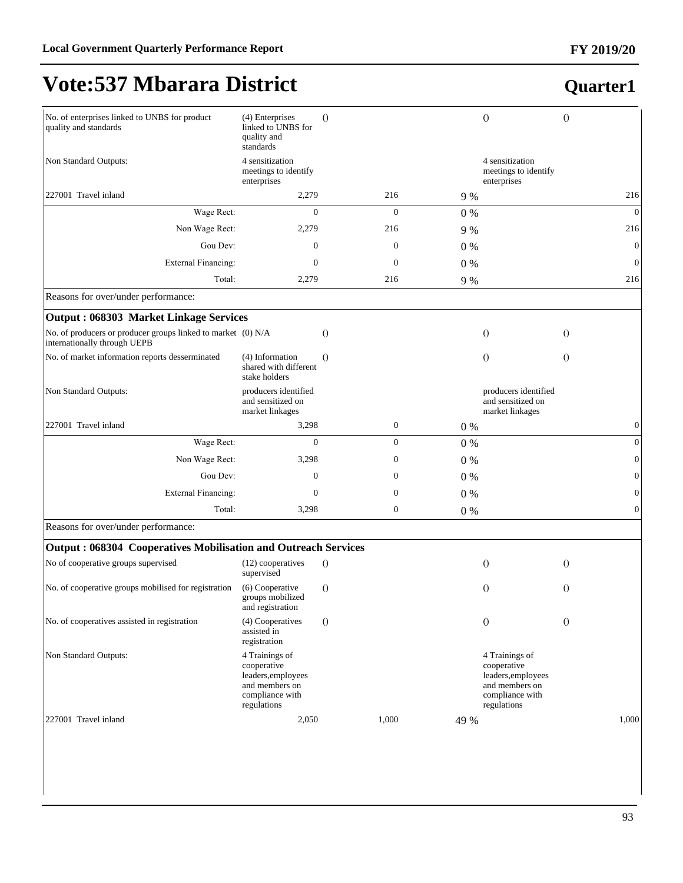## **Vote:537 Mbarara District**

| No. of enterprises linked to UNBS for product<br>quality and standards                       | (4) Enterprises<br>linked to UNBS for<br>quality and<br>standards                                       | $\theta$         |       | $\bigcirc$                                                                                              | $\overline{O}$   |
|----------------------------------------------------------------------------------------------|---------------------------------------------------------------------------------------------------------|------------------|-------|---------------------------------------------------------------------------------------------------------|------------------|
| Non Standard Outputs:                                                                        | 4 sensitization<br>meetings to identify<br>enterprises                                                  |                  |       | 4 sensitization<br>meetings to identify<br>enterprises                                                  |                  |
| 227001 Travel inland                                                                         | 2,279                                                                                                   | 216              | 9 %   |                                                                                                         | 216              |
| Wage Rect:                                                                                   | $\overline{0}$                                                                                          | $\overline{0}$   | $0\%$ |                                                                                                         | $\mathbf{0}$     |
| Non Wage Rect:                                                                               | 2,279                                                                                                   | 216              | 9 %   |                                                                                                         | 216              |
| Gou Dev:                                                                                     | $\mathbf{0}$                                                                                            | $\mathbf{0}$     | $0\%$ |                                                                                                         | $\boldsymbol{0}$ |
| <b>External Financing:</b>                                                                   | 0                                                                                                       | $\mathbf{0}$     | $0\%$ |                                                                                                         | $\boldsymbol{0}$ |
| Total:                                                                                       | 2,279                                                                                                   | 216              | 9 %   |                                                                                                         | 216              |
| Reasons for over/under performance:                                                          |                                                                                                         |                  |       |                                                                                                         |                  |
| <b>Output: 068303 Market Linkage Services</b>                                                |                                                                                                         |                  |       |                                                                                                         |                  |
| No. of producers or producer groups linked to market (0) N/A<br>internationally through UEPB |                                                                                                         | $\circ$          |       | $\theta$                                                                                                | $\theta$         |
| No. of market information reports desserminated                                              | (4) Information<br>shared with different<br>stake holders                                               | $\theta$         |       | $\overline{O}$                                                                                          | $\overline{O}$   |
| Non Standard Outputs:                                                                        | producers identified<br>and sensitized on<br>market linkages                                            |                  |       | producers identified<br>and sensitized on<br>market linkages                                            |                  |
| 227001 Travel inland                                                                         | 3,298                                                                                                   | $\boldsymbol{0}$ | $0\%$ |                                                                                                         | $\boldsymbol{0}$ |
| Wage Rect:                                                                                   | $\overline{0}$                                                                                          | $\overline{0}$   | $0\%$ |                                                                                                         | $\mathbf{0}$     |
| Non Wage Rect:                                                                               | 3,298                                                                                                   | 0                | $0\%$ |                                                                                                         | $\mathbf{0}$     |
| Gou Dev:                                                                                     | $\mathbf{0}$                                                                                            | $\boldsymbol{0}$ | $0\%$ |                                                                                                         | $\boldsymbol{0}$ |
| <b>External Financing:</b>                                                                   | $\boldsymbol{0}$                                                                                        | 0                | $0\%$ |                                                                                                         | $\mathbf{0}$     |
| Total:                                                                                       | 3,298                                                                                                   | $\boldsymbol{0}$ | $0\%$ |                                                                                                         | $\mathbf{0}$     |
| Reasons for over/under performance:                                                          |                                                                                                         |                  |       |                                                                                                         |                  |
| <b>Output: 068304 Cooperatives Mobilisation and Outreach Services</b>                        |                                                                                                         |                  |       |                                                                                                         |                  |
| No of cooperative groups supervised                                                          | (12) cooperatives<br>supervised                                                                         | $\theta$         |       | $\theta$                                                                                                | $\overline{O}$   |
| No. of cooperative groups mobilised for registration                                         | (6) Cooperative<br>groups mobilized<br>and registration                                                 | $\theta$         |       | $\Omega$                                                                                                | $\Omega$         |
| No. of cooperatives assisted in registration                                                 | (4) Cooperatives<br>assisted in<br>registration                                                         | $\theta$         |       | $\theta$                                                                                                | $\overline{O}$   |
| Non Standard Outputs:                                                                        | 4 Trainings of<br>cooperative<br>leaders, employees<br>and members on<br>compliance with<br>regulations |                  |       | 4 Trainings of<br>cooperative<br>leaders, employees<br>and members on<br>compliance with<br>regulations |                  |
| 227001 Travel inland                                                                         | 2,050                                                                                                   | 1,000            | 49 %  |                                                                                                         | 1,000            |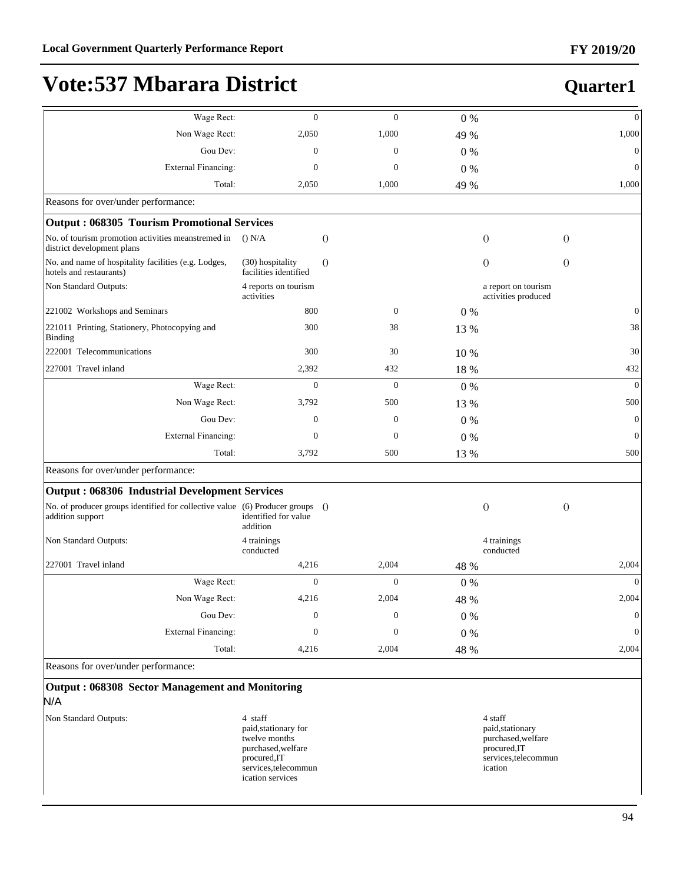## **Quarter1**

| Wage Rect:                                                                                        | $\theta$                                                               | $\theta$         | $0\%$ |                                                                   | $\boldsymbol{0}$ |
|---------------------------------------------------------------------------------------------------|------------------------------------------------------------------------|------------------|-------|-------------------------------------------------------------------|------------------|
| Non Wage Rect:                                                                                    | 2,050                                                                  | 1,000            | 49 %  |                                                                   | 1,000            |
| Gou Dev:                                                                                          | $\mathbf{0}$                                                           | $\theta$         | $0\%$ |                                                                   | $\mathbf{0}$     |
| <b>External Financing:</b>                                                                        | $\mathbf{0}$                                                           | $\theta$         | 0%    |                                                                   | $\boldsymbol{0}$ |
| Total:                                                                                            | 2,050                                                                  | 1,000            | 49 %  |                                                                   | 1,000            |
| Reasons for over/under performance:                                                               |                                                                        |                  |       |                                                                   |                  |
| <b>Output: 068305 Tourism Promotional Services</b>                                                |                                                                        |                  |       |                                                                   |                  |
| No. of tourism promotion activities meanstremed in<br>district development plans                  | $()$ N/A                                                               | $\theta$         |       | $\overline{O}$                                                    | $\overline{O}$   |
| No. and name of hospitality facilities (e.g. Lodges,<br>hotels and restaurants)                   | (30) hospitality<br>facilities identified                              | $\Omega$         |       | $\theta$                                                          | $\overline{O}$   |
| Non Standard Outputs:                                                                             | 4 reports on tourism<br>activities                                     |                  |       | a report on tourism<br>activities produced                        |                  |
| 221002 Workshops and Seminars                                                                     | 800                                                                    | $\mathbf{0}$     | $0\%$ |                                                                   | $\mathbf{0}$     |
| 221011 Printing, Stationery, Photocopying and<br><b>Binding</b>                                   | 300                                                                    | 38               | 13 %  |                                                                   | 38               |
| 222001 Telecommunications                                                                         | 300                                                                    | 30               | 10 %  |                                                                   | 30               |
| 227001 Travel inland                                                                              | 2,392                                                                  | 432              | 18 %  |                                                                   | 432              |
| Wage Rect:                                                                                        | $\theta$                                                               | $\theta$         | 0%    |                                                                   | $\theta$         |
| Non Wage Rect:                                                                                    | 3,792                                                                  | 500              | 13 %  |                                                                   | 500              |
| Gou Dev:                                                                                          | $\mathbf{0}$                                                           | $\theta$         | $0\%$ |                                                                   | $\mathbf{0}$     |
| <b>External Financing:</b>                                                                        | $\boldsymbol{0}$                                                       | $\mathbf{0}$     | 0%    |                                                                   | $\mathbf{0}$     |
| Total:                                                                                            | 3,792                                                                  | 500              | 13 %  |                                                                   | 500              |
| Reasons for over/under performance:                                                               |                                                                        |                  |       |                                                                   |                  |
| <b>Output: 068306 Industrial Development Services</b>                                             |                                                                        |                  |       |                                                                   |                  |
| No. of producer groups identified for collective value (6) Producer groups ()<br>addition support | identified for value<br>addition                                       |                  |       | $\overline{O}$                                                    | $\overline{O}$   |
| Non Standard Outputs:                                                                             | 4 trainings<br>conducted                                               |                  |       | 4 trainings<br>conducted                                          |                  |
| 227001 Travel inland                                                                              | 4,216                                                                  | 2,004            | 48 %  |                                                                   | 2,004            |
| Wage Rect:                                                                                        | $\mathbf{0}$                                                           | $\boldsymbol{0}$ | $0\%$ |                                                                   | $\mathbf{0}$     |
| Non Wage Rect:                                                                                    | 4,216                                                                  | 2,004            | 48 %  |                                                                   | 2,004            |
| Gou Dev:                                                                                          | $\mathbf{0}$                                                           | $\mathbf{0}$     | $0\%$ |                                                                   | $\boldsymbol{0}$ |
| <b>External Financing:</b>                                                                        | $\mathbf{0}$                                                           | $\mathbf{0}$     | $0\%$ |                                                                   | $\boldsymbol{0}$ |
| Total:                                                                                            | 4,216                                                                  | 2,004            | 48 %  |                                                                   | 2,004            |
| Reasons for over/under performance:                                                               |                                                                        |                  |       |                                                                   |                  |
| Output: 068308 Sector Management and Monitoring<br>N/A                                            |                                                                        |                  |       |                                                                   |                  |
| Non Standard Outputs:                                                                             | 4 staff<br>paid, stationary for<br>twelve months<br>purchased, welfare |                  |       | 4 staff<br>paid, stationary<br>purchased, welfare<br>procured, IT |                  |

procured,IT services,telecommun ication services

services,telecommun

ication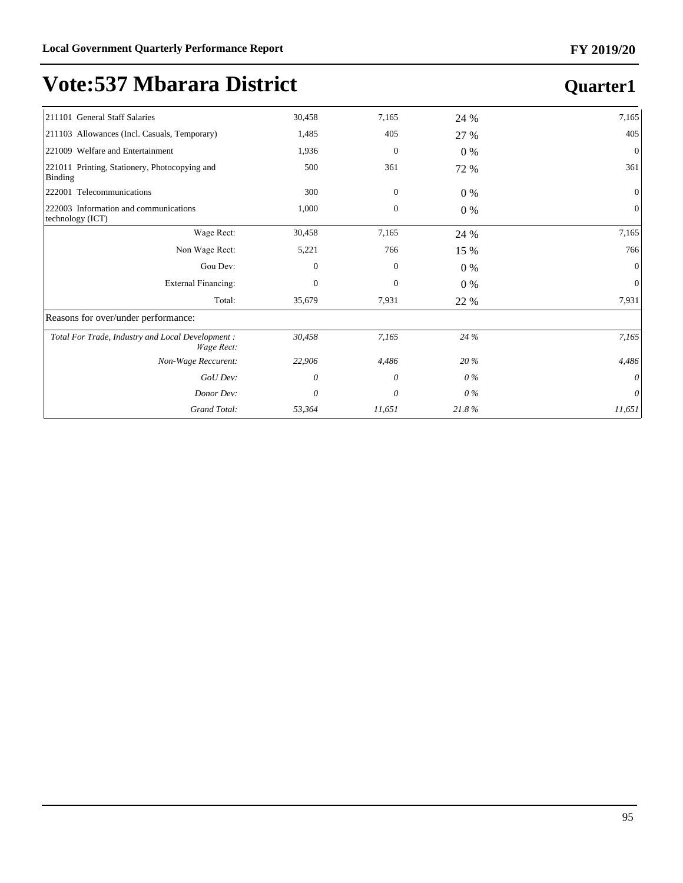| 30,458<br>1,485 | 7,165        | 24 %  | 7,165          |
|-----------------|--------------|-------|----------------|
|                 |              |       |                |
|                 | 405          | 27 %  | 405            |
| 1,936           | $\mathbf{0}$ | $0\%$ | $\mathbf{0}$   |
| 500             | 361          | 72 %  | 361            |
| 300             | $\mathbf{0}$ | $0\%$ | $\overline{0}$ |
| 1,000           | $\mathbf{0}$ | $0\%$ | $\mathbf{0}$   |
| 30,458          | 7,165        | 24 %  | 7,165          |
| 5,221           | 766          | 15 %  | 766            |
| $\mathbf{0}$    | $\mathbf{0}$ | $0\%$ | $\Omega$       |
| $\mathbf{0}$    | $\mathbf{0}$ | $0\%$ | $\overline{0}$ |
| 35,679          | 7,931        | 22 %  | 7,931          |
|                 |              |       |                |
| 30,458          | 7,165        |       | 7,165          |
| 22,906          | 4,486        | 20 %  | 4,486          |
| 0               | 0            |       | $\theta$       |
| 0               | 0            | 0%    | $\theta$       |
| 53,364          | 11,651       | 21.8% | 11,651         |
|                 |              |       | 24 %<br>0%     |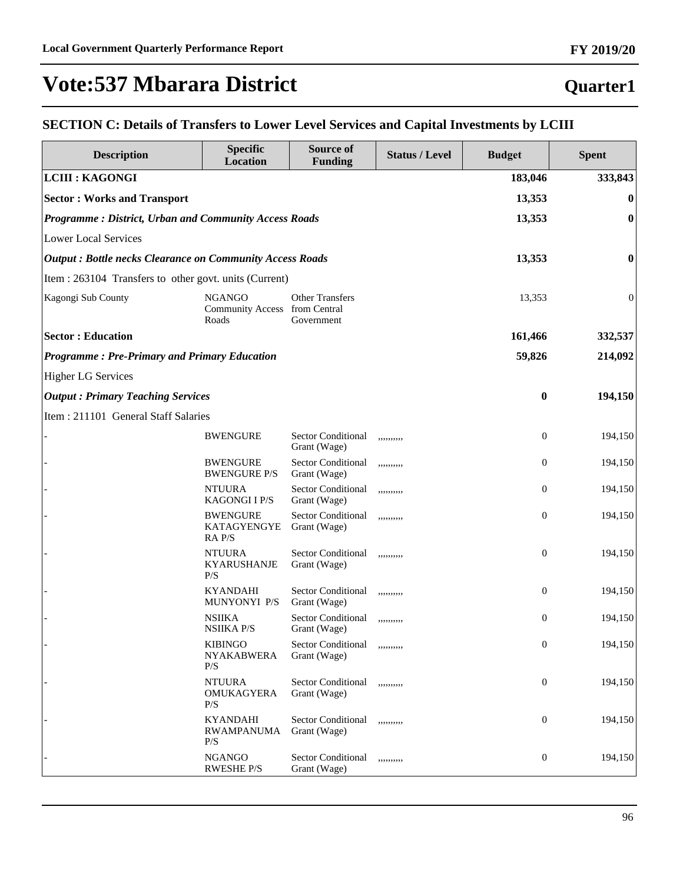#### **Quarter1**

#### **SECTION C: Details of Transfers to Lower Level Services and Capital Investments by LCIII**

| <b>Description</b>                                              | <b>Specific</b><br><b>Location</b>                      | Source of<br><b>Funding</b>               | <b>Status / Level</b> | <b>Budget</b>    | <b>Spent</b>     |
|-----------------------------------------------------------------|---------------------------------------------------------|-------------------------------------------|-----------------------|------------------|------------------|
| <b>LCIII : KAGONGI</b>                                          |                                                         |                                           |                       | 183,046          | 333,843          |
| <b>Sector: Works and Transport</b>                              |                                                         |                                           |                       | 13,353           | $\bf{0}$         |
| Programme: District, Urban and Community Access Roads           |                                                         |                                           |                       | 13,353           | $\boldsymbol{0}$ |
| <b>Lower Local Services</b>                                     |                                                         |                                           |                       |                  |                  |
| <b>Output: Bottle necks Clearance on Community Access Roads</b> |                                                         |                                           |                       | 13,353           | 0                |
| Item : 263104 Transfers to other govt. units (Current)          |                                                         |                                           |                       |                  |                  |
| Kagongi Sub County                                              | <b>NGANGO</b><br>Community Access from Central<br>Roads | <b>Other Transfers</b><br>Government      |                       | 13,353           | $\boldsymbol{0}$ |
| <b>Sector: Education</b>                                        |                                                         |                                           |                       | 161,466          | 332,537          |
| <b>Programme: Pre-Primary and Primary Education</b>             |                                                         |                                           |                       | 59,826           | 214,092          |
| <b>Higher LG Services</b>                                       |                                                         |                                           |                       |                  |                  |
| <b>Output: Primary Teaching Services</b>                        |                                                         |                                           |                       | $\bf{0}$         | 194,150          |
| Item: 211101 General Staff Salaries                             |                                                         |                                           |                       |                  |                  |
|                                                                 | <b>BWENGURE</b>                                         | <b>Sector Conditional</b><br>Grant (Wage) | ,,,,,,,,,,            | $\boldsymbol{0}$ | 194,150          |
|                                                                 | <b>BWENGURE</b><br><b>BWENGURE P/S</b>                  | <b>Sector Conditional</b><br>Grant (Wage) | ,,,,,,,,,,            | $\boldsymbol{0}$ | 194,150          |
|                                                                 | <b>NTUURA</b><br><b>KAGONGIIP/S</b>                     | Sector Conditional<br>Grant (Wage)        | ,,,,,,,,,,            | $\boldsymbol{0}$ | 194,150          |
|                                                                 | <b>BWENGURE</b><br>KATAGYENGYE<br>RA P/S                | <b>Sector Conditional</b><br>Grant (Wage) | ,,,,,,,,,,            | $\boldsymbol{0}$ | 194,150          |
|                                                                 | <b>NTUURA</b><br><b>KYARUSHANJE</b><br>P/S              | <b>Sector Conditional</b><br>Grant (Wage) | ,,,,,,,,,,            | $\boldsymbol{0}$ | 194,150          |
|                                                                 | <b>KYANDAHI</b><br>MUNYONYI P/S                         | <b>Sector Conditional</b><br>Grant (Wage) | ,,,,,,,,,,            | $\boldsymbol{0}$ | 194,150          |
|                                                                 | <b>NSIIKA</b><br><b>NSIIKA P/S</b>                      | <b>Sector Conditional</b><br>Grant (Wage) | ,,,,,,,,,,            | $\boldsymbol{0}$ | 194,150          |
|                                                                 | <b>KIBINGO</b><br><b>NYAKABWERA</b><br>P/S              | Sector Conditional<br>Grant (Wage)        | ,,,,,,,,,,            | $\boldsymbol{0}$ | 194,150          |
|                                                                 | <b>NTUURA</b><br>OMUKAGYERA<br>P/S                      | Sector Conditional<br>Grant (Wage)        | ,,,,,,,,,,            | $\boldsymbol{0}$ | 194,150          |
|                                                                 | <b>KYANDAHI</b><br><b>RWAMPANUMA</b><br>P/S             | <b>Sector Conditional</b><br>Grant (Wage) | ,,,,,,,,,,            | $\boldsymbol{0}$ | 194,150          |
|                                                                 | <b>NGANGO</b><br><b>RWESHE P/S</b>                      | <b>Sector Conditional</b><br>Grant (Wage) | ,,,,,,,,,,            | $\boldsymbol{0}$ | 194,150          |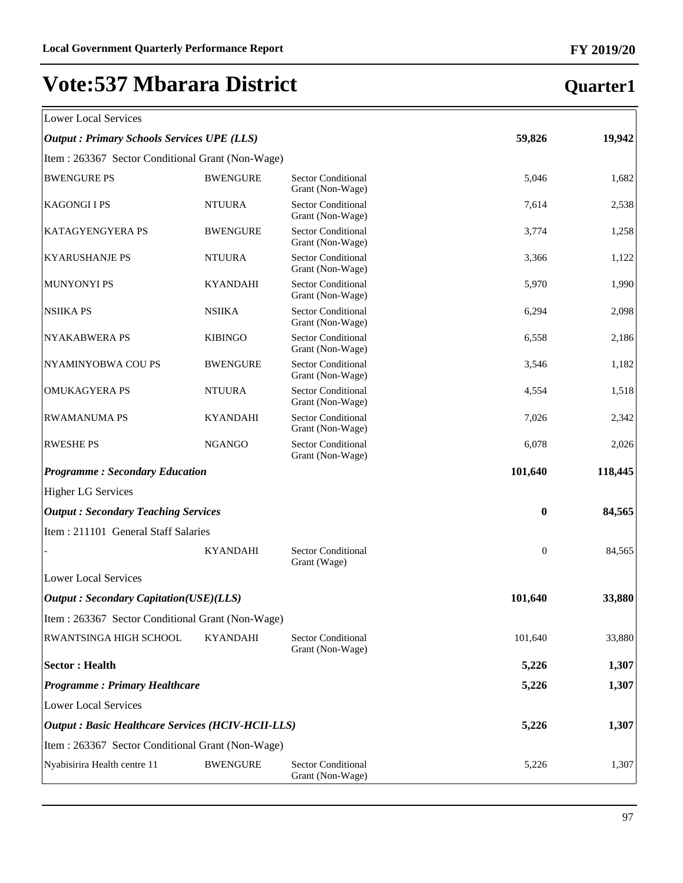| Lower Local Services |  |
|----------------------|--|

| <b>Lower Local Services</b>                               |                 |                                               |          |         |
|-----------------------------------------------------------|-----------------|-----------------------------------------------|----------|---------|
| <b>Output: Primary Schools Services UPE (LLS)</b>         |                 |                                               | 59,826   | 19,942  |
| Item : 263367 Sector Conditional Grant (Non-Wage)         |                 |                                               |          |         |
| <b>BWENGURE PS</b>                                        | <b>BWENGURE</b> | <b>Sector Conditional</b><br>Grant (Non-Wage) | 5,046    | 1,682   |
| <b>KAGONGI I PS</b>                                       | <b>NTUURA</b>   | Sector Conditional<br>Grant (Non-Wage)        | 7,614    | 2,538   |
| KATAGYENGYERA PS                                          | <b>BWENGURE</b> | Sector Conditional<br>Grant (Non-Wage)        | 3,774    | 1,258   |
| <b>KYARUSHANJE PS</b>                                     | <b>NTUURA</b>   | Sector Conditional<br>Grant (Non-Wage)        | 3,366    | 1,122   |
| <b>MUNYONYI PS</b>                                        | <b>KYANDAHI</b> | <b>Sector Conditional</b><br>Grant (Non-Wage) | 5,970    | 1,990   |
| <b>NSIIKA PS</b>                                          | <b>NSIIKA</b>   | Sector Conditional<br>Grant (Non-Wage)        | 6,294    | 2,098   |
| <b>NYAKABWERA PS</b>                                      | <b>KIBINGO</b>  | <b>Sector Conditional</b><br>Grant (Non-Wage) | 6,558    | 2,186   |
| NYAMINYOBWA COU PS                                        | <b>BWENGURE</b> | <b>Sector Conditional</b><br>Grant (Non-Wage) | 3,546    | 1,182   |
| <b>OMUKAGYERA PS</b>                                      | <b>NTUURA</b>   | <b>Sector Conditional</b><br>Grant (Non-Wage) | 4,554    | 1,518   |
| <b>RWAMANUMA PS</b>                                       | <b>KYANDAHI</b> | <b>Sector Conditional</b><br>Grant (Non-Wage) | 7,026    | 2,342   |
| <b>RWESHE PS</b>                                          | <b>NGANGO</b>   | <b>Sector Conditional</b><br>Grant (Non-Wage) | 6,078    | 2,026   |
| <b>Programme: Secondary Education</b>                     |                 |                                               | 101,640  | 118,445 |
| <b>Higher LG Services</b>                                 |                 |                                               |          |         |
| <b>Output: Secondary Teaching Services</b>                |                 |                                               | $\bf{0}$ | 84,565  |
| Item: 211101 General Staff Salaries                       |                 |                                               |          |         |
|                                                           | <b>KYANDAHI</b> | <b>Sector Conditional</b><br>Grant (Wage)     | $\theta$ | 84,565  |
| <b>Lower Local Services</b>                               |                 |                                               |          |         |
| <b>Output: Secondary Capitation(USE)(LLS)</b>             |                 |                                               | 101,640  | 33,880  |
| Item: 263367 Sector Conditional Grant (Non-Wage)          |                 |                                               |          |         |
| RWANTSINGA HIGH SCHOOL                                    | <b>KYANDAHI</b> | <b>Sector Conditional</b><br>Grant (Non-Wage) | 101,640  | 33,880  |
| <b>Sector: Health</b>                                     |                 |                                               | 5,226    | 1,307   |
| <b>Programme: Primary Healthcare</b>                      |                 |                                               | 5,226    | 1,307   |
| <b>Lower Local Services</b>                               |                 |                                               |          |         |
| <b>Output : Basic Healthcare Services (HCIV-HCII-LLS)</b> |                 |                                               | 5,226    | 1,307   |
| Item: 263367 Sector Conditional Grant (Non-Wage)          |                 |                                               |          |         |
| Nyabisirira Health centre 11                              | <b>BWENGURE</b> | <b>Sector Conditional</b><br>Grant (Non-Wage) | 5,226    | 1,307   |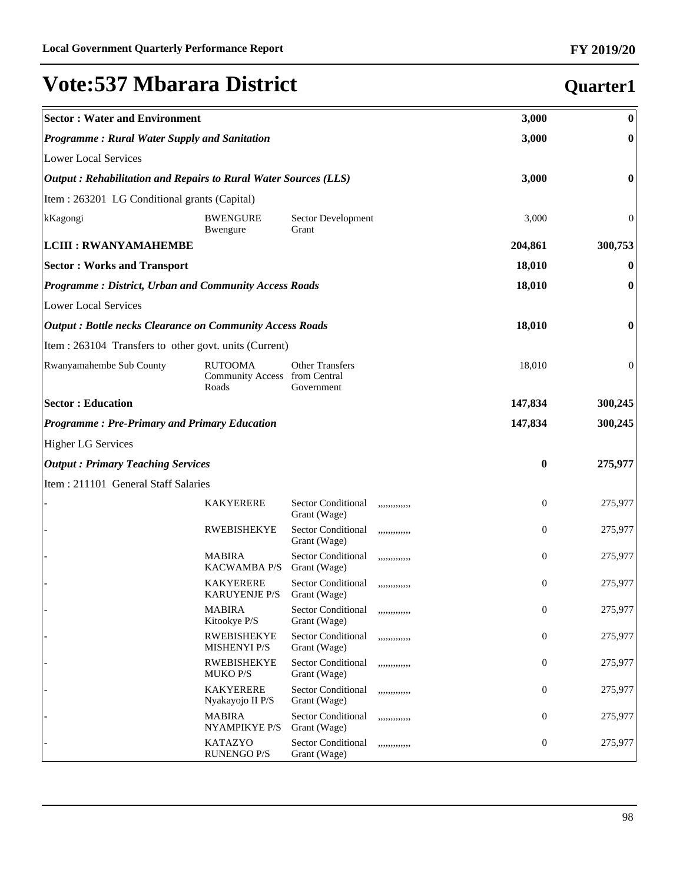| <b>Sector: Water and Environment</b>                            |                                                          |                                           |               | 3,000            | $\bf{0}$         |
|-----------------------------------------------------------------|----------------------------------------------------------|-------------------------------------------|---------------|------------------|------------------|
| Programme: Rural Water Supply and Sanitation                    |                                                          |                                           | 3,000         | $\boldsymbol{0}$ |                  |
| <b>Lower Local Services</b>                                     |                                                          |                                           |               |                  |                  |
| Output: Rehabilitation and Repairs to Rural Water Sources (LLS) |                                                          |                                           |               | 3,000            | $\boldsymbol{0}$ |
| Item : 263201 LG Conditional grants (Capital)                   |                                                          |                                           |               |                  |                  |
| kKagongi                                                        | <b>BWENGURE</b><br>Bwengure                              | Sector Development<br>Grant               |               | 3,000            | $\overline{0}$   |
| <b>LCIII : RWANYAMAHEMBE</b>                                    |                                                          |                                           |               | 204,861          | 300,753          |
| <b>Sector: Works and Transport</b>                              |                                                          |                                           |               | 18,010           | $\bf{0}$         |
| <b>Programme: District, Urban and Community Access Roads</b>    |                                                          |                                           |               | 18,010           | $\boldsymbol{0}$ |
| <b>Lower Local Services</b>                                     |                                                          |                                           |               |                  |                  |
| <b>Output: Bottle necks Clearance on Community Access Roads</b> |                                                          |                                           |               | 18,010           | 0                |
| Item : 263104 Transfers to other govt. units (Current)          |                                                          |                                           |               |                  |                  |
| Rwanyamahembe Sub County                                        | <b>RUTOOMA</b><br>Community Access from Central<br>Roads | <b>Other Transfers</b><br>Government      |               | 18,010           | 0                |
| <b>Sector: Education</b>                                        |                                                          |                                           |               | 147,834          | 300,245          |
| <b>Programme: Pre-Primary and Primary Education</b>             |                                                          |                                           |               | 147,834          | 300,245          |
| <b>Higher LG Services</b>                                       |                                                          |                                           |               |                  |                  |
| <b>Output: Primary Teaching Services</b>                        |                                                          |                                           |               | 0                | 275,977          |
| Item: 211101 General Staff Salaries                             |                                                          |                                           |               |                  |                  |
|                                                                 | <b>KAKYERERE</b>                                         | <b>Sector Conditional</b><br>Grant (Wage) | ,,,,,,,,,,,,, | 0                | 275,977          |
|                                                                 | <b>RWEBISHEKYE</b>                                       | <b>Sector Conditional</b><br>Grant (Wage) | ,,,,,,,,,,,,  | $\overline{0}$   | 275,977          |
|                                                                 | <b>MABIRA</b><br><b>KACWAMBA P/S</b>                     | <b>Sector Conditional</b><br>Grant (Wage) | ,,,,,,,,,,,,  | $\overline{0}$   | 275,977          |
|                                                                 | <b>KAKYERERE</b><br><b>KARUYENJE P/S</b>                 | <b>Sector Conditional</b><br>Grant (Wage) | ,,,,,,,,,,,,  | $\overline{0}$   | 275,977          |
|                                                                 | <b>MABIRA</b><br>Kitookye P/S                            | <b>Sector Conditional</b><br>Grant (Wage) | ,,,,,,,,,,,,  | 0                | 275,977          |
|                                                                 | <b>RWEBISHEKYE</b><br><b>MISHENYI P/S</b>                | <b>Sector Conditional</b><br>Grant (Wage) | ,,,,,,,,,,,,, | $\boldsymbol{0}$ | 275,977          |
|                                                                 | <b>RWEBISHEKYE</b><br><b>MUKO P/S</b>                    | <b>Sector Conditional</b><br>Grant (Wage) | ,,,,,,,,,,,,  | $\boldsymbol{0}$ | 275,977          |
|                                                                 | <b>KAKYERERE</b><br>Nyakayojo II P/S                     | <b>Sector Conditional</b><br>Grant (Wage) | ,,,,,,,,,,,,, | $\boldsymbol{0}$ | 275,977          |
|                                                                 | <b>MABIRA</b><br>NYAMPIKYE P/S                           | <b>Sector Conditional</b><br>Grant (Wage) | ,,,,,,,,,,,,, | $\mathbf{0}$     | 275,977          |
|                                                                 | <b>KATAZYO</b><br><b>RUNENGO P/S</b>                     | <b>Sector Conditional</b><br>Grant (Wage) | ,,,,,,,,,,,,  | $\mathbf{0}$     | 275,977          |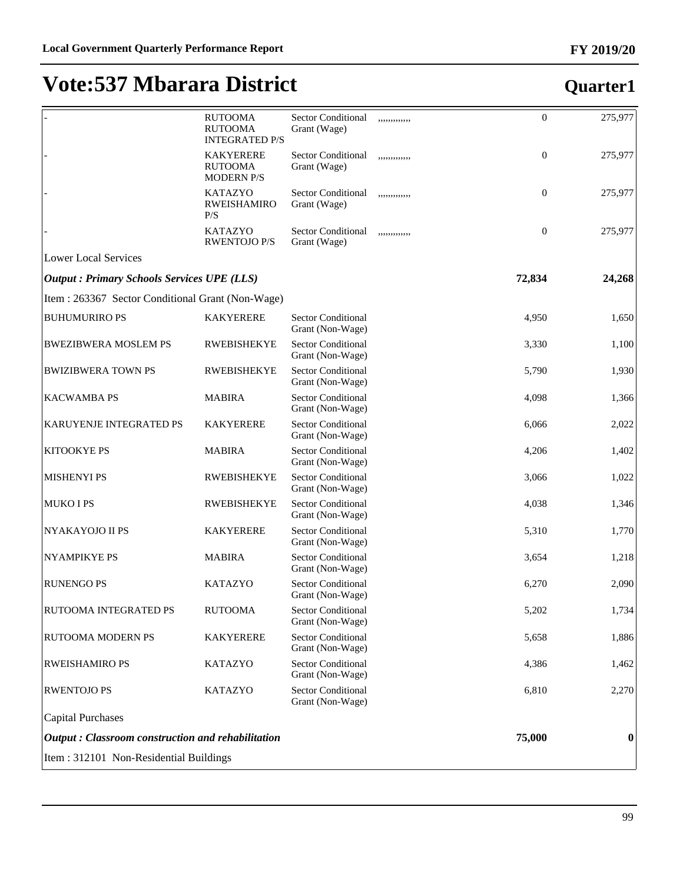|                                                          | <b>RUTOOMA</b><br><b>RUTOOMA</b><br><b>INTEGRATED P/S</b> | <b>Sector Conditional</b><br>Grant (Wage)     | ,,,,,,,,,,,,, | $\boldsymbol{0}$ | 275,977          |  |
|----------------------------------------------------------|-----------------------------------------------------------|-----------------------------------------------|---------------|------------------|------------------|--|
|                                                          | <b>KAKYERERE</b><br><b>RUTOOMA</b><br><b>MODERN P/S</b>   | <b>Sector Conditional</b><br>Grant (Wage)     | ,,,,,,,,,,,,  | $\boldsymbol{0}$ | 275,977          |  |
|                                                          | <b>KATAZYO</b><br>RWEISHAMIRO<br>P/S                      | <b>Sector Conditional</b><br>Grant (Wage)     | ,,,,,,,,,,,,, | $\mathbf{0}$     | 275,977          |  |
|                                                          | <b>KATAZYO</b><br><b>RWENTOJO P/S</b>                     | <b>Sector Conditional</b><br>Grant (Wage)     | ,,,,,,,,,,,,  | $\boldsymbol{0}$ | 275,977          |  |
| <b>Lower Local Services</b>                              |                                                           |                                               |               |                  |                  |  |
| <b>Output : Primary Schools Services UPE (LLS)</b>       |                                                           |                                               |               | 72,834           | 24,268           |  |
| Item: 263367 Sector Conditional Grant (Non-Wage)         |                                                           |                                               |               |                  |                  |  |
| <b>BUHUMURIRO PS</b>                                     | <b>KAKYERERE</b>                                          | <b>Sector Conditional</b><br>Grant (Non-Wage) |               | 4,950            | 1,650            |  |
| <b>BWEZIBWERA MOSLEM PS</b>                              | <b>RWEBISHEKYE</b>                                        | <b>Sector Conditional</b><br>Grant (Non-Wage) |               | 3,330            | 1,100            |  |
| <b>BWIZIBWERA TOWN PS</b>                                | <b>RWEBISHEKYE</b>                                        | <b>Sector Conditional</b><br>Grant (Non-Wage) |               | 5,790            | 1,930            |  |
| <b>KACWAMBA PS</b>                                       | <b>MABIRA</b>                                             | <b>Sector Conditional</b><br>Grant (Non-Wage) |               | 4,098            | 1,366            |  |
| KARUYENJE INTEGRATED PS                                  | <b>KAKYERERE</b>                                          | <b>Sector Conditional</b><br>Grant (Non-Wage) |               | 6,066            | 2,022            |  |
| <b>KITOOKYE PS</b>                                       | <b>MABIRA</b>                                             | <b>Sector Conditional</b><br>Grant (Non-Wage) |               | 4,206            | 1,402            |  |
| <b>MISHENYI PS</b>                                       | <b>RWEBISHEKYE</b>                                        | <b>Sector Conditional</b><br>Grant (Non-Wage) |               | 3,066            | 1,022            |  |
| <b>MUKO I PS</b>                                         | <b>RWEBISHEKYE</b>                                        | <b>Sector Conditional</b><br>Grant (Non-Wage) |               | 4,038            | 1,346            |  |
| NYAKAYOJO II PS                                          | <b>KAKYERERE</b>                                          | <b>Sector Conditional</b><br>Grant (Non-Wage) |               | 5,310            | 1,770            |  |
| NYAMPIKYE PS                                             | <b>MABIRA</b>                                             | <b>Sector Conditional</b><br>Grant (Non-Wage) |               | 3,654            | 1,218            |  |
| <b>RUNENGO PS</b>                                        | <b>KATAZYO</b>                                            | <b>Sector Conditional</b><br>Grant (Non-Wage) |               | 6,270            | 2,090            |  |
| RUTOOMA INTEGRATED PS                                    | <b>RUTOOMA</b>                                            | <b>Sector Conditional</b><br>Grant (Non-Wage) |               | 5,202            | 1,734            |  |
| RUTOOMA MODERN PS                                        | <b>KAKYERERE</b>                                          | <b>Sector Conditional</b><br>Grant (Non-Wage) |               | 5,658            | 1,886            |  |
| RWEISHAMIRO PS                                           | <b>KATAZYO</b>                                            | Sector Conditional<br>Grant (Non-Wage)        |               | 4,386            | 1,462            |  |
| <b>RWENTOJO PS</b>                                       | <b>KATAZYO</b>                                            | <b>Sector Conditional</b><br>Grant (Non-Wage) |               | 6,810            | 2,270            |  |
| <b>Capital Purchases</b>                                 |                                                           |                                               |               |                  |                  |  |
| <b>Output: Classroom construction and rehabilitation</b> |                                                           |                                               |               | 75,000           | $\boldsymbol{0}$ |  |
| Item: 312101 Non-Residential Buildings                   |                                                           |                                               |               |                  |                  |  |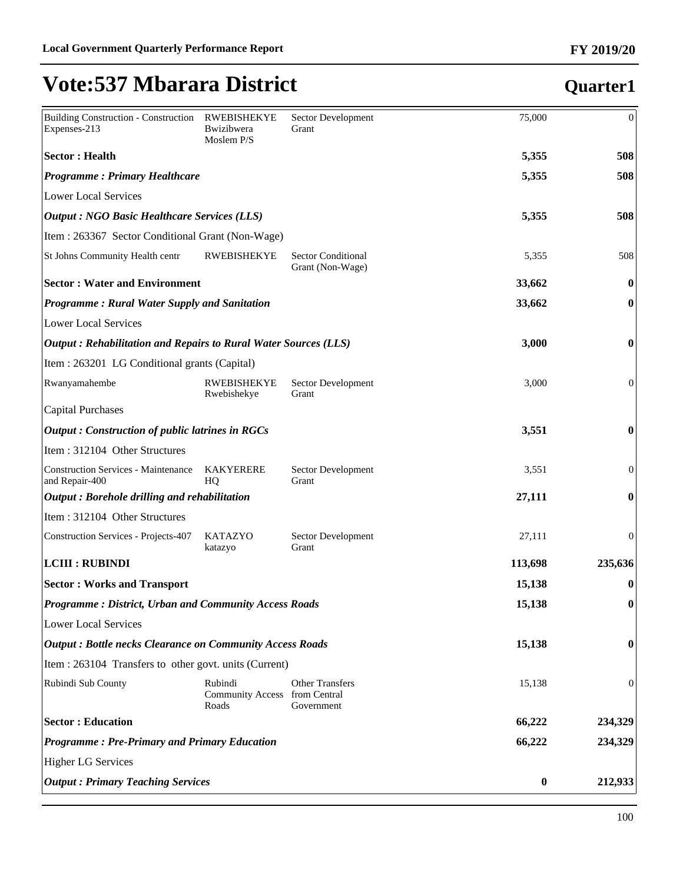#### Building Construction - Construction Expenses-213 RWEBISHEKYE Bwizibwera Moslem P/S Sector Development Grant 75,000 0 **Sector : Health 5,355 508** *Programme : Primary Healthcare* **5,355 508** Lower Local Services *Output : NGO Basic Healthcare Services (LLS)* **5,355 508** Item : 263367 Sector Conditional Grant (Non-Wage) St Johns Community Health centr RWEBISHEKYE Sector Conditional Grant (Non-Wage) 5,355 508 **Sector : Water and Environment 33,662 0** *Programme : Rural Water Supply and Sanitation* **33,662 0** Lower Local Services *Output : Rehabilitation and Repairs to Rural Water Sources (LLS)* **3,000 0** Item : 263201 LG Conditional grants (Capital) Rwanyamahembe RWEBISHEKYE Rwebishekye Sector Development Grant 3,000 0 Capital Purchases *Output : Construction of public latrines in RGCs* **3,551 0** Item : 312104 Other Structures Construction Services - Maintenance and Repair-400 KAKYERERE HQ Sector Development Grant 3,551 0 *Output : Borehole drilling and rehabilitation* **27,111 0** Item : 312104 Other Structures Construction Services - Projects-407 KATAZYO katazyo Sector Development Grant 27,111 0 **LCIII : RUBINDI 113,698 235,636 Sector : Works and Transport 15,138 0** *Programme : District, Urban and Community Access Roads* **15,138 0** Lower Local Services *Output : Bottle necks Clearance on Community Access Roads* **15,138 0** Item : 263104 Transfers to other govt. units (Current) Rubindi Sub County Rubindi Community Access from Central Roads Other Transfers Government 15,138 0 **Sector : Education 66,222 234,329** *Programme : Pre-Primary and Primary Education* **66,222 234,329** Higher LG Services *Output : Primary Teaching Services* **0 212,933**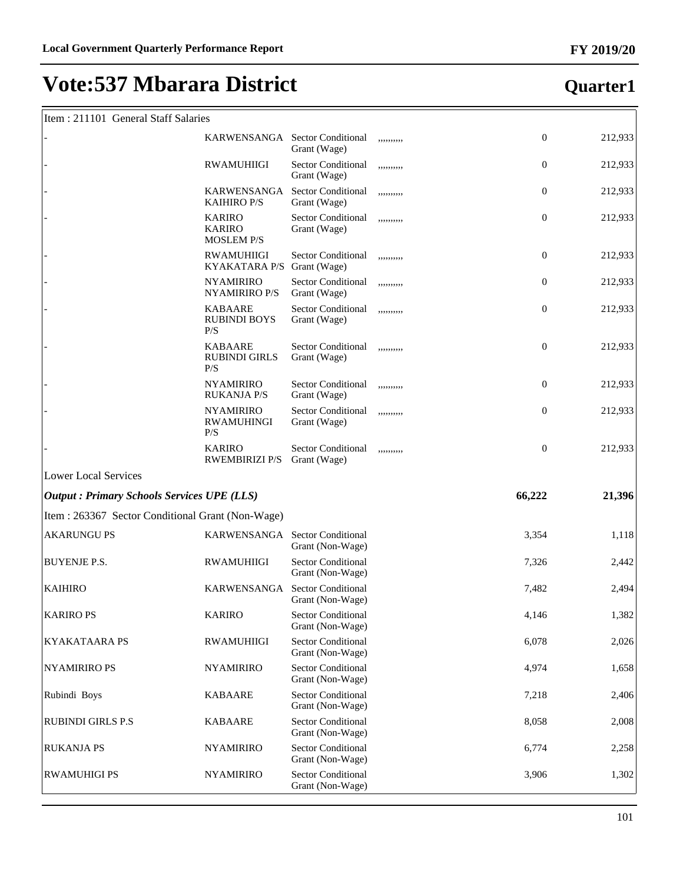#### Item : 211101 General Staff Salaries

|                                                   | KARWENSANGA Sector Conditional                      | Grant (Wage)                                  | ,,,,,,,,,, | $\mathbf{0}$     | 212,933 |
|---------------------------------------------------|-----------------------------------------------------|-----------------------------------------------|------------|------------------|---------|
|                                                   | <b>RWAMUHIIGI</b>                                   | <b>Sector Conditional</b><br>Grant (Wage)     | ,,,,,,,,,, | $\boldsymbol{0}$ | 212,933 |
|                                                   | KARWENSANGA<br><b>KAIHIRO P/S</b>                   | <b>Sector Conditional</b><br>Grant (Wage)     | ,,,,,,,,,, | $\boldsymbol{0}$ | 212,933 |
|                                                   | <b>KARIRO</b><br><b>KARIRO</b><br><b>MOSLEM P/S</b> | <b>Sector Conditional</b><br>Grant (Wage)     | ,,,,,,,,,, | $\boldsymbol{0}$ | 212,933 |
|                                                   | <b>RWAMUHIIGI</b><br>KYAKATARA P/S Grant (Wage)     | <b>Sector Conditional</b>                     | ,,,,,,,,,, | $\boldsymbol{0}$ | 212,933 |
|                                                   | <b>NYAMIRIRO</b><br>NYAMIRIRO P/S                   | <b>Sector Conditional</b><br>Grant (Wage)     | ,,,,,,,,,, | $\boldsymbol{0}$ | 212,933 |
|                                                   | <b>KABAARE</b><br><b>RUBINDI BOYS</b><br>P/S        | <b>Sector Conditional</b><br>Grant (Wage)     | ,,,,,,,,,, | $\boldsymbol{0}$ | 212,933 |
|                                                   | <b>KABAARE</b><br><b>RUBINDI GIRLS</b><br>P/S       | <b>Sector Conditional</b><br>Grant (Wage)     | ,,,,,,,,,, | $\boldsymbol{0}$ | 212,933 |
|                                                   | <b>NYAMIRIRO</b><br><b>RUKANJA P/S</b>              | <b>Sector Conditional</b><br>Grant (Wage)     | ,,,,,,,,,, | $\boldsymbol{0}$ | 212,933 |
|                                                   | <b>NYAMIRIRO</b><br><b>RWAMUHINGI</b><br>P/S        | <b>Sector Conditional</b><br>Grant (Wage)     | ,,,,,,,,,, | $\overline{0}$   | 212,933 |
|                                                   | <b>KARIRO</b><br><b>RWEMBIRIZI P/S</b>              | <b>Sector Conditional</b><br>Grant (Wage)     | ,,,,,,,,,, | $\boldsymbol{0}$ | 212,933 |
| <b>Lower Local Services</b>                       |                                                     |                                               |            |                  |         |
| <b>Output: Primary Schools Services UPE (LLS)</b> |                                                     |                                               |            | 66,222           | 21,396  |
| Item: 263367 Sector Conditional Grant (Non-Wage)  |                                                     |                                               |            |                  |         |
| <b>AKARUNGU PS</b>                                | KARWENSANGA Sector Conditional                      | Grant (Non-Wage)                              |            | 3,354            | 1,118   |
| <b>BUYENJE P.S.</b>                               | <b>RWAMUHIIGI</b>                                   | <b>Sector Conditional</b><br>Grant (Non-Wage) |            | 7,326            | 2,442   |
| <b>KAIHIRO</b>                                    | KARWENSANGA Sector Conditional                      | Grant (Non-Wage)                              |            | 7,482            | 2,494   |
| <b>KARIRO PS</b>                                  | <b>KARIRO</b>                                       | <b>Sector Conditional</b><br>Grant (Non-Wage) |            | 4,146            | 1,382   |
| <b>KYAKATAARA PS</b>                              | <b>RWAMUHIIGI</b>                                   | <b>Sector Conditional</b><br>Grant (Non-Wage) |            | 6,078            | 2,026   |
| <b>NYAMIRIRO PS</b>                               | <b>NYAMIRIRO</b>                                    | <b>Sector Conditional</b><br>Grant (Non-Wage) |            | 4,974            | 1,658   |
| Rubindi Boys                                      | <b>KABAARE</b>                                      | <b>Sector Conditional</b><br>Grant (Non-Wage) |            | 7,218            | 2,406   |
| <b>RUBINDI GIRLS P.S</b>                          | <b>KABAARE</b>                                      | <b>Sector Conditional</b><br>Grant (Non-Wage) |            | 8,058            | 2,008   |
| <b>RUKANJA PS</b>                                 | <b>NYAMIRIRO</b>                                    | <b>Sector Conditional</b><br>Grant (Non-Wage) |            | 6,774            | 2,258   |
| <b>RWAMUHIGI PS</b>                               | <b>NYAMIRIRO</b>                                    | <b>Sector Conditional</b><br>Grant (Non-Wage) |            | 3,906            | 1,302   |

## **Quarter1**

ī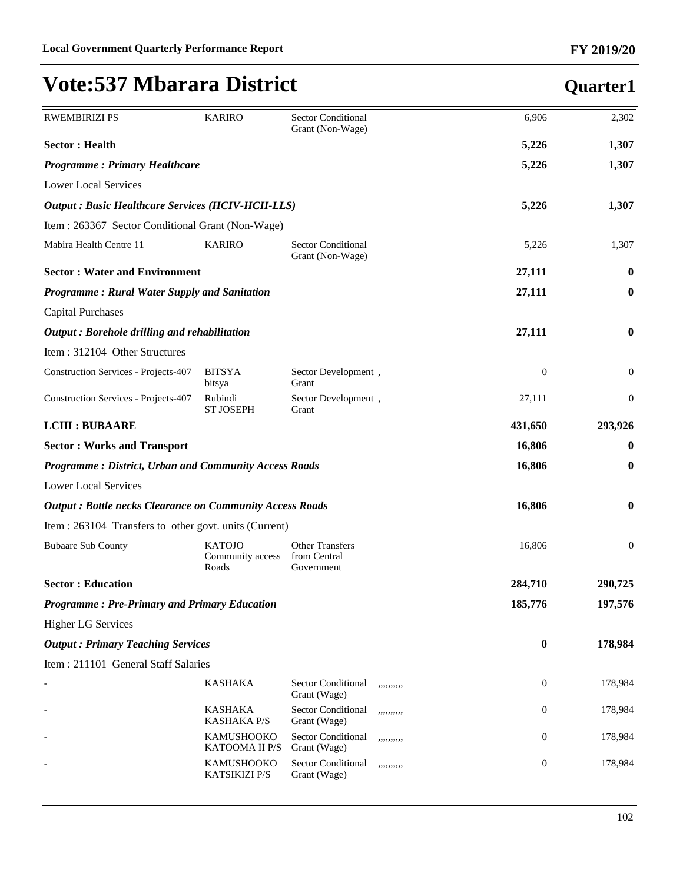| <b>RWEMBIRIZI PS</b>                                            | <b>KARIRO</b>                              | <b>Sector Conditional</b><br>Grant (Non-Wage)        | 6,906            | 2,302            |  |
|-----------------------------------------------------------------|--------------------------------------------|------------------------------------------------------|------------------|------------------|--|
| <b>Sector: Health</b>                                           |                                            |                                                      | 5,226            | 1,307            |  |
| <b>Programme: Primary Healthcare</b>                            |                                            |                                                      | 5,226            | 1,307            |  |
| Lower Local Services                                            |                                            |                                                      |                  |                  |  |
| <b>Output: Basic Healthcare Services (HCIV-HCII-LLS)</b>        |                                            |                                                      | 5,226            | 1,307            |  |
| Item : 263367 Sector Conditional Grant (Non-Wage)               |                                            |                                                      |                  |                  |  |
| Mabira Health Centre 11                                         | <b>KARIRO</b>                              | <b>Sector Conditional</b><br>Grant (Non-Wage)        | 5,226            | 1,307            |  |
| <b>Sector: Water and Environment</b>                            |                                            |                                                      | 27,111           | 0                |  |
| <b>Programme: Rural Water Supply and Sanitation</b>             |                                            |                                                      | 27,111           | $\bf{0}$         |  |
| Capital Purchases                                               |                                            |                                                      |                  |                  |  |
| $\vert$ Output : Borehole drilling and rehabilitation           |                                            |                                                      | 27,111           | $\bf{0}$         |  |
| Item: 312104 Other Structures                                   |                                            |                                                      |                  |                  |  |
| Construction Services - Projects-407                            | <b>BITSYA</b><br>bitsya                    | Sector Development,<br>Grant                         | $\boldsymbol{0}$ | $\boldsymbol{0}$ |  |
| Construction Services - Projects-407                            | Rubindi<br><b>ST JOSEPH</b>                | Sector Development,<br>Grant                         | 27,111           | $\boldsymbol{0}$ |  |
| <b>LCIII : BUBAARE</b>                                          |                                            |                                                      | 431,650          | 293,926          |  |
| <b>Sector: Works and Transport</b>                              | 16,806                                     | $\bf{0}$                                             |                  |                  |  |
| <b>Programme: District, Urban and Community Access Roads</b>    |                                            |                                                      | 16,806           | $\bf{0}$         |  |
| Lower Local Services                                            |                                            |                                                      |                  |                  |  |
| <b>Output: Bottle necks Clearance on Community Access Roads</b> |                                            |                                                      | 16,806           | $\boldsymbol{0}$ |  |
| Item : 263104 Transfers to other govt. units (Current)          |                                            |                                                      |                  |                  |  |
| <b>Bubaare Sub County</b>                                       | <b>KATOJO</b><br>Community access<br>Roads | <b>Other Transfers</b><br>from Central<br>Government | 16,806           | $\boldsymbol{0}$ |  |
| <b>Sector: Education</b>                                        |                                            |                                                      | 284,710          | 290,725          |  |
| <b>Programme: Pre-Primary and Primary Education</b>             |                                            |                                                      | 185,776          | 197,576          |  |
| <b>Higher LG Services</b>                                       |                                            |                                                      |                  |                  |  |
| <b>Output: Primary Teaching Services</b>                        |                                            |                                                      | $\bf{0}$         | 178,984          |  |
| Item: 211101 General Staff Salaries                             |                                            |                                                      |                  |                  |  |
|                                                                 | <b>KASHAKA</b>                             | Sector Conditional<br>,,,,,,,,,,<br>Grant (Wage)     | 0                | 178,984          |  |
|                                                                 | <b>KASHAKA</b><br><b>KASHAKA P/S</b>       | Sector Conditional<br>,,,,,,,,,,<br>Grant (Wage)     | 0                | 178,984          |  |
|                                                                 | KAMUSHOOKO<br>KATOOMA II P/S               | Sector Conditional<br>,,,,,,,,,,<br>Grant (Wage)     | 0                | 178,984          |  |
|                                                                 | KAMUSHOOKO<br>KATSIKIZI P/S                | Sector Conditional<br>,,,,,,,,,,<br>Grant (Wage)     | $\boldsymbol{0}$ | 178,984          |  |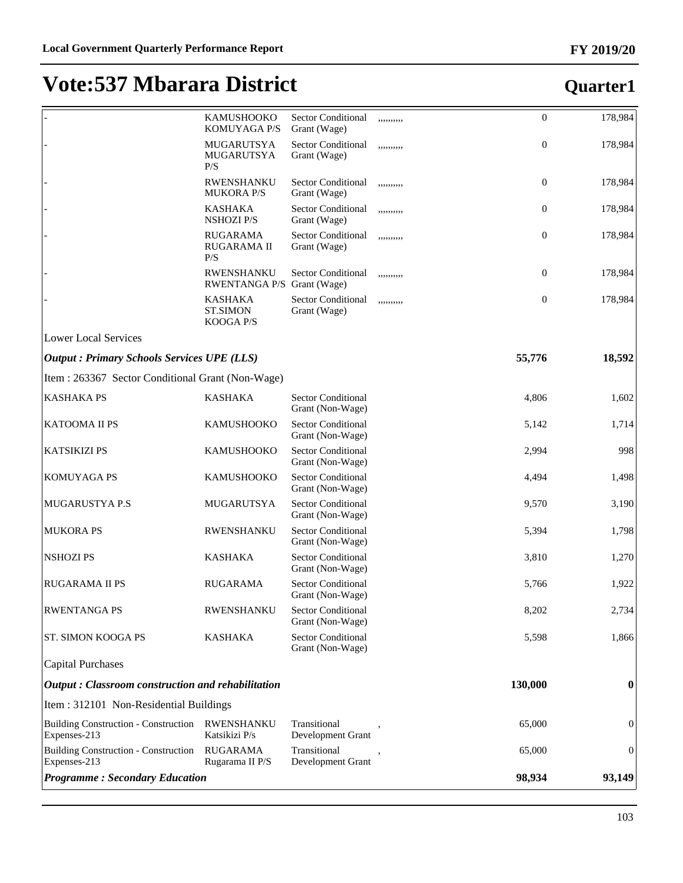|                                                             | KAMUSHOOKO<br><b>KOMUYAGA P/S</b>               | <b>Sector Conditional</b><br>Grant (Wage)     | ,,,,,,,,,, | $\mathbf{0}$   | 178,984          |
|-------------------------------------------------------------|-------------------------------------------------|-----------------------------------------------|------------|----------------|------------------|
|                                                             | MUGARUTSYA<br>MUGARUTSYA<br>P/S                 | <b>Sector Conditional</b><br>Grant (Wage)     | ,,,,,,,,,, | $\mathbf{0}$   | 178,984          |
|                                                             | <b>RWENSHANKU</b><br><b>MUKORA P/S</b>          | <b>Sector Conditional</b><br>Grant (Wage)     | ,,,,,,,,,, | $\overline{0}$ | 178,984          |
|                                                             | <b>KASHAKA</b><br><b>NSHOZI P/S</b>             | Sector Conditional<br>Grant (Wage)            | ,,,,,,,,,, | $\mathbf{0}$   | 178,984          |
|                                                             | <b>RUGARAMA</b><br><b>RUGARAMA II</b><br>P/S    | Sector Conditional<br>Grant (Wage)            | ,,,,,,,,,, | $\mathbf{0}$   | 178,984          |
|                                                             | <b>RWENSHANKU</b><br>RWENTANGA P/S Grant (Wage) | <b>Sector Conditional</b>                     | ,,,,,,,,,, | $\mathbf{0}$   | 178,984          |
|                                                             | <b>KASHAKA</b><br><b>ST.SIMON</b><br>KOOGA P/S  | Sector Conditional<br>Grant (Wage)            | ,,,,,,,,,, | $\overline{0}$ | 178,984          |
| <b>Lower Local Services</b>                                 |                                                 |                                               |            |                |                  |
| <b>Output: Primary Schools Services UPE (LLS)</b>           |                                                 |                                               |            | 55,776         | 18,592           |
| Item : 263367 Sector Conditional Grant (Non-Wage)           |                                                 |                                               |            |                |                  |
| <b>KASHAKA PS</b>                                           | <b>KASHAKA</b>                                  | <b>Sector Conditional</b><br>Grant (Non-Wage) |            | 4,806          | 1,602            |
| <b>KATOOMA II PS</b>                                        | <b>KAMUSHOOKO</b>                               | <b>Sector Conditional</b><br>Grant (Non-Wage) |            | 5,142          | 1,714            |
| <b>KATSIKIZI PS</b>                                         | <b>KAMUSHOOKO</b>                               | <b>Sector Conditional</b><br>Grant (Non-Wage) |            | 2,994          | 998              |
| <b>KOMUYAGA PS</b>                                          | <b>KAMUSHOOKO</b>                               | <b>Sector Conditional</b><br>Grant (Non-Wage) |            | 4,494          | 1,498            |
| MUGARUSTYA P.S                                              | MUGARUTSYA                                      | <b>Sector Conditional</b><br>Grant (Non-Wage) |            | 9,570          | 3,190            |
| <b>MUKORA PS</b>                                            | RWENSHANKU                                      | <b>Sector Conditional</b><br>Grant (Non-Wage) |            | 5,394          | 1,798            |
| <b>NSHOZIPS</b>                                             | <b>KASHAKA</b>                                  | <b>Sector Conditional</b><br>Grant (Non-Wage) |            | 3,810          | 1,270            |
| <b>RUGARAMA II PS</b>                                       | <b>RUGARAMA</b>                                 | <b>Sector Conditional</b><br>Grant (Non-Wage) |            | 5,766          | 1,922            |
| <b>RWENTANGA PS</b>                                         | <b>RWENSHANKU</b>                               | <b>Sector Conditional</b><br>Grant (Non-Wage) |            | 8,202          | 2,734            |
| <b>ST. SIMON KOOGA PS</b>                                   | <b>KASHAKA</b>                                  | <b>Sector Conditional</b><br>Grant (Non-Wage) |            | 5,598          | 1,866            |
| Capital Purchases                                           |                                                 |                                               |            |                |                  |
| $\vert$ Output : Classroom construction and rehabilitation  |                                                 |                                               |            | 130,000        | $\bf{0}$         |
| Item : 312101 Non-Residential Buildings                     |                                                 |                                               |            |                |                  |
| <b>Building Construction - Construction</b><br>Expenses-213 | <b>RWENSHANKU</b><br>Katsikizi P/s              | Transitional<br>Development Grant             |            | 65,000         | $\boldsymbol{0}$ |
| <b>Building Construction - Construction</b><br>Expenses-213 | <b>RUGARAMA</b><br>Rugarama II P/S              | Transitional<br>Development Grant             |            | 65,000         | $\mathbf{0}$     |
| <b>Programme: Secondary Education</b>                       |                                                 |                                               |            | 98,934         | 93,149           |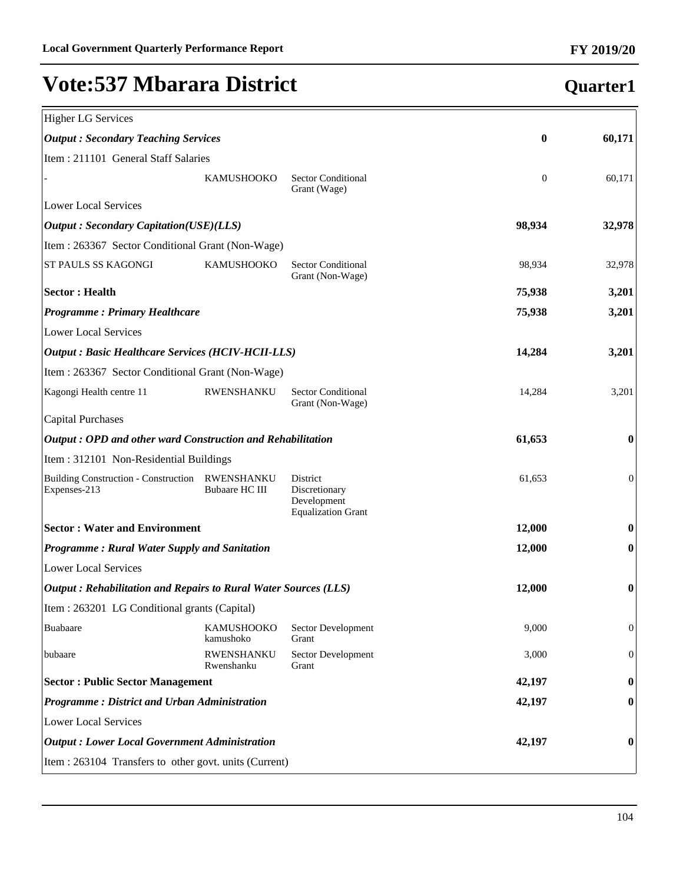#### Higher LG Services *Output : Secondary Teaching Services* **0 60,171** Item : 211101 General Staff Salaries KAMUSHOOKO Sector Conditional Grant (Wage) 0 60,171 Lower Local Services *Output : Secondary Capitation(USE)(LLS)* **98,934 32,978** Item : 263367 Sector Conditional Grant (Non-Wage) ST PAULS SS KAGONGI KAMUSHOOKO Sector Conditional Grant (Non-Wage) 98,934 32,978 **Sector : Health 75,938 3,201** *Programme : Primary Healthcare* **75,938 3,201** Lower Local Services *Output : Basic Healthcare Services (HCIV-HCII-LLS)* **14,284 3,201** Item : 263367 Sector Conditional Grant (Non-Wage) Kagongi Health centre 11 RWENSHANKU Sector Conditional Grant (Non-Wage) 14,284 3,201 Capital Purchases *Output : OPD and other ward Construction and Rehabilitation* **61,653 0** Item : 312101 Non-Residential Buildings Building Construction - Construction RWENSHANKU Expenses-213 Bubaare HC III District Discretionary Development Equalization Grant 61,653 0 **Sector : Water and Environment 12,000 0** *Programme : Rural Water Supply and Sanitation* **12,000 0** Lower Local Services *Output : Rehabilitation and Repairs to Rural Water Sources (LLS)* **12,000 0** Item : 263201 LG Conditional grants (Capital) Buabaare KAMUSHOOKO kamushoko Sector Development Grant 9,000 0 bubaare RWENSHANKU Rwenshanku Sector Development Grant 3,000 0 **Sector : Public Sector Management 42,197 0** *Programme : District and Urban Administration* **42,197 0** Lower Local Services *Output : Lower Local Government Administration* **42,197 0** Item : 263104 Transfers to other govt. units (Current)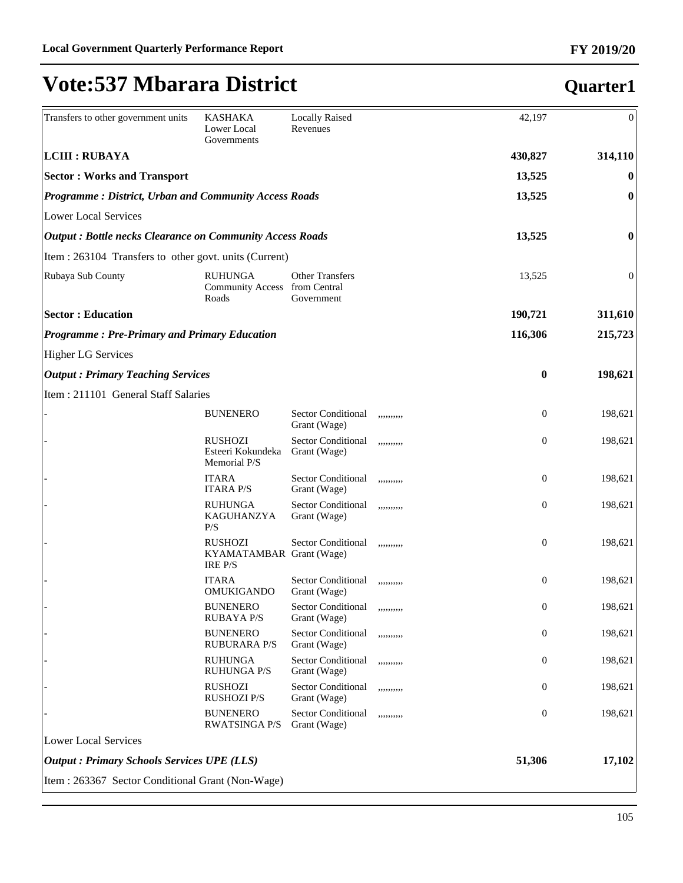#### Transfers to other government units KASHAKA Lower Local Governments Locally Raised Revenues 42,197 0 **LCIII : RUBAYA 430,827 314,110 Sector : Works and Transport 13,525 0** *Programme : District, Urban and Community Access Roads* **13,525 13,525 0** Lower Local Services *Output : Bottle necks Clearance on Community Access Roads* **13,525 0** Item : 263104 Transfers to other govt. units (Current) Rubaya Sub County RUHUNGA Community Access from Central Roads Other Transfers Government 13,525 0 **Sector : Education 190,721 311,610** *Programme : Pre-Primary and Primary Education* **116,306 215,723** Higher LG Services *Output : Primary Teaching Services* **0 198,621** Item : 211101 General Staff Salaries BUNENERO Sector Conditional Grant (Wage) ,,,,,,,,,, 0 198,621 - RUSHOZI Esteeri Kokundeka Memorial P/S Sector Conditional Grant (Wage) ,,,,,,,,,, 0 198,621 **ITARA** ITARA P/S Sector Conditional Grant (Wage) ,,,,,,,,,, 0 198,621 RUHUNGA KAGUHANZYA P/S Sector Conditional Grant (Wage) ,,,,,,,,,, 0 198,621 - RUSHOZI KYAMATAMBAR Grant (Wage) IRE P/S Sector Conditional ,,,,,,,,,, 0 198,621 **ITARA** OMUKIGANDO Sector Conditional Grant (Wage) ,,,,,,,,,, 0 198,621 **BUNENERO** RUBAYA P/S Sector Conditional Grant (Wage) ,,,,,,,,,, 0 198,621 **BUNENERO** RUBURARA P/S Sector Conditional Grant (Wage) ,,,,,,,,,, 0 198,621 - RUHUNGA RUHUNGA P/S Sector Conditional Grant (Wage) ,,,,,,,,,, 0 198,621 - RUSHOZI RUSHOZI P/S Sector Conditional Grant (Wage) ,,,,,,,,,, 0 198,621 **BUNENERO** RWATSINGA P/S Sector Conditional Grant (Wage) ,,,,,,,,,, 0 198,621 Lower Local Services *Output : Primary Schools Services UPE (LLS)* **51,306 17,102** Item : 263367 Sector Conditional Grant (Non-Wage)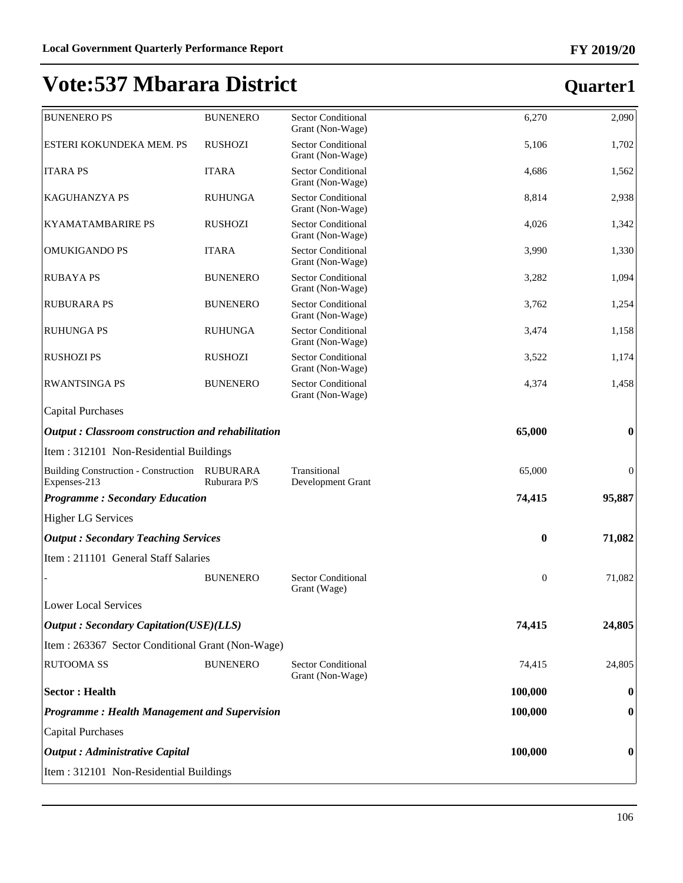| <b>BUNENERO PS</b>                                          | <b>BUNENERO</b>                 | <b>Sector Conditional</b><br>Grant (Non-Wage) | 6,270            | 2,090            |
|-------------------------------------------------------------|---------------------------------|-----------------------------------------------|------------------|------------------|
| ESTERI KOKUNDEKA MEM. PS                                    | <b>RUSHOZI</b>                  | <b>Sector Conditional</b><br>Grant (Non-Wage) | 5,106            | 1,702            |
| <b>ITARA PS</b>                                             | <b>ITARA</b>                    | <b>Sector Conditional</b><br>Grant (Non-Wage) | 4,686            | 1,562            |
| <b>KAGUHANZYA PS</b>                                        | <b>RUHUNGA</b>                  | <b>Sector Conditional</b><br>Grant (Non-Wage) | 8,814            | 2,938            |
| <b>KYAMATAMBARIRE PS</b>                                    | <b>RUSHOZI</b>                  | <b>Sector Conditional</b><br>Grant (Non-Wage) | 4,026            | 1,342            |
| <b>OMUKIGANDO PS</b>                                        | <b>ITARA</b>                    | <b>Sector Conditional</b><br>Grant (Non-Wage) | 3,990            | 1,330            |
| <b>RUBAYA PS</b>                                            | <b>BUNENERO</b>                 | <b>Sector Conditional</b><br>Grant (Non-Wage) | 3,282            | 1,094            |
| <b>RUBURARA PS</b>                                          | <b>BUNENERO</b>                 | <b>Sector Conditional</b><br>Grant (Non-Wage) | 3,762            | 1,254            |
| <b>RUHUNGA PS</b>                                           | <b>RUHUNGA</b>                  | <b>Sector Conditional</b><br>Grant (Non-Wage) | 3,474            | 1,158            |
| <b>RUSHOZI PS</b>                                           | <b>RUSHOZI</b>                  | <b>Sector Conditional</b><br>Grant (Non-Wage) | 3,522            | 1,174            |
| <b>RWANTSINGA PS</b>                                        | <b>BUNENERO</b>                 | <b>Sector Conditional</b><br>Grant (Non-Wage) | 4,374            | 1,458            |
| <b>Capital Purchases</b>                                    |                                 |                                               |                  |                  |
| Output: Classroom construction and rehabilitation           |                                 |                                               | 65,000           | $\bf{0}$         |
| Item: 312101 Non-Residential Buildings                      |                                 |                                               |                  |                  |
| <b>Building Construction - Construction</b><br>Expenses-213 | <b>RUBURARA</b><br>Ruburara P/S | Transitional<br>Development Grant             | 65,000           | $\boldsymbol{0}$ |
| <b>Programme: Secondary Education</b>                       |                                 |                                               | 74,415           | 95,887           |
| <b>Higher LG Services</b>                                   |                                 |                                               |                  |                  |
| <b>Output: Secondary Teaching Services</b>                  |                                 |                                               | $\boldsymbol{0}$ | 71,082           |
| Item: 211101 General Staff Salaries                         |                                 |                                               |                  |                  |
|                                                             | <b>BUNENERO</b>                 | <b>Sector Conditional</b><br>Grant (Wage)     | $\mathbf{0}$     | 71,082           |
| Lower Local Services                                        |                                 |                                               |                  |                  |
| <b>Output: Secondary Capitation(USE)(LLS)</b>               |                                 |                                               | 74,415           | 24,805           |
| Item : 263367 Sector Conditional Grant (Non-Wage)           |                                 |                                               |                  |                  |
| <b>RUTOOMA SS</b>                                           | <b>BUNENERO</b>                 | <b>Sector Conditional</b><br>Grant (Non-Wage) | 74,415           | 24,805           |
| <b>Sector: Health</b>                                       |                                 |                                               | 100,000          | $\bf{0}$         |
| <b>Programme: Health Management and Supervision</b>         |                                 |                                               | 100,000          | $\bf{0}$         |
| <b>Capital Purchases</b>                                    |                                 |                                               |                  |                  |
|                                                             |                                 |                                               |                  |                  |
| <b>Output</b> : Administrative Capital                      |                                 |                                               | 100,000          | 0                |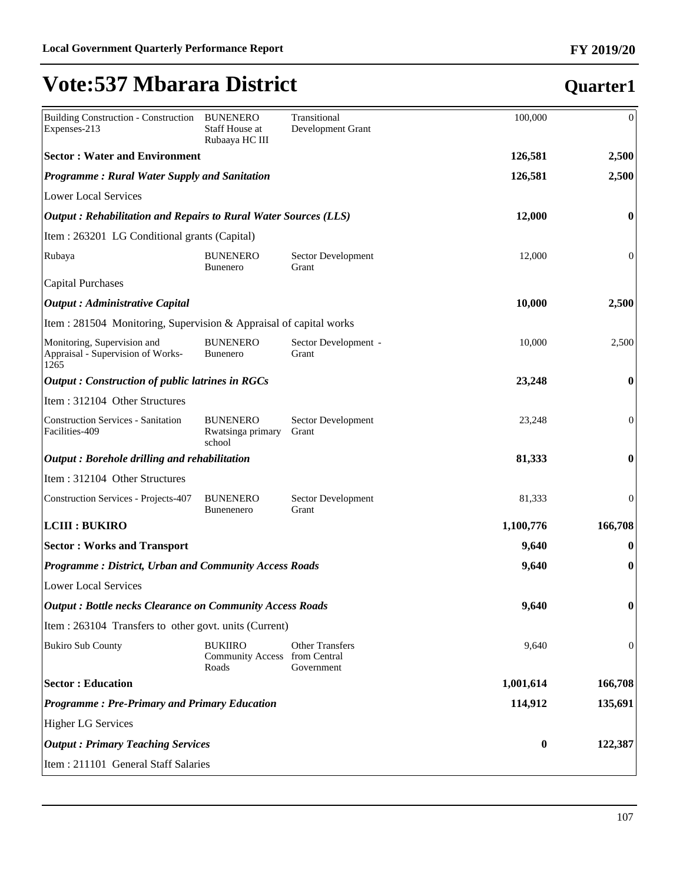| <b>Building Construction - Construction</b><br>Expenses-213              | <b>BUNENERO</b><br>Staff House at<br>Rubaaya HC III      | Transitional<br>Development Grant    | 100,000   | $\mathbf{0}$     |
|--------------------------------------------------------------------------|----------------------------------------------------------|--------------------------------------|-----------|------------------|
| <b>Sector: Water and Environment</b>                                     |                                                          |                                      | 126,581   | 2,500            |
| <b>Programme: Rural Water Supply and Sanitation</b>                      |                                                          |                                      | 126,581   | 2,500            |
| <b>Lower Local Services</b>                                              |                                                          |                                      |           |                  |
| Output: Rehabilitation and Repairs to Rural Water Sources (LLS)          |                                                          |                                      | 12,000    | $\bf{0}$         |
| Item : 263201 LG Conditional grants (Capital)                            |                                                          |                                      |           |                  |
| Rubaya                                                                   | <b>BUNENERO</b><br><b>Bunenero</b>                       | Sector Development<br>Grant          | 12,000    | $\boldsymbol{0}$ |
| <b>Capital Purchases</b>                                                 |                                                          |                                      |           |                  |
| <b>Output</b> : Administrative Capital                                   |                                                          |                                      | 10,000    | 2,500            |
| Item : 281504 Monitoring, Supervision & Appraisal of capital works       |                                                          |                                      |           |                  |
| Monitoring, Supervision and<br>Appraisal - Supervision of Works-<br>1265 | <b>BUNENERO</b><br><b>Bunenero</b>                       | Sector Development -<br>Grant        | 10,000    | 2,500            |
| <b>Output: Construction of public latrines in RGCs</b>                   |                                                          |                                      | 23,248    | $\bf{0}$         |
| Item: 312104 Other Structures                                            |                                                          |                                      |           |                  |
| <b>Construction Services - Sanitation</b><br>Facilities-409              | <b>BUNENERO</b><br>Rwatsinga primary<br>school           | Sector Development<br>Grant          | 23,248    | $\boldsymbol{0}$ |
| Output: Borehole drilling and rehabilitation                             |                                                          |                                      | 81,333    | $\bf{0}$         |
| Item: 312104 Other Structures                                            |                                                          |                                      |           |                  |
| <b>Construction Services - Projects-407</b>                              | <b>BUNENERO</b><br><b>Bunenenero</b>                     | Sector Development<br>Grant          | 81,333    | $\boldsymbol{0}$ |
| <b>LCIII : BUKIRO</b>                                                    |                                                          |                                      | 1,100,776 | 166,708          |
| <b>Sector: Works and Transport</b>                                       |                                                          |                                      | 9,640     | $\bf{0}$         |
| <b>Programme: District, Urban and Community Access Roads</b>             |                                                          |                                      | 9,640     | $\boldsymbol{0}$ |
| <b>Lower Local Services</b>                                              |                                                          |                                      |           |                  |
| <b>Output: Bottle necks Clearance on Community Access Roads</b>          |                                                          |                                      | 9,640     | $\bf{0}$         |
| Item : 263104 Transfers to other govt. units (Current)                   |                                                          |                                      |           |                  |
| <b>Bukiro Sub County</b>                                                 | <b>BUKIIRO</b><br>Community Access from Central<br>Roads | <b>Other Transfers</b><br>Government | 9,640     | $\mathbf{0}$     |
| <b>Sector: Education</b>                                                 |                                                          |                                      | 1,001,614 | 166,708          |
| <b>Programme: Pre-Primary and Primary Education</b>                      |                                                          |                                      | 114,912   | 135,691          |
| <b>Higher LG Services</b>                                                |                                                          |                                      |           |                  |
| <b>Output: Primary Teaching Services</b>                                 |                                                          |                                      | $\bf{0}$  | 122,387          |
| Item : 211101 General Staff Salaries                                     |                                                          |                                      |           |                  |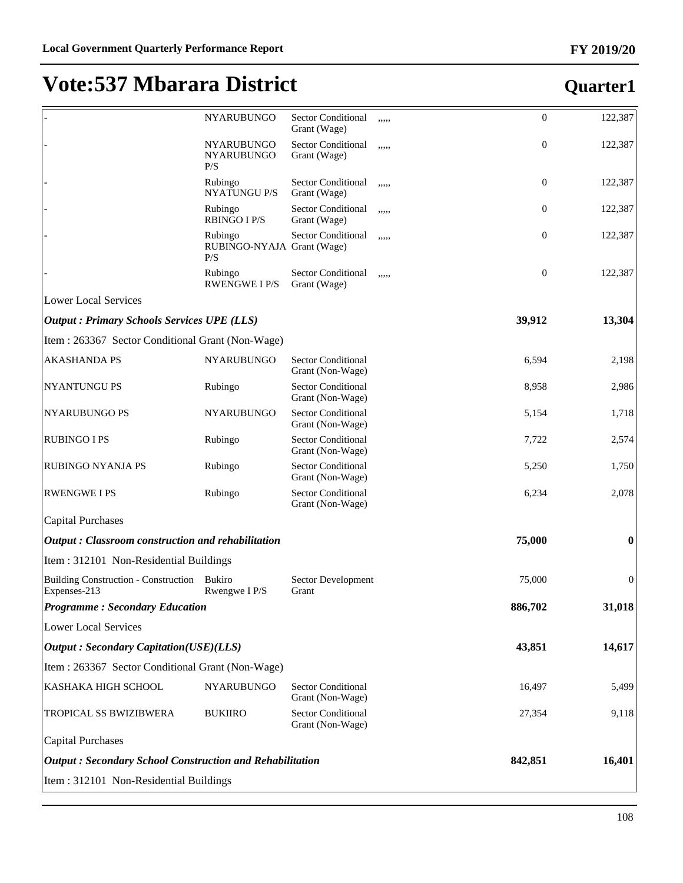|                                                                 | NYARUBUNGO                                   | Sector Conditional<br>Grant (Wage)            | ,,,,, | $\boldsymbol{0}$ | 122,387          |
|-----------------------------------------------------------------|----------------------------------------------|-----------------------------------------------|-------|------------------|------------------|
|                                                                 | <b>NYARUBUNGO</b><br>NYARUBUNGO<br>P/S       | Sector Conditional<br>Grant (Wage)            | ,,,,, | $\boldsymbol{0}$ | 122,387          |
|                                                                 | Rubingo<br><b>NYATUNGU P/S</b>               | Sector Conditional<br>Grant (Wage)            | ,,,,, | 0                | 122,387          |
|                                                                 | Rubingo<br><b>RBINGO I P/S</b>               | Sector Conditional<br>Grant (Wage)            | ,,,,, | 0                | 122,387          |
|                                                                 | Rubingo<br>RUBINGO-NYAJA Grant (Wage)<br>P/S | Sector Conditional                            | ,,,,, | $\boldsymbol{0}$ | 122,387          |
|                                                                 | Rubingo<br><b>RWENGWE I P/S</b>              | Sector Conditional<br>Grant (Wage)            | ,,,,, | $\boldsymbol{0}$ | 122,387          |
| <b>Lower Local Services</b>                                     |                                              |                                               |       |                  |                  |
| <b>Output: Primary Schools Services UPE (LLS)</b>               |                                              |                                               |       | 39,912           | 13,304           |
| Item: 263367 Sector Conditional Grant (Non-Wage)                |                                              |                                               |       |                  |                  |
| <b>AKASHANDA PS</b>                                             | NYARUBUNGO                                   | <b>Sector Conditional</b><br>Grant (Non-Wage) |       | 6,594            | 2,198            |
| NYANTUNGU PS                                                    | Rubingo                                      | <b>Sector Conditional</b><br>Grant (Non-Wage) |       | 8,958            | 2,986            |
| NYARUBUNGO PS                                                   | NYARUBUNGO                                   | <b>Sector Conditional</b><br>Grant (Non-Wage) |       | 5,154            | 1,718            |
| <b>RUBINGO I PS</b>                                             | Rubingo                                      | <b>Sector Conditional</b><br>Grant (Non-Wage) |       | 7,722            | 2,574            |
| RUBINGO NYANJA PS                                               | Rubingo                                      | <b>Sector Conditional</b><br>Grant (Non-Wage) |       | 5,250            | 1,750            |
| <b>RWENGWE I PS</b>                                             | Rubingo                                      | Sector Conditional<br>Grant (Non-Wage)        |       | 6,234            | 2,078            |
| <b>Capital Purchases</b>                                        |                                              |                                               |       |                  |                  |
| Output: Classroom construction and rehabilitation               |                                              |                                               |       | 75,000           | $\boldsymbol{0}$ |
| Item: 312101 Non-Residential Buildings                          |                                              |                                               |       |                  |                  |
| Building Construction - Construction Bukiro<br>Expenses-213     | Rwengwe I P/S                                | Sector Development<br>Grant                   |       | 75,000           | $\boldsymbol{0}$ |
| <b>Programme: Secondary Education</b>                           |                                              |                                               |       | 886,702          | 31,018           |
| Lower Local Services                                            |                                              |                                               |       |                  |                  |
| <b>Output</b> : Secondary Capitation(USE)(LLS)                  |                                              |                                               |       | 43,851           | 14,617           |
| Item: 263367 Sector Conditional Grant (Non-Wage)                |                                              |                                               |       |                  |                  |
| KASHAKA HIGH SCHOOL                                             | NYARUBUNGO                                   | <b>Sector Conditional</b><br>Grant (Non-Wage) |       | 16,497           | 5,499            |
| TROPICAL SS BWIZIBWERA                                          | <b>BUKIIRO</b>                               | <b>Sector Conditional</b><br>Grant (Non-Wage) |       | 27,354           | 9,118            |
| <b>Capital Purchases</b>                                        |                                              |                                               |       |                  |                  |
| <b>Output: Secondary School Construction and Rehabilitation</b> |                                              |                                               |       | 842,851          | 16,401           |
| Item : 312101 Non-Residential Buildings                         |                                              |                                               |       |                  |                  |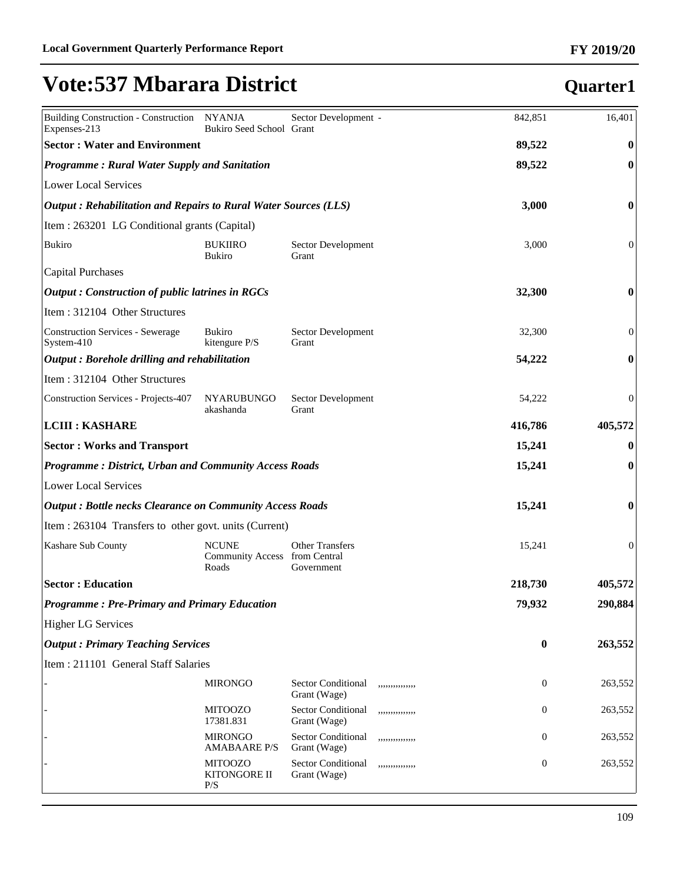| Building Construction - Construction NYANJA<br>Expenses-213             | Bukiro Seed School Grant                               | Sector Development -                      |                 | 842,851      | 16,401           |
|-------------------------------------------------------------------------|--------------------------------------------------------|-------------------------------------------|-----------------|--------------|------------------|
| <b>Sector: Water and Environment</b>                                    |                                                        |                                           |                 | 89,522       | $\bf{0}$         |
| <b>Programme: Rural Water Supply and Sanitation</b>                     |                                                        |                                           |                 | 89,522       | $\boldsymbol{0}$ |
| Lower Local Services                                                    |                                                        |                                           |                 |              |                  |
| $\vert$ Output: Rehabilitation and Repairs to Rural Water Sources (LLS) |                                                        |                                           |                 | 3,000        | $\bf{0}$         |
| Item : 263201 LG Conditional grants (Capital)                           |                                                        |                                           |                 |              |                  |
| Bukiro                                                                  | <b>BUKIIRO</b><br><b>Bukiro</b>                        | Sector Development<br>Grant               |                 | 3,000        | $\boldsymbol{0}$ |
| Capital Purchases                                                       |                                                        |                                           |                 |              |                  |
| $\alpha$ Dutput : Construction of public latrines in RGCs               |                                                        |                                           |                 | 32,300       | $\bf{0}$         |
| Item: 312104 Other Structures                                           |                                                        |                                           |                 |              |                  |
| Construction Services - Sewerage<br>$S$ ystem-410                       | <b>Bukiro</b><br>kitengure P/S                         | Sector Development<br>Grant               |                 | 32,300       | $\boldsymbol{0}$ |
| $\vert$ Output : Borehole drilling and rehabilitation                   |                                                        |                                           |                 | 54,222       | $\bf{0}$         |
| Item: 312104 Other Structures                                           |                                                        |                                           |                 |              |                  |
| Construction Services - Projects-407                                    | <b>NYARUBUNGO</b><br>akashanda                         | Sector Development<br>Grant               |                 | 54,222       | $\mathbf{0}$     |
| <b>LCIII : KASHARE</b>                                                  |                                                        |                                           |                 | 416,786      | 405,572          |
| <b>Sector: Works and Transport</b>                                      |                                                        |                                           |                 | 15,241       | $\bf{0}$         |
| <b>Programme: District, Urban and Community Access Roads</b>            |                                                        |                                           |                 | 15,241       | $\boldsymbol{0}$ |
| Lower Local Services                                                    |                                                        |                                           |                 |              |                  |
| <b>Output: Bottle necks Clearance on Community Access Roads</b>         |                                                        |                                           |                 | 15,241       | $\bf{0}$         |
| Item : 263104 Transfers to other govt. units (Current)                  |                                                        |                                           |                 |              |                  |
| Kashare Sub County                                                      | <b>NCUNE</b><br>Community Access from Central<br>Roads | <b>Other Transfers</b><br>Government      |                 | 15,241       | $\mathbf{0}$     |
| <b>Sector: Education</b>                                                |                                                        |                                           |                 | 218,730      | 405,572          |
| <b>Programme: Pre-Primary and Primary Education</b>                     |                                                        |                                           |                 | 79,932       | 290,884          |
| <b>Higher LG Services</b>                                               |                                                        |                                           |                 |              |                  |
| <b>Output: Primary Teaching Services</b>                                |                                                        |                                           |                 | $\bf{0}$     | 263,552          |
| Item: 211101 General Staff Salaries                                     |                                                        |                                           |                 |              |                  |
|                                                                         | <b>MIRONGO</b>                                         | <b>Sector Conditional</b><br>Grant (Wage) | ,,,,,,,,,,,,,,, | $\mathbf{0}$ | 263,552          |
|                                                                         | <b>MITOOZO</b><br>17381.831                            | Sector Conditional<br>Grant (Wage)        | ,,,,,,,,,,,,,,, | $\mathbf{0}$ | 263,552          |
|                                                                         | <b>MIRONGO</b><br><b>AMABAARE P/S</b>                  | Sector Conditional<br>Grant (Wage)        | ,,,,,,,,,,,,,,  | $\mathbf{0}$ | 263,552          |
|                                                                         | <b>MITOOZO</b><br>KITONGORE II<br>P/S                  | Sector Conditional<br>Grant (Wage)        | ,,,,,,,,,,,,,,  | $\mathbf{0}$ | 263,552          |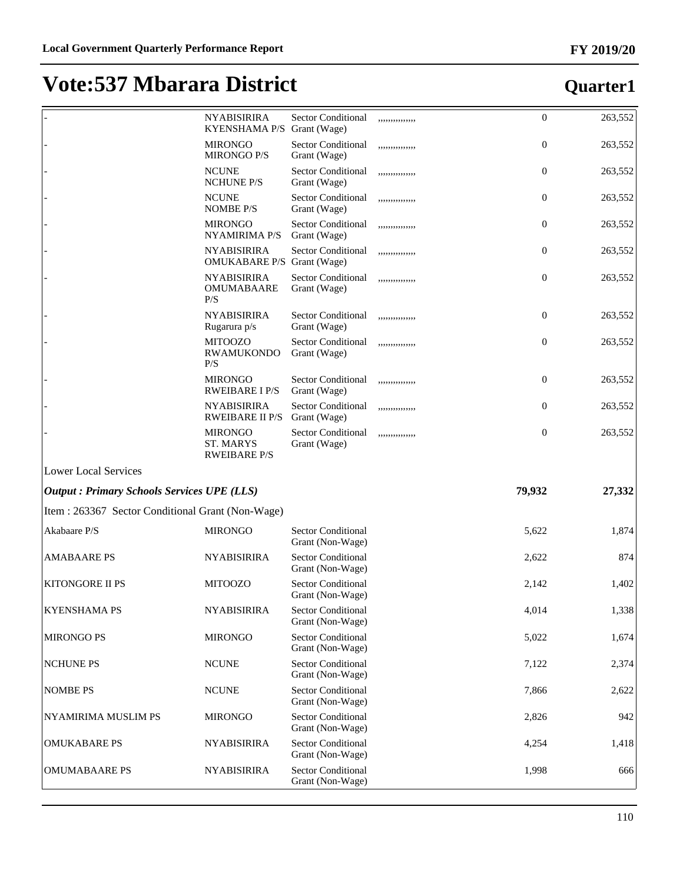|                                                   | <b>NYABISIRIRA</b><br><b>KYENSHAMA P/S</b>         | <b>Sector Conditional</b><br>Grant (Wage)     | ,,,,,,,,,,,,,,, | $\mathbf{0}$ | 263,552 |
|---------------------------------------------------|----------------------------------------------------|-----------------------------------------------|-----------------|--------------|---------|
|                                                   | <b>MIRONGO</b><br><b>MIRONGO P/S</b>               | <b>Sector Conditional</b><br>Grant (Wage)     | ,,,,,,,,,,,,,,  | $\mathbf{0}$ | 263,552 |
|                                                   | <b>NCUNE</b><br><b>NCHUNE P/S</b>                  | <b>Sector Conditional</b><br>Grant (Wage)     | ,,,,,,,,,,,,,,, | $\mathbf{0}$ | 263,552 |
|                                                   | <b>NCUNE</b><br><b>NOMBE P/S</b>                   | Sector Conditional<br>Grant (Wage)            | ,,,,,,,,,,,,,,, | $\mathbf{0}$ | 263,552 |
|                                                   | <b>MIRONGO</b><br><b>NYAMIRIMA P/S</b>             | <b>Sector Conditional</b><br>Grant (Wage)     | ,,,,,,,,,,,,,,  | $\mathbf{0}$ | 263,552 |
|                                                   | <b>NYABISIRIRA</b><br>OMUKABARE P/S Grant (Wage)   | <b>Sector Conditional</b>                     | ,,,,,,,,,,,,,,  | $\mathbf{0}$ | 263,552 |
|                                                   | <b>NYABISIRIRA</b><br><b>OMUMABAARE</b><br>P/S     | <b>Sector Conditional</b><br>Grant (Wage)     | ,,,,,,,,,,,,,,  | $\mathbf{0}$ | 263,552 |
|                                                   | <b>NYABISIRIRA</b><br>Rugarura p/s                 | <b>Sector Conditional</b><br>Grant (Wage)     | ,,,,,,,,,,,,,,, | $\mathbf{0}$ | 263,552 |
|                                                   | <b>MITOOZO</b><br><b>RWAMUKONDO</b><br>P/S         | Sector Conditional<br>Grant (Wage)            | ,,,,,,,,,,,,,,, | $\mathbf{0}$ | 263,552 |
|                                                   | <b>MIRONGO</b><br><b>RWEIBARE I P/S</b>            | <b>Sector Conditional</b><br>Grant (Wage)     | ,,,,,,,,,,,,,,  | $\mathbf{0}$ | 263,552 |
|                                                   | <b>NYABISIRIRA</b><br><b>RWEIBARE II P/S</b>       | Sector Conditional<br>Grant (Wage)            | ,,,,,,,,,,,,,,, | $\mathbf{0}$ | 263,552 |
|                                                   | <b>MIRONGO</b><br>ST. MARYS<br><b>RWEIBARE P/S</b> | <b>Sector Conditional</b><br>Grant (Wage)     | ,,,,,,,,,,,,,,, | $\mathbf{0}$ | 263,552 |
| Lower Local Services                              |                                                    |                                               |                 |              |         |
| <b>Output: Primary Schools Services UPE (LLS)</b> |                                                    |                                               |                 | 79,932       | 27,332  |
| Item : 263367 Sector Conditional Grant (Non-Wage) |                                                    |                                               |                 |              |         |
| Akabaare P/S                                      | <b>MIRONGO</b>                                     | <b>Sector Conditional</b><br>Grant (Non-Wage) |                 | 5,622        | 1,874   |
| <b>AMABAARE PS</b>                                | <b>NYABISIRIRA</b>                                 | <b>Sector Conditional</b><br>Grant (Non-Wage) |                 | 2,622        | 874     |
| <b>KITONGORE II PS</b>                            | <b>MITOOZO</b>                                     | <b>Sector Conditional</b><br>Grant (Non-Wage) |                 | 2,142        | 1,402   |
| KYENSHAMA PS                                      | <b>NYABISIRIRA</b>                                 | <b>Sector Conditional</b><br>Grant (Non-Wage) |                 | 4,014        | 1,338   |
| <b>MIRONGO PS</b>                                 | <b>MIRONGO</b>                                     | <b>Sector Conditional</b><br>Grant (Non-Wage) |                 | 5,022        | 1,674   |
| <b>NCHUNE PS</b>                                  | <b>NCUNE</b>                                       | <b>Sector Conditional</b><br>Grant (Non-Wage) |                 | 7,122        | 2,374   |
| <b>NOMBE PS</b>                                   | <b>NCUNE</b>                                       | <b>Sector Conditional</b><br>Grant (Non-Wage) |                 | 7,866        | 2,622   |
| NYAMIRIMA MUSLIM PS                               | <b>MIRONGO</b>                                     | <b>Sector Conditional</b><br>Grant (Non-Wage) |                 | 2,826        | 942     |
| <b>OMUKABARE PS</b>                               | <b>NYABISIRIRA</b>                                 | <b>Sector Conditional</b><br>Grant (Non-Wage) |                 | 4,254        | 1,418   |
| <b>OMUMABAARE PS</b>                              | <b>NYABISIRIRA</b>                                 | <b>Sector Conditional</b><br>Grant (Non-Wage) |                 | 1,998        | 666     |
|                                                   |                                                    |                                               |                 |              |         |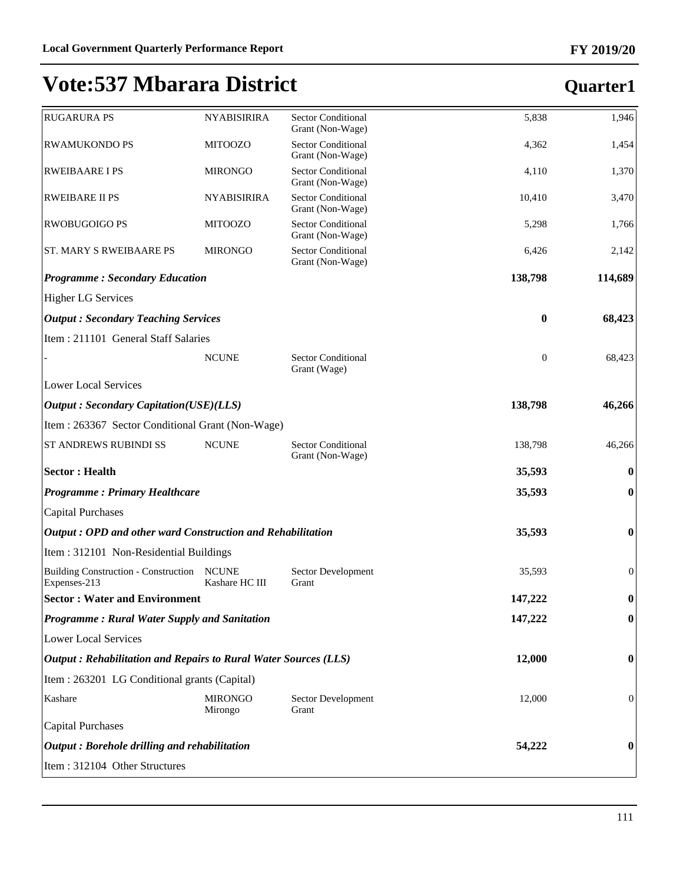#### **FY 2019/20**

| <b>RUGARURA PS</b>                                              | <b>NYABISIRIRA</b>             | <b>Sector Conditional</b><br>Grant (Non-Wage) | 5,838            | 1,946            |
|-----------------------------------------------------------------|--------------------------------|-----------------------------------------------|------------------|------------------|
| <b>RWAMUKONDO PS</b>                                            | <b>MITOOZO</b>                 | <b>Sector Conditional</b><br>Grant (Non-Wage) | 4,362            | 1,454            |
| <b>RWEIBAARE I PS</b>                                           | <b>MIRONGO</b>                 | <b>Sector Conditional</b><br>Grant (Non-Wage) | 4,110            | 1,370            |
| <b>RWEIBARE II PS</b>                                           | <b>NYABISIRIRA</b>             | <b>Sector Conditional</b><br>Grant (Non-Wage) | 10,410           | 3,470            |
| <b>RWOBUGOIGO PS</b>                                            | <b>MITOOZO</b>                 | <b>Sector Conditional</b><br>Grant (Non-Wage) | 5,298            | 1,766            |
| <b>ST. MARY S RWEIBAARE PS</b>                                  | <b>MIRONGO</b>                 | <b>Sector Conditional</b><br>Grant (Non-Wage) | 6,426            | 2,142            |
| <b>Programme: Secondary Education</b>                           |                                |                                               | 138,798          | 114,689          |
| <b>Higher LG Services</b>                                       |                                |                                               |                  |                  |
| <b>Output: Secondary Teaching Services</b>                      |                                |                                               | $\bf{0}$         | 68,423           |
| Item: 211101 General Staff Salaries                             |                                |                                               |                  |                  |
|                                                                 | <b>NCUNE</b>                   | <b>Sector Conditional</b><br>Grant (Wage)     | $\boldsymbol{0}$ | 68,423           |
| <b>Lower Local Services</b>                                     |                                |                                               |                  |                  |
| <b>Output: Secondary Capitation(USE)(LLS)</b>                   |                                |                                               | 138,798          | 46,266           |
| Item: 263367 Sector Conditional Grant (Non-Wage)                |                                |                                               |                  |                  |
| ST ANDREWS RUBINDI SS                                           | <b>NCUNE</b>                   | <b>Sector Conditional</b><br>Grant (Non-Wage) | 138,798          | 46,266           |
| <b>Sector: Health</b>                                           |                                |                                               | 35,593           | $\bf{0}$         |
| <b>Programme: Primary Healthcare</b>                            |                                |                                               | 35,593           | $\bf{0}$         |
| <b>Capital Purchases</b>                                        |                                |                                               |                  |                  |
| Output: OPD and other ward Construction and Rehabilitation      |                                |                                               | 35,593           | $\boldsymbol{0}$ |
| Item: 312101 Non-Residential Buildings                          |                                |                                               |                  |                  |
| <b>Building Construction - Construction</b><br>Expenses-213     | <b>NCUNE</b><br>Kashare HC III | Sector Development<br>Grant                   | 35,593           | $\boldsymbol{0}$ |
| <b>Sector: Water and Environment</b>                            |                                |                                               | 147,222          | $\boldsymbol{0}$ |
| Programme: Rural Water Supply and Sanitation                    |                                |                                               | 147,222          | $\boldsymbol{0}$ |
| <b>Lower Local Services</b>                                     |                                |                                               |                  |                  |
| Output: Rehabilitation and Repairs to Rural Water Sources (LLS) |                                |                                               | 12,000           | $\boldsymbol{0}$ |
| Item : 263201 LG Conditional grants (Capital)                   |                                |                                               |                  |                  |
| Kashare                                                         | <b>MIRONGO</b><br>Mirongo      | Sector Development<br>Grant                   | 12,000           | $\mathbf{0}$     |
| <b>Capital Purchases</b>                                        |                                |                                               |                  |                  |
| Output: Borehole drilling and rehabilitation                    |                                |                                               | 54,222           | $\bf{0}$         |
| Item: 312104 Other Structures                                   |                                |                                               |                  |                  |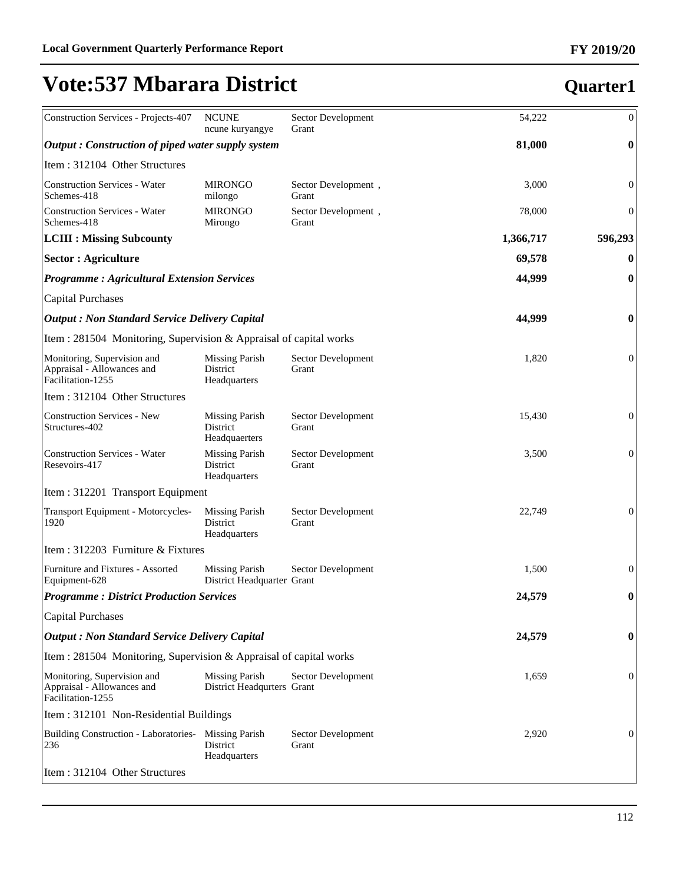| <b>Construction Services - Projects-407</b>                                    | <b>NCUNE</b><br>ncune kuryangye                     | Sector Development<br>Grant  | 54,222    | $\boldsymbol{0}$ |
|--------------------------------------------------------------------------------|-----------------------------------------------------|------------------------------|-----------|------------------|
| Output: Construction of piped water supply system                              |                                                     |                              | 81,000    | $\boldsymbol{0}$ |
| Item: 312104 Other Structures                                                  |                                                     |                              |           |                  |
| <b>Construction Services - Water</b><br>Schemes-418                            | <b>MIRONGO</b><br>milongo                           | Sector Development,<br>Grant | 3,000     | $\boldsymbol{0}$ |
| <b>Construction Services - Water</b><br>Schemes-418                            | <b>MIRONGO</b><br>Mirongo                           | Sector Development,<br>Grant | 78,000    | $\mathbf{0}$     |
| <b>LCIII : Missing Subcounty</b>                                               |                                                     |                              | 1,366,717 | 596,293          |
| <b>Sector: Agriculture</b>                                                     |                                                     |                              | 69,578    | $\boldsymbol{0}$ |
| <b>Programme: Agricultural Extension Services</b>                              |                                                     |                              | 44,999    | $\boldsymbol{0}$ |
| <b>Capital Purchases</b>                                                       |                                                     |                              |           |                  |
| <b>Output : Non Standard Service Delivery Capital</b>                          |                                                     |                              | 44,999    | $\boldsymbol{0}$ |
| Item : 281504 Monitoring, Supervision & Appraisal of capital works             |                                                     |                              |           |                  |
| Monitoring, Supervision and<br>Appraisal - Allowances and<br>Facilitation-1255 | <b>Missing Parish</b><br>District<br>Headquarters   | Sector Development<br>Grant  | 1,820     | $\mathbf{0}$     |
| Item: 312104 Other Structures                                                  |                                                     |                              |           |                  |
| <b>Construction Services - New</b><br>Structures-402                           | <b>Missing Parish</b><br>District<br>Headquaerters  | Sector Development<br>Grant  | 15,430    | $\boldsymbol{0}$ |
| <b>Construction Services - Water</b><br>Resevoirs-417                          | <b>Missing Parish</b><br>District<br>Headquarters   | Sector Development<br>Grant  | 3,500     | $\mathbf{0}$     |
| Item: 312201 Transport Equipment                                               |                                                     |                              |           |                  |
| Transport Equipment - Motorcycles-<br>1920                                     | <b>Missing Parish</b><br>District<br>Headquarters   | Sector Development<br>Grant  | 22,749    | $\mathbf{0}$     |
| Item: 312203 Furniture & Fixtures                                              |                                                     |                              |           |                  |
| Furniture and Fixtures - Assorted<br>Equipment-628                             | <b>Missing Parish</b><br>District Headquarter Grant | Sector Development           | 1,500     | $\mathbf{0}$     |
| <b>Programme: District Production Services</b>                                 |                                                     |                              | 24,579    | $\boldsymbol{0}$ |
| <b>Capital Purchases</b>                                                       |                                                     |                              |           |                  |
| <b>Output : Non Standard Service Delivery Capital</b>                          |                                                     |                              | 24,579    | $\boldsymbol{0}$ |
| Item : 281504 Monitoring, Supervision & Appraisal of capital works             |                                                     |                              |           |                  |
| Monitoring, Supervision and<br>Appraisal - Allowances and<br>Facilitation-1255 | <b>Missing Parish</b><br>District Headqurters Grant | Sector Development           | 1,659     | $\boldsymbol{0}$ |
| Item: 312101 Non-Residential Buildings                                         |                                                     |                              |           |                  |
| <b>Building Construction - Laboratories-</b><br>236                            | <b>Missing Parish</b><br>District<br>Headquarters   | Sector Development<br>Grant  | 2,920     | $\boldsymbol{0}$ |
| Item: 312104 Other Structures                                                  |                                                     |                              |           |                  |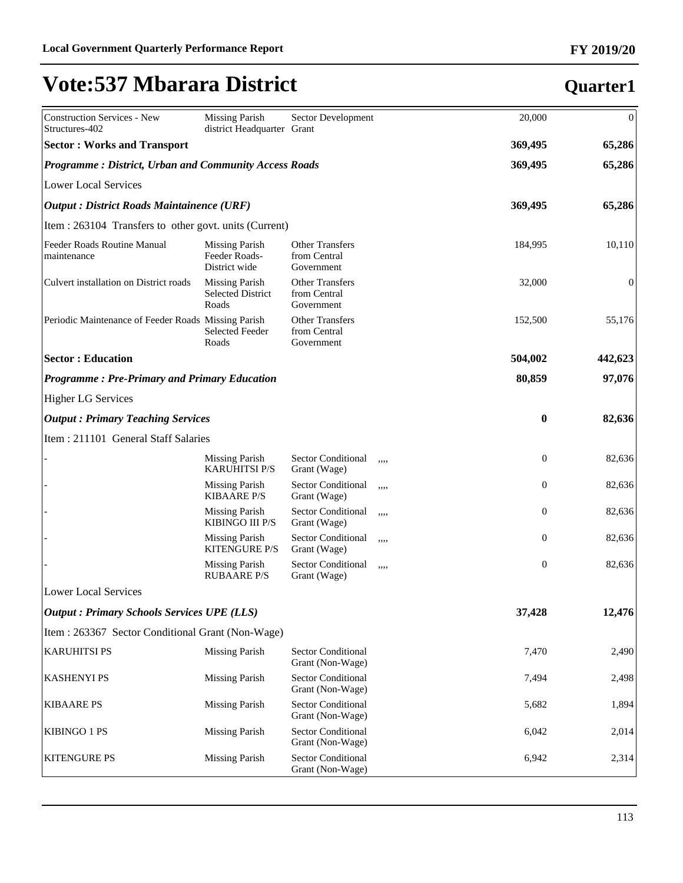| Construction Services - New<br>Structures-402                | <b>Missing Parish</b><br>district Headquarter Grant        | Sector Development                                   |      | 20,000           | $\boldsymbol{0}$ |
|--------------------------------------------------------------|------------------------------------------------------------|------------------------------------------------------|------|------------------|------------------|
| <b>Sector: Works and Transport</b>                           |                                                            |                                                      |      | 369,495          | 65,286           |
| <b>Programme: District, Urban and Community Access Roads</b> |                                                            |                                                      |      | 369,495          | 65,286           |
| Lower Local Services                                         |                                                            |                                                      |      |                  |                  |
| <b>Output : District Roads Maintainence (URF)</b>            |                                                            |                                                      |      | 369,495          | 65,286           |
| Item : 263104 Transfers to other govt. units (Current)       |                                                            |                                                      |      |                  |                  |
| Feeder Roads Routine Manual<br>maintenance                   | <b>Missing Parish</b><br>Feeder Roads-<br>District wide    | <b>Other Transfers</b><br>from Central<br>Government |      | 184,995          | 10,110           |
| Culvert installation on District roads                       | <b>Missing Parish</b><br><b>Selected District</b><br>Roads | <b>Other Transfers</b><br>from Central<br>Government |      | 32,000           | $\mathbf{0}$     |
| Periodic Maintenance of Feeder Roads Missing Parish          | <b>Selected Feeder</b><br>Roads                            | <b>Other Transfers</b><br>from Central<br>Government |      | 152,500          | 55,176           |
| <b>Sector: Education</b>                                     |                                                            |                                                      |      | 504,002          | 442,623          |
| <b>Programme: Pre-Primary and Primary Education</b>          |                                                            |                                                      |      | 80,859           | 97,076           |
| <b>Higher LG Services</b>                                    |                                                            |                                                      |      |                  |                  |
| <b>Output: Primary Teaching Services</b>                     |                                                            |                                                      |      | $\boldsymbol{0}$ | 82,636           |
| Item : 211101 General Staff Salaries                         |                                                            |                                                      |      |                  |                  |
|                                                              | <b>Missing Parish</b><br><b>KARUHITSI P/S</b>              | Sector Conditional<br>Grant (Wage)                   | ,,,, | $\boldsymbol{0}$ | 82,636           |
|                                                              | <b>Missing Parish</b><br><b>KIBAARE P/S</b>                | Sector Conditional<br>Grant (Wage)                   | ,,,, | $\boldsymbol{0}$ | 82,636           |
|                                                              | Missing Parish<br>KIBINGO III P/S                          | Sector Conditional<br>Grant (Wage)                   | ,,,, | $\boldsymbol{0}$ | 82,636           |
|                                                              | Missing Parish<br><b>KITENGURE P/S</b>                     | Sector Conditional<br>Grant (Wage)                   | ,,,, | $\boldsymbol{0}$ | 82,636           |
|                                                              | <b>Missing Parish</b><br><b>RUBAARE P/S</b>                | Sector Conditional<br>Grant (Wage)                   | ,,,, | $\boldsymbol{0}$ | 82,636           |
| Lower Local Services                                         |                                                            |                                                      |      |                  |                  |
| <b>Output: Primary Schools Services UPE (LLS)</b>            |                                                            |                                                      |      | 37,428           | 12,476           |
| Item : 263367 Sector Conditional Grant (Non-Wage)            |                                                            |                                                      |      |                  |                  |
| <b>KARUHITSI PS</b>                                          | <b>Missing Parish</b>                                      | Sector Conditional<br>Grant (Non-Wage)               |      | 7,470            | 2,490            |
| <b>KASHENYI PS</b>                                           | <b>Missing Parish</b>                                      | Sector Conditional<br>Grant (Non-Wage)               |      | 7,494            | 2,498            |
| <b>KIBAARE PS</b>                                            | <b>Missing Parish</b>                                      | Sector Conditional<br>Grant (Non-Wage)               |      | 5,682            | 1,894            |
| <b>KIBINGO 1 PS</b>                                          | <b>Missing Parish</b>                                      | Sector Conditional<br>Grant (Non-Wage)               |      | 6,042            | 2,014            |
| <b>KITENGURE PS</b>                                          | <b>Missing Parish</b>                                      | <b>Sector Conditional</b><br>Grant (Non-Wage)        |      | 6,942            | 2,314            |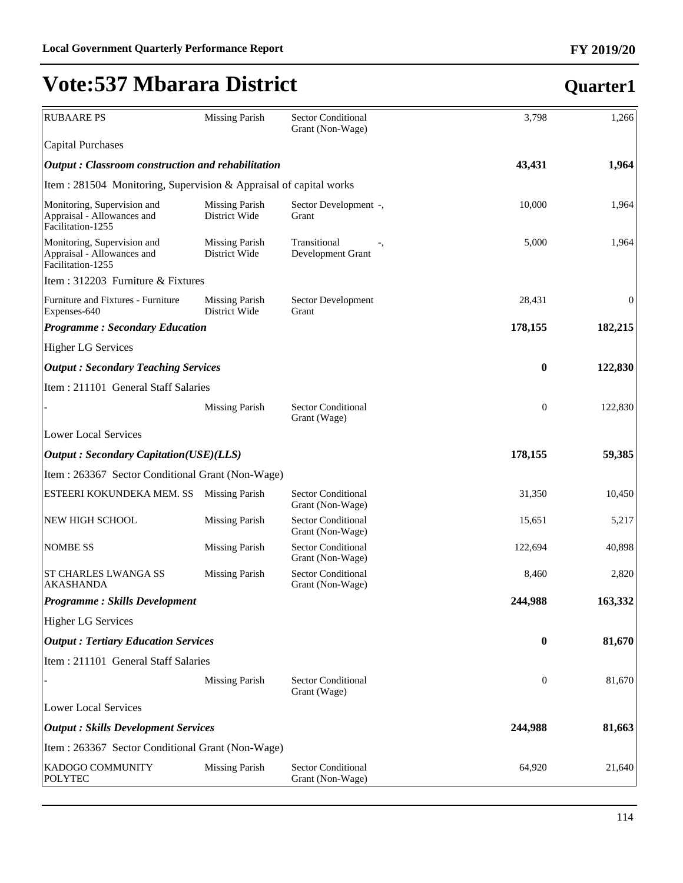#### **FY 2019/20**

## **Vote:537 Mbarara District**

| <b>RUBAARE PS</b>                                                              | <b>Missing Parish</b>                  | <b>Sector Conditional</b><br>Grant (Non-Wage) | 3,798            | 1,266            |
|--------------------------------------------------------------------------------|----------------------------------------|-----------------------------------------------|------------------|------------------|
| <b>Capital Purchases</b>                                                       |                                        |                                               |                  |                  |
| <b>Output: Classroom construction and rehabilitation</b>                       |                                        |                                               | 43,431           | 1,964            |
| Item: 281504 Monitoring, Supervision & Appraisal of capital works              |                                        |                                               |                  |                  |
| Monitoring, Supervision and<br>Appraisal - Allowances and<br>Facilitation-1255 | <b>Missing Parish</b><br>District Wide | Sector Development -,<br>Grant                | 10,000           | 1,964            |
| Monitoring, Supervision and<br>Appraisal - Allowances and<br>Facilitation-1255 | <b>Missing Parish</b><br>District Wide | Transitional<br>Development Grant             | 5,000            | 1,964            |
| Item : 312203 Furniture & Fixtures                                             |                                        |                                               |                  |                  |
| Furniture and Fixtures - Furniture<br>Expenses-640                             | Missing Parish<br>District Wide        | Sector Development<br>Grant                   | 28,431           | $\boldsymbol{0}$ |
| <b>Programme: Secondary Education</b>                                          |                                        |                                               | 178,155          | 182,215          |
| <b>Higher LG Services</b>                                                      |                                        |                                               |                  |                  |
| <b>Output: Secondary Teaching Services</b>                                     |                                        |                                               | $\bf{0}$         | 122,830          |
| Item: 211101 General Staff Salaries                                            |                                        |                                               |                  |                  |
|                                                                                | <b>Missing Parish</b>                  | <b>Sector Conditional</b><br>Grant (Wage)     | $\boldsymbol{0}$ | 122,830          |
| <b>Lower Local Services</b>                                                    |                                        |                                               |                  |                  |
| <b>Output: Secondary Capitation(USE)(LLS)</b>                                  |                                        |                                               | 178,155          | 59,385           |
| Item : 263367 Sector Conditional Grant (Non-Wage)                              |                                        |                                               |                  |                  |
| ESTEERI KOKUNDEKA MEM. SS                                                      | <b>Missing Parish</b>                  | <b>Sector Conditional</b><br>Grant (Non-Wage) | 31,350           | 10,450           |
| NEW HIGH SCHOOL                                                                | <b>Missing Parish</b>                  | <b>Sector Conditional</b><br>Grant (Non-Wage) | 15,651           | 5,217            |
| <b>NOMBE SS</b>                                                                | <b>Missing Parish</b>                  | <b>Sector Conditional</b><br>Grant (Non-Wage) | 122,694          | 40,898           |
| <b>ST CHARLES LWANGA SS</b><br><b>AKASHANDA</b>                                | <b>Missing Parish</b>                  | <b>Sector Conditional</b><br>Grant (Non-Wage) | 8,460            | 2,820            |
| <b>Programme: Skills Development</b>                                           |                                        |                                               | 244,988          | 163,332          |
| <b>Higher LG Services</b>                                                      |                                        |                                               |                  |                  |
| <b>Output : Tertiary Education Services</b>                                    |                                        |                                               | $\bf{0}$         | 81,670           |
| Item: 211101 General Staff Salaries                                            |                                        |                                               |                  |                  |
|                                                                                | <b>Missing Parish</b>                  | <b>Sector Conditional</b><br>Grant (Wage)     | $\mathbf{0}$     | 81,670           |
| <b>Lower Local Services</b>                                                    |                                        |                                               |                  |                  |
| <b>Output : Skills Development Services</b>                                    |                                        |                                               | 244,988          | 81,663           |
| Item : 263367 Sector Conditional Grant (Non-Wage)                              |                                        |                                               |                  |                  |
| KADOGO COMMUNITY<br><b>POLYTEC</b>                                             | <b>Missing Parish</b>                  | <b>Sector Conditional</b><br>Grant (Non-Wage) | 64,920           | 21,640           |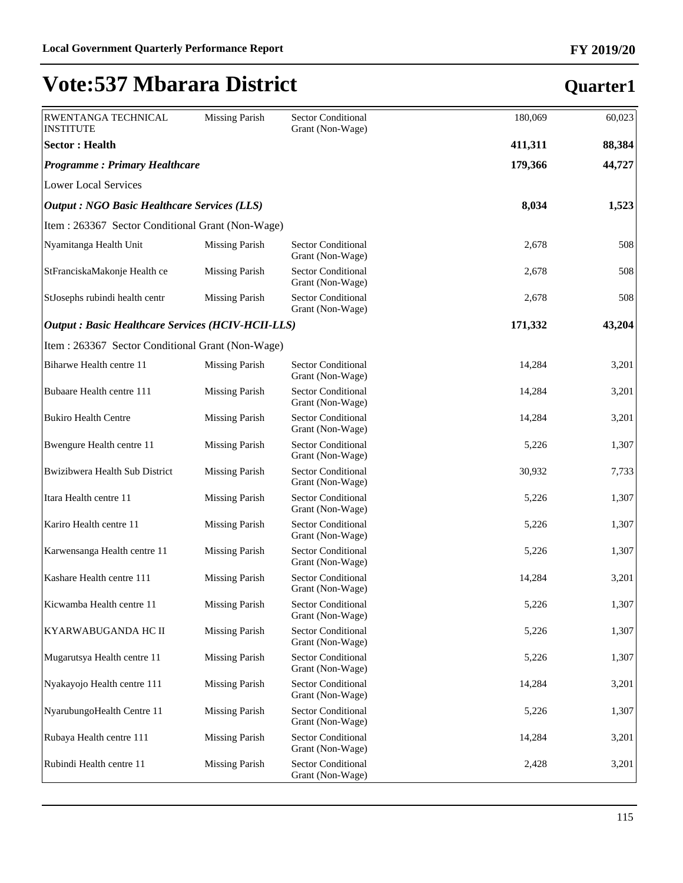| RWENTANGA TECHNICAL<br><b>INSTITUTE</b>                  | <b>Missing Parish</b> | Sector Conditional<br>Grant (Non-Wage)        | 180,069 | 60,023 |
|----------------------------------------------------------|-----------------------|-----------------------------------------------|---------|--------|
| <b>Sector: Health</b>                                    |                       |                                               | 411,311 | 88,384 |
| <b>Programme: Primary Healthcare</b>                     |                       |                                               | 179,366 | 44,727 |
| <b>Lower Local Services</b>                              |                       |                                               |         |        |
| <b>Output : NGO Basic Healthcare Services (LLS)</b>      |                       |                                               | 8,034   | 1,523  |
| Item: 263367 Sector Conditional Grant (Non-Wage)         |                       |                                               |         |        |
| Nyamitanga Health Unit                                   | <b>Missing Parish</b> | <b>Sector Conditional</b><br>Grant (Non-Wage) | 2,678   | 508    |
| StFranciskaMakonje Health ce                             | <b>Missing Parish</b> | <b>Sector Conditional</b><br>Grant (Non-Wage) | 2,678   | 508    |
| StJosephs rubindi health centr                           | <b>Missing Parish</b> | <b>Sector Conditional</b><br>Grant (Non-Wage) | 2,678   | 508    |
| <b>Output: Basic Healthcare Services (HCIV-HCII-LLS)</b> |                       |                                               | 171,332 | 43,204 |
| Item: 263367 Sector Conditional Grant (Non-Wage)         |                       |                                               |         |        |
| Biharwe Health centre 11                                 | <b>Missing Parish</b> | <b>Sector Conditional</b><br>Grant (Non-Wage) | 14,284  | 3,201  |
| Bubaare Health centre 111                                | <b>Missing Parish</b> | <b>Sector Conditional</b><br>Grant (Non-Wage) | 14,284  | 3,201  |
| <b>Bukiro Health Centre</b>                              | <b>Missing Parish</b> | Sector Conditional<br>Grant (Non-Wage)        | 14,284  | 3,201  |
| Bwengure Health centre 11                                | <b>Missing Parish</b> | <b>Sector Conditional</b><br>Grant (Non-Wage) | 5,226   | 1,307  |
| Bwizibwera Health Sub District                           | <b>Missing Parish</b> | Sector Conditional<br>Grant (Non-Wage)        | 30,932  | 7,733  |
| Itara Health centre 11                                   | <b>Missing Parish</b> | Sector Conditional<br>Grant (Non-Wage)        | 5,226   | 1,307  |
| Kariro Health centre 11                                  | <b>Missing Parish</b> | Sector Conditional<br>Grant (Non-Wage)        | 5,226   | 1,307  |
| Karwensanga Health centre 11                             | <b>Missing Parish</b> | Sector Conditional<br>Grant (Non-Wage)        | 5,226   | 1,307  |
| Kashare Health centre 111                                | <b>Missing Parish</b> | Sector Conditional<br>Grant (Non-Wage)        | 14,284  | 3,201  |
| Kicwamba Health centre 11                                | <b>Missing Parish</b> | <b>Sector Conditional</b><br>Grant (Non-Wage) | 5,226   | 1,307  |
| KYARWABUGANDA HC II                                      | <b>Missing Parish</b> | <b>Sector Conditional</b><br>Grant (Non-Wage) | 5,226   | 1,307  |
| Mugarutsya Health centre 11                              | <b>Missing Parish</b> | <b>Sector Conditional</b><br>Grant (Non-Wage) | 5,226   | 1,307  |
| Nyakayojo Health centre 111                              | <b>Missing Parish</b> | Sector Conditional<br>Grant (Non-Wage)        | 14,284  | 3,201  |
| NyarubungoHealth Centre 11                               | <b>Missing Parish</b> | Sector Conditional<br>Grant (Non-Wage)        | 5,226   | 1,307  |
| Rubaya Health centre 111                                 | <b>Missing Parish</b> | Sector Conditional<br>Grant (Non-Wage)        | 14,284  | 3,201  |
| Rubindi Health centre 11                                 | <b>Missing Parish</b> | <b>Sector Conditional</b><br>Grant (Non-Wage) | 2,428   | 3,201  |